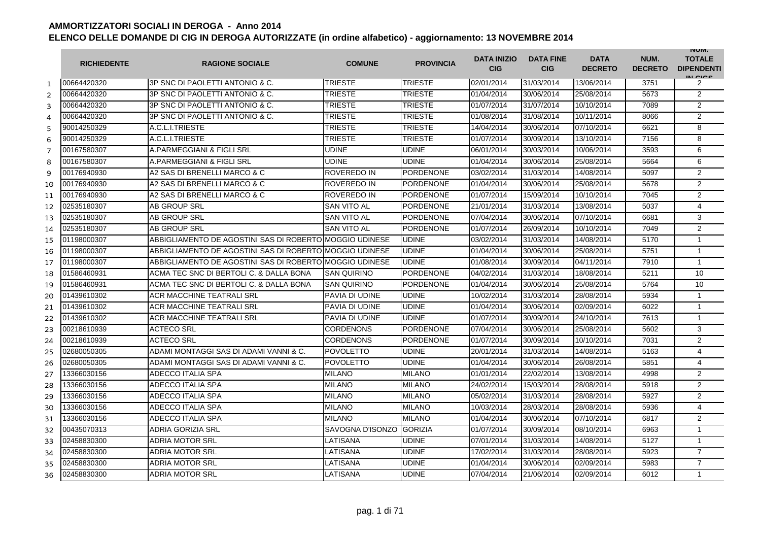|                | <b>RICHIEDENTE</b> | <b>RAGIONE SOCIALE</b>                                  | <b>COMUNE</b>      | <b>PROVINCIA</b> | <b>DATA INIZIO</b><br><b>CIG</b> | <b>DATA FINE</b><br><b>CIG</b> | <b>DATA</b><br><b>DECRETO</b> | NUM.<br><b>DECRETO</b> | <b>INUIVI.</b><br><b>TOTALE</b><br><b>DIPENDENTI</b><br>IN CIGO |
|----------------|--------------------|---------------------------------------------------------|--------------------|------------------|----------------------------------|--------------------------------|-------------------------------|------------------------|-----------------------------------------------------------------|
| $\mathbf{1}$   | 00664420320        | 3P SNC DI PAOLETTI ANTONIO & C.                         | <b>TRIESTE</b>     | <b>TRIESTE</b>   | 02/01/2014                       | 31/03/2014                     | 13/06/2014                    | 3751                   | 2                                                               |
| $\overline{2}$ | 00664420320        | 3P SNC DI PAOLETTI ANTONIO & C.                         | <b>TRIESTE</b>     | <b>TRIESTE</b>   | 01/04/2014                       | 30/06/2014                     | 25/08/2014                    | 5673                   | $\overline{2}$                                                  |
| 3              | 00664420320        | 3P SNC DI PAOLETTI ANTONIO & C.                         | <b>TRIESTE</b>     | <b>TRIESTE</b>   | 01/07/2014                       | 31/07/2014                     | 10/10/2014                    | 7089                   | $\overline{2}$                                                  |
| 4              | 00664420320        | 3P SNC DI PAOLETTI ANTONIO & C.                         | <b>TRIESTE</b>     | <b>TRIESTE</b>   | 01/08/2014                       | 31/08/2014                     | 10/11/2014                    | 8066                   | $\overline{2}$                                                  |
| 5              | 90014250329        | A.C.L.I.TRIESTE                                         | <b>TRIESTE</b>     | <b>TRIESTE</b>   | 14/04/2014                       | 30/06/2014                     | 07/10/2014                    | 6621                   | 8                                                               |
| 6              | 90014250329        | A.C.L.I.TRIESTE                                         | <b>TRIESTE</b>     | <b>TRIESTE</b>   | 01/07/2014                       | 30/09/2014                     | 13/10/2014                    | 7156                   | 8                                                               |
| $\overline{7}$ | 00167580307        | A.PARMEGGIANI & FIGLI SRL                               | <b>UDINE</b>       | <b>UDINE</b>     | 06/01/2014                       | 30/03/2014                     | 10/06/2014                    | 3593                   | 6                                                               |
| 8              | 00167580307        | A.PARMEGGIANI & FIGLI SRL                               | <b>UDINE</b>       | <b>UDINE</b>     | 01/04/2014                       | 30/06/2014                     | 25/08/2014                    | 5664                   | 6                                                               |
| 9              | 00176940930        | A2 SAS DI BRENELLI MARCO & C                            | <b>ROVEREDO IN</b> | <b>PORDENONE</b> | 03/02/2014                       | 31/03/2014                     | 14/08/2014                    | 5097                   | $\overline{2}$                                                  |
| 10             | 00176940930        | A2 SAS DI BRENELLI MARCO & C                            | <b>ROVEREDO IN</b> | <b>PORDENONE</b> | 01/04/2014                       | 30/06/2014                     | 25/08/2014                    | 5678                   | $\overline{2}$                                                  |
| 11             | 00176940930        | A2 SAS DI BRENELLI MARCO & C                            | <b>ROVEREDO IN</b> | <b>PORDENONE</b> | 01/07/2014                       | 15/09/2014                     | 10/10/2014                    | 7045                   | $\overline{2}$                                                  |
| 12             | 02535180307        | <b>AB GROUP SRL</b>                                     | <b>SAN VITO AL</b> | <b>PORDENONE</b> | 21/01/2014                       | 31/03/2014                     | 13/08/2014                    | 5037                   | 4                                                               |
| 13             | 02535180307        | <b>AB GROUP SRL</b>                                     | <b>SAN VITO AL</b> | <b>PORDENONE</b> | 07/04/2014                       | 30/06/2014                     | 07/10/2014                    | 6681                   | 3                                                               |
| 14             | 02535180307        | <b>AB GROUP SRL</b>                                     | <b>SAN VITO AL</b> | <b>PORDENONE</b> | 01/07/2014                       | 26/09/2014                     | 10/10/2014                    | 7049                   | 2                                                               |
| 15             | 01198000307        | ABBIGLIAMENTO DE AGOSTINI SAS DI ROBERTO MOGGIO UDINESE |                    | <b>UDINE</b>     | 03/02/2014                       | 31/03/2014                     | 14/08/2014                    | 5170                   | $\mathbf{1}$                                                    |
| 16             | 01198000307        | ABBIGLIAMENTO DE AGOSTINI SAS DI ROBERTO MOGGIO UDINESE |                    | <b>UDINE</b>     | 01/04/2014                       | 30/06/2014                     | 25/08/2014                    | 5751                   | $\mathbf{1}$                                                    |
| 17             | 01198000307        | ABBIGLIAMENTO DE AGOSTINI SAS DI ROBERTO MOGGIO UDINESE |                    | <b>UDINE</b>     | 01/08/2014                       | 30/09/2014                     | 04/11/2014                    | 7910                   | $\mathbf{1}$                                                    |
| 18             | 01586460931        | ACMA TEC SNC DI BERTOLI C. & DALLA BONA                 | <b>SAN QUIRINO</b> | <b>PORDENONE</b> | 04/02/2014                       | 31/03/2014                     | 18/08/2014                    | 5211                   | 10                                                              |
| 19             | 01586460931        | ACMA TEC SNC DI BERTOLI C. & DALLA BONA                 | <b>SAN QUIRINO</b> | <b>PORDENONE</b> | 01/04/2014                       | 30/06/2014                     | 25/08/2014                    | 5764                   | 10                                                              |
| 20             | 01439610302        | <b>ACR MACCHINE TEATRALI SRL</b>                        | PAVIA DI UDINE     | <b>UDINE</b>     | 10/02/2014                       | 31/03/2014                     | 28/08/2014                    | 5934                   | $\mathbf{1}$                                                    |
| 21             | 01439610302        | <b>ACR MACCHINE TEATRALI SRL</b>                        | PAVIA DI UDINE     | <b>UDINE</b>     | 01/04/2014                       | 30/06/2014                     | 02/09/2014                    | 6022                   | $\mathbf{1}$                                                    |
| 22             | 01439610302        | ACR MACCHINE TEATRALI SRL                               | PAVIA DI UDINE     | <b>UDINE</b>     | 01/07/2014                       | 30/09/2014                     | 24/10/2014                    | 7613                   | $\mathbf{1}$                                                    |
| 23             | 00218610939        | <b>ACTECO SRL</b>                                       | <b>CORDENONS</b>   | <b>PORDENONE</b> | 07/04/2014                       | 30/06/2014                     | 25/08/2014                    | 5602                   | 3                                                               |
| 24             | 00218610939        | <b>ACTECO SRL</b>                                       | <b>CORDENONS</b>   | <b>PORDENONE</b> | 01/07/2014                       | 30/09/2014                     | 10/10/2014                    | 7031                   | $\overline{2}$                                                  |
| 25             | 02680050305        | ADAMI MONTAGGI SAS DI ADAMI VANNI & C.                  | <b>POVOLETTO</b>   | <b>UDINE</b>     | 20/01/2014                       | 31/03/2014                     | 14/08/2014                    | 5163                   | 4                                                               |
| 26             | 02680050305        | ADAMI MONTAGGI SAS DI ADAMI VANNI & C.                  | <b>POVOLETTO</b>   | <b>UDINE</b>     | 01/04/2014                       | 30/06/2014                     | 26/08/2014                    | 5851                   | 4                                                               |
| 27             | 13366030156        | ADECCO ITALIA SPA                                       | <b>MILANO</b>      | <b>MILANO</b>    | 01/01/2014                       | 22/02/2014                     | 13/08/2014                    | 4998                   | $\overline{2}$                                                  |
| 28             | 13366030156        | ADECCO ITALIA SPA                                       | <b>MILANO</b>      | <b>MILANO</b>    | 24/02/2014                       | 15/03/2014                     | 28/08/2014                    | 5918                   | $\overline{2}$                                                  |
| 29             | 13366030156        | ADECCO ITALIA SPA                                       | <b>MILANO</b>      | <b>MILANO</b>    | 05/02/2014                       | 31/03/2014                     | 28/08/2014                    | 5927                   | 2                                                               |
| 30             | 13366030156        | ADECCO ITALIA SPA                                       | <b>MILANO</b>      | <b>MILANO</b>    | 10/03/2014                       | 28/03/2014                     | 28/08/2014                    | 5936                   | $\overline{4}$                                                  |
| 31             | 13366030156        | ADECCO ITALIA SPA                                       | <b>MILANO</b>      | <b>MILANO</b>    | 01/04/2014                       | 30/06/2014                     | 07/10/2014                    | 6817                   | 2                                                               |
| 32             | 00435070313        | <b>ADRIA GORIZIA SRL</b>                                | SAVOGNA D'ISONZO   | <b>GORIZIA</b>   | 01/07/2014                       | 30/09/2014                     | 08/10/2014                    | 6963                   | $\mathbf{1}$                                                    |
| 33             | 02458830300        | <b>ADRIA MOTOR SRL</b>                                  | LATISANA           | <b>UDINE</b>     | 07/01/2014                       | 31/03/2014                     | 14/08/2014                    | 5127                   | 1                                                               |
| 34             | 02458830300        | <b>ADRIA MOTOR SRL</b>                                  | LATISANA           | <b>UDINE</b>     | 17/02/2014                       | 31/03/2014                     | 28/08/2014                    | 5923                   | $\overline{7}$                                                  |
| 35             | 02458830300        | <b>ADRIA MOTOR SRL</b>                                  | LATISANA           | <b>UDINE</b>     | 01/04/2014                       | 30/06/2014                     | 02/09/2014                    | 5983                   | $\overline{7}$                                                  |
| 36             | 02458830300        | <b>ADRIA MOTOR SRL</b>                                  | LATISANA           | UDINE            | 07/04/2014                       | 21/06/2014                     | 02/09/2014                    | 6012                   | $\mathbf{1}$                                                    |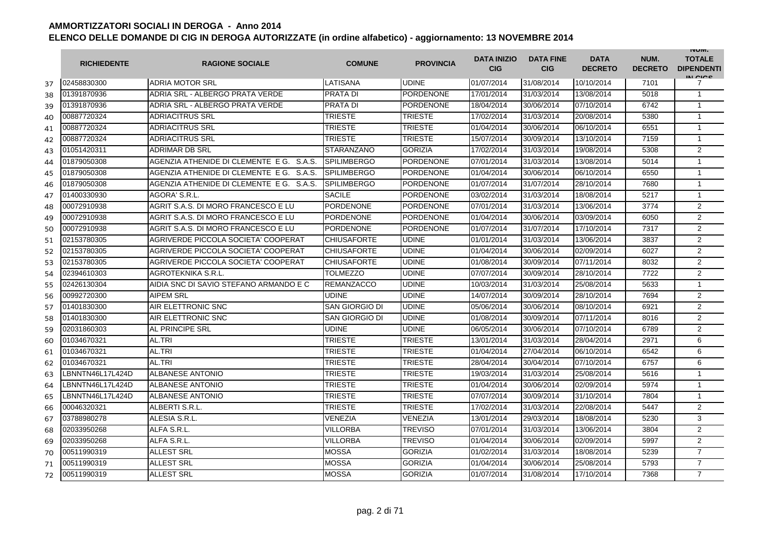|    | <b>RICHIEDENTE</b> | <b>RAGIONE SOCIALE</b>                   | <b>COMUNE</b>         | <b>PROVINCIA</b> | <b>DATA INIZIO</b><br><b>CIG</b> | <b>DATA FINE</b><br><b>CIG</b> | <b>DATA</b><br><b>DECRETO</b> | NUM.<br><b>DECRETO</b> | <b>INUIVI.</b><br><b>TOTALE</b><br><b>DIPENDENTI</b><br>IN CICE |
|----|--------------------|------------------------------------------|-----------------------|------------------|----------------------------------|--------------------------------|-------------------------------|------------------------|-----------------------------------------------------------------|
| 37 | 02458830300        | <b>ADRIA MOTOR SRL</b>                   | LATISANA              | <b>UDINE</b>     | 01/07/2014                       | 31/08/2014                     | 10/10/2014                    | 7101                   | 7                                                               |
| 38 | 01391870936        | ADRIA SRL - ALBERGO PRATA VERDE          | <b>PRATA DI</b>       | <b>PORDENONE</b> | 17/01/2014                       | 31/03/2014                     | 13/08/2014                    | 5018                   | $\mathbf{1}$                                                    |
| 39 | 01391870936        | ADRIA SRL - ALBERGO PRATA VERDE          | <b>PRATA DI</b>       | <b>PORDENONE</b> | 18/04/2014                       | 30/06/2014                     | 07/10/2014                    | 6742                   | $\mathbf{1}$                                                    |
| 40 | 00887720324        | ADRIACITRUS SRL                          | <b>TRIESTE</b>        | <b>TRIESTE</b>   | 17/02/2014                       | 31/03/2014                     | 20/08/2014                    | 5380                   | $\mathbf{1}$                                                    |
| 41 | 00887720324        | <b>ADRIACITRUS SRL</b>                   | <b>TRIESTE</b>        | <b>TRIESTE</b>   | 01/04/2014                       | 30/06/2014                     | 06/10/2014                    | 6551                   | $\mathbf{1}$                                                    |
| 42 | 00887720324        | <b>ADRIACITRUS SRL</b>                   | <b>TRIESTE</b>        | <b>TRIESTE</b>   | 15/07/2014                       | 30/09/2014                     | 13/10/2014                    | 7159                   | $\mathbf{1}$                                                    |
| 43 | 01051420311        | <b>ADRIMAR DB SRL</b>                    | <b>STARANZANO</b>     | <b>GORIZIA</b>   | 17/02/2014                       | 31/03/2014                     | 19/08/2014                    | 5308                   | 2                                                               |
| 44 | 01879050308        | AGENZIA ATHENIDE DI CLEMENTE E G. S.A.S. | <b>SPILIMBERGO</b>    | <b>PORDENONE</b> | 07/01/2014                       | 31/03/2014                     | 13/08/2014                    | 5014                   | $\mathbf{1}$                                                    |
| 45 | 01879050308        | AGENZIA ATHENIDE DI CLEMENTE E G. S.A.S. | <b>SPILIMBERGO</b>    | PORDENONE        | 01/04/2014                       | 30/06/2014                     | 06/10/2014                    | 6550                   | $\mathbf{1}$                                                    |
| 46 | 01879050308        | AGENZIA ATHENIDE DI CLEMENTE E G. S.A.S. | <b>SPILIMBERGO</b>    | PORDENONE        | 01/07/2014                       | 31/07/2014                     | 28/10/2014                    | 7680                   | $\mathbf{1}$                                                    |
| 47 | 01400330930        | AGORA' S.R.L.                            | <b>SACILE</b>         | <b>PORDENONE</b> | 03/02/2014                       | 31/03/2014                     | 18/08/2014                    | 5217                   | 1                                                               |
| 48 | 00072910938        | AGRIT S.A.S. DI MORO FRANCESCO E LU      | <b>PORDENONE</b>      | <b>PORDENONE</b> | 07/01/2014                       | 31/03/2014                     | 13/06/2014                    | 3774                   | 2                                                               |
| 49 | 00072910938        | AGRIT S.A.S. DI MORO FRANCESCO E LU      | <b>PORDENONE</b>      | <b>PORDENONE</b> | 01/04/2014                       | 30/06/2014                     | 03/09/2014                    | 6050                   | $\overline{2}$                                                  |
| 50 | 00072910938        | AGRIT S.A.S. DI MORO FRANCESCO E LU      | <b>PORDENONE</b>      | <b>PORDENONE</b> | 01/07/2014                       | 31/07/2014                     | 17/10/2014                    | 7317                   | 2                                                               |
| 51 | 02153780305        | AGRIVERDE PICCOLA SOCIETA' COOPERAT      | <b>CHIUSAFORTE</b>    | <b>UDINE</b>     | 01/01/2014                       | 31/03/2014                     | 13/06/2014                    | 3837                   | 2                                                               |
| 52 | 02153780305        | AGRIVERDE PICCOLA SOCIETA' COOPERAT      | <b>CHIUSAFORTE</b>    | <b>UDINE</b>     | 01/04/2014                       | 30/06/2014                     | 02/09/2014                    | 6027                   | $\overline{2}$                                                  |
| 53 | 02153780305        | AGRIVERDE PICCOLA SOCIETA' COOPERAT      | <b>CHIUSAFORTE</b>    | UDINE            | 01/08/2014                       | 30/09/2014                     | 07/11/2014                    | 8032                   | $\overline{2}$                                                  |
| 54 | 02394610303        | AGROTEKNIKA S.R.L.                       | <b>TOLMEZZO</b>       | <b>UDINE</b>     | 07/07/2014                       | 30/09/2014                     | 28/10/2014                    | 7722                   | $\overline{2}$                                                  |
| 55 | 02426130304        | AIDIA SNC DI SAVIO STEFANO ARMANDO E C   | <b>REMANZACCO</b>     | <b>UDINE</b>     | 10/03/2014                       | 31/03/2014                     | 25/08/2014                    | 5633                   | $\mathbf{1}$                                                    |
| 56 | 00992720300        | <b>AIPEM SRL</b>                         | <b>UDINE</b>          | <b>UDINE</b>     | 14/07/2014                       | 30/09/2014                     | 28/10/2014                    | 7694                   | $\overline{2}$                                                  |
| 57 | 01401830300        | AIR ELETTRONIC SNC                       | <b>SAN GIORGIO DI</b> | <b>UDINE</b>     | 05/06/2014                       | 30/06/2014                     | 08/10/2014                    | 6921                   | 2                                                               |
| 58 | 01401830300        | AIR ELETTRONIC SNC                       | SAN GIORGIO DI        | <b>UDINE</b>     | 01/08/2014                       | 30/09/2014                     | 07/11/2014                    | 8016                   | 2                                                               |
| 59 | 02031860303        | AL PRINCIPE SRL                          | <b>UDINE</b>          | <b>UDINE</b>     | 06/05/2014                       | 30/06/2014                     | 07/10/2014                    | 6789                   | $\overline{2}$                                                  |
| 60 | 01034670321        | AL.TRI                                   | <b>TRIESTE</b>        | TRIESTE          | 13/01/2014                       | 31/03/2014                     | 28/04/2014                    | 2971                   | 6                                                               |
| 61 | 01034670321        | AL.TRI                                   | <b>TRIESTE</b>        | <b>TRIESTE</b>   | 01/04/2014                       | 27/04/2014                     | 06/10/2014                    | 6542                   | 6                                                               |
| 62 | 01034670321        | AL.TRI                                   | <b>TRIESTE</b>        | <b>TRIESTE</b>   | 28/04/2014                       | 30/04/2014                     | 07/10/2014                    | 6757                   | 6                                                               |
| 63 | BNNTN46L17L424D_   | <b>ALBANESE ANTONIO</b>                  | <b>TRIESTE</b>        | TRIESTE          | 19/03/2014                       | 31/03/2014                     | 25/08/2014                    | 5616                   | $\mathbf{1}$                                                    |
| 64 | BNNTN46L17L424D_   | ALBANESE ANTONIO                         | <b>TRIESTE</b>        | TRIESTE          | 01/04/2014                       | 30/06/2014                     | 02/09/2014                    | 5974                   | $\mathbf{1}$                                                    |
| 65 | LBNNTN46L17L424D   | ALBANESE ANTONIO                         | <b>TRIESTE</b>        | <b>TRIESTE</b>   | 07/07/2014                       | 30/09/2014                     | 31/10/2014                    | 7804                   | $\mathbf{1}$                                                    |
| 66 | 00046320321        | ALBERTI S.R.L.                           | <b>TRIESTE</b>        | <b>TRIESTE</b>   | 17/02/2014                       | 31/03/2014                     | 22/08/2014                    | 5447                   | 2                                                               |
| 67 | 03788980278        | ALESIA S.R.L.                            | VENEZIA               | VENEZIA          | 13/01/2014                       | 29/03/2014                     | 18/08/2014                    | 5230                   | 3                                                               |
| 68 | 02033950268        | ALFA S.R.L.                              | <b>VILLORBA</b>       | <b>TREVISO</b>   | 07/01/2014                       | 31/03/2014                     | 13/06/2014                    | 3804                   | 2                                                               |
| 69 | 02033950268        | ALFA S.R.L.                              | <b>VILLORBA</b>       | TREVISO          | 01/04/2014                       | 30/06/2014                     | 02/09/2014                    | 5997                   | 2                                                               |
| 70 | 00511990319        | <b>ALLEST SRL</b>                        | <b>MOSSA</b>          | <b>GORIZIA</b>   | 01/02/2014                       | 31/03/2014                     | 18/08/2014                    | 5239                   | $\overline{7}$                                                  |
| 71 | 00511990319        | <b>ALLEST SRL</b>                        | <b>MOSSA</b>          | <b>GORIZIA</b>   | 01/04/2014                       | 30/06/2014                     | 25/08/2014                    | 5793                   | $\overline{7}$                                                  |
| 72 | 00511990319        | <b>ALLEST SRL</b>                        | <b>MOSSA</b>          | <b>GORIZIA</b>   | 01/07/2014                       | 31/08/2014                     | 17/10/2014                    | 7368                   | $\overline{7}$                                                  |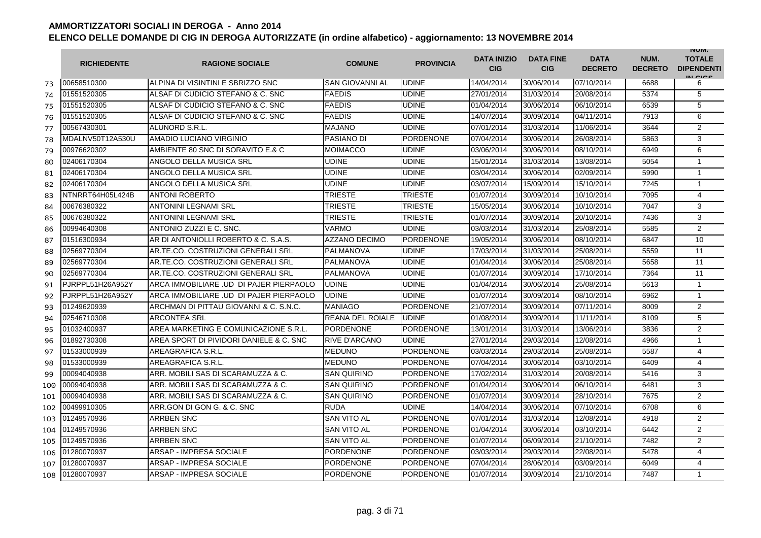|     | <b>RICHIEDENTE</b> | <b>RAGIONE SOCIALE</b>                  | <b>COMUNE</b>          | <b>PROVINCIA</b> | <b>DATA INIZIO</b><br><b>CIG</b> | <b>DATA FINE</b><br><b>CIG</b> | <b>DATA</b><br><b>DECRETO</b> | NUM.<br><b>DECRETO</b> | <b>INUIVI.</b><br><b>TOTALE</b><br><b>DIPENDENTI</b><br>IN CIGO |
|-----|--------------------|-----------------------------------------|------------------------|------------------|----------------------------------|--------------------------------|-------------------------------|------------------------|-----------------------------------------------------------------|
| 73  | 00658510300        | ALPINA DI VISINTINI E SBRIZZO SNC       | <b>SAN GIOVANNI AL</b> | <b>UDINE</b>     | 14/04/2014                       | 30/06/2014                     | 07/10/2014                    | 6688                   | 6                                                               |
| 74  | 01551520305        | ALSAF DI CUDICIO STEFANO & C. SNC       | <b>FAEDIS</b>          | <b>UDINE</b>     | 27/01/2014                       | 31/03/2014                     | 20/08/2014                    | 5374                   | 5                                                               |
| 75  | 01551520305        | ALSAF DI CUDICIO STEFANO & C. SNC       | <b>FAEDIS</b>          | <b>UDINE</b>     | 01/04/2014                       | 30/06/2014                     | 06/10/2014                    | 6539                   | 5                                                               |
| 76  | 01551520305        | ALSAF DI CUDICIO STEFANO & C. SNC       | <b>FAEDIS</b>          | <b>UDINE</b>     | 14/07/2014                       | 30/09/2014                     | 04/11/2014                    | 7913                   | 6                                                               |
| 77  | 00567430301        | ALUNORD S.R.L.                          | MAJANO                 | <b>UDINE</b>     | 07/01/2014                       | 31/03/2014                     | 11/06/2014                    | 3644                   | 2                                                               |
| 78  | MDALNV50T12A530U   | AMADIO LUCIANO VIRGINIO                 | <b>PASIANO DI</b>      | <b>PORDENONE</b> | 07/04/2014                       | 30/06/2014                     | 26/08/2014                    | 5863                   | 3                                                               |
| 79  | 00976620302        | AMBIENTE 80 SNC DI SORAVITO E.& C       | MOIMACCO               | <b>UDINE</b>     | 03/06/2014                       | 30/06/2014                     | 08/10/2014                    | 6949                   | 6                                                               |
| 80  | 02406170304        | ANGOLO DELLA MUSICA SRL                 | <b>UDINE</b>           | <b>UDINE</b>     | 15/01/2014                       | 31/03/2014                     | 13/08/2014                    | 5054                   | $\mathbf{1}$                                                    |
| 81  | 02406170304        | ANGOLO DELLA MUSICA SRL                 | <b>UDINE</b>           | <b>UDINE</b>     | 03/04/2014                       | 30/06/2014                     | 02/09/2014                    | 5990                   | $\mathbf{1}$                                                    |
| 82  | 02406170304        | ANGOLO DELLA MUSICA SRL                 | <b>UDINE</b>           | <b>UDINE</b>     | 03/07/2014                       | 15/09/2014                     | 15/10/2014                    | 7245                   | $\mathbf{1}$                                                    |
| 83  | NTNRRT64H05L424B   | <b>ANTONI ROBERTO</b>                   | <b>TRIESTE</b>         | <b>TRIESTE</b>   | 01/07/2014                       | 30/09/2014                     | 10/10/2014                    | 7095                   | 4                                                               |
| 84  | 00676380322        | <b>ANTONINI LEGNAMI SRL</b>             | TRIESTE                | <b>TRIESTE</b>   | 15/05/2014                       | 30/06/2014                     | 10/10/2014                    | 7047                   | 3                                                               |
| 85  | 00676380322        | <b>ANTONINI LEGNAMI SRL</b>             | TRIESTE                | <b>TRIESTE</b>   | 01/07/2014                       | 30/09/2014                     | 20/10/2014                    | 7436                   | 3                                                               |
| 86  | 00994640308        | ANTONIO ZUZZI E C. SNC.                 | VARMO                  | <b>UDINE</b>     | 03/03/2014                       | 31/03/2014                     | 25/08/2014                    | 5585                   | $\overline{2}$                                                  |
| 87  | 01516300934        | AR DI ANTONIOLLI ROBERTO & C. S.A.S.    | <b>AZZANO DECIMO</b>   | <b>PORDENONE</b> | 19/05/2014                       | 30/06/2014                     | 08/10/2014                    | 6847                   | 10                                                              |
| 88  | 02569770304        | AR.TE.CO. COSTRUZIONI GENERALI SRL      | PALMANOVA              | <b>UDINE</b>     | 17/03/2014                       | 31/03/2014                     | 25/08/2014                    | 5559                   | 11                                                              |
| 89  | 02569770304        | AR.TE.CO. COSTRUZIONI GENERALI SRL      | PALMANOVA              | <b>UDINE</b>     | 01/04/2014                       | 30/06/2014                     | 25/08/2014                    | 5658                   | 11                                                              |
| 90  | 02569770304        | AR.TE.CO. COSTRUZIONI GENERALI SRL      | PALMANOVA              | <b>UDINE</b>     | 01/07/2014                       | 30/09/2014                     | 17/10/2014                    | 7364                   | 11                                                              |
| 91  | PJRPPL51H26A952Y   | ARCA IMMOBILIARE .UD DI PAJER PIERPAOLO | <b>UDINE</b>           | <b>UDINE</b>     | 01/04/2014                       | 30/06/2014                     | 25/08/2014                    | 5613                   | $\mathbf{1}$                                                    |
| 92  | PJRPPL51H26A952Y   | ARCA IMMOBILIARE .UD DI PAJER PIERPAOLO | <b>UDINE</b>           | <b>UDINE</b>     | 01/07/2014                       | 30/09/2014                     | 08/10/2014                    | 6962                   | $\mathbf{1}$                                                    |
| 93  | 01249620939        | ARCHMAN DI PITTAU GIOVANNI & C. S.N.C.  | <b>MANIAGO</b>         | <b>PORDENONE</b> | 21/07/2014                       | 30/09/2014                     | 07/11/2014                    | 8009                   | $\overline{2}$                                                  |
| 94  | 02546710308        | <b>ARCONTEA SRL</b>                     | REANA DEL ROIALE       | <b>UDINE</b>     | 01/08/2014                       | 30/09/2014                     | 11/11/2014                    | 8109                   | 5                                                               |
| 95  | 01032400937        | AREA MARKETING E COMUNICAZIONE S.R.L.   | <b>PORDENONE</b>       | PORDENONE        | 13/01/2014                       | 31/03/2014                     | 13/06/2014                    | 3836                   | $\overline{2}$                                                  |
| 96  | 01892730308        | AREA SPORT DI PIVIDORI DANIELE & C. SNC | RIVE D'ARCANO          | <b>UDINE</b>     | 27/01/2014                       | 29/03/2014                     | 12/08/2014                    | 4966                   | $\mathbf{1}$                                                    |
| 97  | 01533000939        | AREAGRAFICA S.R.L                       | <b>MEDUNO</b>          | <b>PORDENONE</b> | 03/03/2014                       | 29/03/2014                     | 25/08/2014                    | 5587                   | 4                                                               |
| 98  | 01533000939        | AREAGRAFICA S.R.L                       | <b>MEDUNO</b>          | <b>PORDENONE</b> | 07/04/2014                       | 30/06/2014                     | 03/10/2014                    | 6409                   | 4                                                               |
| 99  | 00094040938        | ARR. MOBILI SAS DI SCARAMUZZA & C.      | SAN QUIRINO            | <b>PORDENONE</b> | 17/02/2014                       | 31/03/2014                     | 20/08/2014                    | 5416                   | 3                                                               |
| 100 | 00094040938        | ARR. MOBILI SAS DI SCARAMUZZA & C.      | SAN QUIRINO            | <b>PORDENONE</b> | 01/04/2014                       | 30/06/2014                     | 06/10/2014                    | 6481                   | 3                                                               |
| 101 | 00094040938        | ARR. MOBILI SAS DI SCARAMUZZA & C.      | <b>SAN QUIRINO</b>     | <b>PORDENONE</b> | 01/07/2014                       | 30/09/2014                     | 28/10/2014                    | 7675                   | 2                                                               |
| 102 | 00499910305        | ARR.GON DI GON G. & C. SNC              | RUDA                   | UDINE            | 14/04/2014                       | 30/06/2014                     | 07/10/2014                    | 6708                   | 6                                                               |
| 103 | 01249570936        | <b>ARRBEN SNC</b>                       | <b>SAN VITO AL</b>     | <b>PORDENONE</b> | 07/01/2014                       | 31/03/2014                     | 12/08/2014                    | 4918                   | 2                                                               |
| 104 | 01249570936        | <b>ARRBEN SNC</b>                       | <b>SAN VITO AL</b>     | <b>PORDENONE</b> | 01/04/2014                       | 30/06/2014                     | 03/10/2014                    | 6442                   | 2                                                               |
| 105 | 01249570936        | <b>ARRBEN SNC</b>                       | <b>SAN VITO AL</b>     | <b>PORDENONE</b> | 01/07/2014                       | 06/09/2014                     | 21/10/2014                    | 7482                   | $\overline{2}$                                                  |
| 106 | 01280070937        | ARSAP - IMPRESA SOCIALE                 | <b>PORDENONE</b>       | <b>PORDENONE</b> | 03/03/2014                       | 29/03/2014                     | 22/08/2014                    | 5478                   | 4                                                               |
| 107 | 01280070937        | ARSAP - IMPRESA SOCIALE                 | <b>PORDENONE</b>       | <b>PORDENONE</b> | 07/04/2014                       | 28/06/2014                     | 03/09/2014                    | 6049                   | 4                                                               |
| 108 | 01280070937        | <b>ARSAP - IMPRESA SOCIALE</b>          | <b>PORDENONE</b>       | <b>PORDENONE</b> | 01/07/2014                       | 30/09/2014                     | 21/10/2014                    | 7487                   | $\mathbf{1}$                                                    |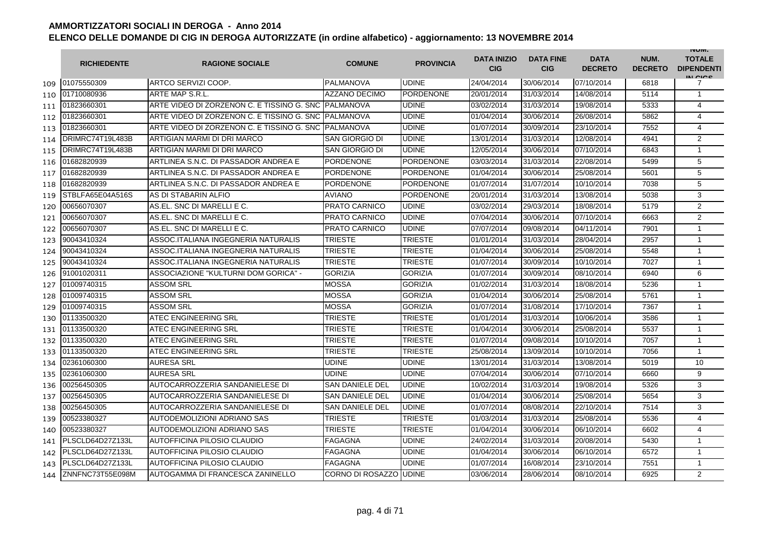|     | <b>RICHIEDENTE</b> | <b>RAGIONE SOCIALE</b>                                | <b>COMUNE</b>          | <b>PROVINCIA</b> | <b>DATA INIZIO</b><br><b>CIG</b> | <b>DATA FINE</b><br><b>CIG</b> | <b>DATA</b><br><b>DECRETO</b> | NUM.<br><b>DECRETO</b> | <b>INUIVI.</b><br><b>TOTALE</b><br><b>DIPENDENTI</b><br>IN CICO |
|-----|--------------------|-------------------------------------------------------|------------------------|------------------|----------------------------------|--------------------------------|-------------------------------|------------------------|-----------------------------------------------------------------|
| 109 | 01075550309        | ARTCO SERVIZI COOP.                                   | <b>PALMANOVA</b>       | <b>UDINE</b>     | 24/04/2014                       | 30/06/2014                     | 07/10/2014                    | 6818                   | 7                                                               |
| 110 | 01710080936        | ARTE MAP S.R.L.                                       | <b>AZZANO DECIMO</b>   | <b>PORDENONE</b> | 20/01/2014                       | 31/03/2014                     | 14/08/2014                    | 5114                   | $\mathbf{1}$                                                    |
| 111 | 01823660301        | ARTE VIDEO DI ZORZENON C. E TISSINO G. SNC IPALMANOVA |                        | <b>UDINE</b>     | 03/02/2014                       | 31/03/2014                     | 19/08/2014                    | 5333                   | $\overline{4}$                                                  |
| 112 | 01823660301        | ARTE VIDEO DI ZORZENON C. E TISSINO G. SNC PALMANOVA  |                        | <b>UDINE</b>     | 01/04/2014                       | 30/06/2014                     | 26/08/2014                    | 5862                   | $\overline{4}$                                                  |
| 113 | 01823660301        | ARTE VIDEO DI ZORZENON C. E TISSINO G. SNC IPALMANOVA |                        | <b>UDINE</b>     | 01/07/2014                       | 30/09/2014                     | 23/10/2014                    | 7552                   | 4                                                               |
| 114 | DRIMRC74T19L483B   | ARTIGIAN MARMI DI DRI MARCO                           | <b>SAN GIORGIO DI</b>  | <b>UDINE</b>     | 13/01/2014                       | 31/03/2014                     | 12/08/2014                    | 4941                   | 2                                                               |
| 115 | DRIMRC74T19L483B   | ARTIGIAN MARMI DI DRI MARCO                           | SAN GIORGIO DI         | <b>UDINE</b>     | 12/05/2014                       | 30/06/2014                     | 07/10/2014                    | 6843                   | $\mathbf{1}$                                                    |
| 116 | 01682820939        | ARTLINEA S.N.C. DI PASSADOR ANDREA E                  | <b>PORDENONE</b>       | <b>PORDENONE</b> | 03/03/2014                       | 31/03/2014                     | 22/08/2014                    | 5499                   | 5                                                               |
| 117 | 01682820939        | ARTLINEA S.N.C. DI PASSADOR ANDREA E                  | <b>PORDENONE</b>       | <b>PORDENONE</b> | 01/04/2014                       | 30/06/2014                     | 25/08/2014                    | 5601                   | 5                                                               |
| 118 | 01682820939        | ARTLINEA S.N.C. DI PASSADOR ANDREA E                  | <b>PORDENONE</b>       | PORDENONE        | 01/07/2014                       | 31/07/2014                     | 10/10/2014                    | 7038                   | 5                                                               |
| 119 | STBLFA65E04A516S   | AS DI STABARIN ALFIO                                  | <b>AVIANO</b>          | <b>PORDENONE</b> | 20/01/2014                       | 31/03/2014                     | 13/08/2014                    | 5038                   | 3                                                               |
| 120 | 00656070307        | AS.EL. SNC DI MARELLI E C.                            | <b>PRATO CARNICO</b>   | <b>UDINE</b>     | 03/02/2014                       | 29/03/2014                     | 18/08/2014                    | 5179                   | 2                                                               |
| 121 | 00656070307        | AS.EL. SNC DI MARELLI E C.                            | <b>PRATO CARNICO</b>   | <b>UDINE</b>     | 07/04/2014                       | 30/06/2014                     | 07/10/2014                    | 6663                   | $\overline{2}$                                                  |
| 122 | 00656070307        | AS.EL. SNC DI MARELLI E C.                            | <b>PRATO CARNICO</b>   | <b>UDINE</b>     | 07/07/2014                       | 09/08/2014                     | 04/11/2014                    | 7901                   | 1                                                               |
| 123 | 90043410324        | ASSOC.ITALIANA INGEGNERIA NATURALIS                   | <b>TRIESTE</b>         | <b>TRIESTE</b>   | 01/01/2014                       | 31/03/2014                     | 28/04/2014                    | 2957                   | $\mathbf{1}$                                                    |
| 124 | 90043410324        | ASSOC.ITALIANA INGEGNERIA NATURALIS                   | <b>TRIESTE</b>         | <b>TRIESTE</b>   | 01/04/2014                       | 30/06/2014                     | 25/08/2014                    | 5548                   | $\mathbf{1}$                                                    |
| 125 | 90043410324        | ASSOC.ITALIANA INGEGNERIA NATURALIS                   | <b>TRIESTE</b>         | <b>TRIESTE</b>   | 01/07/2014                       | 30/09/2014                     | 10/10/2014                    | 7027                   | $\mathbf{1}$                                                    |
| 126 | 91001020311        | ASSOCIAZIONE "KULTURNI DOM GORICA" -                  | <b>GORIZIA</b>         | <b>GORIZIA</b>   | 01/07/2014                       | 30/09/2014                     | 08/10/2014                    | 6940                   | 6                                                               |
| 127 | 01009740315        | <b>ASSOM SRL</b>                                      | <b>MOSSA</b>           | <b>GORIZIA</b>   | 01/02/2014                       | 31/03/2014                     | 18/08/2014                    | 5236                   | $\mathbf{1}$                                                    |
| 128 | 01009740315        | <b>ASSOM SRL</b>                                      | <b>MOSSA</b>           | <b>GORIZIA</b>   | 01/04/2014                       | 30/06/2014                     | 25/08/2014                    | 5761                   | $\mathbf{1}$                                                    |
| 129 | 01009740315        | <b>ASSOM SRL</b>                                      | <b>MOSSA</b>           | <b>GORIZIA</b>   | 01/07/2014                       | 31/08/2014                     | 17/10/2014                    | 7367                   | $\mathbf{1}$                                                    |
| 130 | 01133500320        | <b>ATEC ENGINEERING SRL</b>                           | <b>TRIESTE</b>         | TRIESTE          | 01/01/2014                       | 31/03/2014                     | 10/06/2014                    | 3586                   | $\mathbf{1}$                                                    |
| 131 | 01133500320        | <b>ATEC ENGINEERING SRL</b>                           | <b>TRIESTE</b>         | <b>TRIESTE</b>   | 01/04/2014                       | 30/06/2014                     | 25/08/2014                    | 5537                   | $\mathbf{1}$                                                    |
| 132 | 01133500320        | <b>ATEC ENGINEERING SRL</b>                           | TRIESTE                | <b>TRIESTE</b>   | 01/07/2014                       | 09/08/2014                     | 10/10/2014                    | 7057                   | 1                                                               |
| 133 | 01133500320        | <b>ATEC ENGINEERING SRL</b>                           | <b>TRIESTE</b>         | TRIESTE          | 25/08/2014                       | 13/09/2014                     | 10/10/2014                    | 7056                   | $\mathbf{1}$                                                    |
| 134 | 02361060300        | <b>AURESA SRL</b>                                     | <b>UDINE</b>           | <b>UDINE</b>     | 13/01/2014                       | 31/03/2014                     | 13/08/2014                    | 5019                   | 10                                                              |
| 135 | 02361060300        | <b>AURESA SRL</b>                                     | <b>UDINE</b>           | <b>UDINE</b>     | 07/04/2014                       | 30/06/2014                     | 07/10/2014                    | 6660                   | 9                                                               |
| 136 | 00256450305        | AUTOCARROZZERIA SANDANIELESE DI                       | <b>SAN DANIELE DEL</b> | <b>UDINE</b>     | 10/02/2014                       | 31/03/2014                     | 19/08/2014                    | 5326                   | 3                                                               |
| 137 | 00256450305        | AUTOCARROZZERIA SANDANIELESE DI                       | <b>SAN DANIELE DEL</b> | <b>UDINE</b>     | 01/04/2014                       | 30/06/2014                     | 25/08/2014                    | 5654                   | 3                                                               |
| 138 | 00256450305        | AUTOCARROZZERIA SANDANIELESE DI                       | <b>SAN DANIELE DEL</b> | <b>UDINE</b>     | 01/07/2014                       | 08/08/2014                     | 22/10/2014                    | 7514                   | 3                                                               |
| 139 | 00523380327        | AUTODEMOLIZIONI ADRIANO SAS                           | <b>TRIESTE</b>         | <b>TRIESTE</b>   | 01/03/2014                       | 31/03/2014                     | 25/08/2014                    | 5536                   | $\overline{4}$                                                  |
| 140 | 00523380327        | AUTODEMOLIZIONI ADRIANO SAS                           | <b>TRIESTE</b>         | TRIESTE          | 01/04/2014                       | 30/06/2014                     | 06/10/2014                    | 6602                   | $\overline{4}$                                                  |
| 141 | PLSCLD64D27Z133L   | <b>AUTOFFICINA PILOSIO CLAUDIO</b>                    | <b>FAGAGNA</b>         | <b>UDINE</b>     | 24/02/2014                       | 31/03/2014                     | 20/08/2014                    | 5430                   | $\mathbf{1}$                                                    |
| 142 | PLSCLD64D27Z133L   | <b>AUTOFFICINA PILOSIO CLAUDIO</b>                    | FAGAGNA                | <b>UDINE</b>     | 01/04/2014                       | 30/06/2014                     | 06/10/2014                    | 6572                   | $\mathbf{1}$                                                    |
| 143 | PLSCLD64D27Z133L   | AUTOFFICINA PILOSIO CLAUDIO                           | <b>FAGAGNA</b>         | <b>UDINE</b>     | 01/07/2014                       | 16/08/2014                     | 23/10/2014                    | 7551                   | $\mathbf{1}$                                                    |
| 144 | ZNNFNC73T55E098M   | AUTOGAMMA DI FRANCESCA ZANINELLO                      | CORNO DI ROSAZZO UDINE |                  | 03/06/2014                       | 28/06/2014                     | 08/10/2014                    | 6925                   | $\overline{2}$                                                  |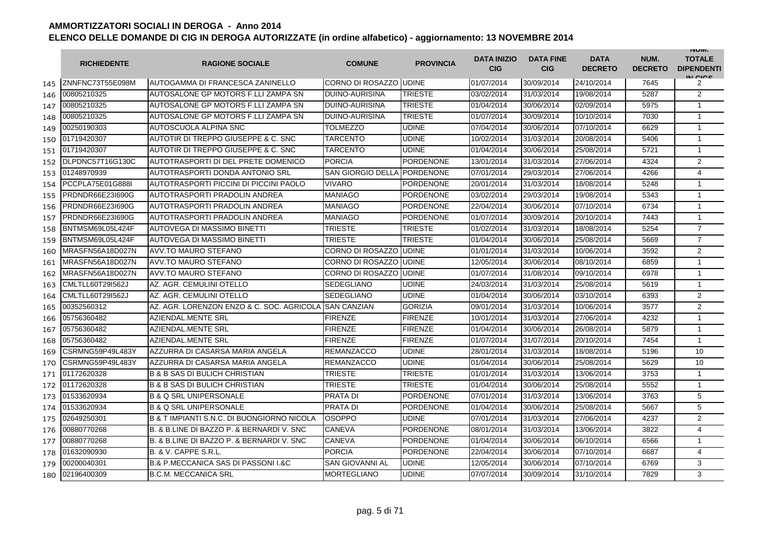|     | <b>RICHIEDENTE</b> | <b>RAGIONE SOCIALE</b>                                | <b>COMUNE</b>            | <b>PROVINCIA</b> | <b>DATA INIZIO</b><br><b>CIG</b> | <b>DATA FINE</b><br><b>CIG</b> | <b>DATA</b><br><b>DECRETO</b> | NUM.<br><b>DECRETO</b> | <b>INUIVI.</b><br><b>TOTALE</b><br><b>DIPENDENTI</b><br>IN CIGO |
|-----|--------------------|-------------------------------------------------------|--------------------------|------------------|----------------------------------|--------------------------------|-------------------------------|------------------------|-----------------------------------------------------------------|
| 145 | ZNNFNC73T55E098M   | AUTOGAMMA DI FRANCESCA ZANINELLO                      | CORNO DI ROSAZZO UDINE   |                  | 01/07/2014                       | 30/09/2014                     | 24/10/2014                    | 7645                   | 2                                                               |
| 146 | 00805210325        | AUTOSALONE GP MOTORS F.LLI ZAMPA SN                   | <b>DUINO-AURISINA</b>    | <b>TRIESTE</b>   | 03/02/2014                       | 31/03/2014                     | 19/08/2014                    | 5287                   | 2                                                               |
| 147 | 00805210325        | AUTOSALONE GP MOTORS F.LLI ZAMPA SN                   | <b>DUINO-AURISINA</b>    | <b>TRIESTE</b>   | 01/04/2014                       | 30/06/2014                     | 02/09/2014                    | 5975                   | $\mathbf{1}$                                                    |
| 148 | 00805210325        | AUTOSALONE GP MOTORS F.LLI ZAMPA SN                   | <b>DUINO-AURISINA</b>    | <b>TRIESTE</b>   | 01/07/2014                       | 30/09/2014                     | 10/10/2014                    | 7030                   | $\mathbf{1}$                                                    |
| 149 | 00250190303        | AUTOSCUOLA ALPINA SNC                                 | <b>TOLMEZZO</b>          | <b>UDINE</b>     | 07/04/2014                       | 30/06/2014                     | 07/10/2014                    | 6629                   | $\mathbf{1}$                                                    |
| 150 | 01719420307        | AUTOTIR DI TREPPO GIUSEPPE & C. SNC                   | <b>TARCENTO</b>          | <b>UDINE</b>     | 10/02/2014                       | 31/03/2014                     | 20/08/2014                    | 5406                   | $\mathbf{1}$                                                    |
| 151 | 01719420307        | AUTOTIR DI TREPPO GIUSEPPE & C. SNC                   | TARCENTO                 | <b>UDINE</b>     | 01/04/2014                       | 30/06/2014                     | 25/08/2014                    | 5721                   | $\mathbf{1}$                                                    |
| 152 | DLPDNC57T16G130C   | AUTOTRASPORTI DI DEL PRETE DOMENICO                   | <b>PORCIA</b>            | <b>PORDENONE</b> | 13/01/2014                       | 31/03/2014                     | 27/06/2014                    | 4324                   | 2                                                               |
| 153 | 01248970939        | AUTOTRASPORTI DONDA ANTONIO SRL                       | <b>SAN GIORGIO DELLA</b> | <b>PORDENONE</b> | 07/01/2014                       | 29/03/2014                     | 27/06/2014                    | 4266                   | $\overline{4}$                                                  |
| 154 | PCCPLA75E01G888I   | AUTOTRASPORTI PICCINI DI PICCINI PAOLO                | VIVARO                   | PORDENONE        | 20/01/2014                       | 31/03/2014                     | 18/08/2014                    | 5248                   | $\overline{1}$                                                  |
| 155 | PRDNDR66E23I690G   | AUTOTRASPORTI PRADOLIN ANDREA                         | <b>MANIAGO</b>           | PORDENONE        | 03/02/2014                       | 29/03/2014                     | 19/08/2014                    | 5343                   | 1                                                               |
| 156 | PRDNDR66E23I690G   | AUTOTRASPORTI PRADOLIN ANDREA                         | MANIAGO                  | <b>PORDENONE</b> | 22/04/2014                       | 30/06/2014                     | 07/10/2014                    | 6734                   | $\mathbf{1}$                                                    |
| 157 | PRDNDR66E23I690G   | AUTOTRASPORTI PRADOLIN ANDREA                         | MANIAGO                  | <b>PORDENONE</b> | 01/07/2014                       | 30/09/2014                     | 20/10/2014                    | 7443                   | $\mathbf{1}$                                                    |
| 158 | BNTMSM69L05L424F   | AUTOVEGA DI MASSIMO BINETTI                           | TRIESTE                  | <b>TRIESTE</b>   | 01/02/2014                       | 31/03/2014                     | 18/08/2014                    | 5254                   | $\overline{7}$                                                  |
| 159 | BNTMSM69L05L424F   | AUTOVEGA DI MASSIMO BINETTI                           | TRIESTE                  | <b>TRIESTE</b>   | 01/04/2014                       | 30/06/2014                     | 25/08/2014                    | 5669                   | $\overline{7}$                                                  |
| 160 | MRASFN56A18D027N   | AVV.TO MAURO STEFANO                                  | CORNO DI ROSAZZO         | <b>UDINE</b>     | 01/01/2014                       | 31/03/2014                     | 10/06/2014                    | 3592                   | 2                                                               |
| 161 | MRASFN56A18D027N   | <b>AVV.TO MAURO STEFANO</b>                           | CORNO DI ROSAZZO         | <b>UDINE</b>     | 12/05/2014                       | 30/06/2014                     | 08/10/2014                    | 6859                   | $\mathbf{1}$                                                    |
| 162 | MRASFN56A18D027N   | AVV.TO MAURO STEFANO                                  | CORNO DI ROSAZZO         | <b>UDINE</b>     | 01/07/2014                       | 31/08/2014                     | 09/10/2014                    | 6978                   | 1                                                               |
| 163 | CMLTLL60T29I562J   | AZ. AGR. CEMULINI OTELLO                              | SEDEGLIANO               | <b>UDINE</b>     | 24/03/2014                       | 31/03/2014                     | 25/08/2014                    | 5619                   | $\overline{1}$                                                  |
| 164 | CMLTLL60T29I562J   | AZ. AGR. CEMULINI OTELLO                              | SEDEGLIANO               | <b>UDINE</b>     | 01/04/2014                       | 30/06/2014                     | 03/10/2014                    | 6393                   | 2                                                               |
| 165 | 00352560312        | AZ. AGR. LORENZON ENZO & C. SOC. AGRICOLA             | <b>SAN CANZIAN</b>       | <b>GORIZIA</b>   | 09/01/2014                       | 31/03/2014                     | 10/06/2014                    | 3577                   | $\mathbf{2}$                                                    |
| 166 | 05756360482        | AZIENDAL.MENTE SRL                                    | <b>FIRENZE</b>           | <b>FIRENZE</b>   | 10/01/2014                       | 31/03/2014                     | 27/06/2014                    | 4232                   | $\mathbf{1}$                                                    |
| 167 | 05756360482        | AZIENDAL.MENTE SRL                                    | <b>FIRENZE</b>           | <b>FIRENZE</b>   | 01/04/2014                       | 30/06/2014                     | 26/08/2014                    | 5879                   | $\mathbf{1}$                                                    |
| 168 | 05756360482        | AZIENDAL.MENTE SRL                                    | <b>FIRENZE</b>           | <b>FIRENZE</b>   | 01/07/2014                       | 31/07/2014                     | 20/10/2014                    | 7454                   | $\overline{1}$                                                  |
| 169 | CSRMNG59P49L483Y   | AZZURRA DI CASARSA MARIA ANGELA                       | REMANZACCO               | <b>UDINE</b>     | 28/01/2014                       | 31/03/2014                     | 18/08/2014                    | 5196                   | 10                                                              |
| 170 | CSRMNG59P49L483Y   | AZZURRA DI CASARSA MARIA ANGELA                       | <b>REMANZACCO</b>        | <b>UDINE</b>     | 01/04/2014                       | 30/06/2014                     | 25/08/2014                    | 5629                   | 10                                                              |
| 171 | 01172620328        | <b>B &amp; B SAS DI BULICH CHRISTIAN</b>              | TRIESTE                  | <b>TRIESTE</b>   | 01/01/2014                       | 31/03/2014                     | 13/06/2014                    | 3753                   | $\mathbf{1}$                                                    |
| 172 | 01172620328        | <b>B &amp; B SAS DI BULICH CHRISTIAN</b>              | TRIESTE                  | <b>TRIESTE</b>   | 01/04/2014                       | 30/06/2014                     | 25/08/2014                    | 5552                   | $\mathbf{1}$                                                    |
| 173 | 01533620934        | <b>B &amp; O SRL UNIPERSONALE</b>                     | PRATA DI                 | <b>PORDENONE</b> | 07/01/2014                       | 31/03/2014                     | 13/06/2014                    | 3763                   | 5                                                               |
| 174 | 01533620934        | <b>B &amp; Q SRL UNIPERSONALE</b>                     | PRATA DI                 | PORDENONE        | 01/04/2014                       | 30/06/2014                     | 25/08/2014                    | 5667                   | 5                                                               |
| 175 | 02649250301        | <b>B &amp; T IMPIANTI S.N.C. DI BUONGIORNO NICOLA</b> | <b>OSOPPO</b>            | UDINE            | 07/01/2014                       | 31/03/2014                     | 27/06/2014                    | 4237                   | 2                                                               |
| 176 | 00880770268        | B. & B.LINE DI BAZZO P. & BERNARDI V. SNC             | CANEVA                   | <b>PORDENONE</b> | 08/01/2014                       | 31/03/2014                     | 13/06/2014                    | 3822                   | 4                                                               |
| 177 | 00880770268        | B. & B.LINE DI BAZZO P. & BERNARDI V. SNC             | CANEVA                   | <b>PORDENONE</b> | 01/04/2014                       | 30/06/2014                     | 06/10/2014                    | 6566                   | $\mathbf{1}$                                                    |
| 178 | 01632090930        | <b>B. &amp; V. CAPPE S.R.L</b>                        | <b>PORCIA</b>            | <b>PORDENONE</b> | 22/04/2014                       | 30/06/2014                     | 07/10/2014                    | 6687                   | 4                                                               |
| 179 | 00200040301        | <b>B.&amp; P.MECCANICA SAS DI PASSONI I.&amp;C</b>    | <b>SAN GIOVANNI AL</b>   | <b>UDINE</b>     | 12/05/2014                       | 30/06/2014                     | 07/10/2014                    | 6769                   | 3                                                               |
| 180 | 02196400309        | <b>B.C.M. MECCANICA SRL</b>                           | <b>MORTEGLIANO</b>       | <b>UDINE</b>     | 07/07/2014                       | 30/09/2014                     | 31/10/2014                    | 7829                   | 3                                                               |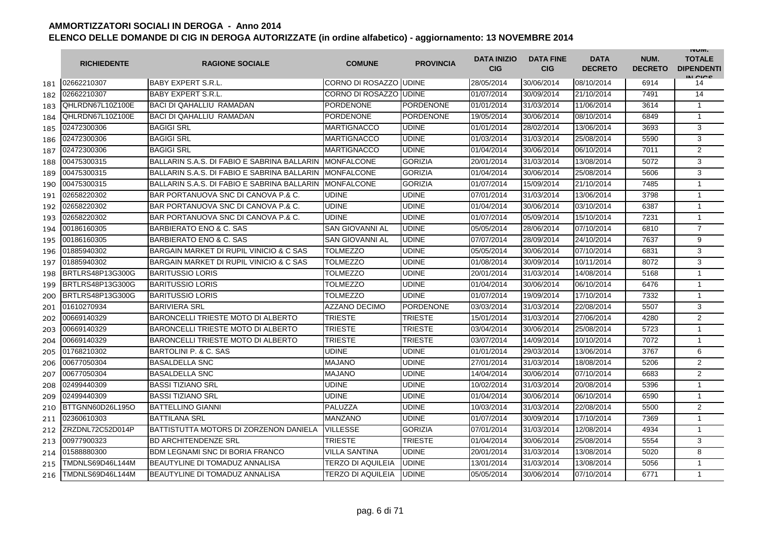|     | <b>RICHIEDENTE</b>      | <b>RAGIONE SOCIALE</b>                      | <b>COMUNE</b>                  | <b>PROVINCIA</b> | <b>DATA INIZIO</b><br><b>CIG</b> | <b>DATA FINE</b><br><b>CIG</b> | <b>DATA</b><br><b>DECRETO</b> | NUM.<br><b>DECRETO</b> | <b>INUIVI.</b><br><b>TOTALE</b><br><b>DIPENDENTI</b><br>IN CIGO |
|-----|-------------------------|---------------------------------------------|--------------------------------|------------------|----------------------------------|--------------------------------|-------------------------------|------------------------|-----------------------------------------------------------------|
| 181 | 02662210307             | <b>BABY EXPERT S.R.L.</b>                   | <b>CORNO DI ROSAZZO JUDINE</b> |                  | 28/05/2014                       | 30/06/2014                     | 08/10/2014                    | 6914                   | 14                                                              |
| 182 | 02662210307             | <b>BABY EXPERT S.R.L.</b>                   | CORNO DI ROSAZZO IUDINE        |                  | 01/07/2014                       | 30/09/2014                     | 21/10/2014                    | 7491                   | 14                                                              |
| 183 | QHLRDN67L10Z100E        | <b>BACI DI QAHALLIU RAMADAN</b>             | <b>PORDENONE</b>               | <b>PORDENONE</b> | 01/01/2014                       | 31/03/2014                     | 11/06/2014                    | 3614                   | $\mathbf{1}$                                                    |
| 184 | QHLRDN67L10Z100E        | <b>BACI DI QAHALLIU RAMADAN</b>             | PORDENONE                      | PORDENONE        | 19/05/2014                       | 30/06/2014                     | 08/10/2014                    | 6849                   | $\mathbf{1}$                                                    |
| 185 | 02472300306             | <b>BAGIGI SRL</b>                           | <b>MARTIGNACCO</b>             | <b>UDINE</b>     | 01/01/2014                       | 28/02/2014                     | 13/06/2014                    | 3693                   | 3                                                               |
| 186 | 02472300306             | <b>BAGIGI SRL</b>                           | <b>MARTIGNACCO</b>             | <b>UDINE</b>     | 01/03/2014                       | 31/03/2014                     | 25/08/2014                    | 5590                   | 3                                                               |
| 187 | 02472300306             | <b>BAGIGI SRL</b>                           | <b>MARTIGNACCO</b>             | <b>UDINE</b>     | 01/04/2014                       | 30/06/2014                     | 06/10/2014                    | 7011                   | $\overline{2}$                                                  |
| 188 | 00475300315             | BALLARIN S.A.S. DI FABIO E SABRINA BALLARIN | <b>IMONFALCONE</b>             | <b>GORIZIA</b>   | 20/01/2014                       | 31/03/2014                     | 13/08/2014                    | 5072                   | 3                                                               |
| 189 | 00475300315             | BALLARIN S.A.S. DI FABIO E SABRINA BALLARIN | <b>IMONFALCONE</b>             | <b>GORIZIA</b>   | 01/04/2014                       | 30/06/2014                     | 25/08/2014                    | 5606                   | 3                                                               |
| 190 | 00475300315             | BALLARIN S.A.S. DI FABIO E SABRINA BALLARIN | <b>MONFALCONE</b>              | <b>GORIZIA</b>   | 01/07/2014                       | 15/09/2014                     | 21/10/2014                    | 7485                   | $\mathbf{1}$                                                    |
| 191 | 02658220302             | BAR PORTANUOVA SNC DI CANOVA P.& C.         | <b>UDINE</b>                   | <b>UDINE</b>     | 07/01/2014                       | 31/03/2014                     | 13/06/2014                    | 3798                   | 1                                                               |
| 192 | 02658220302             | BAR PORTANUOVA SNC DI CANOVA P.& C.         | <b>UDINE</b>                   | <b>UDINE</b>     | 01/04/2014                       | 30/06/2014                     | 03/10/2014                    | 6387                   | $\mathbf{1}$                                                    |
| 193 | 02658220302             | BAR PORTANUOVA SNC DI CANOVA P.& C.         | <b>UDINE</b>                   | <b>UDINE</b>     | 01/07/2014                       | 05/09/2014                     | 15/10/2014                    | 7231                   | $\mathbf{1}$                                                    |
| 194 | 00186160305             | BARBIERATO ENO & C. SAS                     | SAN GIOVANNI AL                | <b>UDINE</b>     | 05/05/2014                       | 28/06/2014                     | 07/10/2014                    | 6810                   | $\overline{7}$                                                  |
| 195 | 00186160305             | BARBIERATO ENO & C. SAS                     | SAN GIOVANNI AL                | <b>UDINE</b>     | 07/07/2014                       | 28/09/2014                     | 24/10/2014                    | 7637                   | 9                                                               |
| 196 | 01885940302             | BARGAIN MARKET DI RUPIL VINICIO & C SAS     | <b>TOLMEZZO</b>                | <b>UDINE</b>     | 05/05/2014                       | 30/06/2014                     | 07/10/2014                    | 6831                   | 3                                                               |
| 197 | 01885940302             | BARGAIN MARKET DI RUPIL VINICIO & C SAS     | <b>TOLMEZZO</b>                | <b>UDINE</b>     | 01/08/2014                       | 30/09/2014                     | 10/11/2014                    | 8072                   | 3                                                               |
| 198 | BRTLRS48P13G300G        | <b>BARITUSSIO LORIS</b>                     | <b>TOLMEZZO</b>                | <b>UDINE</b>     | 20/01/2014                       | 31/03/2014                     | 14/08/2014                    | 5168                   | 1                                                               |
| 199 | BRTLRS48P13G300G        | <b>BARITUSSIO LORIS</b>                     | TOLMEZZO                       | <b>UDINE</b>     | 01/04/2014                       | 30/06/2014                     | 06/10/2014                    | 6476                   | $\mathbf{1}$                                                    |
| 200 | BRTLRS48P13G300G        | <b>BARITUSSIO LORIS</b>                     | <b>TOLMEZZO</b>                | <b>UDINE</b>     | 01/07/2014                       | 19/09/2014                     | 17/10/2014                    | 7332                   | $\mathbf{1}$                                                    |
| 201 | 01610270934             | <b>BARIVIERA SRL</b>                        | <b>AZZANO DECIMO</b>           | <b>PORDENONE</b> | 03/03/2014                       | 31/03/2014                     | 22/08/2014                    | 5507                   | 3                                                               |
| 202 | 00669140329             | <b>BARONCELLI TRIESTE MOTO DI ALBERTO</b>   | <b>TRIESTE</b>                 | TRIESTE          | 15/01/2014                       | 31/03/2014                     | 27/06/2014                    | 4280                   | 2                                                               |
| 203 | 00669140329             | BARONCELLI TRIESTE MOTO DI ALBERTO          | <b>TRIESTE</b>                 | <b>TRIESTE</b>   | 03/04/2014                       | 30/06/2014                     | 25/08/2014                    | 5723                   | $\mathbf{1}$                                                    |
| 204 | 00669140329             | <b>BARONCELLI TRIESTE MOTO DI ALBERTO</b>   | TRIESTE                        | TRIESTE          | 03/07/2014                       | 14/09/2014                     | 10/10/2014                    | 7072                   | 1                                                               |
| 205 | 01768210302             | BARTOLINI P. & C. SAS                       | <b>UDINE</b>                   | <b>UDINE</b>     | 01/01/2014                       | 29/03/2014                     | 13/06/2014                    | 3767                   | 6                                                               |
| 206 | 00677050304             | <b>BASALDELLA SNC</b>                       | <b>MAJANO</b>                  | <b>UDINE</b>     | 27/01/2014                       | 31/03/2014                     | 18/08/2014                    | 5206                   | $\overline{2}$                                                  |
| 207 | 00677050304             | <b>BASALDELLA SNC</b>                       | <b>MAJANO</b>                  | <b>UDINE</b>     | 14/04/2014                       | 30/06/2014                     | 07/10/2014                    | 6683                   | 2                                                               |
| 208 | 02499440309             | <b>BASSI TIZIANO SRL</b>                    | <b>UDINE</b>                   | <b>UDINE</b>     | 10/02/2014                       | 31/03/2014                     | 20/08/2014                    | 5396                   | $\mathbf{1}$                                                    |
| 209 | 02499440309             | <b>BASSI TIZIANO SRL</b>                    | <b>UDINE</b>                   | <b>UDINE</b>     | 01/04/2014                       | 30/06/2014                     | 06/10/2014                    | 6590                   | $\mathbf{1}$                                                    |
| 210 | BTTGNN60D26L195O        | <b>BATTELLINO GIANNI</b>                    | PALUZZA                        | <b>UDINE</b>     | 10/03/2014                       | 31/03/2014                     | 22/08/2014                    | 5500                   | $\overline{2}$                                                  |
| 211 | 02360610303             | <b>BATTILANA SRL</b>                        | <b>MANZANO</b>                 | <b>UDINE</b>     | 01/07/2014                       | 30/09/2014                     | 17/10/2014                    | 7369                   | 1                                                               |
| 212 | ZRZDNL72C52D014P        | BATTISTUTTA MOTORS DI ZORZENON DANIELA      | <b>VILLESSE</b>                | <b>GORIZIA</b>   | 07/01/2014                       | 31/03/2014                     | 12/08/2014                    | 4934                   | $\mathbf{1}$                                                    |
| 213 | 00977900323             | <b>BD ARCHITENDENZE SRL</b>                 | <b>TRIESTE</b>                 | <b>TRIESTE</b>   | 01/04/2014                       | 30/06/2014                     | 25/08/2014                    | 5554                   | 3                                                               |
| 214 | 01588880300             | <b>BDM LEGNAMI SNC DI BORIA FRANCO</b>      | <b>VILLA SANTINA</b>           | <b>UDINE</b>     | 20/01/2014                       | 31/03/2014                     | 13/08/2014                    | 5020                   | 8                                                               |
| 215 | <b>TMDNLS69D46L144M</b> | <b>BEAUTYLINE DI TOMADUZ ANNALISA</b>       | TERZO DI AQUILEIA              | <b>UDINE</b>     | 13/01/2014                       | 31/03/2014                     | 13/08/2014                    | 5056                   | $\mathbf{1}$                                                    |
| 216 | TMDNLS69D46L144M        | <b>BEAUTYLINE DI TOMADUZ ANNALISA</b>       | TERZO DI AQUILEIA              | <b>UDINE</b>     | 05/05/2014                       | 30/06/2014                     | 07/10/2014                    | 6771                   | $\mathbf{1}$                                                    |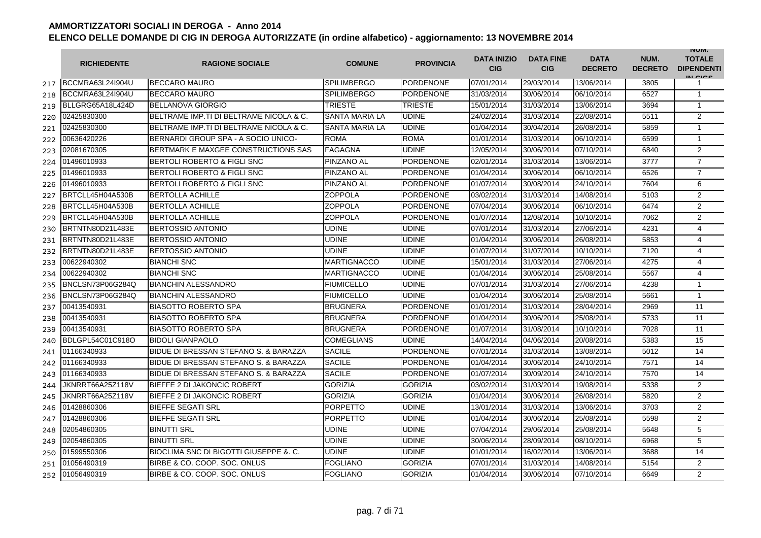|     | <b>RICHIEDENTE</b> | <b>RAGIONE SOCIALE</b>                           | <b>COMUNE</b>         | <b>PROVINCIA</b> | <b>DATA INIZIO</b><br><b>CIG</b> | <b>DATA FINE</b><br><b>CIG</b> | <b>DATA</b><br><b>DECRETO</b> | NUM.<br><b>DECRETO</b> | <b>INUIVI.</b><br><b>TOTALE</b><br><b>DIPENDENTI</b><br>IN CICS |
|-----|--------------------|--------------------------------------------------|-----------------------|------------------|----------------------------------|--------------------------------|-------------------------------|------------------------|-----------------------------------------------------------------|
| 217 | BCCMRA63L24I904U   | <b>BECCARO MAURO</b>                             | <b>SPILIMBERGO</b>    | PORDENONE        | 07/01/2014                       | 29/03/2014                     | 13/06/2014                    | 3805                   | 1                                                               |
| 218 | BCCMRA63L24I904U   | <b>BECCARO MAURO</b>                             | <b>SPILIMBERGO</b>    | PORDENONE        | 31/03/2014                       | 30/06/2014                     | 06/10/2014                    | 6527                   | $\mathbf{1}$                                                    |
| 219 | BLLGRG65A18L424D   | <b>BELLANOVA GIORGIO</b>                         | <b>TRIESTE</b>        | <b>TRIESTE</b>   | 15/01/2014                       | 31/03/2014                     | 13/06/2014                    | 3694                   | 1                                                               |
| 220 | 02425830300        | BELTRAME IMP.TI DI BELTRAME NICOLA & C.          | <b>SANTA MARIA LA</b> | <b>UDINE</b>     | 24/02/2014                       | 31/03/2014                     | 22/08/2014                    | 5511                   | 2                                                               |
| 221 | 02425830300        | BELTRAME IMP.TI DI BELTRAME NICOLA & C.          | SANTA MARIA LA        | <b>UDINE</b>     | 01/04/2014                       | 30/04/2014                     | 26/08/2014                    | 5859                   | $\mathbf{1}$                                                    |
| 222 | 00636420226        | BERNARDI GROUP SPA - A SOCIO UNICO-              | <b>ROMA</b>           | <b>ROMA</b>      | 01/01/2014                       | 31/03/2014                     | 06/10/2014                    | 6599                   | $\mathbf{1}$                                                    |
| 223 | 02081670305        | BERTMARK E MAXGEE CONSTRUCTIONS SAS              | <b>FAGAGNA</b>        | <b>UDINE</b>     | 12/05/2014                       | 30/06/2014                     | 07/10/2014                    | 6840                   | 2                                                               |
| 224 | 01496010933        | BERTOLI ROBERTO & FIGLI SNC                      | <b>PINZANO AL</b>     | <b>PORDENONE</b> | 02/01/2014                       | 31/03/2014                     | 13/06/2014                    | 3777                   | $\overline{7}$                                                  |
| 225 | 01496010933        | <b>BERTOLI ROBERTO &amp; FIGLI SNC</b>           | <b>PINZANO AL</b>     | <b>PORDENONE</b> | 01/04/2014                       | 30/06/2014                     | 06/10/2014                    | 6526                   | $\overline{7}$                                                  |
| 226 | 01496010933        | <b>BERTOLI ROBERTO &amp; FIGLI SNC</b>           | PINZANO AL            | <b>PORDENONE</b> | 01/07/2014                       | 30/08/2014                     | 24/10/2014                    | 7604                   | 6                                                               |
| 227 | BRTCLL45H04A530B   | <b>BERTOLLA ACHILLE</b>                          | ZOPPOLA               | PORDENONE        | 03/02/2014                       | 31/03/2014                     | 14/08/2014                    | 5103                   | $\overline{2}$                                                  |
| 228 | BRTCLL45H04A530B   | <b>BERTOLLA ACHILLE</b>                          | ZOPPOLA               | <b>PORDENONE</b> | 07/04/2014                       | 30/06/2014                     | 06/10/2014                    | 6474                   | 2                                                               |
| 229 | BRTCLL45H04A530B   | <b>BERTOLLA ACHILLE</b>                          | ZOPPOLA               | <b>PORDENONE</b> | 01/07/2014                       | 12/08/2014                     | 10/10/2014                    | 7062                   | $\overline{2}$                                                  |
| 230 | BRTNTN80D21L483E   | <b>BERTOSSIO ANTONIO</b>                         | <b>UDINE</b>          | <b>UDINE</b>     | 07/01/2014                       | 31/03/2014                     | 27/06/2014                    | 4231                   | $\overline{4}$                                                  |
| 231 | BRTNTN80D21L483E   | <b>BERTOSSIO ANTONIO</b>                         | <b>UDINE</b>          | <b>UDINE</b>     | 01/04/2014                       | 30/06/2014                     | 26/08/2014                    | 5853                   | 4                                                               |
| 232 | BRTNTN80D21L483E   | <b>BERTOSSIO ANTONIO</b>                         | <b>UDINE</b>          | <b>UDINE</b>     | 01/07/2014                       | 31/07/2014                     | 10/10/2014                    | 7120                   | $\overline{4}$                                                  |
| 233 | 00622940302        | <b>BIANCHI SNC</b>                               | <b>MARTIGNACCO</b>    | <b>UDINE</b>     | 15/01/2014                       | 31/03/2014                     | 27/06/2014                    | 4275                   | 4                                                               |
| 234 | 00622940302        | <b>BIANCHI SNC</b>                               | <b>MARTIGNACCO</b>    | <b>UDINE</b>     | 01/04/2014                       | 30/06/2014                     | 25/08/2014                    | 5567                   | $\overline{4}$                                                  |
| 235 | BNCLSN73P06G284Q   | <b>BIANCHIN ALESSANDRO</b>                       | <b>FIUMICELLO</b>     | <b>UDINE</b>     | 07/01/2014                       | 31/03/2014                     | 27/06/2014                    | 4238                   | 1                                                               |
| 236 | BNCLSN73P06G284Q   | <b>BIANCHIN ALESSANDRO</b>                       | <b>FIUMICELLO</b>     | <b>UDINE</b>     | 01/04/2014                       | 30/06/2014                     | 25/08/2014                    | 5661                   | $\mathbf{1}$                                                    |
| 237 | 00413540931        | <b>BIASOTTO ROBERTO SPA</b>                      | <b>BRUGNERA</b>       | <b>PORDENONE</b> | 01/01/2014                       | 31/03/2014                     | 28/04/2014                    | 2969                   | 11                                                              |
| 238 | 00413540931        | <b>BIASOTTO ROBERTO SPA</b>                      | <b>BRUGNERA</b>       | <b>PORDENONE</b> | 01/04/2014                       | 30/06/2014                     | 25/08/2014                    | 5733                   | 11                                                              |
| 239 | 00413540931        | <b>BIASOTTO ROBERTO SPA</b>                      | <b>BRUGNERA</b>       | <b>PORDENONE</b> | 01/07/2014                       | 31/08/2014                     | 10/10/2014                    | 7028                   | 11                                                              |
| 240 | BDLGPL54C01C918O   | <b>BIDOLI GIANPAOLO</b>                          | <b>COMEGLIANS</b>     | <b>UDINE</b>     | 14/04/2014                       | 04/06/2014                     | 20/08/2014                    | 5383                   | 15                                                              |
| 241 | 01166340933        | <b>BIDUE DI BRESSAN STEFANO S. &amp; BARAZZA</b> | <b>SACILE</b>         | PORDENONE        | 07/01/2014                       | 31/03/2014                     | 13/08/2014                    | 5012                   | 14                                                              |
| 242 | 01166340933        | BIDUE DI BRESSAN STEFANO S. & BARAZZA            | <b>SACILE</b>         | <b>PORDENONE</b> | 01/04/2014                       | 30/06/2014                     | 24/10/2014                    | 7571                   | 14                                                              |
| 243 | 01166340933        | BIDUE DI BRESSAN STEFANO S. & BARAZZA            | <b>SACILE</b>         | <b>PORDENONE</b> | 01/07/2014                       | 30/09/2014                     | 24/10/2014                    | 7570                   | 14                                                              |
| 244 | JKNRRT66A25Z118V   | <b>BIEFFE 2 DI JAKONCIC ROBERT</b>               | <b>GORIZIA</b>        | <b>GORIZIA</b>   | 03/02/2014                       | 31/03/2014                     | 19/08/2014                    | 5338                   | 2                                                               |
| 245 | JKNRRT66A25Z118V   | <b>BIEFFE 2 DI JAKONCIC ROBERT</b>               | <b>GORIZIA</b>        | <b>GORIZIA</b>   | 01/04/2014                       | 30/06/2014                     | 26/08/2014                    | 5820                   | $\overline{2}$                                                  |
| 246 | 01428860306        | <b>BIEFFE SEGATI SRL</b>                         | <b>PORPETTO</b>       | <b>UDINE</b>     | 13/01/2014                       | 31/03/2014                     | 13/06/2014                    | 3703                   | $\overline{2}$                                                  |
| 247 | 01428860306        | <b>BIEFFE SEGATI SRL</b>                         | PORPETTO              | <b>UDINE</b>     | 01/04/2014                       | 30/06/2014                     | 25/08/2014                    | 5598                   | 2                                                               |
| 248 | 02054860305        | <b>BINUTTI SRL</b>                               | <b>UDINE</b>          | <b>UDINE</b>     | 07/04/2014                       | 29/06/2014                     | 25/08/2014                    | 5648                   | 5                                                               |
| 249 | 02054860305        | <b>BINUTTI SRL</b>                               | <b>UDINE</b>          | <b>UDINE</b>     | 30/06/2014                       | 28/09/2014                     | 08/10/2014                    | 6968                   | 5                                                               |
| 250 | 01599550306        | <b>BIOCLIMA SNC DI BIGOTTI GIUSEPPE &amp;.C.</b> | <b>UDINE</b>          | <b>UDINE</b>     | 01/01/2014                       | 16/02/2014                     | 13/06/2014                    | 3688                   | 14                                                              |
| 251 | 01056490319        | BIRBE & CO. COOP. SOC. ONLUS                     | FOGLIANO              | <b>GORIZIA</b>   | 07/01/2014                       | 31/03/2014                     | 14/08/2014                    | 5154                   | $\overline{2}$                                                  |
| 252 | 01056490319        | BIRBE & CO. COOP, SOC. ONLUS                     | <b>FOGLIANO</b>       | <b>GORIZIA</b>   | 01/04/2014                       | 30/06/2014                     | 07/10/2014                    | 6649                   | 2                                                               |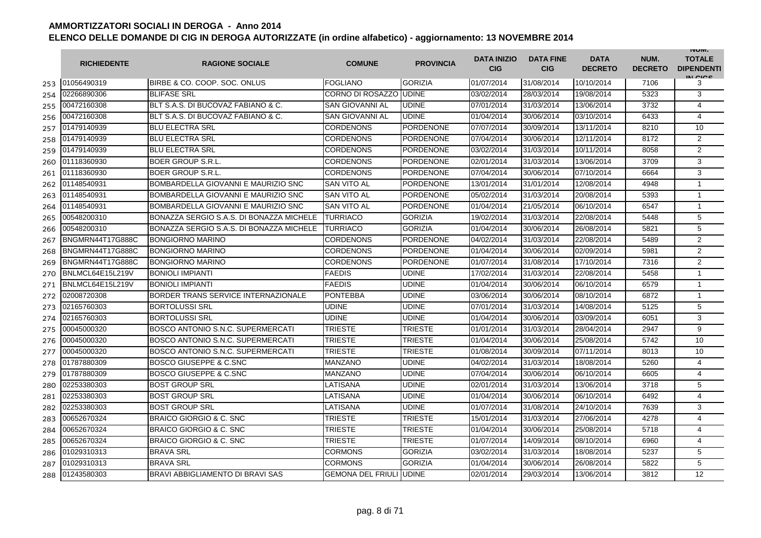|     | <b>RICHIEDENTE</b> | <b>RAGIONE SOCIALE</b>                   | <b>COMUNE</b>            | <b>PROVINCIA</b> | <b>DATA INIZIO</b><br><b>CIG</b> | <b>DATA FINE</b><br><b>CIG</b> | <b>DATA</b><br><b>DECRETO</b> | NUM.<br><b>DECRETO</b> | <b>INUIVI.</b><br><b>TOTALE</b><br><b>DIPENDENTI</b><br>IN CIGO |
|-----|--------------------|------------------------------------------|--------------------------|------------------|----------------------------------|--------------------------------|-------------------------------|------------------------|-----------------------------------------------------------------|
| 253 | 01056490319        | BIRBE & CO. COOP. SOC. ONLUS             | <b>FOGLIANO</b>          | <b>GORIZIA</b>   | 01/07/2014                       | 31/08/2014                     | 10/10/2014                    | 7106                   | 3                                                               |
| 254 | 02266890306        | <b>BLIFASE SRL</b>                       | <b>CORNO DI ROSAZZO</b>  | <b>UDINE</b>     | 03/02/2014                       | 28/03/2014                     | 19/08/2014                    | 5323                   | 3                                                               |
| 255 | 00472160308        | BLT S.A.S. DI BUCOVAZ FABIANO & C.       | <b>SAN GIOVANNI AL</b>   | <b>UDINE</b>     | 07/01/2014                       | 31/03/2014                     | 13/06/2014                    | 3732                   | $\overline{4}$                                                  |
| 256 | 00472160308        | BLT S.A.S. DI BUCOVAZ FABIANO & C.       | SAN GIOVANNI AL          | <b>UDINE</b>     | 01/04/2014                       | 30/06/2014                     | 03/10/2014                    | 6433                   | $\overline{4}$                                                  |
| 257 | 01479140939        | <b>BLU ELECTRA SRL</b>                   | <b>CORDENONS</b>         | <b>PORDENONE</b> | 07/07/2014                       | 30/09/2014                     | 13/11/2014                    | 8210                   | 10                                                              |
| 258 | 01479140939        | <b>BLU ELECTRA SRL</b>                   | <b>CORDENONS</b>         | <b>PORDENONE</b> | 07/04/2014                       | 30/06/2014                     | 12/11/2014                    | 8172                   | 2                                                               |
| 259 | 01479140939        | <b>BLU ELECTRA SRL</b>                   | <b>CORDENONS</b>         | <b>PORDENONE</b> | 03/02/2014                       | 31/03/2014                     | 10/11/2014                    | 8058                   | $\overline{2}$                                                  |
| 260 | 01118360930        | <b>BOER GROUP S.R.L</b>                  | <b>CORDENONS</b>         | <b>PORDENONE</b> | 02/01/2014                       | 31/03/2014                     | 13/06/2014                    | 3709                   | 3                                                               |
| 261 | 01118360930        | <b>BOER GROUP S.R.L.</b>                 | <b>CORDENONS</b>         | <b>PORDENONE</b> | 07/04/2014                       | 30/06/2014                     | 07/10/2014                    | 6664                   | 3                                                               |
| 262 | 01148540931        | BOMBARDELLA GIOVANNI E MAURIZIO SNC      | <b>SAN VITO AL</b>       | PORDENONE        | 13/01/2014                       | 31/01/2014                     | 12/08/2014                    | 4948                   | $\mathbf{1}$                                                    |
| 263 | 01148540931        | BOMBARDELLA GIOVANNI E MAURIZIO SNC      | <b>SAN VITO AL</b>       | <b>PORDENONE</b> | 05/02/2014                       | 31/03/2014                     | 20/08/2014                    | 5393                   | 1                                                               |
| 264 | 01148540931        | BOMBARDELLA GIOVANNI E MAURIZIO SNC      | SAN VITO AL              | <b>PORDENONE</b> | 01/04/2014                       | 21/05/2014                     | 06/10/2014                    | 6547                   | $\mathbf{1}$                                                    |
| 265 | 00548200310        | BONAZZA SERGIO S.A.S. DI BONAZZA MICHELE | <b>TURRIACO</b>          | <b>GORIZIA</b>   | 19/02/2014                       | 31/03/2014                     | 22/08/2014                    | 5448                   | 5                                                               |
| 266 | 00548200310        | BONAZZA SERGIO S.A.S. DI BONAZZA MICHELE | TURRIACO                 | <b>GORIZIA</b>   | 01/04/2014                       | 30/06/2014                     | 26/08/2014                    | 5821                   | 5                                                               |
| 267 | BNGMRN44T17G888C   | <b>BONGIORNO MARINO</b>                  | <b>CORDENONS</b>         | <b>PORDENONE</b> | 04/02/2014                       | 31/03/2014                     | 22/08/2014                    | 5489                   | 2                                                               |
| 268 | BNGMRN44T17G888C   | <b>BONGIORNO MARINO</b>                  | <b>CORDENONS</b>         | <b>PORDENONE</b> | 01/04/2014                       | 30/06/2014                     | 02/09/2014                    | 5981                   | $\overline{2}$                                                  |
| 269 | BNGMRN44T17G888C   | <b>BONGIORNO MARINO</b>                  | <b>CORDENONS</b>         | PORDENONE        | 01/07/2014                       | 31/08/2014                     | 17/10/2014                    | 7316                   | $\overline{2}$                                                  |
| 270 | BNLMCL64E15L219V   | <b>BONIOLI IMPIANTI</b>                  | <b>FAEDIS</b>            | <b>UDINE</b>     | 17/02/2014                       | 31/03/2014                     | 22/08/2014                    | 5458                   | 1                                                               |
| 271 | BNLMCL64E15L219V   | <b>BONIOLI IMPIANTI</b>                  | <b>FAEDIS</b>            | <b>UDINE</b>     | 01/04/2014                       | 30/06/2014                     | 06/10/2014                    | 6579                   | $\mathbf{1}$                                                    |
| 272 | 02008720308        | BORDER TRANS SERVICE INTERNAZIONALE      | <b>PONTEBBA</b>          | <b>UDINE</b>     | 03/06/2014                       | 30/06/2014                     | 08/10/2014                    | 6872                   | $\mathbf{1}$                                                    |
| 273 | 02165760303        | <b>BORTOLUSSI SRL</b>                    | <b>UDINE</b>             | <b>UDINE</b>     | 07/01/2014                       | 31/03/2014                     | 14/08/2014                    | 5125                   | 5                                                               |
| 274 | 02165760303        | <b>BORTOLUSSI SRL</b>                    | <b>UDINE</b>             | <b>UDINE</b>     | 01/04/2014                       | 30/06/2014                     | 03/09/2014                    | 6051                   | 3                                                               |
| 275 | 00045000320        | BOSCO ANTONIO S.N.C. SUPERMERCATI        | <b>TRIESTE</b>           | <b>TRIESTE</b>   | 01/01/2014                       | 31/03/2014                     | 28/04/2014                    | 2947                   | 9                                                               |
| 276 | 00045000320        | BOSCO ANTONIO S.N.C. SUPERMERCATI        | <b>TRIESTE</b>           | TRIESTE          | 01/04/2014                       | 30/06/2014                     | 25/08/2014                    | 5742                   | 10                                                              |
| 277 | 00045000320        | BOSCO ANTONIO S.N.C. SUPERMERCATI        | <b>TRIESTE</b>           | TRIESTE          | 01/08/2014                       | 30/09/2014                     | 07/11/2014                    | 8013                   | 10                                                              |
| 278 | 01787880309        | <b>BOSCO GIUSEPPE &amp; C.SNC</b>        | <b>MANZANO</b>           | <b>UDINE</b>     | 04/02/2014                       | 31/03/2014                     | 18/08/2014                    | 5260                   | 4                                                               |
| 279 | 01787880309        | <b>BOSCO GIUSEPPE &amp; C.SNC</b>        | <b>MANZANO</b>           | <b>UDINE</b>     | 07/04/2014                       | 30/06/2014                     | 06/10/2014                    | 6605                   | 4                                                               |
| 280 | 02253380303        | <b>BOST GROUP SRL</b>                    | LATISANA                 | <b>UDINE</b>     | 02/01/2014                       | 31/03/2014                     | 13/06/2014                    | 3718                   | 5                                                               |
| 281 | 02253380303        | <b>BOST GROUP SRL</b>                    | LATISANA                 | <b>UDINE</b>     | 01/04/2014                       | 30/06/2014                     | 06/10/2014                    | 6492                   | $\overline{4}$                                                  |
| 282 | 02253380303        | <b>BOST GROUP SRL</b>                    | LATISANA                 | <b>UDINE</b>     | 01/07/2014                       | 31/08/2014                     | 24/10/2014                    | 7639                   | 3                                                               |
| 283 | 00652670324        | BRAICO GIORGIO & C. SNC                  | TRIESTE                  | TRIESTE          | 15/01/2014                       | 31/03/2014                     | 27/06/2014                    | 4278                   | $\overline{4}$                                                  |
| 284 | 00652670324        | BRAICO GIORGIO & C. SNC                  | <b>TRIESTE</b>           | TRIESTE          | 01/04/2014                       | 30/06/2014                     | 25/08/2014                    | 5718                   | 4                                                               |
| 285 | 00652670324        | BRAICO GIORGIO & C. SNC                  | <b>TRIESTE</b>           | <b>TRIESTE</b>   | 01/07/2014                       | 14/09/2014                     | 08/10/2014                    | 6960                   | 4                                                               |
| 286 | 01029310313        | <b>BRAVA SRL</b>                         | <b>CORMONS</b>           | <b>GORIZIA</b>   | 03/02/2014                       | 31/03/2014                     | 18/08/2014                    | 5237                   | 5                                                               |
| 287 | 01029310313        | <b>BRAVA SRL</b>                         | <b>CORMONS</b>           | <b>GORIZIA</b>   | 01/04/2014                       | 30/06/2014                     | 26/08/2014                    | 5822                   | 5                                                               |
| 288 | 01243580303        | BRAVI ABBIGLIAMENTO DI BRAVI SAS         | <b>GEMONA DEL FRIULI</b> | <b>UDINE</b>     | 02/01/2014                       | 29/03/2014                     | 13/06/2014                    | 3812                   | 12                                                              |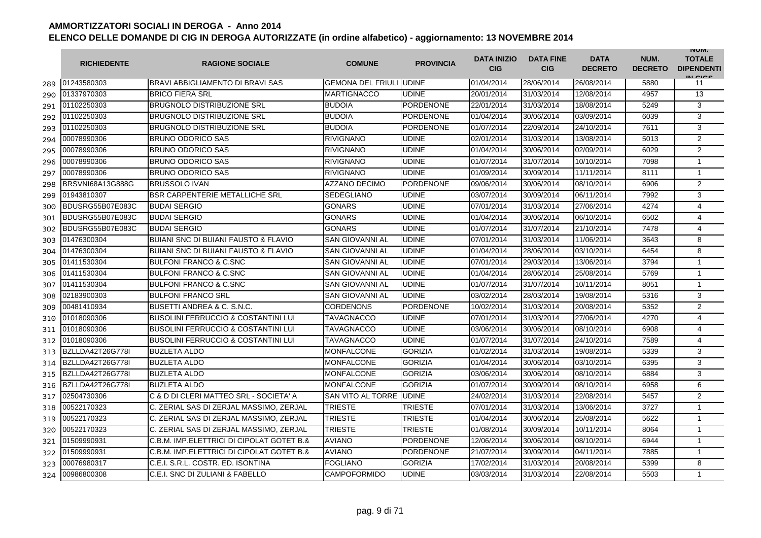|     | <b>RICHIEDENTE</b> | <b>RAGIONE SOCIALE</b>                          | <b>COMUNE</b>                   | <b>PROVINCIA</b> | <b>DATA INIZIO</b><br><b>CIG</b> | <b>DATA FINE</b><br><b>CIG</b> | <b>DATA</b><br><b>DECRETO</b> | NUM.<br><b>DECRETO</b> | <b>INUIVI.</b><br><b>TOTALE</b><br><b>DIPENDENTI</b><br>IN CIGO |
|-----|--------------------|-------------------------------------------------|---------------------------------|------------------|----------------------------------|--------------------------------|-------------------------------|------------------------|-----------------------------------------------------------------|
| 289 | 01243580303        | BRAVI ABBIGLIAMENTO DI BRAVI SAS                | <b>GEMONA DEL FRIULI JUDINE</b> |                  | 01/04/2014                       | 28/06/2014                     | 26/08/2014                    | 5880                   | 11                                                              |
| 290 | 01337970303        | <b>BRICO FIERA SRL</b>                          | <b>MARTIGNACCO</b>              | <b>UDINE</b>     | 20/01/2014                       | 31/03/2014                     | 12/08/2014                    | 4957                   | 13                                                              |
| 291 | 01102250303        | <b>BRUGNOLO DISTRIBUZIONE SRL</b>               | <b>BUDOIA</b>                   | <b>PORDENONE</b> | 22/01/2014                       | 31/03/2014                     | 18/08/2014                    | 5249                   | 3                                                               |
| 292 | 01102250303        | BRUGNOLO DISTRIBUZIONE SRL                      | <b>BUDOIA</b>                   | PORDENONE        | 01/04/2014                       | 30/06/2014                     | 03/09/2014                    | 6039                   | 3                                                               |
| 293 | 01102250303        | <b>BRUGNOLO DISTRIBUZIONE SRL</b>               | <b>BUDOIA</b>                   | <b>PORDENONE</b> | 01/07/2014                       | 22/09/2014                     | 24/10/2014                    | 7611                   | 3                                                               |
| 294 | 00078990306        | <b>BRUNO ODORICO SAS</b>                        | <b>RIVIGNANO</b>                | <b>UDINE</b>     | 02/01/2014                       | 31/03/2014                     | 13/08/2014                    | 5013                   | 2                                                               |
| 295 | 00078990306        | <b>BRUNO ODORICO SAS</b>                        | <b>RIVIGNANO</b>                | <b>UDINE</b>     | 01/04/2014                       | 30/06/2014                     | 02/09/2014                    | 6029                   | 2                                                               |
| 296 | 00078990306        | <b>BRUNO ODORICO SAS</b>                        | <b>RIVIGNANO</b>                | <b>UDINE</b>     | 01/07/2014                       | 31/07/2014                     | 10/10/2014                    | 7098                   | $\mathbf{1}$                                                    |
| 297 | 00078990306        | <b>BRUNO ODORICO SAS</b>                        | <b>RIVIGNANO</b>                | <b>UDINE</b>     | 01/09/2014                       | 30/09/2014                     | 11/11/2014                    | 8111                   | $\mathbf{1}$                                                    |
| 298 | BRSVNI68A13G888G   | <b>BRUSSOLO IVAN</b>                            | <b>AZZANO DECIMO</b>            | PORDENONE        | 09/06/2014                       | 30/06/2014                     | 08/10/2014                    | 6906                   | $\overline{2}$                                                  |
| 299 | 01943810307        | <b>BSR CARPENTERIE METALLICHE SRL</b>           | <b>SEDEGLIANO</b>               | <b>UDINE</b>     | 03/07/2014                       | 30/09/2014                     | 06/11/2014                    | 7992                   | 3                                                               |
| 300 | BDUSRG55B07E083C   | <b>BUDAI SERGIO</b>                             | <b>GONARS</b>                   | <b>UDINE</b>     | 07/01/2014                       | 31/03/2014                     | 27/06/2014                    | 4274                   | 4                                                               |
| 301 | BDUSRG55B07E083C   | <b>BUDAI SERGIO</b>                             | <b>GONARS</b>                   | <b>UDINE</b>     | 01/04/2014                       | 30/06/2014                     | 06/10/2014                    | 6502                   | 4                                                               |
| 302 | BDUSRG55B07E083C   | <b>BUDAI SERGIO</b>                             | <b>GONARS</b>                   | <b>UDINE</b>     | 01/07/2014                       | 31/07/2014                     | 21/10/2014                    | 7478                   | 4                                                               |
| 303 | 01476300304        | <b>BUIANI SNC DI BUIANI FAUSTO &amp; FLAVIO</b> | <b>SAN GIOVANNI AL</b>          | <b>UDINE</b>     | 07/01/2014                       | 31/03/2014                     | 11/06/2014                    | 3643                   | 8                                                               |
| 304 | 01476300304        | <b>BUIANI SNC DI BUIANI FAUSTO &amp; FLAVIO</b> | <b>SAN GIOVANNI AL</b>          | <b>UDINE</b>     | 01/04/2014                       | 28/06/2014                     | 03/10/2014                    | 6454                   | 8                                                               |
| 305 | 01411530304        | <b>BULFONI FRANCO &amp; C.SNC</b>               | <b>SAN GIOVANNI AL</b>          | <b>UDINE</b>     | 07/01/2014                       | 29/03/2014                     | 13/06/2014                    | 3794                   | 1                                                               |
| 306 | 01411530304        | <b>BULFONI FRANCO &amp; C.SNC</b>               | <b>SAN GIOVANNI AL</b>          | <b>UDINE</b>     | 01/04/2014                       | 28/06/2014                     | 25/08/2014                    | 5769                   | 1                                                               |
| 307 | 01411530304        | <b>BULFONI FRANCO &amp; C.SNC</b>               | SAN GIOVANNI AL                 | <b>UDINE</b>     | 01/07/2014                       | 31/07/2014                     | 10/11/2014                    | 8051                   | $\mathbf{1}$                                                    |
| 308 | 02183900303        | <b>BULFONI FRANCO SRL</b>                       | <b>SAN GIOVANNI AL</b>          | <b>UDINE</b>     | 03/02/2014                       | 28/03/2014                     | 19/08/2014                    | 5316                   | 3                                                               |
| 309 | 00481410934        | BUSETTI ANDREA & C. S.N.C.                      | <b>CORDENONS</b>                | <b>PORDENONE</b> | 10/02/2014                       | 31/03/2014                     | 20/08/2014                    | 5352                   | $\overline{2}$                                                  |
| 310 | 01018090306        | <b>BUSOLINI FERRUCCIO &amp; COSTANTINI LUI</b>  | <b>TAVAGNACCO</b>               | <b>UDINE</b>     | 07/01/2014                       | 31/03/2014                     | 27/06/2014                    | 4270                   | 4                                                               |
| 311 | 01018090306        | <b>BUSOLINI FERRUCCIO &amp; COSTANTINI LUI</b>  | <b>TAVAGNACCO</b>               | <b>UDINE</b>     | 03/06/2014                       | 30/06/2014                     | 08/10/2014                    | 6908                   | 4                                                               |
| 312 | 01018090306        | <b>BUSOLINI FERRUCCIO &amp; COSTANTINI LUI</b>  | <b>TAVAGNACCO</b>               | <b>UDINE</b>     | 01/07/2014                       | 31/07/2014                     | 24/10/2014                    | 7589                   | $\overline{4}$                                                  |
| 313 | BZLLDA42T26G778I   | <b>BUZLETA ALDO</b>                             | <b>MONFALCONE</b>               | <b>GORIZIA</b>   | 01/02/2014                       | 31/03/2014                     | 19/08/2014                    | 5339                   | 3                                                               |
| 314 | BZLLDA42T26G778I   | <b>BUZLETA ALDO</b>                             | <b>MONFALCONE</b>               | <b>GORIZIA</b>   | 01/04/2014                       | 30/06/2014                     | 03/10/2014                    | 6395                   | 3                                                               |
| 315 | BZLLDA42T26G778I   | <b>BUZLETA ALDO</b>                             | <b>MONFALCONE</b>               | <b>GORIZIA</b>   | 03/06/2014                       | 30/06/2014                     | 08/10/2014                    | 6884                   | 3                                                               |
| 316 | BZLLDA42T26G778I   | <b>BUZLETA ALDO</b>                             | <b>MONFALCONE</b>               | <b>GORIZIA</b>   | 01/07/2014                       | 30/09/2014                     | 08/10/2014                    | 6958                   | 6                                                               |
| 317 | 02504730306        | C & D DI CLERI MATTEO SRL - SOCIETA' A          | SAN VITO AL TORRE               | <b>UDINE</b>     | 24/02/2014                       | 31/03/2014                     | 22/08/2014                    | 5457                   | 2                                                               |
| 318 | 00522170323        | C. ZERIAL SAS DI ZERJAL MASSIMO, ZERJAL         | TRIESTE                         | <b>TRIESTE</b>   | 07/01/2014                       | 31/03/2014                     | 13/06/2014                    | 3727                   | $\mathbf{1}$                                                    |
| 319 | 00522170323        | C. ZERIAL SAS DI ZERJAL MASSIMO, ZERJAL         | <b>TRIESTE</b>                  | <b>TRIESTE</b>   | 01/04/2014                       | 30/06/2014                     | 25/08/2014                    | 5622                   | 1                                                               |
| 320 | 00522170323        | C. ZERIAL SAS DI ZERJAL MASSIMO, ZERJAL         | <b>TRIESTE</b>                  | TRIESTE          | 01/08/2014                       | 30/09/2014                     | 10/11/2014                    | 8064                   | $\mathbf{1}$                                                    |
| 321 | 01509990931        | C.B.M. IMP.ELETTRICI DI CIPOLAT GOTET B.&       | <b>AVIANO</b>                   | <b>PORDENONE</b> | 12/06/2014                       | 30/06/2014                     | 08/10/2014                    | 6944                   | $\mathbf{1}$                                                    |
| 322 | 01509990931        | C.B.M. IMP.ELETTRICI DI CIPOLAT GOTET B.&       | <b>AVIANO</b>                   | <b>PORDENONE</b> | 21/07/2014                       | 30/09/2014                     | 04/11/2014                    | 7885                   | $\mathbf{1}$                                                    |
| 323 | 00076980317        | C.E.I. S.R.L. COSTR. ED. ISONTINA               | <b>FOGLIANO</b>                 | <b>GORIZIA</b>   | 17/02/2014                       | 31/03/2014                     | 20/08/2014                    | 5399                   | 8                                                               |
| 324 | 00986800308        | C.E.I. SNC DI ZULIANI & FABELLO                 | <b>CAMPOFORMIDO</b>             | <b>UDINE</b>     | 03/03/2014                       | 31/03/2014                     | 22/08/2014                    | 5503                   | $\mathbf{1}$                                                    |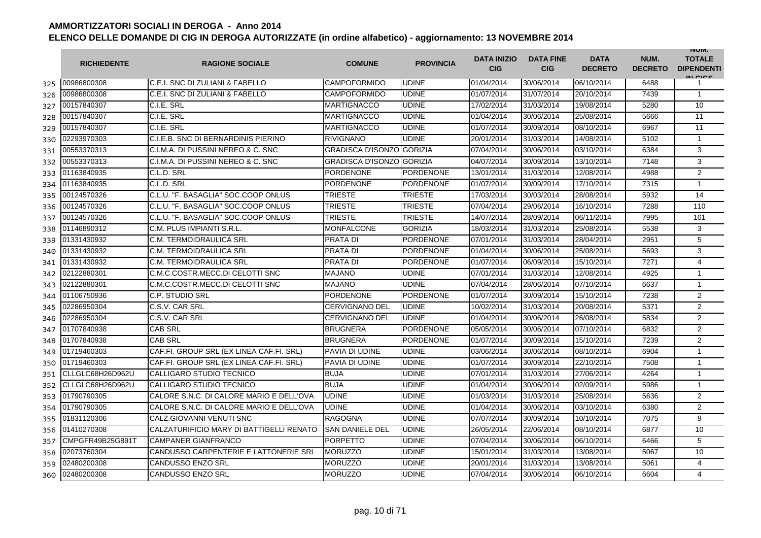|     | <b>RICHIEDENTE</b> | <b>RAGIONE SOCIALE</b>                   | <b>COMUNE</b>                    | <b>PROVINCIA</b> | <b>DATA INIZIO</b><br><b>CIG</b> | <b>DATA FINE</b><br><b>CIG</b> | <b>DATA</b><br><b>DECRETO</b> | NUM.<br><b>DECRETO</b> | <b>INUIVI.</b><br><b>TOTALE</b><br><b>DIPENDENTI</b><br>IN CIGO |
|-----|--------------------|------------------------------------------|----------------------------------|------------------|----------------------------------|--------------------------------|-------------------------------|------------------------|-----------------------------------------------------------------|
| 325 | 00986800308        | C.E.I. SNC DI ZULIANI & FABELLO          | <b>CAMPOFORMIDO</b>              | <b>UDINE</b>     | 01/04/2014                       | 30/06/2014                     | 06/10/2014                    | 6488                   | 1                                                               |
| 326 | 00986800308        | C.E.I. SNC DI ZULIANI & FABELLO          | <b>CAMPOFORMIDO</b>              | <b>UDINE</b>     | 01/07/2014                       | 31/07/2014                     | 20/10/2014                    | 7439                   | $\mathbf{1}$                                                    |
| 327 | 00157840307        | C.I.E. SRL                               | <b>MARTIGNACCO</b>               | <b>UDINE</b>     | 17/02/2014                       | 31/03/2014                     | 19/08/2014                    | 5280                   | 10                                                              |
| 328 | 00157840307        | C.I.E. SRL                               | <b>MARTIGNACCO</b>               | <b>UDINE</b>     | 01/04/2014                       | 30/06/2014                     | 25/08/2014                    | 5666                   | 11                                                              |
| 329 | 00157840307        | C.I.E. SRL                               | <b>MARTIGNACCO</b>               | <b>UDINE</b>     | 01/07/2014                       | 30/09/2014                     | 08/10/2014                    | 6967                   | 11                                                              |
| 330 | 02293970303        | C.I.E.B. SNC DI BERNARDINIS PIERINO      | <b>RIVIGNANO</b>                 | <b>UDINE</b>     | 20/01/2014                       | 31/03/2014                     | 14/08/2014                    | 5102                   | $\mathbf{1}$                                                    |
| 331 | 00553370313        | C.I.M.A. DI PUSSINI NEREO & C. SNC       | <b>GRADISCA D'ISONZO GORIZIA</b> |                  | 07/04/2014                       | 30/06/2014                     | 03/10/2014                    | 6384                   | 3                                                               |
| 332 | 00553370313        | C.I.M.A. DI PUSSINI NEREO & C. SNC       | <b>GRADISCA D'ISONZO GORIZIA</b> |                  | 04/07/2014                       | 30/09/2014                     | 13/10/2014                    | 7148                   | 3                                                               |
| 333 | 01163840935        | C.L.D. SRL                               | <b>PORDENONE</b>                 | <b>PORDENONE</b> | 13/01/2014                       | 31/03/2014                     | 12/08/2014                    | 4988                   | 2                                                               |
| 334 | 01163840935        | C.L.D. SRL                               | PORDENONE                        | PORDENONE        | 01/07/2014                       | 30/09/2014                     | 17/10/2014                    | 7315                   | $\mathbf{1}$                                                    |
| 335 | 00124570326        | C.L.U. "F. BASAGLIA" SOC.COOP ONLUS      | TRIESTE                          | <b>TRIESTE</b>   | 17/03/2014                       | 30/03/2014                     | 28/08/2014                    | 5932                   | 14                                                              |
| 336 | 00124570326        | C.L.U. "F. BASAGLIA" SOC.COOP ONLUS      | TRIESTE                          | TRIESTE          | 07/04/2014                       | 29/06/2014                     | 16/10/2014                    | 7288                   | 110                                                             |
| 337 | 00124570326        | C.L.U. "F. BASAGLIA" SOC.COOP ONLUS      | TRIESTE                          | <b>TRIESTE</b>   | 14/07/2014                       | 28/09/2014                     | 06/11/2014                    | 7995                   | 101                                                             |
| 338 | 01146890312        | C.M. PLUS IMPIANTI S.R.L.                | <b>MONFALCONE</b>                | <b>GORIZIA</b>   | 18/03/2014                       | 31/03/2014                     | 25/08/2014                    | 5538                   | 3                                                               |
| 339 | 01331430932        | C.M. TERMOIDRAULICA SRL                  | <b>PRATA DI</b>                  | <b>PORDENONE</b> | 07/01/2014                       | 31/03/2014                     | 28/04/2014                    | 2951                   | 5                                                               |
| 340 | 01331430932        | C.M. TERMOIDRAULICA SRL                  | <b>PRATA DI</b>                  | <b>PORDENONE</b> | 01/04/2014                       | 30/06/2014                     | 25/08/2014                    | 5693                   | 3                                                               |
| 341 | 01331430932        | C.M. TERMOIDRAULICA SRL                  | PRATA DI                         | PORDENONE        | 01/07/2014                       | 06/09/2014                     | 15/10/2014                    | 7271                   | 4                                                               |
| 342 | 02122880301        | C.M.C.COSTR.MECC.DI CELOTTI SNC          | <b>MAJANO</b>                    | <b>UDINE</b>     | 07/01/2014                       | 31/03/2014                     | 12/08/2014                    | 4925                   | $\mathbf{1}$                                                    |
| 343 | 02122880301        | C.M.C.COSTR.MECC.DI CELOTTI SNC          | <b>MAJANO</b>                    | <b>UDINE</b>     | 07/04/2014                       | 28/06/2014                     | 07/10/2014                    | 6637                   | $\mathbf{1}$                                                    |
| 344 | 01106750936        | C.P. STUDIO SRL                          | <b>PORDENONE</b>                 | <b>PORDENONE</b> | 01/07/2014                       | 30/09/2014                     | 15/10/2014                    | 7238                   | $\overline{2}$                                                  |
| 345 | 02286950304        | C.S.V. CAR SRL                           | <b>CERVIGNANO DEL</b>            | <b>UDINE</b>     | 10/02/2014                       | 31/03/2014                     | 20/08/2014                    | 5371                   | $\overline{2}$                                                  |
| 346 | 02286950304        | C.S.V. CAR SRL                           | <b>CERVIGNANO DEL</b>            | <b>UDINE</b>     | 01/04/2014                       | 30/06/2014                     | 26/08/2014                    | 5834                   | $\overline{2}$                                                  |
| 347 | 01707840938        | <b>CAB SRL</b>                           | <b>BRUGNERA</b>                  | PORDENONE        | 05/05/2014                       | 30/06/2014                     | 07/10/2014                    | 6832                   | $\overline{2}$                                                  |
| 348 | 01707840938        | <b>CAB SRL</b>                           | <b>BRUGNERA</b>                  | <b>PORDENONE</b> | 01/07/2014                       | 30/09/2014                     | 15/10/2014                    | 7239                   | $\overline{2}$                                                  |
| 349 | 01719460303        | CAF.FI. GROUP SRL (EX LINEA CAF.FI. SRL) | PAVIA DI UDINE                   | <b>UDINE</b>     | 03/06/2014                       | 30/06/2014                     | 08/10/2014                    | 6904                   | $\mathbf{1}$                                                    |
| 350 | 01719460303        | CAF.FI. GROUP SRL (EX LINEA CAF.FI. SRL) | PAVIA DI UDINE                   | <b>UDINE</b>     | 01/07/2014                       | 30/09/2014                     | 22/10/2014                    | 7508                   | $\mathbf{1}$                                                    |
| 351 | CLLGLC68H26D962U   | CALLIGARO STUDIO TECNICO                 | <b>BUJA</b>                      | <b>UDINE</b>     | 07/01/2014                       | 31/03/2014                     | 27/06/2014                    | 4264                   | $\mathbf{1}$                                                    |
| 352 | CLLGLC68H26D962U   | CALLIGARO STUDIO TECNICO                 | <b>BUJA</b>                      | <b>UDINE</b>     | 01/04/2014                       | 30/06/2014                     | 02/09/2014                    | 5986                   | $\mathbf{1}$                                                    |
| 353 | 01790790305        | CALORE S.N.C. DI CALORE MARIO E DELL'OVA | UDINE                            | <b>UDINE</b>     | 01/03/2014                       | 31/03/2014                     | 25/08/2014                    | 5636                   | 2                                                               |
| 354 | 01790790305        | CALORE S.N.C. DI CALORE MARIO E DELL'OVA | UDINE                            | <b>UDINE</b>     | 01/04/2014                       | 30/06/2014                     | 03/10/2014                    | 6380                   | $\overline{2}$                                                  |
| 355 | 01831120306        | CALZ.GIOVANNI VENUTI SNC                 | <b>RAGOGNA</b>                   | <b>UDINE</b>     | 07/07/2014                       | 30/09/2014                     | 10/10/2014                    | 7075                   | 9                                                               |
| 356 | 01410270308        | CALZATURIFICIO MARY DI BATTIGELLI RENATO | <b>SAN DANIELE DEL</b>           | <b>UDINE</b>     | 26/05/2014                       | 22/06/2014                     | 08/10/2014                    | 6877                   | 10                                                              |
| 357 | CMPGFR49B25G891T   | <b>CAMPANER GIANFRANCO</b>               | <b>PORPETTO</b>                  | <b>UDINE</b>     | 07/04/2014                       | 30/06/2014                     | 06/10/2014                    | 6466                   | 5                                                               |
| 358 | 02073760304        | CANDUSSO CARPENTERIE E LATTONERIE SRL    | <b>MORUZZO</b>                   | <b>UDINE</b>     | 15/01/2014                       | 31/03/2014                     | 13/08/2014                    | 5067                   | 10                                                              |
| 359 | 02480200308        | <b>CANDUSSO ENZO SRL</b>                 | <b>MORUZZO</b>                   | <b>UDINE</b>     | 20/01/2014                       | 31/03/2014                     | 13/08/2014                    | 5061                   | $\overline{4}$                                                  |
| 360 | 02480200308        | <b>CANDUSSO ENZO SRL</b>                 | <b>MORUZZO</b>                   | <b>UDINE</b>     | 07/04/2014                       | 30/06/2014                     | 06/10/2014                    | 6604                   | 4                                                               |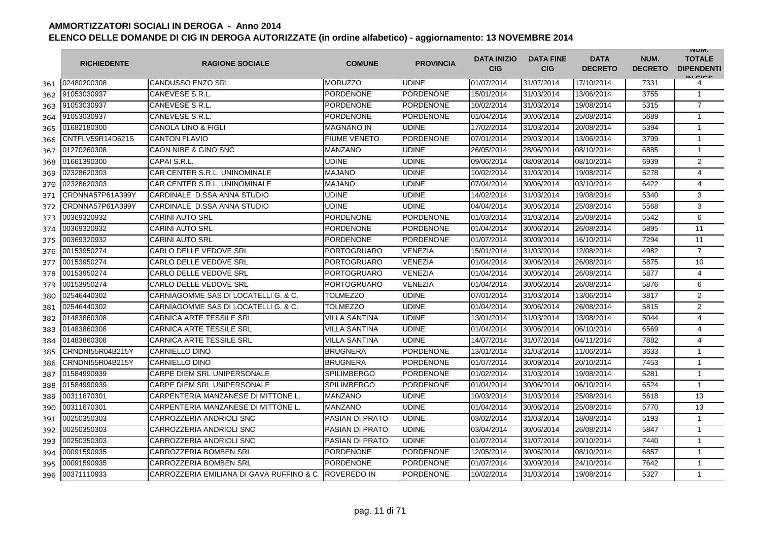|     | <b>RICHIEDENTE</b> | <b>RAGIONE SOCIALE</b>                    | <b>COMUNE</b>          | <b>PROVINCIA</b> | <b>DATA INIZIO</b><br><b>CIG</b> | <b>DATA FINE</b><br><b>CIG</b> | <b>DATA</b><br><b>DECRETO</b> | NUM.<br><b>DECRETO</b> | <b>INUIVI.</b><br><b>TOTALE</b><br><b>DIPENDENTI</b><br>IN CICS |
|-----|--------------------|-------------------------------------------|------------------------|------------------|----------------------------------|--------------------------------|-------------------------------|------------------------|-----------------------------------------------------------------|
| 361 | 02480200308        | <b>CANDUSSO ENZO SRL</b>                  | <b>MORUZZO</b>         | <b>UDINE</b>     | 01/07/2014                       | 31/07/2014                     | 17/10/2014                    | 7331                   | 4                                                               |
| 362 | 91053030937        | CANEVESE S.R.L.                           | PORDENONE              | PORDENONE        | 15/01/2014                       | 31/03/2014                     | 13/06/2014                    | 3755                   | $\mathbf{1}$                                                    |
| 363 | 91053030937        | CANEVESE S.R.L.                           | <b>PORDENONE</b>       | <b>PORDENONE</b> | 10/02/2014                       | 31/03/2014                     | 19/08/2014                    | 5315                   | $\overline{7}$                                                  |
| 364 | 91053030937        | <b>CANEVESE S.R.L</b>                     | <b>PORDENONE</b>       | <b>PORDENONE</b> | 01/04/2014                       | 30/06/2014                     | 25/08/2014                    | 5689                   | $\mathbf{1}$                                                    |
| 365 | 01682180300        | <b>CANOLA LINO &amp; FIGLI</b>            | <b>MAGNANO IN</b>      | <b>UDINE</b>     | 17/02/2014                       | 31/03/2014                     | 20/08/2014                    | 5394                   | $\mathbf{1}$                                                    |
| 366 | CNTFLV59R14D621S   | <b>CANTON FLAVIO</b>                      | <b>FIUME VENETO</b>    | <b>PORDENONE</b> | 07/01/2014                       | 29/03/2014                     | 13/06/2014                    | 3799                   | $\mathbf{1}$                                                    |
| 367 | 01270260308        | CAON NIBE & GINO SNC                      | <b>MANZANO</b>         | <b>UDINE</b>     | 26/05/2014                       | 28/06/2014                     | 08/10/2014                    | 6885                   | $\mathbf{1}$                                                    |
| 368 | 01661390300        | CAPAI S.R.L.                              | <b>UDINE</b>           | <b>UDINE</b>     | 09/06/2014                       | 08/09/2014                     | 08/10/2014                    | 6939                   | $\overline{2}$                                                  |
| 369 | 02328620303        | CAR CENTER S.R.L. UNINOMINALE             | <b>MAJANO</b>          | <b>UDINE</b>     | 10/02/2014                       | 31/03/2014                     | 19/08/2014                    | 5278                   | $\overline{4}$                                                  |
| 370 | 02328620303        | CAR CENTER S.R.L. UNINOMINALE             | <b>MAJANO</b>          | <b>UDINE</b>     | 07/04/2014                       | 30/06/2014                     | 03/10/2014                    | 6422                   | 4                                                               |
| 371 | CRDNNA57P61A399Y   | CARDINALE D.SSA ANNA STUDIO               | UDINE                  | <b>UDINE</b>     | 14/02/2014                       | 31/03/2014                     | 19/08/2014                    | 5340                   | 3                                                               |
| 372 | CRDNNA57P61A399Y   | CARDINALE D.SSA ANNA STUDIO               | UDINE                  | <b>UDINE</b>     | 04/04/2014                       | 30/06/2014                     | 25/08/2014                    | 5568                   | 3                                                               |
| 373 | 00369320932        | <b>CARINI AUTO SRL</b>                    | <b>PORDENONE</b>       | <b>PORDENONE</b> | 01/03/2014                       | 31/03/2014                     | 25/08/2014                    | 5542                   | 6                                                               |
| 374 | 00369320932        | <b>CARINI AUTO SRL</b>                    | <b>PORDENONE</b>       | <b>PORDENONE</b> | 01/04/2014                       | 30/06/2014                     | 26/08/2014                    | 5895                   | 11                                                              |
| 375 | 00369320932        | <b>CARINI AUTO SRL</b>                    | <b>PORDENONE</b>       | <b>PORDENONE</b> | 01/07/2014                       | 30/09/2014                     | 16/10/2014                    | 7294                   | 11                                                              |
| 376 | 00153950274        | CARLO DELLE VEDOVE SRL                    | <b>PORTOGRUARO</b>     | <b>VENEZIA</b>   | 15/01/2014                       | 31/03/2014                     | 12/08/2014                    | 4982                   | $\overline{7}$                                                  |
| 377 | 00153950274        | <b>CARLO DELLE VEDOVE SRL</b>             | PORTOGRUARO            | VENEZIA          | 01/04/2014                       | 30/06/2014                     | 26/08/2014                    | 5875                   | 10                                                              |
| 378 | 00153950274        | CARLO DELLE VEDOVE SRL                    | <b>PORTOGRUARO</b>     | <b>VENEZIA</b>   | 01/04/2014                       | 30/06/2014                     | 26/08/2014                    | 5877                   | $\overline{4}$                                                  |
| 379 | 00153950274        | CARLO DELLE VEDOVE SRL                    | PORTOGRUARO            | <b>VENEZIA</b>   | 01/04/2014                       | 30/06/2014                     | 26/08/2014                    | 5876                   | 6                                                               |
| 380 | 02546440302        | CARNIAGOMME SAS DI LOCATELLI G. & C.      | <b>TOLMEZZO</b>        | <b>UDINE</b>     | 07/01/2014                       | 31/03/2014                     | 13/06/2014                    | 3817                   | $\overline{2}$                                                  |
| 381 | 02546440302        | CARNIAGOMME SAS DI LOCATELLI G. & C.      | TOLMEZZO               | <b>UDINE</b>     | 01/04/2014                       | 30/06/2014                     | 26/08/2014                    | 5815                   | $\overline{2}$                                                  |
| 382 | 01483860308        | <b>CARNICA ARTE TESSILE SRL</b>           | VILLA SANTINA          | <b>UDINE</b>     | 13/01/2014                       | 31/03/2014                     | 13/08/2014                    | 5044                   | 4                                                               |
| 383 | 01483860308        | <b>CARNICA ARTE TESSILE SRL</b>           | VILLA SANTINA          | <b>UDINE</b>     | 01/04/2014                       | 30/06/2014                     | 06/10/2014                    | 6569                   | 4                                                               |
| 384 | 01483860308        | <b>CARNICA ARTE TESSILE SRL</b>           | <b>VILLA SANTINA</b>   | <b>UDINE</b>     | 14/07/2014                       | 31/07/2014                     | 04/11/2014                    | 7882                   | 4                                                               |
| 385 | CRNDNI55R04B215Y   | <b>CARNIELLO DINO</b>                     | <b>BRUGNERA</b>        | PORDENONE        | 13/01/2014                       | 31/03/2014                     | 11/06/2014                    | 3633                   | $\mathbf{1}$                                                    |
| 386 | CRNDNI55R04B215Y   | <b>CARNIELLO DINO</b>                     | <b>BRUGNERA</b>        | <b>PORDENONE</b> | 01/07/2014                       | 30/09/2014                     | 20/10/2014                    | 7453                   | $\mathbf{1}$                                                    |
| 387 | 01584990939        | <b>CARPE DIEM SRL UNIPERSONALE</b>        | <b>SPILIMBERGO</b>     | <b>PORDENONE</b> | 01/02/2014                       | 31/03/2014                     | 19/08/2014                    | 5281                   | $\mathbf{1}$                                                    |
| 388 | 01584990939        | CARPE DIEM SRL UNIPERSONALE               | <b>SPILIMBERGO</b>     | <b>PORDENONE</b> | 01/04/2014                       | 30/06/2014                     | 06/10/2014                    | 6524                   | $\mathbf{1}$                                                    |
| 389 | 00311670301        | CARPENTERIA MANZANESE DI MITTONE L.       | <b>MANZANO</b>         | <b>UDINE</b>     | 10/03/2014                       | 31/03/2014                     | 25/08/2014                    | 5618                   | 13                                                              |
| 390 | 00311670301        | CARPENTERIA MANZANESE DI MITTONE L.       | <b>MANZANO</b>         | <b>UDINE</b>     | 01/04/2014                       | 30/06/2014                     | 25/08/2014                    | 5770                   | 13                                                              |
| 391 | 00250350303        | CARROZZERIA ANDRIOLI SNC                  | <b>PASIAN DI PRATO</b> | <b>UDINE</b>     | 03/02/2014                       | 31/03/2014                     | 18/08/2014                    | 5193                   | $\mathbf{1}$                                                    |
| 392 | 00250350303        | CARROZZERIA ANDRIOLI SNC                  | <b>PASIAN DI PRATO</b> | <b>UDINE</b>     | 03/04/2014                       | 30/06/2014                     | 26/08/2014                    | 5847                   | $\mathbf{1}$                                                    |
| 393 | 00250350303        | CARROZZERIA ANDRIOLI SNC                  | <b>PASIAN DI PRATO</b> | <b>UDINE</b>     | 01/07/2014                       | 31/07/2014                     | 20/10/2014                    | 7440                   | $\mathbf{1}$                                                    |
| 394 | 00091590935        | CARROZZERIA BOMBEN SRL                    | <b>PORDENONE</b>       | <b>PORDENONE</b> | 12/05/2014                       | 30/06/2014                     | 08/10/2014                    | 6857                   | $\mathbf{1}$                                                    |
| 395 | 00091590935        | CARROZZERIA BOMBEN SRL                    | <b>PORDENONE</b>       | <b>PORDENONE</b> | 01/07/2014                       | 30/09/2014                     | 24/10/2014                    | 7642                   | $\mathbf{1}$                                                    |
| 396 | 00371110933        | CARROZZERIA EMILIANA DI GAVA RUFFINO & C. | <b>ROVEREDO IN</b>     | <b>PORDENONE</b> | 10/02/2014                       | 31/03/2014                     | 19/08/2014                    | 5327                   | $\mathbf{1}$                                                    |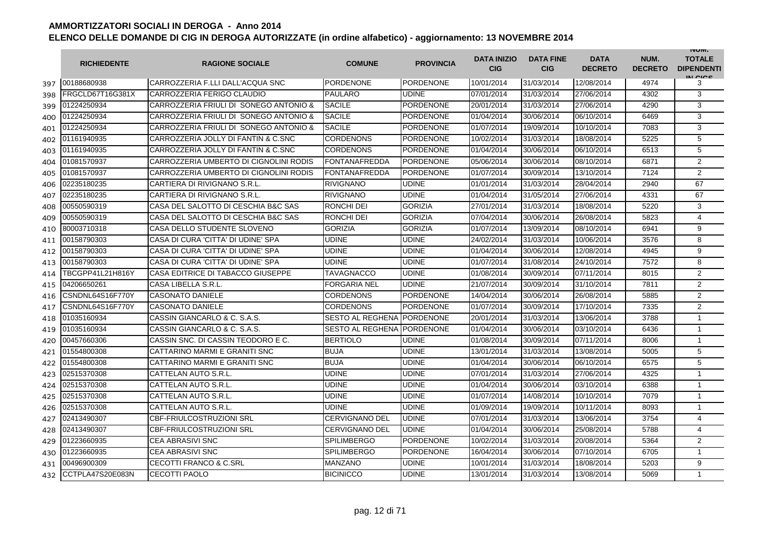|     | <b>RICHIEDENTE</b>      | <b>RAGIONE SOCIALE</b>                 | <b>COMUNE</b>              | <b>PROVINCIA</b> | <b>DATA INIZIO</b><br><b>CIG</b> | <b>DATA FINE</b><br><b>CIG</b> | <b>DATA</b><br><b>DECRETO</b> | NUM.<br><b>DECRETO</b> | <b>INUIVI.</b><br><b>TOTALE</b><br><b>DIPENDENTI</b><br>IN CIGO |
|-----|-------------------------|----------------------------------------|----------------------------|------------------|----------------------------------|--------------------------------|-------------------------------|------------------------|-----------------------------------------------------------------|
| 397 | 00188680938             | CARROZZERIA F.LLI DALL'ACQUA SNC       | <b>PORDENONE</b>           | <b>PORDENONE</b> | 10/01/2014                       | 31/03/2014                     | 12/08/2014                    | 4974                   | 3                                                               |
| 398 | FRGCLD67T16G381X        | CARROZZERIA FERIGO CLAUDIO             | <b>PAULARO</b>             | <b>UDINE</b>     | 07/01/2014                       | 31/03/2014                     | 27/06/2014                    | 4302                   | 3                                                               |
| 399 | 01224250934             | CARROZZERIA FRIULI DI SONEGO ANTONIO & | <b>SACILE</b>              | PORDENONE        | 20/01/2014                       | 31/03/2014                     | 27/06/2014                    | 4290                   | 3                                                               |
| 400 | 01224250934             | CARROZZERIA FRIULI DI SONEGO ANTONIO & | <b>SACILE</b>              | PORDENONE        | 01/04/2014                       | 30/06/2014                     | 06/10/2014                    | 6469                   | 3                                                               |
| 401 | 01224250934             | CARROZZERIA FRIULI DI SONEGO ANTONIO & | <b>SACILE</b>              | <b>PORDENONE</b> | 01/07/2014                       | 19/09/2014                     | 10/10/2014                    | 7083                   | 3                                                               |
| 402 | 01161940935             | CARROZZERIA JOLLY DI FANTIN & C.SNC    | <b>CORDENONS</b>           | <b>PORDENONE</b> | 10/02/2014                       | 31/03/2014                     | 18/08/2014                    | 5225                   | 5                                                               |
| 403 | 01161940935             | CARROZZERIA JOLLY DI FANTIN & C.SNC    | <b>CORDENONS</b>           | <b>PORDENONE</b> | 01/04/2014                       | 30/06/2014                     | 06/10/2014                    | 6513                   | 5                                                               |
| 404 | 01081570937             | CARROZZERIA UMBERTO DI CIGNOLINI RODIS | <b>FONTANAFREDDA</b>       | <b>PORDENONE</b> | 05/06/2014                       | 30/06/2014                     | 08/10/2014                    | 6871                   | 2                                                               |
| 405 | 01081570937             | CARROZZERIA UMBERTO DI CIGNOLINI RODIS | FONTANAFREDDA              | <b>PORDENONE</b> | 01/07/2014                       | 30/09/2014                     | 13/10/2014                    | 7124                   | $\overline{2}$                                                  |
| 406 | 02235180235             | CARTIERA DI RIVIGNANO S.R.L.           | <b>RIVIGNANO</b>           | <b>UDINE</b>     | 01/01/2014                       | 31/03/2014                     | 28/04/2014                    | 2940                   | 67                                                              |
| 407 | 02235180235             | CARTIERA DI RIVIGNANO S.R.L.           | <b>RIVIGNANO</b>           | <b>UDINE</b>     | 01/04/2014                       | 31/05/2014                     | 27/06/2014                    | 4331                   | 67                                                              |
| 408 | 00550590319             | CASA DEL SALOTTO DI CESCHIA B&C SAS    | RONCHI DEI                 | <b>GORIZIA</b>   | 27/01/2014                       | 31/03/2014                     | 18/08/2014                    | 5220                   | 3                                                               |
| 409 | 00550590319             | CASA DEL SALOTTO DI CESCHIA B&C SAS    | RONCHI DEI                 | <b>GORIZIA</b>   | 07/04/2014                       | 30/06/2014                     | 26/08/2014                    | 5823                   | $\overline{4}$                                                  |
| 410 | 80003710318             | CASA DELLO STUDENTE SLOVENO            | <b>GORIZIA</b>             | <b>GORIZIA</b>   | 01/07/2014                       | 13/09/2014                     | 08/10/2014                    | 6941                   | 9                                                               |
| 411 | 00158790303             | CASA DI CURA 'CITTA' DI UDINE' SPA     | UDINE                      | <b>UDINE</b>     | 24/02/2014                       | 31/03/2014                     | 10/06/2014                    | 3576                   | 8                                                               |
| 412 | 00158790303             | CASA DI CURA 'CITTA' DI UDINE' SPA     | UDINE                      | <b>UDINE</b>     | 01/04/2014                       | 30/06/2014                     | 12/08/2014                    | 4945                   | 9                                                               |
| 413 | 00158790303             | CASA DI CURA 'CITTA' DI UDINE' SPA     | UDINE                      | <b>UDINE</b>     | 01/07/2014                       | 31/08/2014                     | 24/10/2014                    | 7572                   | 8                                                               |
| 414 | <b>FBCGPP41L21H816Y</b> | CASA EDITRICE DI TABACCO GIUSEPPE      | TAVAGNACCO                 | <b>UDINE</b>     | 01/08/2014                       | 30/09/2014                     | 07/11/2014                    | 8015                   | 2                                                               |
| 415 | 04206650261             | CASA LIBELLA S.R.L.                    | <b>FORGARIA NEL</b>        | <b>UDINE</b>     | 21/07/2014                       | 30/09/2014                     | 31/10/2014                    | 7811                   | $\overline{2}$                                                  |
| 416 | CSNDNL64S16F770Y        | <b>CASONATO DANIELE</b>                | <b>CORDENONS</b>           | <b>PORDENONE</b> | 14/04/2014                       | 30/06/2014                     | 26/08/2014                    | 5885                   | $\overline{2}$                                                  |
| 417 | CSNDNL64S16F770Y        | <b>CASONATO DANIELE</b>                | <b>CORDENONS</b>           | <b>PORDENONE</b> | 01/07/2014                       | 30/09/2014                     | 17/10/2014                    | 7335                   | 2                                                               |
| 418 | 01035160934             | CASSIN GIANCARLO & C. S.A.S.           | SESTO AL REGHENA PORDENONE |                  | 20/01/2014                       | 31/03/2014                     | 13/06/2014                    | 3788                   | $\mathbf{1}$                                                    |
| 419 | 01035160934             | CASSIN GIANCARLO & C. S.A.S.           | <b>SESTO AL REGHENA</b>    | <b>PORDENONE</b> | 01/04/2014                       | 30/06/2014                     | 03/10/2014                    | 6436                   | 1                                                               |
| 420 | 00457660306             | CASSIN SNC. DI CASSIN TEODORO E C.     | <b>BERTIOLO</b>            | <b>UDINE</b>     | 01/08/2014                       | 30/09/2014                     | 07/11/2014                    | 8006                   | 1                                                               |
| 421 | 01554800308             | CATTARINO MARMI E GRANITI SNC          | <b>BUJA</b>                | <b>UDINE</b>     | 13/01/2014                       | 31/03/2014                     | 13/08/2014                    | 5005                   | 5                                                               |
| 422 | 01554800308             | CATTARINO MARMI E GRANITI SNC          | <b>BUJA</b>                | <b>UDINE</b>     | 01/04/2014                       | 30/06/2014                     | 06/10/2014                    | 6575                   | 5                                                               |
| 423 | 02515370308             | CATTELAN AUTO S.R.L.                   | UDINE                      | <b>UDINE</b>     | 07/01/2014                       | 31/03/2014                     | 27/06/2014                    | 4325                   | 1                                                               |
| 424 | 02515370308             | CATTELAN AUTO S.R.L.                   | UDINE                      | <b>UDINE</b>     | 01/04/2014                       | 30/06/2014                     | 03/10/2014                    | 6388                   | $\mathbf{1}$                                                    |
| 425 | 02515370308             | CATTELAN AUTO S.R.L.                   | UDINE                      | <b>UDINE</b>     | 01/07/2014                       | 14/08/2014                     | 10/10/2014                    | 7079                   | $\mathbf{1}$                                                    |
| 426 | 02515370308             | CATTELAN AUTO S.R.L.                   | UDINE                      | <b>UDINE</b>     | 01/09/2014                       | 19/09/2014                     | 10/11/2014                    | 8093                   | $\mathbf{1}$                                                    |
| 427 | 02413490307             | <b>CBF-FRIULCOSTRUZIONI SRL</b>        | <b>CERVIGNANO DEL</b>      | <b>UDINE</b>     | 07/01/2014                       | 31/03/2014                     | 13/06/2014                    | 3754                   | $\overline{4}$                                                  |
| 428 | 02413490307             | <b>CBF-FRIULCOSTRUZIONI SRL</b>        | <b>CERVIGNANO DEL</b>      | <b>UDINE</b>     | 01/04/2014                       | 30/06/2014                     | 25/08/2014                    | 5788                   | 4                                                               |
| 429 | 01223660935             | <b>CEA ABRASIVI SNC</b>                | <b>SPILIMBERGO</b>         | <b>PORDENONE</b> | 10/02/2014                       | 31/03/2014                     | 20/08/2014                    | 5364                   | $\overline{2}$                                                  |
| 430 | 01223660935             | <b>CEA ABRASIVI SNC</b>                | <b>SPILIMBERGO</b>         | <b>PORDENONE</b> | 16/04/2014                       | 30/06/2014                     | 07/10/2014                    | 6705                   | $\mathbf{1}$                                                    |
| 431 | 00496900309             | <b>CECOTTI FRANCO &amp; C.SRL</b>      | <b>MANZANO</b>             | <b>UDINE</b>     | 10/01/2014                       | 31/03/2014                     | 18/08/2014                    | 5203                   | 9                                                               |
| 432 | CCTPLA47S20E083N        | <b>CECOTTI PAOLO</b>                   | <b>BICINICCO</b>           | <b>UDINE</b>     | 13/01/2014                       | 31/03/2014                     | 13/08/2014                    | 5069                   | $\mathbf{1}$                                                    |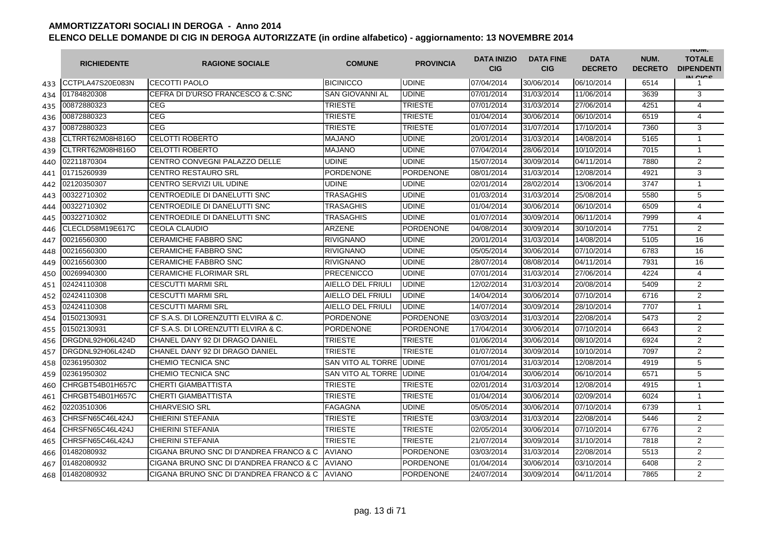|     | <b>RICHIEDENTE</b> | <b>RAGIONE SOCIALE</b>                  | <b>COMUNE</b>            | <b>PROVINCIA</b> | <b>DATA INIZIO</b><br><b>CIG</b> | <b>DATA FINE</b><br><b>CIG</b> | <b>DATA</b><br><b>DECRETO</b> | NUM.<br><b>DECRETO</b> | <b>INUIVI.</b><br><b>TOTALE</b><br><b>DIPENDENTI</b><br>IN CIGO |
|-----|--------------------|-----------------------------------------|--------------------------|------------------|----------------------------------|--------------------------------|-------------------------------|------------------------|-----------------------------------------------------------------|
| 433 | CCTPLA47S20E083N   | <b>CECOTTI PAOLO</b>                    | <b>BICINICCO</b>         | <b>UDINE</b>     | 07/04/2014                       | 30/06/2014                     | 06/10/2014                    | 6514                   | 1                                                               |
| 434 | 01784820308        | CEFRA DI D'URSO FRANCESCO & C.SNC       | <b>SAN GIOVANNI AL</b>   | <b>UDINE</b>     | 07/01/2014                       | 31/03/2014                     | 11/06/2014                    | 3639                   | 3                                                               |
| 435 | 00872880323        | <b>CEG</b>                              | TRIESTE                  | <b>TRIESTE</b>   | 07/01/2014                       | 31/03/2014                     | 27/06/2014                    | 4251                   | $\overline{4}$                                                  |
| 436 | 00872880323        | <b>CEG</b>                              | TRIESTE                  | <b>TRIESTE</b>   | 01/04/2014                       | 30/06/2014                     | 06/10/2014                    | 6519                   | $\overline{4}$                                                  |
| 437 | 00872880323        | <b>CEG</b>                              | TRIESTE                  | TRIESTE          | 01/07/2014                       | 31/07/2014                     | 17/10/2014                    | 7360                   | 3                                                               |
| 438 | CLTRRT62M08H816O   | <b>CELOTTI ROBERTO</b>                  | <b>MAJANO</b>            | <b>UDINE</b>     | 20/01/2014                       | 31/03/2014                     | 14/08/2014                    | 5165                   | $\mathbf{1}$                                                    |
| 439 | CLTRRT62M08H816O   | <b>CELOTTI ROBERTO</b>                  | <b>MAJANO</b>            | <b>UDINE</b>     | 07/04/2014                       | 28/06/2014                     | 10/10/2014                    | 7015                   | $\mathbf{1}$                                                    |
| 440 | 02211870304        | CENTRO CONVEGNI PALAZZO DELLE           | <b>UDINE</b>             | <b>UDINE</b>     | 15/07/2014                       | 30/09/2014                     | 04/11/2014                    | 7880                   | 2                                                               |
| 441 | 01715260939        | <b>CENTRO RESTAURO SRL</b>              | <b>PORDENONE</b>         | <b>PORDENONE</b> | 08/01/2014                       | 31/03/2014                     | 12/08/2014                    | 4921                   | 3                                                               |
| 442 | 02120350307        | CENTRO SERVIZI UIL UDINE                | UDINE                    | <b>UDINE</b>     | 02/01/2014                       | 28/02/2014                     | 13/06/2014                    | 3747                   | $\mathbf{1}$                                                    |
| 443 | 00322710302        | CENTROEDILE DI DANELUTTI SNC            | TRASAGHIS                | <b>UDINE</b>     | 01/03/2014                       | 31/03/2014                     | 25/08/2014                    | 5580                   | 5                                                               |
| 444 | 00322710302        | CENTROEDILE DI DANELUTTI SNC            | TRASAGHIS                | <b>UDINE</b>     | 01/04/2014                       | 30/06/2014                     | 06/10/2014                    | 6509                   | 4                                                               |
| 445 | 00322710302        | CENTROEDILE DI DANELUTTI SNC            | TRASAGHIS                | <b>UDINE</b>     | 01/07/2014                       | 30/09/2014                     | 06/11/2014                    | 7999                   | 4                                                               |
| 446 | CLECLD58M19E617C   | <b>CEOLA CLAUDIO</b>                    | <b>ARZENE</b>            | <b>PORDENONE</b> | 04/08/2014                       | 30/09/2014                     | 30/10/2014                    | 7751                   | $\overline{2}$                                                  |
| 447 | 00216560300        | <b>CERAMICHE FABBRO SNC</b>             | <b>RIVIGNANO</b>         | <b>UDINE</b>     | 20/01/2014                       | 31/03/2014                     | 14/08/2014                    | 5105                   | 16                                                              |
| 448 | 00216560300        | <b>CERAMICHE FABBRO SNC</b>             | <b>RIVIGNANO</b>         | <b>UDINE</b>     | 05/05/2014                       | 30/06/2014                     | 07/10/2014                    | 6783                   | 16                                                              |
| 449 | 00216560300        | <b>CERAMICHE FABBRO SNC</b>             | <b>RIVIGNANO</b>         | <b>UDINE</b>     | 28/07/2014                       | 08/08/2014                     | 04/11/2014                    | 7931                   | 16                                                              |
| 450 | 00269940300        | <b>CERAMICHE FLORIMAR SRL</b>           | <b>PRECENICCO</b>        | <b>UDINE</b>     | 07/01/2014                       | 31/03/2014                     | 27/06/2014                    | 4224                   | $\overline{4}$                                                  |
| 451 | 02424110308        | <b>CESCUTTI MARMI SRL</b>               | <b>AIELLO DEL FRIULI</b> | <b>UDINE</b>     | 12/02/2014                       | 31/03/2014                     | 20/08/2014                    | 5409                   | 2                                                               |
| 452 | 02424110308        | <b>CESCUTTI MARMI SRL</b>               | <b>AIELLO DEL FRIULI</b> | <b>UDINE</b>     | 14/04/2014                       | 30/06/2014                     | 07/10/2014                    | 6716                   | $\overline{2}$                                                  |
| 453 | 02424110308        | <b>CESCUTTI MARMI SRL</b>               | <b>AIELLO DEL FRIULI</b> | <b>UDINE</b>     | 14/07/2014                       | 30/09/2014                     | 28/10/2014                    | 7707                   | $\mathbf{1}$                                                    |
| 454 | 01502130931        | CF S.A.S. DI LORENZUTTI ELVIRA & C.     | <b>PORDENONE</b>         | <b>PORDENONE</b> | 03/03/2014                       | 31/03/2014                     | 22/08/2014                    | 5473                   | 2                                                               |
| 455 | 01502130931        | CF S.A.S. DI LORENZUTTI ELVIRA & C.     | PORDENONE                | PORDENONE        | 17/04/2014                       | 30/06/2014                     | 07/10/2014                    | 6643                   | $\overline{2}$                                                  |
| 456 | DRGDNL92H06L424D   | CHANEL DANY 92 DI DRAGO DANIEL          | TRIESTE                  | <b>TRIESTE</b>   | 01/06/2014                       | 30/06/2014                     | 08/10/2014                    | 6924                   | $\overline{2}$                                                  |
| 457 | DRGDNL92H06L424D   | CHANEL DANY 92 DI DRAGO DANIEL          | TRIESTE                  | <b>TRIESTE</b>   | 01/07/2014                       | 30/09/2014                     | 10/10/2014                    | 7097                   | 2                                                               |
| 458 | 02361950302        | CHEMIO TECNICA SNC                      | SAN VITO AL TORRE        | <b>UDINE</b>     | 07/01/2014                       | 31/03/2014                     | 12/08/2014                    | 4919                   | 5                                                               |
| 459 | 02361950302        | CHEMIO TECNICA SNC                      | SAN VITO AL TORRE        | <b>UDINE</b>     | 01/04/2014                       | 30/06/2014                     | 06/10/2014                    | 6571                   | 5                                                               |
| 460 | CHRGBT54B01H657C   | <b>CHERTI GIAMBATTISTA</b>              | <b>TRIESTE</b>           | <b>TRIESTE</b>   | 02/01/2014                       | 31/03/2014                     | 12/08/2014                    | 4915                   | $\mathbf{1}$                                                    |
| 461 | CHRGBT54B01H657C   | <b>CHERTI GIAMBATTISTA</b>              | <b>TRIESTE</b>           | <b>TRIESTE</b>   | 01/04/2014                       | 30/06/2014                     | 02/09/2014                    | 6024                   | $\mathbf{1}$                                                    |
| 462 | 02203510306        | <b>CHIARVESIO SRL</b>                   | <b>FAGAGNA</b>           | UDINE            | 05/05/2014                       | 30/06/2014                     | 07/10/2014                    | 6739                   | $\mathbf{1}$                                                    |
| 463 | CHRSFN65C46L424J   | <b>CHIERINI STEFANIA</b>                | <b>TRIESTE</b>           | <b>TRIESTE</b>   | 03/03/2014                       | 31/03/2014                     | 22/08/2014                    | 5446                   | 2                                                               |
| 464 | CHRSFN65C46L424J   | <b>CHIERINI STEFANIA</b>                | TRIESTE                  | TRIESTE          | 02/05/2014                       | 30/06/2014                     | 07/10/2014                    | 6776                   | 2                                                               |
| 465 | CHRSFN65C46L424J   | <b>CHIERINI STEFANIA</b>                | <b>TRIESTE</b>           | <b>TRIESTE</b>   | 21/07/2014                       | 30/09/2014                     | 31/10/2014                    | 7818                   | 2                                                               |
| 466 | 01482080932        | CIGANA BRUNO SNC DI D'ANDREA FRANCO & C | <b>AVIANO</b>            | <b>PORDENONE</b> | 03/03/2014                       | 31/03/2014                     | 22/08/2014                    | 5513                   | $\overline{2}$                                                  |
| 467 | 01482080932        | CIGANA BRUNO SNC DI D'ANDREA FRANCO & C | <b>AVIANO</b>            | <b>PORDENONE</b> | 01/04/2014                       | 30/06/2014                     | 03/10/2014                    | 6408                   | 2                                                               |
| 468 | 01482080932        | CIGANA BRUNO SNC DI D'ANDREA FRANCO & C | <b>AVIANO</b>            | <b>PORDENONE</b> | 24/07/2014                       | 30/09/2014                     | 04/11/2014                    | 7865                   | $\overline{2}$                                                  |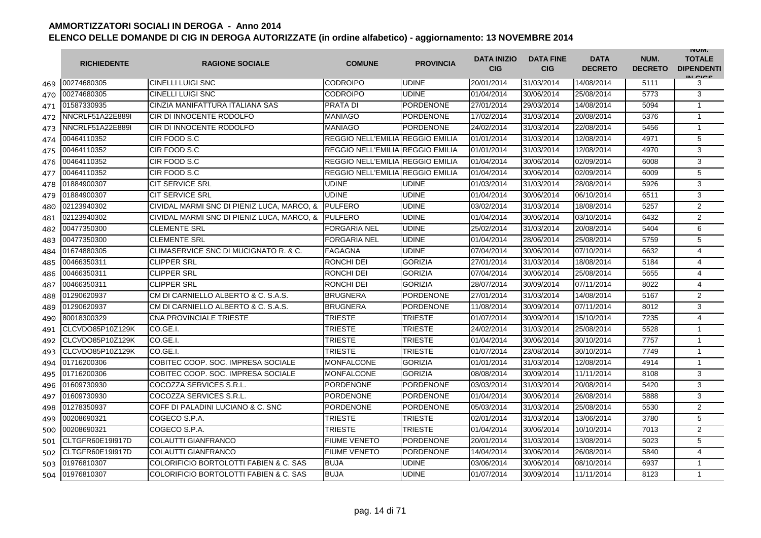|     | <b>RICHIEDENTE</b> | <b>RAGIONE SOCIALE</b>                            | <b>COMUNE</b>                    | <b>PROVINCIA</b> | <b>DATA INIZIO</b><br><b>CIG</b> | <b>DATA FINE</b><br><b>CIG</b> | <b>DATA</b><br><b>DECRETO</b> | NUM.<br><b>DECRETO</b> | <b>INUIVI.</b><br><b>TOTALE</b><br><b>DIPENDENTI</b><br>IN CIGO |
|-----|--------------------|---------------------------------------------------|----------------------------------|------------------|----------------------------------|--------------------------------|-------------------------------|------------------------|-----------------------------------------------------------------|
| 469 | 00274680305        | <b>CINELLI LUIGI SNC</b>                          | <b>CODROIPO</b>                  | <b>UDINE</b>     | 20/01/2014                       | 31/03/2014                     | 14/08/2014                    | 5111                   | 3                                                               |
| 470 | 00274680305        | <b>CINELLI LUIGI SNC</b>                          | <b>CODROIPO</b>                  | <b>UDINE</b>     | 01/04/2014                       | 30/06/2014                     | 25/08/2014                    | 5773                   | 3                                                               |
| 471 | 01587330935        | CINZIA MANIFATTURA ITALIANA SAS                   | <b>PRATA DI</b>                  | <b>PORDENONE</b> | 27/01/2014                       | 29/03/2014                     | 14/08/2014                    | 5094                   | $\mathbf{1}$                                                    |
| 472 | NNCRLF51A22E889I   | CIR DI INNOCENTE RODOLFO                          | <b>MANIAGO</b>                   | PORDENONE        | 17/02/2014                       | 31/03/2014                     | 20/08/2014                    | 5376                   | 1                                                               |
| 473 | NNCRLF51A22E889I   | <b>CIR DI INNOCENTE RODOLFO</b>                   | <b>MANIAGO</b>                   | PORDENONE        | 24/02/2014                       | 31/03/2014                     | 22/08/2014                    | 5456                   | $\mathbf{1}$                                                    |
| 474 | 00464110352        | CIR FOOD S.C                                      | REGGIO NELL'EMILIA REGGIO EMILIA |                  | 01/01/2014                       | 31/03/2014                     | 12/08/2014                    | 4971                   | 5                                                               |
| 475 | 00464110352        | CIR FOOD S.C                                      | REGGIO NELL'EMILIA REGGIO EMILIA |                  | 01/01/2014                       | 31/03/2014                     | 12/08/2014                    | 4970                   | 3                                                               |
| 476 | 00464110352        | CIR FOOD S.C                                      | REGGIO NELL'EMILIA REGGIO EMILIA |                  | 01/04/2014                       | 30/06/2014                     | 02/09/2014                    | 6008                   | 3                                                               |
| 477 | 00464110352        | CIR FOOD S.C                                      | REGGIO NELL'EMILIA REGGIO EMILIA |                  | 01/04/2014                       | 30/06/2014                     | 02/09/2014                    | 6009                   | 5                                                               |
| 478 | 01884900307        | <b>CIT SERVICE SRL</b>                            | UDINE                            | <b>UDINE</b>     | 01/03/2014                       | 31/03/2014                     | 28/08/2014                    | 5926                   | 3                                                               |
| 479 | 01884900307        | <b>CIT SERVICE SRL</b>                            | UDINE                            | <b>UDINE</b>     | 01/04/2014                       | 30/06/2014                     | 06/10/2014                    | 6511                   | 3                                                               |
| 480 | 02123940302        | CIVIDAL MARMI SNC DI PIENIZ LUCA, MARCO, &        | <b>PULFERO</b>                   | <b>UDINE</b>     | 03/02/2014                       | 31/03/2014                     | 18/08/2014                    | 5257                   | $\overline{2}$                                                  |
| 481 | 02123940302        | CIVIDAL MARMI SNC DI PIENIZ LUCA, MARCO, &        | <b>PULFERO</b>                   | <b>UDINE</b>     | 01/04/2014                       | 30/06/2014                     | 03/10/2014                    | 6432                   | $\overline{2}$                                                  |
| 482 | 00477350300        | <b>CLEMENTE SRL</b>                               | FORGARIA NEL                     | <b>UDINE</b>     | 25/02/2014                       | 31/03/2014                     | 20/08/2014                    | 5404                   | 6                                                               |
| 483 | 00477350300        | <b>CLEMENTE SRL</b>                               | FORGARIA NEL                     | <b>UDINE</b>     | 01/04/2014                       | 28/06/2014                     | 25/08/2014                    | 5759                   | 5                                                               |
| 484 | 01674880305        | CLIMASERVICE SNC DI MUCIGNATO R. & C.             | <b>FAGAGNA</b>                   | <b>UDINE</b>     | 07/04/2014                       | 30/06/2014                     | 07/10/2014                    | 6632                   | $\overline{4}$                                                  |
| 485 | 00466350311        | <b>CLIPPER SRL</b>                                | RONCHI DEI                       | <b>GORIZIA</b>   | 27/01/2014                       | 31/03/2014                     | 18/08/2014                    | 5184                   | $\overline{4}$                                                  |
| 486 | 00466350311        | <b>CLIPPER SRL</b>                                | RONCHI DEI                       | <b>GORIZIA</b>   | 07/04/2014                       | 30/06/2014                     | 25/08/2014                    | 5655                   | $\overline{4}$                                                  |
| 487 | 00466350311        | <b>CLIPPER SRL</b>                                | RONCHI DEI                       | <b>GORIZIA</b>   | 28/07/2014                       | 30/09/2014                     | 07/11/2014                    | 8022                   | 4                                                               |
| 488 | 01290620937        | CM DI CARNIELLO ALBERTO & C. S.A.S.               | <b>BRUGNERA</b>                  | <b>PORDENONE</b> | 27/01/2014                       | 31/03/2014                     | 14/08/2014                    | 5167                   | $\overline{2}$                                                  |
| 489 | 01290620937        | CM DI CARNIELLO ALBERTO & C. S.A.S.               | <b>BRUGNERA</b>                  | <b>PORDENONE</b> | 11/08/2014                       | 30/09/2014                     | 07/11/2014                    | 8012                   | 3                                                               |
| 490 | 80018300329        | CNA PROVINCIALE TRIESTE                           | <b>TRIESTE</b>                   | <b>TRIESTE</b>   | 01/07/2014                       | 30/09/2014                     | 15/10/2014                    | 7235                   | 4                                                               |
| 491 | CLCVDO85P10Z129K   | CO.GE.I.                                          | <b>TRIESTE</b>                   | <b>TRIESTE</b>   | 24/02/2014                       | 31/03/2014                     | 25/08/2014                    | 5528                   | $\mathbf{1}$                                                    |
| 492 | CLCVDO85P10Z129K   | CO.GE.I.                                          | <b>TRIESTE</b>                   | <b>TRIESTE</b>   | 01/04/2014                       | 30/06/2014                     | 30/10/2014                    | 7757                   | 1                                                               |
| 493 | CLCVDO85P10Z129K   | CO.GE.I.                                          | <b>TRIESTE</b>                   | <b>TRIESTE</b>   | 01/07/2014                       | 23/08/2014                     | 30/10/2014                    | 7749                   | 1                                                               |
| 494 | 01716200306        | COBITEC COOP, SOC. IMPRESA SOCIALE                | <b>MONFALCONE</b>                | <b>GORIZIA</b>   | 01/01/2014                       | 31/03/2014                     | 12/08/2014                    | 4914                   | $\mathbf{1}$                                                    |
| 495 | 01716200306        | COBITEC COOP, SOC. IMPRESA SOCIALE                | <b>MONFALCONE</b>                | <b>GORIZIA</b>   | 08/08/2014                       | 30/09/2014                     | 11/11/2014                    | 8108                   | 3                                                               |
| 496 | 01609730930        | COCOZZA SERVICES S.R.L.                           | <b>PORDENONE</b>                 | <b>PORDENONE</b> | 03/03/2014                       | 31/03/2014                     | 20/08/2014                    | 5420                   | 3                                                               |
| 497 | 01609730930        | COCOZZA SERVICES S.R.L.                           | <b>PORDENONE</b>                 | <b>PORDENONE</b> | 01/04/2014                       | 30/06/2014                     | 26/08/2014                    | 5888                   | 3                                                               |
| 498 | 01278350937        | COFF DI PALADINI LUCIANO & C. SNC                 | PORDENONE                        | <b>PORDENONE</b> | 05/03/2014                       | 31/03/2014                     | 25/08/2014                    | 5530                   | $\overline{2}$                                                  |
| 499 | 00208690321        | COGECO S.P.A.                                     | <b>TRIESTE</b>                   | <b>TRIESTE</b>   | 02/01/2014                       | 31/03/2014                     | 13/06/2014                    | 3780                   | 5                                                               |
| 500 | 00208690321        | COGECO S.P.A.                                     | TRIESTE                          | <b>TRIESTE</b>   | 01/04/2014                       | 30/06/2014                     | 10/10/2014                    | 7013                   | 2                                                               |
| 501 | CLTGFR60E19I917D   | <b>COLAUTTI GIANFRANCO</b>                        | <b>FIUME VENETO</b>              | <b>PORDENONE</b> | 20/01/2014                       | 31/03/2014                     | 13/08/2014                    | 5023                   | 5                                                               |
| 502 | CLTGFR60E19I917D   | <b>COLAUTTI GIANFRANCO</b>                        | <b>FIUME VENETO</b>              | <b>PORDENONE</b> | 14/04/2014                       | 30/06/2014                     | 26/08/2014                    | 5840                   | 4                                                               |
| 503 | 01976810307        | COLORIFICIO BORTOLOTTI FABIEN & C. SAS            | <b>BUJA</b>                      | <b>UDINE</b>     | 03/06/2014                       | 30/06/2014                     | 08/10/2014                    | 6937                   | $\mathbf{1}$                                                    |
| 504 | 01976810307        | <b>COLORIFICIO BORTOLOTTI FABIEN &amp; C. SAS</b> | <b>BUJA</b>                      | <b>UDINE</b>     | 01/07/2014                       | 30/09/2014                     | 11/11/2014                    | 8123                   | $\mathbf{1}$                                                    |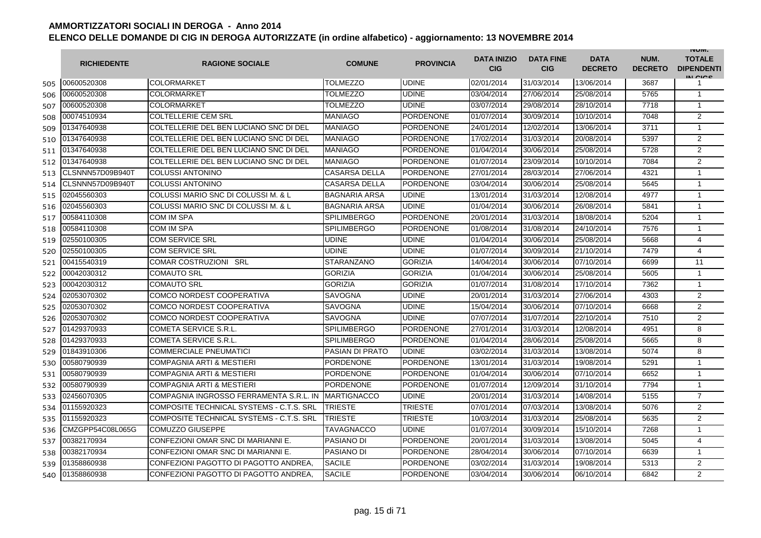|     | <b>RICHIEDENTE</b> | <b>RAGIONE SOCIALE</b>                   | <b>COMUNE</b>        | <b>PROVINCIA</b> | <b>DATA INIZIO</b><br><b>CIG</b> | <b>DATA FINE</b><br><b>CIG</b> | <b>DATA</b><br><b>DECRETO</b> | NUM.<br><b>DECRETO</b> | <b>INUIVI.</b><br><b>TOTALE</b><br><b>DIPENDENTI</b><br>IN CICS |
|-----|--------------------|------------------------------------------|----------------------|------------------|----------------------------------|--------------------------------|-------------------------------|------------------------|-----------------------------------------------------------------|
| 505 | 00600520308        | COLORMARKET                              | <b>TOLMEZZO</b>      | <b>UDINE</b>     | 02/01/2014                       | 31/03/2014                     | 13/06/2014                    | 3687                   | 1                                                               |
| 506 | 00600520308        | COLORMARKET                              | TOLMEZZO             | <b>UDINE</b>     | 03/04/2014                       | 27/06/2014                     | 25/08/2014                    | 5765                   | $\mathbf{1}$                                                    |
| 507 | 00600520308        | <b>COLORMARKET</b>                       | TOLMEZZO             | <b>UDINE</b>     | 03/07/2014                       | 29/08/2014                     | 28/10/2014                    | 7718                   | 1                                                               |
| 508 | 00074510934        | <b>COLTELLERIE CEM SRL</b>               | <b>MANIAGO</b>       | PORDENONE        | 01/07/2014                       | 30/09/2014                     | 10/10/2014                    | 7048                   | 2                                                               |
| 509 | 01347640938        | COLTELLERIE DEL BEN LUCIANO SNC DI DEL   | <b>MANIAGO</b>       | <b>PORDENONE</b> | 24/01/2014                       | 12/02/2014                     | 13/06/2014                    | 3711                   | $\mathbf{1}$                                                    |
| 510 | 01347640938        | COLTELLERIE DEL BEN LUCIANO SNC DI DEL   | <b>MANIAGO</b>       | <b>PORDENONE</b> | 17/02/2014                       | 31/03/2014                     | 20/08/2014                    | 5397                   | 2                                                               |
| 511 | 01347640938        | COLTELLERIE DEL BEN LUCIANO SNC DI DEL   | <b>MANIAGO</b>       | <b>PORDENONE</b> | 01/04/2014                       | 30/06/2014                     | 25/08/2014                    | 5728                   | $\overline{2}$                                                  |
| 512 | 01347640938        | COLTELLERIE DEL BEN LUCIANO SNC DI DEL   | <b>MANIAGO</b>       | <b>PORDENONE</b> | 01/07/2014                       | 23/09/2014                     | 10/10/2014                    | 7084                   | $\overline{2}$                                                  |
| 513 | CLSNNN57D09B940T   | <b>COLUSSI ANTONINO</b>                  | <b>CASARSA DELLA</b> | <b>PORDENONE</b> | 27/01/2014                       | 28/03/2014                     | 27/06/2014                    | 4321                   | $\mathbf{1}$                                                    |
| 514 | CLSNNN57D09B940T   | <b>COLUSSI ANTONINO</b>                  | <b>CASARSA DELLA</b> | <b>PORDENONE</b> | 03/04/2014                       | 30/06/2014                     | 25/08/2014                    | 5645                   | $\mathbf{1}$                                                    |
| 515 | 02045560303        | COLUSSI MARIO SNC DI COLUSSI M. & L      | <b>BAGNARIA ARSA</b> | <b>UDINE</b>     | 13/01/2014                       | 31/03/2014                     | 12/08/2014                    | 4977                   | $\mathbf{1}$                                                    |
| 516 | 02045560303        | COLUSSI MARIO SNC DI COLUSSI M. & L      | <b>BAGNARIA ARSA</b> | <b>UDINE</b>     | 01/04/2014                       | 30/06/2014                     | 26/08/2014                    | 5841                   | $\mathbf{1}$                                                    |
| 517 | 00584110308        | COM IM SPA                               | <b>SPILIMBERGO</b>   | <b>PORDENONE</b> | 20/01/2014                       | 31/03/2014                     | 18/08/2014                    | 5204                   | $\mathbf{1}$                                                    |
| 518 | 00584110308        | <b>COM IM SPA</b>                        | <b>SPILIMBERGO</b>   | <b>PORDENONE</b> | 01/08/2014                       | 31/08/2014                     | 24/10/2014                    | 7576                   | 1                                                               |
| 519 | 02550100305        | <b>COM SERVICE SRL</b>                   | <b>UDINE</b>         | <b>UDINE</b>     | 01/04/2014                       | 30/06/2014                     | 25/08/2014                    | 5668                   | 4                                                               |
| 520 | 02550100305        | <b>COM SERVICE SRL</b>                   | <b>UDINE</b>         | <b>UDINE</b>     | 01/07/2014                       | 30/09/2014                     | 21/10/2014                    | 7479                   | $\overline{4}$                                                  |
| 521 | 00415540319        | <b>COMAR COSTRUZIONI SRL</b>             | <b>STARANZANO</b>    | <b>GORIZIA</b>   | 14/04/2014                       | 30/06/2014                     | 07/10/2014                    | 6699                   | 11                                                              |
| 522 | 00042030312        | <b>COMAUTO SRL</b>                       | <b>GORIZIA</b>       | <b>GORIZIA</b>   | 01/04/2014                       | 30/06/2014                     | 25/08/2014                    | 5605                   | $\mathbf{1}$                                                    |
| 523 | 00042030312        | <b>COMAUTO SRL</b>                       | <b>GORIZIA</b>       | <b>GORIZIA</b>   | 01/07/2014                       | 31/08/2014                     | 17/10/2014                    | 7362                   | 1                                                               |
| 524 | 02053070302        | COMCO NORDEST COOPERATIVA                | <b>SAVOGNA</b>       | <b>UDINE</b>     | 20/01/2014                       | 31/03/2014                     | 27/06/2014                    | 4303                   | $\overline{2}$                                                  |
| 525 | 02053070302        | COMCO NORDEST COOPERATIVA                | SAVOGNA              | <b>UDINE</b>     | 15/04/2014                       | 30/06/2014                     | 07/10/2014                    | 6668                   | $\overline{2}$                                                  |
| 526 | 02053070302        | <b>COMCO NORDEST COOPERATIVA</b>         | SAVOGNA              | <b>UDINE</b>     | 07/07/2014                       | 31/07/2014                     | 22/10/2014                    | 7510                   | $\overline{2}$                                                  |
| 527 | 01429370933        | <b>COMETA SERVICE S.R.L.</b>             | <b>SPILIMBERGO</b>   | <b>PORDENONE</b> | 27/01/2014                       | 31/03/2014                     | 12/08/2014                    | 4951                   | 8                                                               |
| 528 | 01429370933        | <b>COMETA SERVICE S.R.L.</b>             | <b>SPILIMBERGO</b>   | <b>PORDENONE</b> | 01/04/2014                       | 28/06/2014                     | 25/08/2014                    | 5665                   | 8                                                               |
| 529 | 01843910306        | <b>COMMERCIALE PNEUMATICI</b>            | PASIAN DI PRATO      | <b>UDINE</b>     | 03/02/2014                       | 31/03/2014                     | 13/08/2014                    | 5074                   | 8                                                               |
| 530 | 00580790939        | <b>COMPAGNIA ARTI &amp; MESTIERI</b>     | <b>PORDENONE</b>     | <b>PORDENONE</b> | 13/01/2014                       | 31/03/2014                     | 19/08/2014                    | 5291                   | $\mathbf{1}$                                                    |
| 531 | 00580790939        | <b>COMPAGNIA ARTI &amp; MESTIERI</b>     | <b>PORDENONE</b>     | <b>PORDENONE</b> | 01/04/2014                       | 30/06/2014                     | 07/10/2014                    | 6652                   | $\mathbf{1}$                                                    |
| 532 | 00580790939        | <b>COMPAGNIA ARTI &amp; MESTIERI</b>     | <b>PORDENONE</b>     | <b>PORDENONE</b> | 01/07/2014                       | 12/09/2014                     | 31/10/2014                    | 7794                   | $\mathbf{1}$                                                    |
| 533 | 02456070305        | COMPAGNIA INGROSSO FERRAMENTA S.R.L. IN  | <b>MARTIGNACCO</b>   | <b>UDINE</b>     | 20/01/2014                       | 31/03/2014                     | 14/08/2014                    | 5155                   | $\overline{7}$                                                  |
| 534 | 01155920323        | COMPOSITE TECHNICAL SYSTEMS - C.T.S. SRL | TRIESTE              | <b>TRIESTE</b>   | 07/01/2014                       | 07/03/2014                     | 13/08/2014                    | 5076                   | $\overline{2}$                                                  |
| 535 | 01155920323        | COMPOSITE TECHNICAL SYSTEMS - C.T.S. SRL | <b>TRIESTE</b>       | <b>TRIESTE</b>   | 10/03/2014                       | 31/03/2014                     | 25/08/2014                    | 5635                   | $\overline{2}$                                                  |
| 536 | CMZGPP54C08L065G   | COMUZZO GIUSEPPE                         | TAVAGNACCO           | <b>UDINE</b>     | 01/07/2014                       | 30/09/2014                     | 15/10/2014                    | 7268                   | $\mathbf{1}$                                                    |
| 537 | 00382170934        | CONFEZIONI OMAR SNC DI MARIANNI E.       | PASIANO DI           | <b>PORDENONE</b> | 20/01/2014                       | 31/03/2014                     | 13/08/2014                    | 5045                   | 4                                                               |
| 538 | 00382170934        | CONFEZIONI OMAR SNC DI MARIANNI E.       | PASIANO DI           | <b>PORDENONE</b> | 28/04/2014                       | 30/06/2014                     | 07/10/2014                    | 6639                   | $\mathbf{1}$                                                    |
| 539 | 01358860938        | CONFEZIONI PAGOTTO DI PAGOTTO ANDREA.    | <b>SACILE</b>        | PORDENONE        | 03/02/2014                       | 31/03/2014                     | 19/08/2014                    | 5313                   | $\overline{2}$                                                  |
| 540 | 01358860938        | CONFEZIONI PAGOTTO DI PAGOTTO ANDREA,    | <b>SACILE</b>        | <b>PORDENONE</b> | 03/04/2014                       | 30/06/2014                     | 06/10/2014                    | 6842                   | 2                                                               |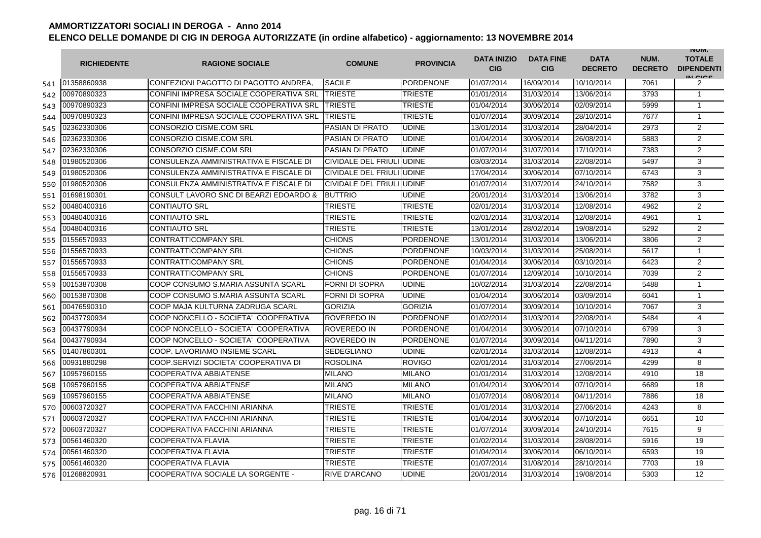|     | <b>RICHIEDENTE</b> | <b>RAGIONE SOCIALE</b>                  | <b>COMUNE</b>                    | <b>PROVINCIA</b> | <b>DATA INIZIO</b><br><b>CIG</b> | <b>DATA FINE</b><br><b>CIG</b> | <b>DATA</b><br><b>DECRETO</b> | NUM.<br><b>DECRETO</b> | <b>INUIVI.</b><br><b>TOTALE</b><br><b>DIPENDENTI</b><br>IN CICS |
|-----|--------------------|-----------------------------------------|----------------------------------|------------------|----------------------------------|--------------------------------|-------------------------------|------------------------|-----------------------------------------------------------------|
| 541 | 01358860938        | CONFEZIONI PAGOTTO DI PAGOTTO ANDREA,   | <b>SACILE</b>                    | <b>PORDENONE</b> | 01/07/2014                       | 16/09/2014                     | 10/10/2014                    | 7061                   | 2                                                               |
| 542 | 00970890323        | CONFINI IMPRESA SOCIALE COOPERATIVA SRI | <b>TRIESTE</b>                   | <b>TRIESTE</b>   | 01/01/2014                       | 31/03/2014                     | 13/06/2014                    | 3793                   | $\overline{1}$                                                  |
| 543 | 00970890323        | CONFINI IMPRESA SOCIALE COOPERATIVA SRL | <b>TRIESTE</b>                   | <b>TRIESTE</b>   | 01/04/2014                       | 30/06/2014                     | 02/09/2014                    | 5999                   | $\mathbf 1$                                                     |
| 544 | 00970890323        | CONFINI IMPRESA SOCIALE COOPERATIVA SRL | <b>TRIESTE</b>                   | <b>TRIESTE</b>   | 01/07/2014                       | 30/09/2014                     | 28/10/2014                    | 7677                   | $\mathbf{1}$                                                    |
| 545 | 02362330306        | CONSORZIO CISME.COM SRL                 | PASIAN DI PRATO                  | <b>UDINE</b>     | 13/01/2014                       | 31/03/2014                     | 28/04/2014                    | 2973                   | 2                                                               |
| 546 | 02362330306        | CONSORZIO CISME.COM SRL                 | <b>PASIAN DI PRATO</b>           | <b>UDINE</b>     | 01/04/2014                       | 30/06/2014                     | 26/08/2014                    | 5883                   | 2                                                               |
| 547 | 02362330306        | <b>CONSORZIO CISME.COM SRL</b>          | PASIAN DI PRATO                  | <b>UDINE</b>     | 01/07/2014                       | 31/07/2014                     | 17/10/2014                    | 7383                   | 2                                                               |
| 548 | 01980520306        | CONSULENZA AMMINISTRATIVA E FISCALE DI  | CIVIDALE DEL FRIULI UDINE        |                  | 03/03/2014                       | 31/03/2014                     | 22/08/2014                    | 5497                   | 3                                                               |
| 549 | 01980520306        | CONSULENZA AMMINISTRATIVA E FISCALE DI  | <b>CIVIDALE DEL FRIULI UDINE</b> |                  | 17/04/2014                       | 30/06/2014                     | 07/10/2014                    | 6743                   | 3                                                               |
| 550 | 01980520306        | CONSULENZA AMMINISTRATIVA E FISCALE DI  | CIVIDALE DEL FRIULI UDINE        |                  | 01/07/2014                       | 31/07/2014                     | 24/10/2014                    | 7582                   | 3                                                               |
| 551 | 01698190301        | CONSULT LAVORO SNC DI BEARZI EDOARDO &  | <b>BUTTRIO</b>                   | <b>UDINE</b>     | 20/01/2014                       | 31/03/2014                     | 13/06/2014                    | 3782                   | 3                                                               |
| 552 | 00480400316        | <b>CONTIAUTO SRL</b>                    | TRIESTE                          | TRIESTE          | 02/01/2014                       | 31/03/2014                     | 12/08/2014                    | 4962                   | 2                                                               |
| 553 | 00480400316        | <b>CONTIAUTO SRL</b>                    | <b>TRIESTE</b>                   | <b>TRIESTE</b>   | 02/01/2014                       | 31/03/2014                     | 12/08/2014                    | 4961                   | $\mathbf{1}$                                                    |
| 554 | 00480400316        | <b>CONTIAUTO SRL</b>                    | <b>TRIESTE</b>                   | <b>TRIESTE</b>   | 13/01/2014                       | 28/02/2014                     | 19/08/2014                    | 5292                   | $\overline{2}$                                                  |
| 555 | 01556570933        | <b>CONTRATTICOMPANY SRL</b>             | <b>CHIONS</b>                    | <b>PORDENONE</b> | 13/01/2014                       | 31/03/2014                     | 13/06/2014                    | 3806                   | 2                                                               |
| 556 | 01556570933        | <b>CONTRATTICOMPANY SRL</b>             | <b>CHIONS</b>                    | <b>PORDENONE</b> | 10/03/2014                       | 31/03/2014                     | 25/08/2014                    | 5617                   | $\mathbf 1$                                                     |
| 557 | 01556570933        | <b>CONTRATTICOMPANY SRL</b>             | <b>CHIONS</b>                    | <b>PORDENONE</b> | 01/04/2014                       | 30/06/2014                     | 03/10/2014                    | 6423                   | 2                                                               |
| 558 | 01556570933        | <b>CONTRATTICOMPANY SRL</b>             | <b>CHIONS</b>                    | <b>PORDENONE</b> | 01/07/2014                       | 12/09/2014                     | 10/10/2014                    | 7039                   | 2                                                               |
| 559 | 00153870308        | COOP CONSUMO S.MARIA ASSUNTA SCARL      | <b>FORNI DI SOPRA</b>            | <b>UDINE</b>     | 10/02/2014                       | 31/03/2014                     | 22/08/2014                    | 5488                   | $\mathbf 1$                                                     |
| 560 | 00153870308        | COOP CONSUMO S.MARIA ASSUNTA SCARL      | <b>FORNI DI SOPRA</b>            | <b>UDINE</b>     | 01/04/2014                       | 30/06/2014                     | 03/09/2014                    | 6041                   | $\mathbf{1}$                                                    |
| 561 | 00476590310        | ICOOP MAJA KULTURNA ZADRUGA SCARL       | <b>GORIZIA</b>                   | <b>GORIZIA</b>   | 01/07/2014                       | 30/09/2014                     | 10/10/2014                    | 7067                   | 3                                                               |
| 562 | 00437790934        | COOP NONCELLO - SOCIETA' COOPERATIVA    | <b>ROVEREDO IN</b>               | <b>PORDENONE</b> | 01/02/2014                       | 31/03/2014                     | 22/08/2014                    | 5484                   | 4                                                               |
| 563 | 00437790934        | COOP NONCELLO - SOCIETA' COOPERATIVA    | ROVEREDO IN                      | <b>PORDENONE</b> | 01/04/2014                       | 30/06/2014                     | 07/10/2014                    | 6799                   | 3                                                               |
| 564 | 00437790934        | COOP NONCELLO - SOCIETA' COOPERATIVA    | ROVEREDO IN                      | <b>PORDENONE</b> | 01/07/2014                       | 30/09/2014                     | 04/11/2014                    | 7890                   | 3                                                               |
| 565 | 01407860301        | COOP. LAVORIAMO INSIEME SCARL           | <b>SEDEGLIANO</b>                | <b>UDINE</b>     | 02/01/2014                       | 31/03/2014                     | 12/08/2014                    | 4913                   | $\overline{4}$                                                  |
| 566 | 00931880298        | COOP.SERVIZI SOCIETA' COOPERATIVA DI    | <b>ROSOLINA</b>                  | <b>ROVIGO</b>    | 02/01/2014                       | 31/03/2014                     | 27/06/2014                    | 4299                   | 8                                                               |
| 567 | 10957960155        | <b>COOPERATIVA ABBIATENSE</b>           | <b>MILANO</b>                    | <b>MILANO</b>    | 01/01/2014                       | 31/03/2014                     | 12/08/2014                    | 4910                   | 18                                                              |
| 568 | 10957960155        | <b>COOPERATIVA ABBIATENSE</b>           | <b>MILANO</b>                    | <b>MILANO</b>    | 01/04/2014                       | 30/06/2014                     | 07/10/2014                    | 6689                   | 18                                                              |
| 569 | 10957960155        | <b>COOPERATIVA ABBIATENSE</b>           | <b>MILANO</b>                    | <b>MILANO</b>    | 01/07/2014                       | 08/08/2014                     | 04/11/2014                    | 7886                   | 18                                                              |
| 570 | 00603720327        | COOPERATIVA FACCHINI ARIANNA            | <b>TRIESTE</b>                   | <b>TRIESTE</b>   | 01/01/2014                       | 31/03/2014                     | 27/06/2014                    | 4243                   | 8                                                               |
| 571 | 00603720327        | COOPERATIVA FACCHINI ARIANNA            | <b>TRIESTE</b>                   | TRIESTE          | 01/04/2014                       | 30/06/2014                     | 07/10/2014                    | 6651                   | 10                                                              |
| 572 | 00603720327        | COOPERATIVA FACCHINI ARIANNA            | TRIESTE                          | TRIESTE          | 01/07/2014                       | 30/09/2014                     | 24/10/2014                    | 7615                   | 9                                                               |
| 573 | 00561460320        | <b>COOPERATIVA FLAVIA</b>               | TRIESTE                          | <b>TRIESTE</b>   | 01/02/2014                       | 31/03/2014                     | 28/08/2014                    | 5916                   | 19                                                              |
| 574 | 00561460320        | <b>COOPERATIVA FLAVIA</b>               | <b>TRIESTE</b>                   | <b>TRIESTE</b>   | 01/04/2014                       | 30/06/2014                     | 06/10/2014                    | 6593                   | 19                                                              |
| 575 | 00561460320        | <b>COOPERATIVA FLAVIA</b>               | TRIESTE                          | TRIESTE          | 01/07/2014                       | 31/08/2014                     | 28/10/2014                    | 7703                   | 19                                                              |
| 576 | 01268820931        | COOPERATIVA SOCIALE LA SORGENTE -       | <b>RIVE D'ARCANO</b>             | <b>UDINE</b>     | 20/01/2014                       | 31/03/2014                     | 19/08/2014                    | 5303                   | 12                                                              |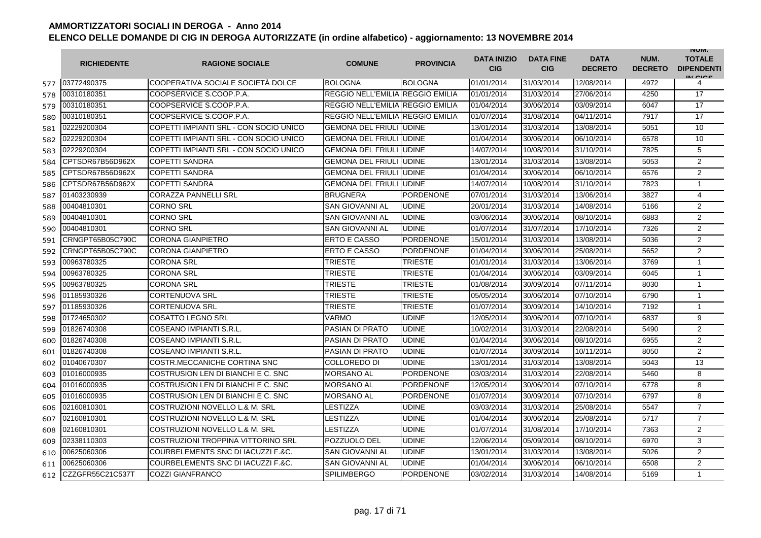|     | <b>RICHIEDENTE</b> | <b>RAGIONE SOCIALE</b>                 | <b>COMUNE</b>                    | <b>PROVINCIA</b> | <b>DATA INIZIO</b><br><b>CIG</b> | <b>DATA FINE</b><br><b>CIG</b> | <b>DATA</b><br><b>DECRETO</b> | NUM.<br><b>DECRETO</b> | <b>INUIVI.</b><br><b>TOTALE</b><br><b>DIPENDENTI</b><br>IN CICE |
|-----|--------------------|----------------------------------------|----------------------------------|------------------|----------------------------------|--------------------------------|-------------------------------|------------------------|-----------------------------------------------------------------|
| 577 | 03772490375        | COOPERATIVA SOCIALE SOCIETÀ DOLCE      | <b>BOLOGNA</b>                   | <b>BOLOGNA</b>   | 01/01/2014                       | 31/03/2014                     | 12/08/2014                    | 4972                   | 4                                                               |
| 578 | 00310180351        | COOPSERVICE S.COOP.P.A.                | REGGIO NELL'EMILIA REGGIO EMILIA |                  | 01/01/2014                       | 31/03/2014                     | 27/06/2014                    | 4250                   | 17                                                              |
| 579 | 00310180351        | COOPSERVICE S.COOP.P.A.                | REGGIO NELL'EMILIA REGGIO EMILIA |                  | 01/04/2014                       | 30/06/2014                     | 03/09/2014                    | 6047                   | 17                                                              |
| 580 | 00310180351        | COOPSERVICE S.COOP.P.A.                | REGGIO NELL'EMILIA REGGIO EMILIA |                  | 01/07/2014                       | 31/08/2014                     | 04/11/2014                    | 7917                   | 17                                                              |
| 581 | 02229200304        | COPETTI IMPIANTI SRL - CON SOCIO UNICO | <b>GEMONA DEL FRIULI UDINE</b>   |                  | 13/01/2014                       | 31/03/2014                     | 13/08/2014                    | 5051                   | 10                                                              |
| 582 | 02229200304        | COPETTI IMPIANTI SRL - CON SOCIO UNICO | <b>GEMONA DEL FRIULI</b>         | <b>UDINE</b>     | 01/04/2014                       | 30/06/2014                     | 06/10/2014                    | 6578                   | 10                                                              |
| 583 | 02229200304        | COPETTI IMPIANTI SRL - CON SOCIO UNICO | <b>GEMONA DEL FRIULI</b>         | <b>UDINE</b>     | 14/07/2014                       | 10/08/2014                     | 31/10/2014                    | 7825                   | 5                                                               |
| 584 | CPTSDR67B56D962X   | <b>COPETTI SANDRA</b>                  | <b>GEMONA DEL FRIULI</b>         | <b>UDINE</b>     | 13/01/2014                       | 31/03/2014                     | 13/08/2014                    | 5053                   | 2                                                               |
| 585 | CPTSDR67B56D962X   | <b>COPETTI SANDRA</b>                  | <b>GEMONA DEL FRIULI</b>         | <b>UDINE</b>     | 01/04/2014                       | 30/06/2014                     | 06/10/2014                    | 6576                   | 2                                                               |
| 586 | CPTSDR67B56D962X   | <b>COPETTI SANDRA</b>                  | <b>GEMONA DEL FRIULI</b>         | <b>UDINE</b>     | 14/07/2014                       | 10/08/2014                     | 31/10/2014                    | 7823                   | $\mathbf{1}$                                                    |
| 587 | 01403230939        | <b>CORAZZA PANNELLI SRL</b>            | <b>BRUGNERA</b>                  | <b>PORDENONE</b> | 07/01/2014                       | 31/03/2014                     | 13/06/2014                    | 3827                   | 4                                                               |
| 588 | 00404810301        | <b>CORNO SRL</b>                       | SAN GIOVANNI AL                  | <b>UDINE</b>     | 20/01/2014                       | 31/03/2014                     | 14/08/2014                    | 5166                   | 2                                                               |
| 589 | 00404810301        | <b>CORNO SRL</b>                       | SAN GIOVANNI AL                  | <b>UDINE</b>     | 03/06/2014                       | 30/06/2014                     | 08/10/2014                    | 6883                   | $\overline{2}$                                                  |
| 590 | 00404810301        | <b>CORNO SRL</b>                       | SAN GIOVANNI AL                  | <b>UDINE</b>     | 01/07/2014                       | 31/07/2014                     | 17/10/2014                    | 7326                   | $\overline{2}$                                                  |
| 591 | CRNGPT65B05C790C   | <b>CORONA GIANPIETRO</b>               | <b>ERTO E CASSO</b>              | <b>PORDENONE</b> | 15/01/2014                       | 31/03/2014                     | 13/08/2014                    | 5036                   | $\overline{2}$                                                  |
| 592 | CRNGPT65B05C790C   | <b>CORONA GIANPIETRO</b>               | ERTO E CASSO                     | <b>PORDENONE</b> | 01/04/2014                       | 30/06/2014                     | 25/08/2014                    | 5652                   | $\overline{2}$                                                  |
| 593 | 00963780325        | <b>CORONA SRL</b>                      | TRIESTE                          | <b>TRIESTE</b>   | 01/01/2014                       | 31/03/2014                     | 13/06/2014                    | 3769                   | 1                                                               |
| 594 | 00963780325        | <b>CORONA SRL</b>                      | TRIESTE                          | TRIESTE          | 01/04/2014                       | 30/06/2014                     | 03/09/2014                    | 6045                   | 1                                                               |
| 595 | 00963780325        | <b>CORONA SRL</b>                      | TRIESTE                          | TRIESTE          | 01/08/2014                       | 30/09/2014                     | 07/11/2014                    | 8030                   | $\mathbf{1}$                                                    |
| 596 | 01185930326        | <b>CORTENUOVA SRL</b>                  | TRIESTE                          | <b>TRIESTE</b>   | 05/05/2014                       | 30/06/2014                     | 07/10/2014                    | 6790                   | $\mathbf{1}$                                                    |
| 597 | 01185930326        | <b>CORTENUOVA SRL</b>                  | <b>TRIESTE</b>                   | <b>TRIESTE</b>   | 01/07/2014                       | 30/09/2014                     | 14/10/2014                    | 7192                   | $\mathbf{1}$                                                    |
| 598 | 01724650302        | <b>COSATTO LEGNO SRL</b>               | <b>VARMO</b>                     | <b>UDINE</b>     | 12/05/2014                       | 30/06/2014                     | 07/10/2014                    | 6837                   | 9                                                               |
| 599 | 01826740308        | COSEANO IMPIANTI S.R.L.                | PASIAN DI PRATO                  | <b>UDINE</b>     | 10/02/2014                       | 31/03/2014                     | 22/08/2014                    | 5490                   | $\overline{2}$                                                  |
| 600 | 01826740308        | COSEANO IMPIANTI S.R.L.                | <b>PASIAN DI PRATO</b>           | <b>UDINE</b>     | 01/04/2014                       | 30/06/2014                     | 08/10/2014                    | 6955                   | $\overline{2}$                                                  |
| 601 | 01826740308        | COSEANO IMPIANTI S.R.L.                | <b>PASIAN DI PRATO</b>           | <b>UDINE</b>     | 01/07/2014                       | 30/09/2014                     | 10/11/2014                    | 8050                   | 2                                                               |
| 602 | 01040670307        | COSTR.MECCANICHE CORTINA SNC           | <b>COLLOREDO DI</b>              | <b>UDINE</b>     | 13/01/2014                       | 31/03/2014                     | 13/08/2014                    | 5043                   | 13                                                              |
| 603 | 01016000935        | COSTRUSION LEN DI BIANCHI E C. SNC     | <b>MORSANO AL</b>                | <b>PORDENONE</b> | 03/03/2014                       | 31/03/2014                     | 22/08/2014                    | 5460                   | 8                                                               |
| 604 | 01016000935        | COSTRUSION LEN DI BIANCHI E C. SNC     | <b>MORSANO AL</b>                | <b>PORDENONE</b> | 12/05/2014                       | 30/06/2014                     | 07/10/2014                    | 6778                   | 8                                                               |
| 605 | 01016000935        | COSTRUSION LEN DI BIANCHI E C. SNC     | <b>MORSANO AL</b>                | <b>PORDENONE</b> | 01/07/2014                       | 30/09/2014                     | 07/10/2014                    | 6797                   | 8                                                               |
| 606 | 02160810301        | COSTRUZIONI NOVELLO L.& M. SRL         | LESTIZZA                         | <b>UDINE</b>     | 03/03/2014                       | 31/03/2014                     | 25/08/2014                    | 5547                   | $\overline{7}$                                                  |
| 607 | 02160810301        | COSTRUZIONI NOVELLO L.& M. SRL         | <b>LESTIZZA</b>                  | <b>UDINE</b>     | 01/04/2014                       | 30/06/2014                     | 25/08/2014                    | 5717                   | $\overline{7}$                                                  |
| 608 | 02160810301        | COSTRUZIONI NOVELLO L.& M. SRL         | LESTIZZA                         | <b>UDINE</b>     | 01/07/2014                       | 31/08/2014                     | 17/10/2014                    | 7363                   | 2                                                               |
| 609 | 02338110303        | COSTRUZIONI TROPPINA VITTORINO SRL     | POZZUOLO DEL                     | <b>UDINE</b>     | 12/06/2014                       | 05/09/2014                     | 08/10/2014                    | 6970                   | 3                                                               |
| 610 | 00625060306        | COURBELEMENTS SNC DI IACUZZI F.&C.     | <b>SAN GIOVANNI AL</b>           | <b>UDINE</b>     | 13/01/2014                       | 31/03/2014                     | 13/08/2014                    | 5026                   | $\overline{2}$                                                  |
| 611 | 00625060306        | COURBELEMENTS SNC DI IACUZZI F.&C.     | <b>SAN GIOVANNI AL</b>           | <b>UDINE</b>     | 01/04/2014                       | 30/06/2014                     | 06/10/2014                    | 6508                   | 2                                                               |
| 612 | CZZGFR55C21C537T   | <b>COZZI GIANFRANCO</b>                | <b>SPILIMBERGO</b>               | <b>PORDENONE</b> | 03/02/2014                       | 31/03/2014                     | 14/08/2014                    | 5169                   | $\mathbf{1}$                                                    |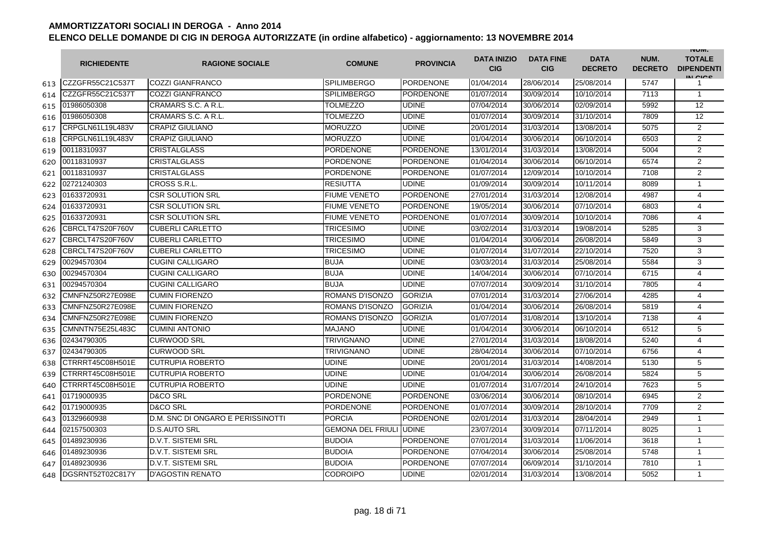|     | <b>RICHIEDENTE</b> | <b>RAGIONE SOCIALE</b>            | <b>COMUNE</b>                  | <b>PROVINCIA</b> | <b>DATA INIZIO</b><br><b>CIG</b> | <b>DATA FINE</b><br><b>CIG</b> | <b>DATA</b><br><b>DECRETO</b> | NUM.<br><b>DECRETO</b> | <b>INUIVI.</b><br><b>TOTALE</b><br><b>DIPENDENTI</b><br>IN CIGO |
|-----|--------------------|-----------------------------------|--------------------------------|------------------|----------------------------------|--------------------------------|-------------------------------|------------------------|-----------------------------------------------------------------|
| 613 | CZZGFR55C21C537T   | <b>COZZI GIANFRANCO</b>           | <b>SPILIMBERGO</b>             | <b>PORDENONE</b> | 01/04/2014                       | 28/06/2014                     | 25/08/2014                    | 5747                   | 1                                                               |
| 614 | CZZGFR55C21C537T   | <b>COZZI GIANFRANCO</b>           | <b>SPILIMBERGO</b>             | <b>PORDENONE</b> | 01/07/2014                       | 30/09/2014                     | 10/10/2014                    | 7113                   | $\mathbf{1}$                                                    |
| 615 | 01986050308        | CRAMARS S.C. A R.L.               | TOLMEZZO                       | <b>UDINE</b>     | 07/04/2014                       | 30/06/2014                     | 02/09/2014                    | 5992                   | 12                                                              |
| 616 | 01986050308        | CRAMARS S.C. A R.L.               | <b>TOLMEZZO</b>                | <b>UDINE</b>     | 01/07/2014                       | 30/09/2014                     | 31/10/2014                    | 7809                   | 12                                                              |
| 617 | CRPGLN61L19L483V   | <b>CRAPIZ GIULIANO</b>            | <b>MORUZZO</b>                 | <b>UDINE</b>     | 20/01/2014                       | 31/03/2014                     | 13/08/2014                    | 5075                   | 2                                                               |
| 618 | CRPGLN61L19L483V   | <b>CRAPIZ GIULIANO</b>            | <b>MORUZZO</b>                 | <b>UDINE</b>     | 01/04/2014                       | 30/06/2014                     | 06/10/2014                    | 6503                   | 2                                                               |
| 619 | 00118310937        | <b>CRISTALGLASS</b>               | <b>PORDENONE</b>               | <b>PORDENONE</b> | 13/01/2014                       | 31/03/2014                     | 13/08/2014                    | 5004                   | 2                                                               |
| 620 | 00118310937        | <b>CRISTALGLASS</b>               | <b>PORDENONE</b>               | <b>PORDENONE</b> | 01/04/2014                       | 30/06/2014                     | 06/10/2014                    | 6574                   | 2                                                               |
| 621 | 00118310937        | <b>CRISTALGLASS</b>               | <b>PORDENONE</b>               | <b>PORDENONE</b> | 01/07/2014                       | 12/09/2014                     | 10/10/2014                    | 7108                   | 2                                                               |
| 622 | 02721240303        | CROSS S.R.L.                      | <b>RESIUTTA</b>                | <b>UDINE</b>     | 01/09/2014                       | 30/09/2014                     | 10/11/2014                    | 8089                   | $\mathbf{1}$                                                    |
| 623 | 01633720931        | <b>CSR SOLUTION SRL</b>           | <b>FIUME VENETO</b>            | PORDENONE        | 27/01/2014                       | 31/03/2014                     | 12/08/2014                    | 4987                   | 4                                                               |
| 624 | 01633720931        | <b>CSR SOLUTION SRL</b>           | <b>FIUME VENETO</b>            | <b>PORDENONE</b> | 19/05/2014                       | 30/06/2014                     | 07/10/2014                    | 6803                   | 4                                                               |
| 625 | 01633720931        | <b>CSR SOLUTION SRL</b>           | <b>FIUME VENETO</b>            | PORDENONE        | 01/07/2014                       | 30/09/2014                     | 10/10/2014                    | 7086                   | 4                                                               |
| 626 | CBRCLT47S20F760V   | <b>CUBERLI CARLETTO</b>           | TRICESIMO                      | <b>UDINE</b>     | 03/02/2014                       | 31/03/2014                     | 19/08/2014                    | 5285                   | 3                                                               |
| 627 | CBRCLT47S20F760V   | <b>CUBERLI CARLETTO</b>           | TRICESIMO                      | <b>UDINE</b>     | 01/04/2014                       | 30/06/2014                     | 26/08/2014                    | 5849                   | 3                                                               |
| 628 | CBRCLT47S20F760V   | <b>CUBERLI CARLETTO</b>           | <b>TRICESIMO</b>               | <b>UDINE</b>     | 01/07/2014                       | 31/07/2014                     | 22/10/2014                    | 7520                   | 3                                                               |
| 629 | 00294570304        | <b>CUGINI CALLIGARO</b>           | <b>BUJA</b>                    | <b>UDINE</b>     | 03/03/2014                       | 31/03/2014                     | 25/08/2014                    | 5584                   | 3                                                               |
| 630 | 00294570304        | <b>CUGINI CALLIGARO</b>           | <b>BUJA</b>                    | <b>UDINE</b>     | 14/04/2014                       | 30/06/2014                     | 07/10/2014                    | 6715                   | $\overline{4}$                                                  |
| 631 | 00294570304        | <b>CUGINI CALLIGARO</b>           | <b>BUJA</b>                    | <b>UDINE</b>     | 07/07/2014                       | 30/09/2014                     | 31/10/2014                    | 7805                   | 4                                                               |
| 632 | CMNFNZ50R27E098E   | <b>CUMIN FIORENZO</b>             | ROMANS D'ISONZO                | <b>GORIZIA</b>   | 07/01/2014                       | 31/03/2014                     | 27/06/2014                    | 4285                   | $\overline{4}$                                                  |
| 633 | CMNFNZ50R27E098E   | <b>CUMIN FIORENZO</b>             | ROMANS D'ISONZO                | <b>GORIZIA</b>   | 01/04/2014                       | 30/06/2014                     | 26/08/2014                    | 5819                   | 4                                                               |
| 634 | CMNFNZ50R27E098E   | <b>CUMIN FIORENZO</b>             | ROMANS D'ISONZO                | <b>GORIZIA</b>   | 01/07/2014                       | 31/08/2014                     | 13/10/2014                    | 7138                   | 4                                                               |
| 635 | CMNNTN75E25L483C   | <b>CUMINI ANTONIO</b>             | <b>MAJANO</b>                  | <b>UDINE</b>     | 01/04/2014                       | 30/06/2014                     | 06/10/2014                    | 6512                   | 5                                                               |
| 636 | 02434790305        | <b>CURWOOD SRL</b>                | TRIVIGNANO                     | <b>UDINE</b>     | 27/01/2014                       | 31/03/2014                     | 18/08/2014                    | 5240                   | $\overline{4}$                                                  |
| 637 | 02434790305        | <b>CURWOOD SRL</b>                | TRIVIGNANO                     | <b>UDINE</b>     | 28/04/2014                       | 30/06/2014                     | 07/10/2014                    | 6756                   | 4                                                               |
| 638 | CTRRRT45C08H501E   | <b>CUTRUPIA ROBERTO</b>           | <b>UDINE</b>                   | <b>UDINE</b>     | 20/01/2014                       | 31/03/2014                     | 14/08/2014                    | 5130                   | 5                                                               |
| 639 | CTRRRT45C08H501E   | <b>CUTRUPIA ROBERTO</b>           | <b>UDINE</b>                   | <b>UDINE</b>     | 01/04/2014                       | 30/06/2014                     | 26/08/2014                    | 5824                   | 5                                                               |
| 640 | CTRRRT45C08H501E   | <b>CUTRUPIA ROBERTO</b>           | <b>UDINE</b>                   | <b>UDINE</b>     | 01/07/2014                       | 31/07/2014                     | 24/10/2014                    | 7623                   | 5                                                               |
| 641 | 01719000935        | <b>D&amp;CO SRL</b>               | <b>PORDENONE</b>               | <b>PORDENONE</b> | 03/06/2014                       | 30/06/2014                     | 08/10/2014                    | 6945                   | 2                                                               |
| 642 | 01719000935        | D&CO SRL                          | <b>PORDENONE</b>               | <b>PORDENONE</b> | 01/07/2014                       | 30/09/2014                     | 28/10/2014                    | 7709                   | 2                                                               |
| 643 | 01329660938        | D.M. SNC DI ONGARO E PERISSINOTTI | <b>PORCIA</b>                  | PORDENONE        | 02/01/2014                       | 31/03/2014                     | 28/04/2014                    | 2949                   | 1                                                               |
| 644 | 02157500303        | <b>D.S.AUTO SRL</b>               | <b>GEMONA DEL FRIULI UDINE</b> |                  | 23/07/2014                       | 30/09/2014                     | 07/11/2014                    | 8025                   | $\mathbf{1}$                                                    |
| 645 | 01489230936        | <b>D.V.T. SISTEMI SRL</b>         | <b>BUDOIA</b>                  | <b>PORDENONE</b> | 07/01/2014                       | 31/03/2014                     | 11/06/2014                    | 3618                   | $\mathbf{1}$                                                    |
| 646 | 01489230936        | <b>D.V.T. SISTEMI SRL</b>         | <b>BUDOIA</b>                  | <b>PORDENONE</b> | 07/04/2014                       | 30/06/2014                     | 25/08/2014                    | 5748                   | $\mathbf{1}$                                                    |
| 647 | 01489230936        | <b>D.V.T. SISTEMI SRL</b>         | <b>BUDOIA</b>                  | <b>PORDENONE</b> | 07/07/2014                       | 06/09/2014                     | 31/10/2014                    | 7810                   | $\mathbf{1}$                                                    |
| 648 | DGSRNT52T02C817Y   | <b>D'AGOSTIN RENATO</b>           | <b>CODROIPO</b>                | <b>UDINE</b>     | 02/01/2014                       | 31/03/2014                     | 13/08/2014                    | 5052                   | $\mathbf{1}$                                                    |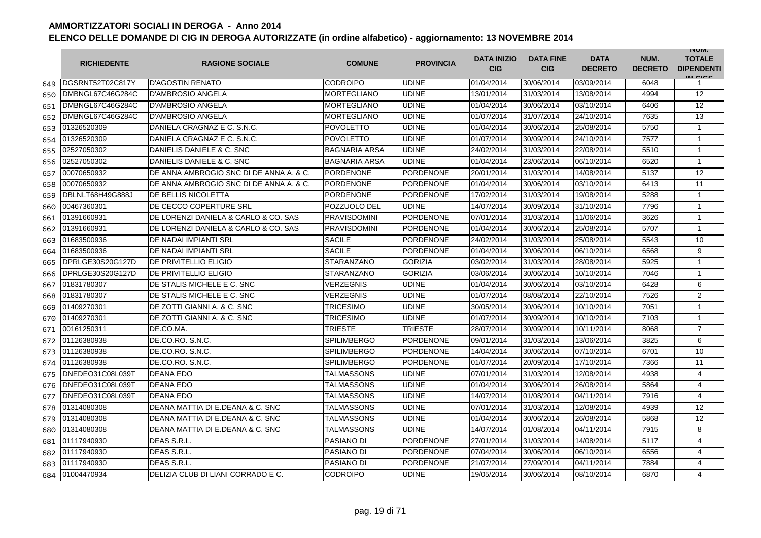|     | <b>RICHIEDENTE</b> | <b>RAGIONE SOCIALE</b>                  | <b>COMUNE</b>        | <b>PROVINCIA</b> | <b>DATA INIZIO</b><br><b>CIG</b> | <b>DATA FINE</b><br><b>CIG</b> | <b>DATA</b><br><b>DECRETO</b> | NUM.<br><b>DECRETO</b> | <b>INUIVI.</b><br><b>TOTALE</b><br><b>DIPENDENTI</b><br>IN CIGO |
|-----|--------------------|-----------------------------------------|----------------------|------------------|----------------------------------|--------------------------------|-------------------------------|------------------------|-----------------------------------------------------------------|
| 649 | DGSRNT52T02C817Y   | <b>D'AGOSTIN RENATO</b>                 | <b>CODROIPO</b>      | <b>UDINE</b>     | 01/04/2014                       | 30/06/2014                     | 03/09/2014                    | 6048                   | 1                                                               |
| 650 | DMBNGL67C46G284C   | <b>D'AMBROSIO ANGELA</b>                | <b>MORTEGLIANO</b>   | <b>UDINE</b>     | 13/01/2014                       | 31/03/2014                     | 13/08/2014                    | 4994                   | 12                                                              |
| 651 | DMBNGL67C46G284C   | <b>D'AMBROSIO ANGELA</b>                | <b>MORTEGLIANO</b>   | <b>UDINE</b>     | 01/04/2014                       | 30/06/2014                     | 03/10/2014                    | 6406                   | 12                                                              |
| 652 | DMBNGL67C46G284C   | <b>D'AMBROSIO ANGELA</b>                | <b>MORTEGLIANO</b>   | <b>UDINE</b>     | 01/07/2014                       | 31/07/2014                     | 24/10/2014                    | 7635                   | 13                                                              |
| 653 | 01326520309        | DANIELA CRAGNAZ E C. S.N.C.             | <b>POVOLETTO</b>     | <b>UDINE</b>     | 01/04/2014                       | 30/06/2014                     | 25/08/2014                    | 5750                   | $\mathbf{1}$                                                    |
| 654 | 01326520309        | DANIELA CRAGNAZ E C. S.N.C.             | <b>POVOLETTO</b>     | <b>UDINE</b>     | 01/07/2014                       | 30/09/2014                     | 24/10/2014                    | 7577                   | $\mathbf{1}$                                                    |
| 655 | 02527050302        | DANIELIS DANIELE & C. SNC               | <b>BAGNARIA ARSA</b> | <b>UDINE</b>     | 24/02/2014                       | 31/03/2014                     | 22/08/2014                    | 5510                   | $\mathbf{1}$                                                    |
| 656 | 02527050302        | DANIELIS DANIELE & C. SNC               | <b>BAGNARIA ARSA</b> | <b>UDINE</b>     | 01/04/2014                       | 23/06/2014                     | 06/10/2014                    | 6520                   | $\mathbf{1}$                                                    |
| 657 | 00070650932        | DE ANNA AMBROGIO SNC DI DE ANNA A. & C. | <b>PORDENONE</b>     | <b>PORDENONE</b> | 20/01/2014                       | 31/03/2014                     | 14/08/2014                    | 5137                   | 12                                                              |
| 658 | 00070650932        | DE ANNA AMBROGIO SNC DI DE ANNA A. & C. | <b>PORDENONE</b>     | PORDENONE        | 01/04/2014                       | 30/06/2014                     | 03/10/2014                    | 6413                   | 11                                                              |
| 659 | DBLNLT68H49G888J   | DE BELLIS NICOLETTA                     | <b>PORDENONE</b>     | <b>PORDENONE</b> | 17/02/2014                       | 31/03/2014                     | 19/08/2014                    | 5288                   | $\mathbf{1}$                                                    |
| 660 | 00467360301        | DE CECCO COPERTURE SRL                  | POZZUOLO DEL         | <b>UDINE</b>     | 14/07/2014                       | 30/09/2014                     | 31/10/2014                    | 7796                   | $\mathbf{1}$                                                    |
| 661 | 01391660931        | DE LORENZI DANIELA & CARLO & CO. SAS    | <b>PRAVISDOMINI</b>  | <b>PORDENONE</b> | 07/01/2014                       | 31/03/2014                     | 11/06/2014                    | 3626                   | $\mathbf{1}$                                                    |
| 662 | 01391660931        | DE LORENZI DANIELA & CARLO & CO. SAS    | <b>PRAVISDOMINI</b>  | <b>PORDENONE</b> | 01/04/2014                       | 30/06/2014                     | 25/08/2014                    | 5707                   | $\mathbf{1}$                                                    |
| 663 | 01683500936        | DE NADAI IMPIANTI SRL                   | <b>SACILE</b>        | <b>PORDENONE</b> | 24/02/2014                       | 31/03/2014                     | 25/08/2014                    | 5543                   | 10                                                              |
| 664 | 01683500936        | DE NADAI IMPIANTI SRL                   | <b>SACILE</b>        | <b>PORDENONE</b> | 01/04/2014                       | 30/06/2014                     | 06/10/2014                    | 6568                   | 9                                                               |
| 665 | DPRLGE30S20G127D   | DE PRIVITELLIO ELIGIO                   | <b>STARANZANO</b>    | <b>GORIZIA</b>   | 03/02/2014                       | 31/03/2014                     | 28/08/2014                    | 5925                   | $\mathbf{1}$                                                    |
| 666 | DPRLGE30S20G127D   | <b>DE PRIVITELLIO ELIGIO</b>            | STARANZANO           | <b>GORIZIA</b>   | 03/06/2014                       | 30/06/2014                     | 10/10/2014                    | 7046                   | 1                                                               |
| 667 | 01831780307        | DE STALIS MICHELE E C. SNC              | <b>VERZEGNIS</b>     | <b>UDINE</b>     | 01/04/2014                       | 30/06/2014                     | 03/10/2014                    | 6428                   | 6                                                               |
| 668 | 01831780307        | DE STALIS MICHELE E C. SNC              | <b>VERZEGNIS</b>     | <b>UDINE</b>     | 01/07/2014                       | 08/08/2014                     | 22/10/2014                    | 7526                   | $\overline{2}$                                                  |
| 669 | 01409270301        | DE ZOTTI GIANNI A. & C. SNC             | <b>TRICESIMO</b>     | <b>UDINE</b>     | 30/05/2014                       | 30/06/2014                     | 10/10/2014                    | 7051                   | $\mathbf{1}$                                                    |
| 670 | 01409270301        | DE ZOTTI GIANNI A. & C. SNC             | <b>TRICESIMO</b>     | <b>UDINE</b>     | 01/07/2014                       | 30/09/2014                     | 10/10/2014                    | 7103                   | $\mathbf{1}$                                                    |
| 671 | 00161250311        | DE.CO.MA.                               | <b>TRIESTE</b>       | <b>TRIESTE</b>   | 28/07/2014                       | 30/09/2014                     | 10/11/2014                    | 8068                   | $\overline{7}$                                                  |
| 672 | 01126380938        | DE.CO.RO. S.N.C.                        | <b>SPILIMBERGO</b>   | PORDENONE        | 09/01/2014                       | 31/03/2014                     | 13/06/2014                    | 3825                   | 6                                                               |
| 673 | 01126380938        | DE.CO.RO. S.N.C.                        | <b>SPILIMBERGO</b>   | <b>PORDENONE</b> | 14/04/2014                       | 30/06/2014                     | 07/10/2014                    | 6701                   | 10                                                              |
| 674 | 01126380938        | DE.CO.RO. S.N.C.                        | <b>SPILIMBERGO</b>   | <b>PORDENONE</b> | 01/07/2014                       | 20/09/2014                     | 17/10/2014                    | 7366                   | 11                                                              |
| 675 | DNEDEO31C08L039T   | <b>DEANA EDO</b>                        | TALMASSONS           | <b>UDINE</b>     | 07/01/2014                       | 31/03/2014                     | 12/08/2014                    | 4938                   | 4                                                               |
| 676 | DNEDEO31C08L039T   | <b>DEANA EDO</b>                        | TALMASSONS           | <b>UDINE</b>     | 01/04/2014                       | 30/06/2014                     | 26/08/2014                    | 5864                   | 4                                                               |
| 677 | DNEDEO31C08L039T   | <b>DEANA EDO</b>                        | TALMASSONS           | <b>UDINE</b>     | 14/07/2014                       | 01/08/2014                     | 04/11/2014                    | 7916                   | $\overline{4}$                                                  |
| 678 | 01314080308        | DEANA MATTIA DI E.DEANA & C. SNC        | TALMASSONS           | <b>UDINE</b>     | 07/01/2014                       | 31/03/2014                     | 12/08/2014                    | 4939                   | 12                                                              |
| 679 | 01314080308        | DEANA MATTIA DI E.DEANA & C. SNC        | TALMASSONS           | <b>UDINE</b>     | 01/04/2014                       | 30/06/2014                     | 26/08/2014                    | 5868                   | 12                                                              |
| 680 | 01314080308        | DEANA MATTIA DI E.DEANA & C. SNC        | TALMASSONS           | <b>UDINE</b>     | 14/07/2014                       | 01/08/2014                     | 04/11/2014                    | 7915                   | 8                                                               |
| 681 | 01117940930        | DEAS S.R.L.                             | <b>PASIANO DI</b>    | <b>PORDENONE</b> | 27/01/2014                       | 31/03/2014                     | 14/08/2014                    | 5117                   | 4                                                               |
| 682 | 01117940930        | DEAS S.R.L.                             | <b>PASIANO DI</b>    | <b>PORDENONE</b> | 07/04/2014                       | 30/06/2014                     | 06/10/2014                    | 6556                   | 4                                                               |
| 683 | 01117940930        | <b>DEAS S.R.L</b>                       | <b>PASIANO DI</b>    | <b>PORDENONE</b> | 21/07/2014                       | 27/09/2014                     | 04/11/2014                    | 7884                   | 4                                                               |
| 684 | 01004470934        | DELIZIA CLUB DI LIANI CORRADO E C.      | <b>CODROIPO</b>      | <b>UDINE</b>     | 19/05/2014                       | 30/06/2014                     | 08/10/2014                    | 6870                   | 4                                                               |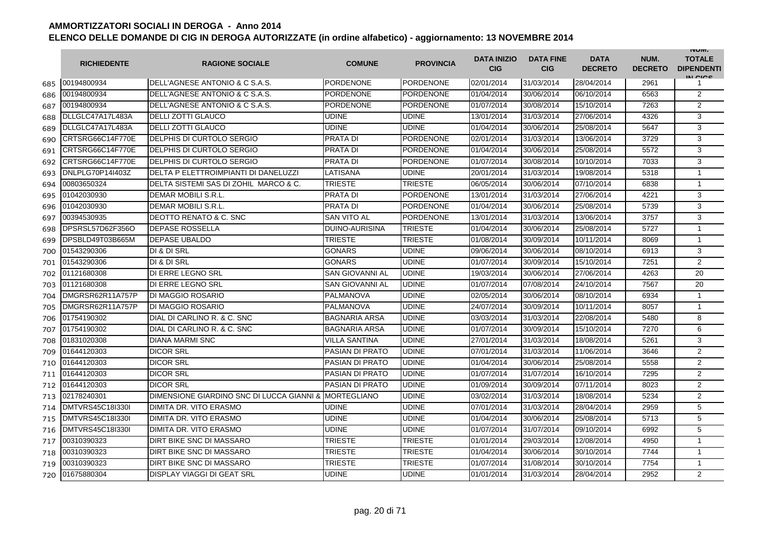|     | <b>RICHIEDENTE</b> | <b>RAGIONE SOCIALE</b>                                | <b>COMUNE</b>          | <b>PROVINCIA</b> | <b>DATA INIZIO</b><br><b>CIG</b> | <b>DATA FINE</b><br><b>CIG</b> | <b>DATA</b><br><b>DECRETO</b> | NUM.<br><b>DECRETO</b> | <b>INUIVI.</b><br><b>TOTALE</b><br><b>DIPENDENTI</b><br>IN CIGO |
|-----|--------------------|-------------------------------------------------------|------------------------|------------------|----------------------------------|--------------------------------|-------------------------------|------------------------|-----------------------------------------------------------------|
| 685 | 00194800934        | DELL'AGNESE ANTONIO & C S.A.S.                        | PORDENONE              | PORDENONE        | 02/01/2014                       | 31/03/2014                     | 28/04/2014                    | 2961                   | 1                                                               |
| 686 | 00194800934        | DELL'AGNESE ANTONIO & C S.A.S.                        | <b>PORDENONE</b>       | <b>PORDENONE</b> | 01/04/2014                       | 30/06/2014                     | 06/10/2014                    | 6563                   | 2                                                               |
| 687 | 00194800934        | DELL'AGNESE ANTONIO & C S.A.S.                        | <b>PORDENONE</b>       | <b>PORDENONE</b> | 01/07/2014                       | 30/08/2014                     | 15/10/2014                    | 7263                   | $\overline{2}$                                                  |
| 688 | DLLGLC47A17L483A   | <b>DELLI ZOTTI GLAUCO</b>                             | <b>UDINE</b>           | <b>UDINE</b>     | 13/01/2014                       | 31/03/2014                     | 27/06/2014                    | 4326                   | 3                                                               |
| 689 | DLLGLC47A17L483A   | <b>DELLI ZOTTI GLAUCO</b>                             | <b>UDINE</b>           | <b>UDINE</b>     | 01/04/2014                       | 30/06/2014                     | 25/08/2014                    | 5647                   | 3                                                               |
| 690 | CRTSRG66C14F770E   | DELPHIS DI CURTOLO SERGIO                             | <b>PRATA DI</b>        | <b>PORDENONE</b> | 02/01/2014                       | 31/03/2014                     | 13/06/2014                    | 3729                   | 3                                                               |
| 691 | CRTSRG66C14F770E   | DELPHIS DI CURTOLO SERGIO                             | PRATA DI               | <b>PORDENONE</b> | 01/04/2014                       | 30/06/2014                     | 25/08/2014                    | 5572                   | 3                                                               |
| 692 | CRTSRG66C14F770E   | DELPHIS DI CURTOLO SERGIO                             | <b>PRATA DI</b>        | <b>PORDENONE</b> | 01/07/2014                       | 30/08/2014                     | 10/10/2014                    | 7033                   | 3                                                               |
| 693 | DNLPLG70P14I403Z   | DELTA P ELETTROIMPIANTI DI DANELUZZI                  | LATISANA               | <b>UDINE</b>     | 20/01/2014                       | 31/03/2014                     | 19/08/2014                    | 5318                   | $\mathbf{1}$                                                    |
| 694 | 00803650324        | DELTA SISTEMI SAS DI ZOHIL MARCO & C.                 | <b>TRIESTE</b>         | <b>TRIESTE</b>   | 06/05/2014                       | 30/06/2014                     | 07/10/2014                    | 6838                   | $\mathbf{1}$                                                    |
| 695 | 01042030930        | DEMAR MOBILI S.R.L.                                   | <b>PRATA DI</b>        | <b>PORDENONE</b> | 13/01/2014                       | 31/03/2014                     | 27/06/2014                    | 4221                   | 3                                                               |
| 696 | 01042030930        | DEMAR MOBILI S.R.L.                                   | PRATA DI               | <b>PORDENONE</b> | 01/04/2014                       | 30/06/2014                     | 25/08/2014                    | 5739                   | 3                                                               |
| 697 | 00394530935        | DEOTTO RENATO & C. SNC                                | <b>SAN VITO AL</b>     | <b>PORDENONE</b> | 13/01/2014                       | 31/03/2014                     | 13/06/2014                    | 3757                   | 3                                                               |
| 698 | DPSRSL57D62F356O   | <b>DEPASE ROSSELLA</b>                                | <b>DUINO-AURISINA</b>  | TRIESTE          | 01/04/2014                       | 30/06/2014                     | 25/08/2014                    | 5727                   | $\mathbf{1}$                                                    |
| 699 | DPSBLD49T03B665M   | <b>DEPASE UBALDO</b>                                  | <b>TRIESTE</b>         | TRIESTE          | 01/08/2014                       | 30/09/2014                     | 10/11/2014                    | 8069                   | $\mathbf{1}$                                                    |
| 700 | 01543290306        | DI & DI SRL                                           | <b>GONARS</b>          | <b>UDINE</b>     | 09/06/2014                       | 30/06/2014                     | 08/10/2014                    | 6913                   | 3                                                               |
| 701 | 01543290306        | DI & DI SRL                                           | <b>GONARS</b>          | <b>UDINE</b>     | 01/07/2014                       | 30/09/2014                     | 15/10/2014                    | 7251                   | $\overline{2}$                                                  |
| 702 | 01121680308        | DI ERRE LEGNO SRL                                     | <b>SAN GIOVANNI AL</b> | <b>UDINE</b>     | 19/03/2014                       | 30/06/2014                     | 27/06/2014                    | 4263                   | 20                                                              |
| 703 | 01121680308        | DI ERRE LEGNO SRL                                     | SAN GIOVANNI AL        | <b>UDINE</b>     | 01/07/2014                       | 07/08/2014                     | 24/10/2014                    | 7567                   | 20                                                              |
| 704 | DMGRSR62R11A757P   | <b>DI MAGGIO ROSARIO</b>                              | PALMANOVA              | <b>UDINE</b>     | 02/05/2014                       | 30/06/2014                     | 08/10/2014                    | 6934                   | $\mathbf{1}$                                                    |
| 705 | DMGRSR62R11A757P   | <b>DI MAGGIO ROSARIO</b>                              | PALMANOVA              | <b>UDINE</b>     | 24/07/2014                       | 30/09/2014                     | 10/11/2014                    | 8057                   | $\mathbf{1}$                                                    |
| 706 | 01754190302        | DIAL DI CARLINO R. & C. SNC                           | <b>BAGNARIA ARSA</b>   | <b>UDINE</b>     | 03/03/2014                       | 31/03/2014                     | 22/08/2014                    | 5480                   | 8                                                               |
| 707 | 01754190302        | DIAL DI CARLINO R. & C. SNC                           | <b>BAGNARIA ARSA</b>   | <b>UDINE</b>     | 01/07/2014                       | 30/09/2014                     | 15/10/2014                    | 7270                   | 6                                                               |
| 708 | 01831020308        | <b>DIANA MARMI SNC</b>                                | <b>VILLA SANTINA</b>   | <b>UDINE</b>     | 27/01/2014                       | 31/03/2014                     | 18/08/2014                    | 5261                   | 3                                                               |
| 709 | 01644120303        | <b>DICOR SRL</b>                                      | <b>PASIAN DI PRATO</b> | <b>UDINE</b>     | 07/01/2014                       | 31/03/2014                     | 11/06/2014                    | 3646                   | 2                                                               |
| 710 | 01644120303        | <b>DICOR SRL</b>                                      | <b>PASIAN DI PRATO</b> | <b>UDINE</b>     | 01/04/2014                       | 30/06/2014                     | 25/08/2014                    | 5558                   | $\overline{2}$                                                  |
| 711 | 01644120303        | <b>DICOR SRL</b>                                      | <b>PASIAN DI PRATO</b> | <b>UDINE</b>     | 01/07/2014                       | 31/07/2014                     | 16/10/2014                    | 7295                   | $\overline{2}$                                                  |
| 712 | 01644120303        | <b>DICOR SRL</b>                                      | <b>PASIAN DI PRATO</b> | <b>UDINE</b>     | 01/09/2014                       | 30/09/2014                     | 07/11/2014                    | 8023                   | 2                                                               |
| 713 | 02178240301        | DIMENSIONE GIARDINO SNC DI LUCCA GIANNI & MORTEGLIANO |                        | <b>UDINE</b>     | 03/02/2014                       | 31/03/2014                     | 18/08/2014                    | 5234                   | 2                                                               |
| 714 | DMTVRS45C18I330I   | DIMITA DR. VITO ERASMO                                | <b>UDINE</b>           | <b>UDINE</b>     | 07/01/2014                       | 31/03/2014                     | 28/04/2014                    | 2959                   | 5                                                               |
| 715 | DMTVRS45C18I330I   | DIMITA DR. VITO ERASMO                                | <b>UDINE</b>           | <b>UDINE</b>     | 01/04/2014                       | 30/06/2014                     | 25/08/2014                    | 5713                   | 5                                                               |
| 716 | DMTVRS45C18I330I   | <b>DIMITA DR. VITO ERASMO</b>                         | <b>UDINE</b>           | <b>UDINE</b>     | 01/07/2014                       | 31/07/2014                     | 09/10/2014                    | 6992                   | 5                                                               |
| 717 | 00310390323        | DIRT BIKE SNC DI MASSARO                              | <b>TRIESTE</b>         | TRIESTE          | 01/01/2014                       | 29/03/2014                     | 12/08/2014                    | 4950                   | $\mathbf{1}$                                                    |
| 718 | 00310390323        | DIRT BIKE SNC DI MASSARO                              | <b>TRIESTE</b>         | TRIESTE          | 01/04/2014                       | 30/06/2014                     | 30/10/2014                    | 7744                   | $\mathbf{1}$                                                    |
| 719 | 00310390323        | DIRT BIKE SNC DI MASSARO                              | <b>TRIESTE</b>         | <b>TRIESTE</b>   | 01/07/2014                       | 31/08/2014                     | 30/10/2014                    | 7754                   | $\mathbf{1}$                                                    |
| 720 | 01675880304        | <b>DISPLAY VIAGGI DI GEAT SRL</b>                     | <b>UDINE</b>           | <b>UDINE</b>     | 01/01/2014                       | 31/03/2014                     | 28/04/2014                    | 2952                   | $\overline{2}$                                                  |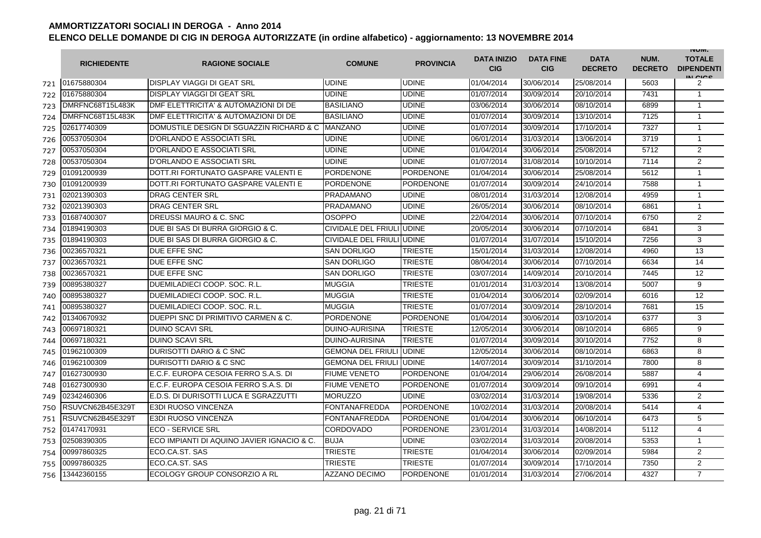|     | <b>RICHIEDENTE</b> | <b>RAGIONE SOCIALE</b>                           | <b>COMUNE</b>             | <b>PROVINCIA</b> | <b>DATA INIZIO</b><br><b>CIG</b> | <b>DATA FINE</b><br><b>CIG</b> | <b>DATA</b><br><b>DECRETO</b> | NUM.<br><b>DECRETO</b> | <b>INUIVI.</b><br><b>TOTALE</b><br><b>DIPENDENTI</b><br>IN CIGO |
|-----|--------------------|--------------------------------------------------|---------------------------|------------------|----------------------------------|--------------------------------|-------------------------------|------------------------|-----------------------------------------------------------------|
| 721 | 01675880304        | <b>DISPLAY VIAGGI DI GEAT SRL</b>                | <b>UDINE</b>              | <b>UDINE</b>     | 01/04/2014                       | 30/06/2014                     | 25/08/2014                    | 5603                   | 2                                                               |
| 722 | 01675880304        | <b>DISPLAY VIAGGI DI GEAT SRL</b>                | UDINE                     | <b>UDINE</b>     | 01/07/2014                       | 30/09/2014                     | 20/10/2014                    | 7431                   | $\mathbf{1}$                                                    |
| 723 | DMRFNC68T15L483K   | DMF ELETTRICITA' & AUTOMAZIONI DI DE             | <b>BASILIANO</b>          | <b>UDINE</b>     | 03/06/2014                       | 30/06/2014                     | 08/10/2014                    | 6899                   | $\mathbf{1}$                                                    |
| 724 | DMRFNC68T15L483K   | DMF ELETTRICITA' & AUTOMAZIONI DI DE             | <b>BASILIANO</b>          | <b>UDINE</b>     | 01/07/2014                       | 30/09/2014                     | 13/10/2014                    | 7125                   | 1                                                               |
| 725 | 02617740309        | DOMUSTILE DESIGN DI SGUAZZIN RICHARD & C MANZANO |                           | <b>UDINE</b>     | 01/07/2014                       | 30/09/2014                     | 17/10/2014                    | 7327                   | $\mathbf{1}$                                                    |
| 726 | 00537050304        | D'ORLANDO E ASSOCIATI SRL                        | <b>UDINE</b>              | <b>UDINE</b>     | 06/01/2014                       | 31/03/2014                     | 13/06/2014                    | 3719                   | $\mathbf{1}$                                                    |
| 727 | 00537050304        | D'ORLANDO E ASSOCIATI SRL                        | UDINE                     | <b>UDINE</b>     | 01/04/2014                       | 30/06/2014                     | 25/08/2014                    | 5712                   | 2                                                               |
| 728 | 00537050304        | D'ORLANDO E ASSOCIATI SRL                        | UDINE                     | <b>UDINE</b>     | 01/07/2014                       | 31/08/2014                     | 10/10/2014                    | 7114                   | 2                                                               |
| 729 | 01091200939        | DOTT.RI FORTUNATO GASPARE VALENTI E              | <b>PORDENONE</b>          | <b>PORDENONE</b> | 01/04/2014                       | 30/06/2014                     | 25/08/2014                    | 5612                   | $\mathbf{1}$                                                    |
| 730 | 01091200939        | DOTT.RI FORTUNATO GASPARE VALENTI E              | PORDENONE                 | <b>PORDENONE</b> | 01/07/2014                       | 30/09/2014                     | 24/10/2014                    | 7588                   | $\mathbf{1}$                                                    |
| 731 | 02021390303        | <b>DRAG CENTER SRL</b>                           | <b>PRADAMANO</b>          | <b>UDINE</b>     | 08/01/2014                       | 31/03/2014                     | 12/08/2014                    | 4959                   | 1                                                               |
| 732 | 02021390303        | <b>DRAG CENTER SRL</b>                           | <b>PRADAMANO</b>          | <b>UDINE</b>     | 26/05/2014                       | 30/06/2014                     | 08/10/2014                    | 6861                   | $\mathbf{1}$                                                    |
| 733 | 01687400307        | DREUSSI MAURO & C. SNC                           | <b>OSOPPO</b>             | <b>UDINE</b>     | 22/04/2014                       | 30/06/2014                     | 07/10/2014                    | 6750                   | $\overline{2}$                                                  |
| 734 | 01894190303        | DUE BI SAS DI BURRA GIORGIO & C.                 | CIVIDALE DEL FRIULI UDINE |                  | 20/05/2014                       | 30/06/2014                     | 07/10/2014                    | 6841                   | 3                                                               |
| 735 | 01894190303        | DUE BI SAS DI BURRA GIORGIO & C.                 | CIVIDALE DEL FRIULI UDINE |                  | 01/07/2014                       | 31/07/2014                     | 15/10/2014                    | 7256                   | 3                                                               |
| 736 | 00236570321        | DUE EFFE SNC                                     | <b>SAN DORLIGO</b>        | <b>TRIESTE</b>   | 15/01/2014                       | 31/03/2014                     | 12/08/2014                    | 4960                   | 13                                                              |
| 737 | 00236570321        | DUE EFFE SNC                                     | <b>SAN DORLIGO</b>        | <b>TRIESTE</b>   | 08/04/2014                       | 30/06/2014                     | 07/10/2014                    | 6634                   | 14                                                              |
| 738 | 00236570321        | DUE EFFE SNC                                     | <b>SAN DORLIGO</b>        | TRIESTE          | 03/07/2014                       | 14/09/2014                     | 20/10/2014                    | 7445                   | 12                                                              |
| 739 | 00895380327        | DUEMILADIECI COOP, SOC. R.L.                     | <b>MUGGIA</b>             | TRIESTE          | 01/01/2014                       | 31/03/2014                     | 13/08/2014                    | 5007                   | 9                                                               |
| 740 | 00895380327        | DUEMILADIECI COOP, SOC. R.L.                     | <b>MUGGIA</b>             | <b>TRIESTE</b>   | 01/04/2014                       | 30/06/2014                     | 02/09/2014                    | 6016                   | 12                                                              |
| 741 | 00895380327        | DUEMILADIECI COOP, SOC. R.L.                     | <b>MUGGIA</b>             | <b>TRIESTE</b>   | 01/07/2014                       | 30/09/2014                     | 28/10/2014                    | 7681                   | 15                                                              |
| 742 | 01340670932        | DUEPPI SNC DI PRIMITIVO CARMEN & C.              | <b>PORDENONE</b>          | <b>PORDENONE</b> | 01/04/2014                       | 30/06/2014                     | 03/10/2014                    | 6377                   | 3                                                               |
| 743 | 00697180321        | <b>DUINO SCAVI SRL</b>                           | <b>DUINO-AURISINA</b>     | <b>TRIESTE</b>   | 12/05/2014                       | 30/06/2014                     | 08/10/2014                    | 6865                   | 9                                                               |
| 744 | 00697180321        | <b>DUINO SCAVI SRL</b>                           | <b>DUINO-AURISINA</b>     | <b>TRIESTE</b>   | 01/07/2014                       | 30/09/2014                     | 30/10/2014                    | 7752                   | 8                                                               |
| 745 | 01962100309        | <b>DURISOTTI DARIO &amp; C SNC</b>               | <b>GEMONA DEL FRIULI</b>  | <b>UDINE</b>     | 12/05/2014                       | 30/06/2014                     | 08/10/2014                    | 6863                   | 8                                                               |
| 746 | 01962100309        | DURISOTTI DARIO & C SNC                          | <b>GEMONA DEL FRIULI</b>  | <b>UDINE</b>     | 14/07/2014                       | 30/09/2014                     | 31/10/2014                    | 7800                   | 8                                                               |
| 747 | 01627300930        | E.C.F. EUROPA CESOIA FERRO S.A.S. DI             | <b>FIUME VENETO</b>       | <b>PORDENONE</b> | 01/04/2014                       | 29/06/2014                     | 26/08/2014                    | 5887                   | 4                                                               |
| 748 | 01627300930        | E.C.F. EUROPA CESOIA FERRO S.A.S. DI             | <b>FIUME VENETO</b>       | <b>PORDENONE</b> | 01/07/2014                       | 30/09/2014                     | 09/10/2014                    | 6991                   | 4                                                               |
| 749 | 02342460306        | E.D.S. DI DURISOTTI LUCA E SGRAZZUTTI            | <b>MORUZZO</b>            | <b>UDINE</b>     | 03/02/2014                       | 31/03/2014                     | 19/08/2014                    | 5336                   | 2                                                               |
| 750 | RSUVCN62B45E329T   | E3DI RUOSO VINCENZA                              | FONTANAFREDDA             | <b>PORDENONE</b> | 10/02/2014                       | 31/03/2014                     | 20/08/2014                    | 5414                   | $\overline{4}$                                                  |
| 751 | RSUVCN62B45E329T   | E3DI RUOSO VINCENZA                              | <b>FONTANAFREDDA</b>      | PORDENONE        | 01/04/2014                       | 30/06/2014                     | 06/10/2014                    | 6473                   | 5                                                               |
| 752 | 01474170931        | <b>IECO - SERVICE SRL</b>                        | <b>CORDOVADO</b>          | <b>PORDENONE</b> | 23/01/2014                       | 31/03/2014                     | 14/08/2014                    | 5112                   | 4                                                               |
| 753 | 02508390305        | ECO IMPIANTI DI AQUINO JAVIER IGNACIO & C.       | <b>BUJA</b>               | <b>UDINE</b>     | 03/02/2014                       | 31/03/2014                     | 20/08/2014                    | 5353                   | $\mathbf{1}$                                                    |
| 754 | 00997860325        | ECO.CA.ST. SAS                                   | <b>TRIESTE</b>            | <b>TRIESTE</b>   | 01/04/2014                       | 30/06/2014                     | 02/09/2014                    | 5984                   | $\overline{2}$                                                  |
| 755 | 00997860325        | ECO.CA.ST. SAS                                   | <b>TRIESTE</b>            | <b>TRIESTE</b>   | 01/07/2014                       | 30/09/2014                     | 17/10/2014                    | 7350                   | 2                                                               |
| 756 | 13442360155        | ECOLOGY GROUP CONSORZIO A RL                     | <b>AZZANO DECIMO</b>      | <b>PORDENONE</b> | 01/01/2014                       | 31/03/2014                     | 27/06/2014                    | 4327                   | $\overline{7}$                                                  |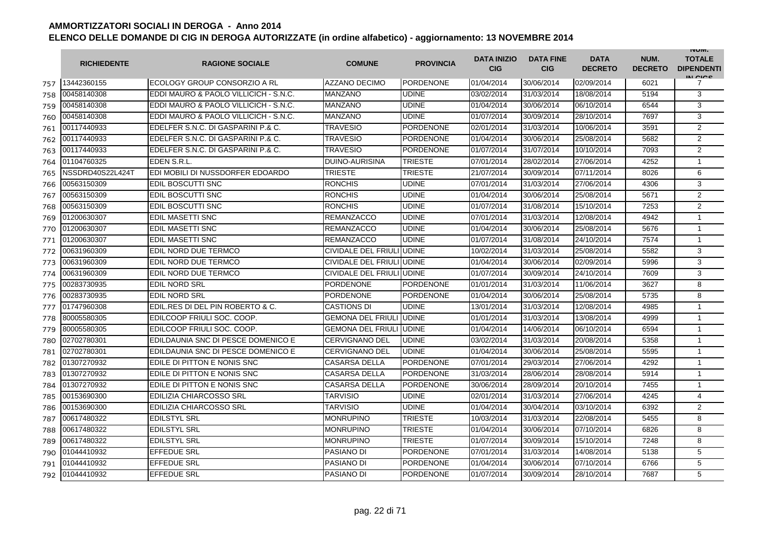|     | <b>RICHIEDENTE</b> | <b>RAGIONE SOCIALE</b>                | <b>COMUNE</b>                   | <b>PROVINCIA</b> | <b>DATA INIZIO</b><br><b>CIG</b> | <b>DATA FINE</b><br><b>CIG</b> | <b>DATA</b><br><b>DECRETO</b> | NUM.<br><b>DECRETO</b> | <b>INUIVI.</b><br><b>TOTALE</b><br><b>DIPENDENTI</b><br>IN CICS |
|-----|--------------------|---------------------------------------|---------------------------------|------------------|----------------------------------|--------------------------------|-------------------------------|------------------------|-----------------------------------------------------------------|
| 757 | 13442360155        | ECOLOGY GROUP CONSORZIO A RL          | <b>AZZANO DECIMO</b>            | <b>PORDENONE</b> | 01/04/2014                       | 30/06/2014                     | 02/09/2014                    | 6021                   | 7                                                               |
| 758 | 00458140308        | EDDI MAURO & PAOLO VILLICICH - S.N.C. | <b>MANZANO</b>                  | <b>UDINE</b>     | 03/02/2014                       | 31/03/2014                     | 18/08/2014                    | 5194                   | 3                                                               |
| 759 | 00458140308        | EDDI MAURO & PAOLO VILLICICH - S.N.C. | <b>MANZANO</b>                  | <b>UDINE</b>     | 01/04/2014                       | 30/06/2014                     | 06/10/2014                    | 6544                   | 3                                                               |
| 760 | 00458140308        | EDDI MAURO & PAOLO VILLICICH - S.N.C. | <b>MANZANO</b>                  | <b>UDINE</b>     | 01/07/2014                       | 30/09/2014                     | 28/10/2014                    | 7697                   | 3                                                               |
| 761 | 00117440933        | EDELFER S.N.C. DI GASPARINI P.& C.    | <b>TRAVESIO</b>                 | <b>PORDENONE</b> | 02/01/2014                       | 31/03/2014                     | 10/06/2014                    | 3591                   | $\overline{2}$                                                  |
| 762 | 00117440933        | EDELFER S.N.C. DI GASPARINI P.& C.    | <b>TRAVESIO</b>                 | <b>PORDENONE</b> | 01/04/2014                       | 30/06/2014                     | 25/08/2014                    | 5682                   | 2                                                               |
| 763 | 00117440933        | EDELFER S.N.C. DI GASPARINI P.& C.    | <b>TRAVESIO</b>                 | <b>PORDENONE</b> | 01/07/2014                       | 31/07/2014                     | 10/10/2014                    | 7093                   | $\overline{2}$                                                  |
| 764 | 01104760325        | EDEN S.R.L.                           | <b>DUINO-AURISINA</b>           | <b>TRIESTE</b>   | 07/01/2014                       | 28/02/2014                     | 27/06/2014                    | 4252                   | 1                                                               |
| 765 | NSSDRD40S22L424T   | EDI MOBILI DI NUSSDORFER EDOARDO      | <b>TRIESTE</b>                  | <b>TRIESTE</b>   | 21/07/2014                       | 30/09/2014                     | 07/11/2014                    | 8026                   | 6                                                               |
| 766 | 00563150309        | <b>EDIL BOSCUTTI SNC</b>              | <b>RONCHIS</b>                  | <b>UDINE</b>     | 07/01/2014                       | 31/03/2014                     | 27/06/2014                    | 4306                   | 3                                                               |
| 767 | 00563150309        | <b>EDIL BOSCUTTI SNC</b>              | <b>RONCHIS</b>                  | <b>UDINE</b>     | 01/04/2014                       | 30/06/2014                     | 25/08/2014                    | 5671                   | $\overline{2}$                                                  |
| 768 | 00563150309        | <b>EDIL BOSCUTTI SNC</b>              | <b>RONCHIS</b>                  | <b>UDINE</b>     | 01/07/2014                       | 31/08/2014                     | 15/10/2014                    | 7253                   | 2                                                               |
| 769 | 01200630307        | <b>EDIL MASETTI SNC</b>               | <b>REMANZACCO</b>               | <b>UDINE</b>     | 07/01/2014                       | 31/03/2014                     | 12/08/2014                    | 4942                   | $\mathbf{1}$                                                    |
| 770 | 01200630307        | <b>EDIL MASETTI SNC</b>               | <b>REMANZACCO</b>               | <b>UDINE</b>     | 01/04/2014                       | 30/06/2014                     | 25/08/2014                    | 5676                   | $\mathbf{1}$                                                    |
| 771 | 01200630307        | <b>EDIL MASETTI SNC</b>               | <b>REMANZACCO</b>               | <b>UDINE</b>     | 01/07/2014                       | 31/08/2014                     | 24/10/2014                    | 7574                   | $\mathbf{1}$                                                    |
| 772 | 00631960309        | EDIL NORD DUE TERMCO                  | CIVIDALE DEL FRIULI UDINE       |                  | 10/02/2014                       | 31/03/2014                     | 25/08/2014                    | 5582                   | 3                                                               |
| 773 | 00631960309        | EDIL NORD DUE TERMCO                  | CIVIDALE DEL FRIULI UDINE       |                  | 01/04/2014                       | 30/06/2014                     | 02/09/2014                    | 5996                   | 3                                                               |
| 774 | 00631960309        | EDIL NORD DUE TERMCO                  | CIVIDALE DEL FRIULI UDINE       |                  | 01/07/2014                       | 30/09/2014                     | 24/10/2014                    | 7609                   | 3                                                               |
| 775 | 00283730935        | <b>EDIL NORD SRL</b>                  | <b>PORDENONE</b>                | <b>PORDENONE</b> | 01/01/2014                       | 31/03/2014                     | 11/06/2014                    | 3627                   | 8                                                               |
| 776 | 00283730935        | <b>EDIL NORD SRL</b>                  | <b>PORDENONE</b>                | <b>PORDENONE</b> | 01/04/2014                       | 30/06/2014                     | 25/08/2014                    | 5735                   | 8                                                               |
| 777 | 01747960308        | EDIL.RES DI DEL PIN ROBERTO & C.      | <b>CASTIONS DI</b>              | <b>UDINE</b>     | 13/01/2014                       | 31/03/2014                     | 12/08/2014                    | 4985                   | $\mathbf{1}$                                                    |
| 778 | 80005580305        | EDILCOOP FRIULI SOC. COOP.            | <b>GEMONA DEL FRIULI JUDINE</b> |                  | 01/01/2014                       | 31/03/2014                     | 13/08/2014                    | 4999                   | 1                                                               |
| 779 | 80005580305        | EDILCOOP FRIULI SOC. COOP.            | <b>GEMONA DEL FRIULI IUDINE</b> |                  | 01/04/2014                       | 14/06/2014                     | 06/10/2014                    | 6594                   | $\mathbf{1}$                                                    |
| 780 | 02702780301        | EDILDAUNIA SNC DI PESCE DOMENICO E    | <b>CERVIGNANO DEL</b>           | <b>UDINE</b>     | 03/02/2014                       | 31/03/2014                     | 20/08/2014                    | 5358                   | $\mathbf{1}$                                                    |
| 781 | 02702780301        | EDILDAUNIA SNC DI PESCE DOMENICO E    | <b>CERVIGNANO DEL</b>           | <b>UDINE</b>     | 01/04/2014                       | 30/06/2014                     | 25/08/2014                    | 5595                   | $\mathbf{1}$                                                    |
| 782 | 01307270932        | EDILE DI PITTON E NONIS SNC           | <b>CASARSA DELLA</b>            | <b>PORDENONE</b> | 07/01/2014                       | 29/03/2014                     | 27/06/2014                    | 4292                   | $\mathbf{1}$                                                    |
| 783 | 01307270932        | EDILE DI PITTON E NONIS SNC           | <b>CASARSA DELLA</b>            | <b>PORDENONE</b> | 31/03/2014                       | 28/06/2014                     | 28/08/2014                    | 5914                   | $\mathbf{1}$                                                    |
| 784 | 01307270932        | EDILE DI PITTON E NONIS SNC           | <b>CASARSA DELLA</b>            | <b>PORDENONE</b> | 30/06/2014                       | 28/09/2014                     | 20/10/2014                    | 7455                   | $\mathbf{1}$                                                    |
| 785 | 00153690300        | <b>EDILIZIA CHIARCOSSO SRL</b>        | <b>TARVISIO</b>                 | <b>UDINE</b>     | 02/01/2014                       | 31/03/2014                     | 27/06/2014                    | 4245                   | 4                                                               |
| 786 | 00153690300        | <b>EDILIZIA CHIARCOSSO SRL</b>        | TARVISIO                        | <b>UDINE</b>     | 01/04/2014                       | 30/04/2014                     | 03/10/2014                    | 6392                   | $\overline{2}$                                                  |
| 787 | 00617480322        | <b>EDILSTYL SRL</b>                   | <b>MONRUPINO</b>                | <b>TRIESTE</b>   | 10/03/2014                       | 31/03/2014                     | 22/08/2014                    | 5455                   | 8                                                               |
| 788 | 00617480322        | <b>EDILSTYL SRL</b>                   | <b>MONRUPINO</b>                | TRIESTE          | 01/04/2014                       | 30/06/2014                     | 07/10/2014                    | 6826                   | 8                                                               |
| 789 | 00617480322        | <b>EDILSTYL SRL</b>                   | <b>MONRUPINO</b>                | <b>TRIESTE</b>   | 01/07/2014                       | 30/09/2014                     | 15/10/2014                    | 7248                   | 8                                                               |
| 790 | 01044410932        | <b>EFFEDUE SRL</b>                    | PASIANO DI                      | <b>PORDENONE</b> | 07/01/2014                       | 31/03/2014                     | 14/08/2014                    | 5138                   | 5                                                               |
| 791 | 01044410932        | <b>EFFEDUE SRL</b>                    | PASIANO DI                      | <b>PORDENONE</b> | 01/04/2014                       | 30/06/2014                     | 07/10/2014                    | 6766                   | 5                                                               |
| 792 | 01044410932        | <b>EFFEDUE SRL</b>                    | PASIANO DI                      | <b>PORDENONE</b> | 01/07/2014                       | 30/09/2014                     | 28/10/2014                    | 7687                   | 5                                                               |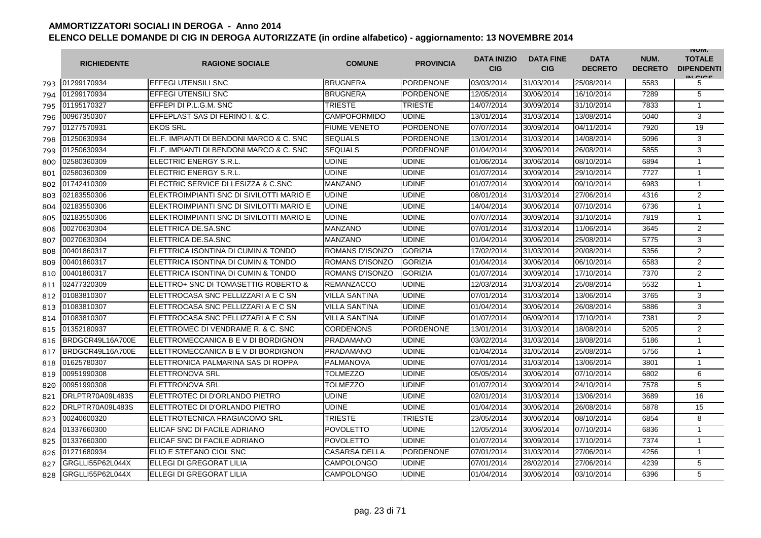|     | <b>RICHIEDENTE</b> | <b>RAGIONE SOCIALE</b>                   | <b>COMUNE</b>        | <b>PROVINCIA</b> | <b>DATA INIZIO</b><br><b>CIG</b> | <b>DATA FINE</b><br><b>CIG</b> | <b>DATA</b><br><b>DECRETO</b> | NUM.<br><b>DECRETO</b> | <b>INUIVI.</b><br><b>TOTALE</b><br><b>DIPENDENTI</b><br>IN CICS |
|-----|--------------------|------------------------------------------|----------------------|------------------|----------------------------------|--------------------------------|-------------------------------|------------------------|-----------------------------------------------------------------|
| 793 | 01299170934        | <b>EFFEGI UTENSILI SNC</b>               | <b>BRUGNERA</b>      | <b>PORDENONE</b> | 03/03/2014                       | 31/03/2014                     | 25/08/2014                    | 5583                   | 5                                                               |
| 794 | 01299170934        | EFFEGI UTENSILI SNC                      | <b>BRUGNERA</b>      | PORDENONE        | 12/05/2014                       | 30/06/2014                     | 16/10/2014                    | 7289                   | 5                                                               |
| 795 | 01195170327        | EFFEPI DI P.L.G.M. SNC                   | <b>TRIESTE</b>       | <b>TRIESTE</b>   | 14/07/2014                       | 30/09/2014                     | 31/10/2014                    | 7833                   | 1                                                               |
| 796 | 00967350307        | EFFEPLAST SAS DI FERINO I. & C.          | <b>CAMPOFORMIDO</b>  | <b>UDINE</b>     | 13/01/2014                       | 31/03/2014                     | 13/08/2014                    | 5040                   | 3                                                               |
| 797 | 01277570931        | <b>EKOS SRL</b>                          | <b>FIUME VENETO</b>  | <b>PORDENONE</b> | 07/07/2014                       | 30/09/2014                     | 04/11/2014                    | 7920                   | 19                                                              |
| 798 | 01250630934        | EL.F. IMPIANTI DI BENDONI MARCO & C. SNC | <b>SEQUALS</b>       | <b>PORDENONE</b> | 13/01/2014                       | 31/03/2014                     | 14/08/2014                    | 5096                   | 3                                                               |
| 799 | 01250630934        | EL.F. IMPIANTI DI BENDONI MARCO & C. SNC | <b>SEQUALS</b>       | <b>PORDENONE</b> | 01/04/2014                       | 30/06/2014                     | 26/08/2014                    | 5855                   | 3                                                               |
| 800 | 02580360309        | IELECTRIC ENERGY S.R.L.                  | <b>UDINE</b>         | <b>UDINE</b>     | 01/06/2014                       | 30/06/2014                     | 08/10/2014                    | 6894                   | 1                                                               |
| 801 | 02580360309        | ELECTRIC ENERGY S.R.L.                   | <b>UDINE</b>         | <b>UDINE</b>     | 01/07/2014                       | 30/09/2014                     | 29/10/2014                    | 7727                   | $\mathbf{1}$                                                    |
| 802 | 01742410309        | ELECTRIC SERVICE DI LESIZZA & C.SNC      | <b>MANZANO</b>       | <b>UDINE</b>     | 01/07/2014                       | 30/09/2014                     | 09/10/2014                    | 6983                   | $\mathbf{1}$                                                    |
| 803 | 02183550306        | ELEKTROIMPIANTI SNC DI SIVILOTTI MARIO E | <b>UDINE</b>         | <b>UDINE</b>     | 08/01/2014                       | 31/03/2014                     | 27/06/2014                    | 4316                   | $\overline{2}$                                                  |
| 804 | 02183550306        | ELEKTROIMPIANTI SNC DI SIVILOTTI MARIO E | <b>UDINE</b>         | <b>UDINE</b>     | 14/04/2014                       | 30/06/2014                     | 07/10/2014                    | 6736                   | $\mathbf{1}$                                                    |
| 805 | 02183550306        | ELEKTROIMPIANTI SNC DI SIVILOTTI MARIO E | <b>UDINE</b>         | <b>UDINE</b>     | 07/07/2014                       | 30/09/2014                     | 31/10/2014                    | 7819                   | $\mathbf{1}$                                                    |
| 806 | 00270630304        | ELETTRICA DE.SA.SNC                      | <b>MANZANO</b>       | <b>UDINE</b>     | 07/01/2014                       | 31/03/2014                     | 11/06/2014                    | 3645                   | 2                                                               |
| 807 | 00270630304        | ELETTRICA DE.SA.SNC                      | <b>MANZANO</b>       | <b>UDINE</b>     | 01/04/2014                       | 30/06/2014                     | 25/08/2014                    | 5775                   | 3                                                               |
| 808 | 00401860317        | ELETTRICA ISONTINA DI CUMIN & TONDO      | ROMANS D'ISONZO      | <b>GORIZIA</b>   | 17/02/2014                       | 31/03/2014                     | 20/08/2014                    | 5356                   | $\overline{2}$                                                  |
| 809 | 00401860317        | ELETTRICA ISONTINA DI CUMIN & TONDO      | ROMANS D'ISONZO      | <b>GORIZIA</b>   | 01/04/2014                       | 30/06/2014                     | 06/10/2014                    | 6583                   | 2                                                               |
| 810 | 00401860317        | ELETTRICA ISONTINA DI CUMIN & TONDO      | ROMANS D'ISONZO      | <b>GORIZIA</b>   | 01/07/2014                       | 30/09/2014                     | 17/10/2014                    | 7370                   | $\overline{2}$                                                  |
| 811 | 02477320309        | ELETTRO+ SNC DI TOMASETTIG ROBERTO &     | <b>REMANZACCO</b>    | <b>UDINE</b>     | 12/03/2014                       | 31/03/2014                     | 25/08/2014                    | 5532                   | 1                                                               |
| 812 | 01083810307        | ELETTROCASA SNC PELLIZZARI A E C SN      | VILLA SANTINA        | <b>UDINE</b>     | 07/01/2014                       | 31/03/2014                     | 13/06/2014                    | 3765                   | 3                                                               |
| 813 | 01083810307        | ELETTROCASA SNC PELLIZZARI A E C SN      | VILLA SANTINA        | <b>UDINE</b>     | 01/04/2014                       | 30/06/2014                     | 26/08/2014                    | 5886                   | 3                                                               |
| 814 | 01083810307        | ELETTROCASA SNC PELLIZZARI A E C SN      | VILLA SANTINA        | <b>UDINE</b>     | 01/07/2014                       | 06/09/2014                     | 17/10/2014                    | 7381                   | $\overline{2}$                                                  |
| 815 | 01352180937        | ELETTROMEC DI VENDRAME R. & C. SNC       | <b>CORDENONS</b>     | <b>PORDENONE</b> | 13/01/2014                       | 31/03/2014                     | 18/08/2014                    | 5205                   | 2                                                               |
| 816 | BRDGCR49L16A700E   | IELETTROMECCANICA B E V DI BORDIGNON     | <b>PRADAMANO</b>     | <b>UDINE</b>     | 03/02/2014                       | 31/03/2014                     | 18/08/2014                    | 5186                   | $\mathbf{1}$                                                    |
| 817 | BRDGCR49L16A700E   | ELETTROMECCANICA B E V DI BORDIGNON      | <b>PRADAMANO</b>     | <b>UDINE</b>     | 01/04/2014                       | 31/05/2014                     | 25/08/2014                    | 5756                   | $\mathbf{1}$                                                    |
| 818 | 01625780307        | ELETTRONICA PALMARINA SAS DI ROPPA       | <b>PALMANOVA</b>     | <b>UDINE</b>     | 07/01/2014                       | 31/03/2014                     | 13/06/2014                    | 3801                   | $\mathbf{1}$                                                    |
| 819 | 00951990308        | <b>ELETTRONOVA SRL</b>                   | <b>TOLMEZZO</b>      | <b>UDINE</b>     | 05/05/2014                       | 30/06/2014                     | 07/10/2014                    | 6802                   | 6                                                               |
| 820 | 00951990308        | <b>ELETTRONOVA SRL</b>                   | <b>TOLMEZZO</b>      | <b>UDINE</b>     | 01/07/2014                       | 30/09/2014                     | 24/10/2014                    | 7578                   | 5                                                               |
| 821 | DRLPTR70A09L483S   | ELETTROTEC DI D'ORLANDO PIETRO           | UDINE                | <b>UDINE</b>     | 02/01/2014                       | 31/03/2014                     | 13/06/2014                    | 3689                   | 16                                                              |
| 822 | DRLPTR70A09L483S   | ELETTROTEC DI D'ORLANDO PIETRO           | <b>UDINE</b>         | <b>UDINE</b>     | 01/04/2014                       | 30/06/2014                     | 26/08/2014                    | 5878                   | 15                                                              |
| 823 | 00240600320        | ELETTROTECNICA FRAGIACOMO SRL            | TRIESTE              | <b>TRIESTE</b>   | 23/05/2014                       | 30/06/2014                     | 08/10/2014                    | 6854                   | 8                                                               |
| 824 | 01337660300        | ELICAF SNC DI FACILE ADRIANO             | <b>POVOLETTO</b>     | <b>UDINE</b>     | 12/05/2014                       | 30/06/2014                     | 07/10/2014                    | 6836                   | 1                                                               |
| 825 | 01337660300        | ELICAF SNC DI FACILE ADRIANO             | <b>POVOLETTO</b>     | <b>UDINE</b>     | 01/07/2014                       | 30/09/2014                     | 17/10/2014                    | 7374                   | $\mathbf{1}$                                                    |
| 826 | 01271680934        | ELIO E STEFANO CIOL SNC                  | <b>CASARSA DELLA</b> | <b>PORDENONE</b> | 07/01/2014                       | 31/03/2014                     | 27/06/2014                    | 4256                   | $\mathbf{1}$                                                    |
| 827 | GRGLLI55P62L044X   | ELLEGI DI GREGORAT LILIA                 | <b>CAMPOLONGO</b>    | <b>UDINE</b>     | 07/01/2014                       | 28/02/2014                     | 27/06/2014                    | 4239                   | 5                                                               |
| 828 | GRGLLI55P62L044X   | ELLEGI DI GREGORAT LILIA                 | <b>CAMPOLONGO</b>    | <b>UDINE</b>     | 01/04/2014                       | 30/06/2014                     | 03/10/2014                    | 6396                   | 5                                                               |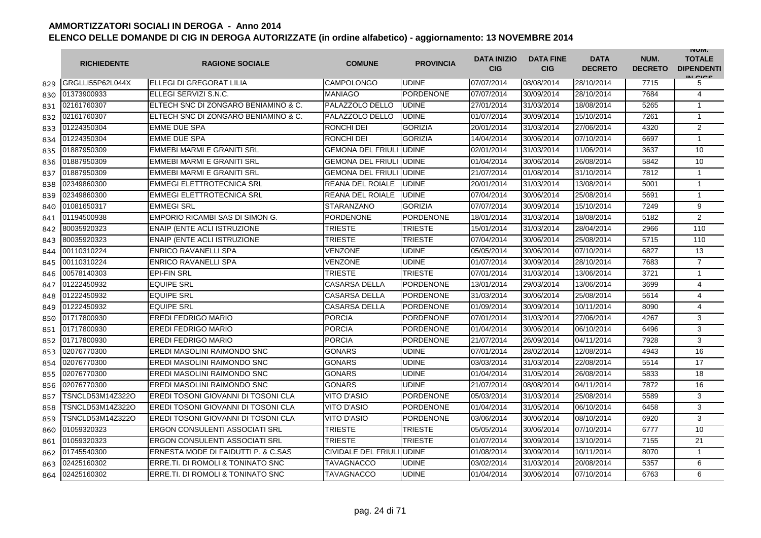|     | <b>RICHIEDENTE</b>      | <b>RAGIONE SOCIALE</b>                | <b>COMUNE</b>             | <b>PROVINCIA</b> | <b>DATA INIZIO</b><br><b>CIG</b> | <b>DATA FINE</b><br><b>CIG</b> | <b>DATA</b><br><b>DECRETO</b> | NUM.<br><b>DECRETO</b> | <b>INUIVI.</b><br><b>TOTALE</b><br><b>DIPENDENTI</b><br>IN CIGO |
|-----|-------------------------|---------------------------------------|---------------------------|------------------|----------------------------------|--------------------------------|-------------------------------|------------------------|-----------------------------------------------------------------|
| 829 | GRGLLI55P62L044X        | ELLEGI DI GREGORAT LILIA              | <b>CAMPOLONGO</b>         | <b>UDINE</b>     | 07/07/2014                       | 08/08/2014                     | 28/10/2014                    | 7715                   | 5                                                               |
| 830 | 01373900933             | ELLEGI SERVIZI S.N.C.                 | <b>MANIAGO</b>            | <b>PORDENONE</b> | 07/07/2014                       | 30/09/2014                     | 28/10/2014                    | 7684                   | $\overline{4}$                                                  |
| 831 | 02161760307             | ELTECH SNC DI ZONGARO BENIAMINO & C.  | PALAZZOLO DELLO           | <b>UDINE</b>     | 27/01/2014                       | 31/03/2014                     | 18/08/2014                    | 5265                   | $\mathbf{1}$                                                    |
| 832 | 02161760307             | ELTECH SNC DI ZONGARO BENIAMINO & C.  | PALAZZOLO DELLO           | <b>UDINE</b>     | 01/07/2014                       | 30/09/2014                     | 15/10/2014                    | 7261                   | $\mathbf{1}$                                                    |
| 833 | 01224350304             | <b>EMME DUE SPA</b>                   | RONCHI DEI                | <b>GORIZIA</b>   | 20/01/2014                       | 31/03/2014                     | 27/06/2014                    | 4320                   | 2                                                               |
| 834 | 01224350304             | <b>EMME DUE SPA</b>                   | RONCHI DEI                | <b>GORIZIA</b>   | 14/04/2014                       | 30/06/2014                     | 07/10/2014                    | 6697                   | $\mathbf{1}$                                                    |
| 835 | 01887950309             | EMMEBI MARMI E GRANITI SRL            | <b>GEMONA DEL FRIULI</b>  | <b>UDINE</b>     | 02/01/2014                       | 31/03/2014                     | 11/06/2014                    | 3637                   | 10                                                              |
| 836 | 01887950309             | <b>EMMEBI MARMI E GRANITI SRL</b>     | <b>GEMONA DEL FRIULI</b>  | <b>UDINE</b>     | 01/04/2014                       | 30/06/2014                     | 26/08/2014                    | 5842                   | 10                                                              |
| 837 | 01887950309             | <b>EMMEBI MARMI E GRANITI SRL</b>     | <b>GEMONA DEL FRIULI</b>  | <b>UDINE</b>     | 21/07/2014                       | 01/08/2014                     | 31/10/2014                    | 7812                   | $\mathbf{1}$                                                    |
| 838 | 02349860300             | <b>EMMEGI ELETTROTECNICA SRL</b>      | REANA DEL ROIALE          | <b>UDINE</b>     | 20/01/2014                       | 31/03/2014                     | 13/08/2014                    | 5001                   | $\mathbf{1}$                                                    |
| 839 | 02349860300             | <b>EMMEGI ELETTROTECNICA SRL</b>      | REANA DEL ROIALE          | <b>UDINE</b>     | 07/04/2014                       | 30/06/2014                     | 25/08/2014                    | 5691                   | 1                                                               |
| 840 | 01081650317             | <b>EMMEGI SRL</b>                     | <b>STARANZANO</b>         | <b>GORIZIA</b>   | 07/07/2014                       | 30/09/2014                     | 15/10/2014                    | 7249                   | 9                                                               |
| 841 | 01194500938             | EMPORIO RICAMBI SAS DI SIMON G.       | <b>PORDENONE</b>          | <b>PORDENONE</b> | 18/01/2014                       | 31/03/2014                     | 18/08/2014                    | 5182                   | $\overline{2}$                                                  |
| 842 | 80035920323             | <b>ENAIP (ENTE ACLI ISTRUZIONE</b>    | TRIESTE                   | <b>TRIESTE</b>   | 15/01/2014                       | 31/03/2014                     | 28/04/2014                    | 2966                   | 110                                                             |
| 843 | 80035920323             | <b>ENAIP (ENTE ACLI ISTRUZIONE</b>    | TRIESTE                   | <b>TRIESTE</b>   | 07/04/2014                       | 30/06/2014                     | 25/08/2014                    | 5715                   | 110                                                             |
| 844 | 00110310224             | <b>ENRICO RAVANELLI SPA</b>           | <b>VENZONE</b>            | <b>UDINE</b>     | 05/05/2014                       | 30/06/2014                     | 07/10/2014                    | 6827                   | 13                                                              |
| 845 | 00110310224             | <b>ENRICO RAVANELLI SPA</b>           | VENZONE                   | <b>UDINE</b>     | 01/07/2014                       | 30/09/2014                     | 28/10/2014                    | 7683                   | $\overline{7}$                                                  |
| 846 | 00578140303             | <b>EPI-FIN SRL</b>                    | TRIESTE                   | <b>TRIESTE</b>   | 07/01/2014                       | 31/03/2014                     | 13/06/2014                    | 3721                   | $\mathbf{1}$                                                    |
| 847 | 01222450932             | <b>EQUIPE SRL</b>                     | <b>CASARSA DELLA</b>      | <b>PORDENONE</b> | 13/01/2014                       | 29/03/2014                     | 13/06/2014                    | 3699                   | 4                                                               |
| 848 | 01222450932             | <b>EQUIPE SRL</b>                     | <b>CASARSA DELLA</b>      | <b>PORDENONE</b> | 31/03/2014                       | 30/06/2014                     | 25/08/2014                    | 5614                   | $\overline{4}$                                                  |
| 849 | 01222450932             | <b>EQUIPE SRL</b>                     | <b>CASARSA DELLA</b>      | <b>PORDENONE</b> | 01/09/2014                       | 30/09/2014                     | 10/11/2014                    | 8090                   | 4                                                               |
| 850 | 01717800930             | <b>EREDI FEDRIGO MARIO</b>            | <b>PORCIA</b>             | <b>PORDENONE</b> | 07/01/2014                       | 31/03/2014                     | 27/06/2014                    | 4267                   | 3                                                               |
| 851 | 01717800930             | <b>EREDI FEDRIGO MARIO</b>            | <b>PORCIA</b>             | PORDENONE        | 01/04/2014                       | 30/06/2014                     | 06/10/2014                    | 6496                   | 3                                                               |
| 852 | 01717800930             | <b>EREDI FEDRIGO MARIO</b>            | <b>PORCIA</b>             | PORDENONE        | 21/07/2014                       | 26/09/2014                     | 04/11/2014                    | 7928                   | 3                                                               |
| 853 | 02076770300             | EREDI MASOLINI RAIMONDO SNC           | <b>GONARS</b>             | <b>UDINE</b>     | 07/01/2014                       | 28/02/2014                     | 12/08/2014                    | 4943                   | 16                                                              |
| 854 | 02076770300             | EREDI MASOLINI RAIMONDO SNC           | GONARS                    | <b>UDINE</b>     | 03/03/2014                       | 31/03/2014                     | 22/08/2014                    | 5514                   | 17                                                              |
| 855 | 02076770300             | EREDI MASOLINI RAIMONDO SNC           | <b>GONARS</b>             | <b>UDINE</b>     | 01/04/2014                       | 31/05/2014                     | 26/08/2014                    | 5833                   | 18                                                              |
| 856 | 02076770300             | EREDI MASOLINI RAIMONDO SNC           | <b>GONARS</b>             | <b>UDINE</b>     | 21/07/2014                       | 08/08/2014                     | 04/11/2014                    | 7872                   | 16                                                              |
| 857 | <b>FSNCLD53M14Z322O</b> | EREDI TOSONI GIOVANNI DI TOSONI CLA   | <b>VITO D'ASIO</b>        | <b>PORDENONE</b> | 05/03/2014                       | 31/03/2014                     | 25/08/2014                    | 5589                   | 3                                                               |
| 858 | FSNCLD53M14Z322O        | EREDI TOSONI GIOVANNI DI TOSONI CLA   | VITO D'ASIO               | <b>PORDENONE</b> | 01/04/2014                       | 31/05/2014                     | 06/10/2014                    | 6458                   | 3                                                               |
| 859 | <b>FSNCLD53M14Z322O</b> | EREDI TOSONI GIOVANNI DI TOSONI CLA   | <b>VITO D'ASIO</b>        | PORDENONE        | 03/06/2014                       | 30/06/2014                     | 08/10/2014                    | 6920                   | 3                                                               |
| 860 | 01059320323             | <b>ERGON CONSULENTI ASSOCIATI SRL</b> | <b>TRIESTE</b>            | TRIESTE          | 05/05/2014                       | 30/06/2014                     | 07/10/2014                    | 6777                   | 10                                                              |
| 861 | 01059320323             | <b>ERGON CONSULENTI ASSOCIATI SRL</b> | <b>TRIESTE</b>            | <b>TRIESTE</b>   | 01/07/2014                       | 30/09/2014                     | 13/10/2014                    | 7155                   | 21                                                              |
| 862 | 01745540300             | ERNESTA MODE DI FAIDUTTI P. & C.SAS   | CIVIDALE DEL FRIULI UDINE |                  | 01/08/2014                       | 30/09/2014                     | 10/11/2014                    | 8070                   | $\mathbf{1}$                                                    |
| 863 | 02425160302             | ERRE.TI. DI ROMOLI & TONINATO SNC     | <b>TAVAGNACCO</b>         | <b>UDINE</b>     | 03/02/2014                       | 31/03/2014                     | 20/08/2014                    | 5357                   | 6                                                               |
| 864 | 02425160302             | ERRE.TI. DI ROMOLI & TONINATO SNC     | <b>TAVAGNACCO</b>         | <b>UDINE</b>     | 01/04/2014                       | 30/06/2014                     | 07/10/2014                    | 6763                   | 6                                                               |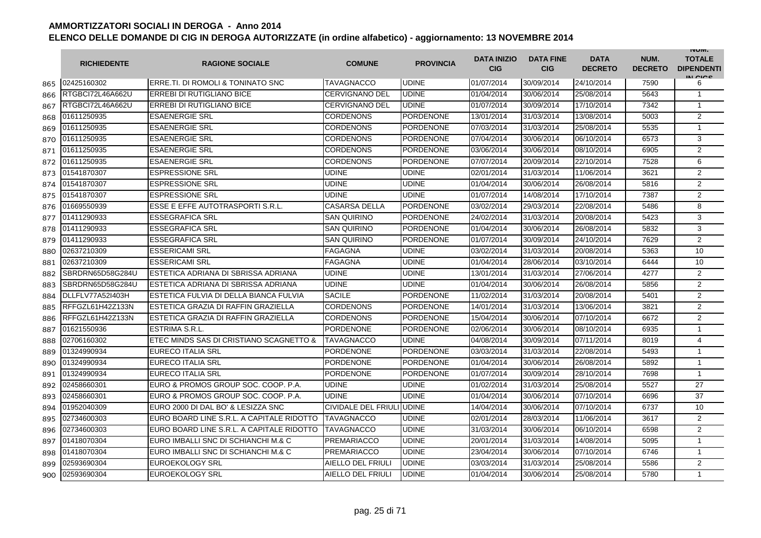|     | <b>RICHIEDENTE</b> | <b>RAGIONE SOCIALE</b>                    | <b>COMUNE</b>             | <b>PROVINCIA</b> | <b>DATA INIZIO</b><br><b>CIG</b> | <b>DATA FINE</b><br><b>CIG</b> | <b>DATA</b><br><b>DECRETO</b> | NUM.<br><b>DECRETO</b> | <b>INUIVI.</b><br><b>TOTALE</b><br><b>DIPENDENTI</b><br>IN CIGO |
|-----|--------------------|-------------------------------------------|---------------------------|------------------|----------------------------------|--------------------------------|-------------------------------|------------------------|-----------------------------------------------------------------|
| 865 | 02425160302        | ERRE.TI. DI ROMOLI & TONINATO SNC         | <b>TAVAGNACCO</b>         | <b>UDINE</b>     | 01/07/2014                       | 30/09/2014                     | 24/10/2014                    | 7590                   | 6                                                               |
| 866 | RTGBCI72L46A662U   | <b>ERREBI DI RUTIGLIANO BICE</b>          | <b>CERVIGNANO DEL</b>     | <b>UDINE</b>     | 01/04/2014                       | 30/06/2014                     | 25/08/2014                    | 5643                   | $\overline{1}$                                                  |
| 867 | RTGBCI72L46A662U   | <b>ERREBI DI RUTIGLIANO BICE</b>          | <b>CERVIGNANO DEL</b>     | <b>UDINE</b>     | 01/07/2014                       | 30/09/2014                     | 17/10/2014                    | 7342                   | $\mathbf{1}$                                                    |
| 868 | 01611250935        | <b>ESAENERGIE SRL</b>                     | <b>CORDENONS</b>          | PORDENONE        | 13/01/2014                       | 31/03/2014                     | 13/08/2014                    | 5003                   | $\mathbf{2}$                                                    |
| 869 | 01611250935        | <b>ESAENERGIE SRL</b>                     | <b>CORDENONS</b>          | <b>PORDENONE</b> | 07/03/2014                       | 31/03/2014                     | 25/08/2014                    | 5535                   | $\mathbf{1}$                                                    |
| 870 | 01611250935        | <b>ESAENERGIE SRL</b>                     | <b>CORDENONS</b>          | <b>PORDENONE</b> | 07/04/2014                       | 30/06/2014                     | 06/10/2014                    | 6573                   | 3                                                               |
| 871 | 01611250935        | <b>ESAENERGIE SRL</b>                     | <b>CORDENONS</b>          | <b>PORDENONE</b> | 03/06/2014                       | 30/06/2014                     | 08/10/2014                    | 6905                   | 2                                                               |
| 872 | 01611250935        | <b>ESAENERGIE SRL</b>                     | <b>CORDENONS</b>          | <b>PORDENONE</b> | 07/07/2014                       | 20/09/2014                     | 22/10/2014                    | 7528                   | 6                                                               |
| 873 | 01541870307        | <b>ESPRESSIONE SRL</b>                    | <b>UDINE</b>              | <b>UDINE</b>     | 02/01/2014                       | 31/03/2014                     | 11/06/2014                    | 3621                   | 2                                                               |
| 874 | 01541870307        | <b>ESPRESSIONE SRL</b>                    | <b>UDINE</b>              | <b>UDINE</b>     | 01/04/2014                       | 30/06/2014                     | 26/08/2014                    | 5816                   | $\overline{2}$                                                  |
| 875 | 01541870307        | <b>ESPRESSIONE SRL</b>                    | <b>UDINE</b>              | <b>UDINE</b>     | 01/07/2014                       | 14/08/2014                     | 17/10/2014                    | 7387                   | $\overline{2}$                                                  |
| 876 | 01669550939        | ESSE E EFFE AUTOTRASPORTI S.R.L           | <b>CASARSA DELLA</b>      | <b>PORDENONE</b> | 03/02/2014                       | 29/03/2014                     | 22/08/2014                    | 5486                   | 8                                                               |
| 877 | 01411290933        | <b>ESSEGRAFICA SRL</b>                    | SAN QUIRINO               | <b>PORDENONE</b> | 24/02/2014                       | 31/03/2014                     | 20/08/2014                    | 5423                   | 3                                                               |
| 878 | 01411290933        | <b>ESSEGRAFICA SRL</b>                    | SAN QUIRINO               | <b>PORDENONE</b> | 01/04/2014                       | 30/06/2014                     | 26/08/2014                    | 5832                   | 3                                                               |
| 879 | 01411290933        | <b>ESSEGRAFICA SRL</b>                    | SAN QUIRINO               | <b>PORDENONE</b> | 01/07/2014                       | 30/09/2014                     | 24/10/2014                    | 7629                   | $\mathbf{2}$                                                    |
| 880 | 02637210309        | <b>ESSERICAMI SRL</b>                     | <b>FAGAGNA</b>            | <b>UDINE</b>     | 03/02/2014                       | 31/03/2014                     | 20/08/2014                    | 5363                   | 10                                                              |
| 881 | 02637210309        | <b>ESSERICAMI SRL</b>                     | FAGAGNA                   | <b>UDINE</b>     | 01/04/2014                       | 28/06/2014                     | 03/10/2014                    | 6444                   | 10                                                              |
| 882 | SBRDRN65D58G284U   | ESTETICA ADRIANA DI SBRISSA ADRIANA       | <b>UDINE</b>              | <b>UDINE</b>     | 13/01/2014                       | 31/03/2014                     | 27/06/2014                    | 4277                   | 2                                                               |
| 883 | SBRDRN65D58G284U   | ESTETICA ADRIANA DI SBRISSA ADRIANA       | <b>UDINE</b>              | <b>UDINE</b>     | 01/04/2014                       | 30/06/2014                     | 26/08/2014                    | 5856                   | 2                                                               |
| 884 | DLLFLV77A52I403H   | ESTETICA FULVIA DI DELLA BIANCA FULVIA    | <b>SACILE</b>             | <b>PORDENONE</b> | 11/02/2014                       | 31/03/2014                     | 20/08/2014                    | 5401                   | 2                                                               |
| 885 | RFFGZL61H42Z133N   | ESTETICA GRAZIA DI RAFFIN GRAZIELLA       | <b>CORDENONS</b>          | <b>PORDENONE</b> | 14/01/2014                       | 31/03/2014                     | 13/06/2014                    | 3821                   | 2                                                               |
| 886 | RFFGZL61H42Z133N   | ESTETICA GRAZIA DI RAFFIN GRAZIELLA       | <b>CORDENONS</b>          | <b>PORDENONE</b> | 15/04/2014                       | 30/06/2014                     | 07/10/2014                    | 6672                   | 2                                                               |
| 887 | 01621550936        | ESTRIMA S.R.L.                            | PORDENONE                 | <b>PORDENONE</b> | 02/06/2014                       | 30/06/2014                     | 08/10/2014                    | 6935                   | $\mathbf{1}$                                                    |
| 888 | 02706160302        | ETEC MINDS SAS DI CRISTIANO SCAGNETTO &   | TAVAGNACCO                | <b>UDINE</b>     | 04/08/2014                       | 30/09/2014                     | 07/11/2014                    | 8019                   | 4                                                               |
| 889 | 01324990934        | <b>EURECO ITALIA SRL</b>                  | <b>PORDENONE</b>          | <b>PORDENONE</b> | 03/03/2014                       | 31/03/2014                     | 22/08/2014                    | 5493                   | 1                                                               |
| 890 | 01324990934        | EURECO ITALIA SRL                         | <b>PORDENONE</b>          | <b>PORDENONE</b> | 01/04/2014                       | 30/06/2014                     | 26/08/2014                    | 5892                   | $\mathbf{1}$                                                    |
| 891 | 01324990934        | EURECO ITALIA SRL                         | <b>PORDENONE</b>          | <b>PORDENONE</b> | 01/07/2014                       | 30/09/2014                     | 28/10/2014                    | 7698                   | $\overline{1}$                                                  |
| 892 | 02458660301        | EURO & PROMOS GROUP SOC. COOP. P.A.       | <b>UDINE</b>              | <b>UDINE</b>     | 01/02/2014                       | 31/03/2014                     | 25/08/2014                    | 5527                   | 27                                                              |
| 893 | 02458660301        | EURO & PROMOS GROUP SOC. COOP. P.A.       | <b>UDINE</b>              | <b>UDINE</b>     | 01/04/2014                       | 30/06/2014                     | 07/10/2014                    | 6696                   | 37                                                              |
| 894 | 01952040309        | EURO 2000 DI DAL BO' & LESIZZA SNC        | CIVIDALE DEL FRIULI UDINE |                  | 14/04/2014                       | 30/06/2014                     | 07/10/2014                    | 6737                   | 10                                                              |
| 895 | 02734600303        | EURO BOARD LINE S.R.L. A CAPITALE RIDOTTO | <b>TAVAGNACCO</b>         | <b>UDINE</b>     | 02/01/2014                       | 28/03/2014                     | 11/06/2014                    | 3617                   | $\mathbf{2}$                                                    |
| 896 | 02734600303        | EURO BOARD LINE S.R.L. A CAPITALE RIDOTTO | <b>TAVAGNACCO</b>         | <b>UDINE</b>     | 31/03/2014                       | 30/06/2014                     | 06/10/2014                    | 6598                   | 2                                                               |
| 897 | 01418070304        | EURO IMBALLI SNC DI SCHIANCHI M.& C       | <b>PREMARIACCO</b>        | <b>UDINE</b>     | 20/01/2014                       | 31/03/2014                     | 14/08/2014                    | 5095                   | $\mathbf{1}$                                                    |
| 898 | 01418070304        | EURO IMBALLI SNC DI SCHIANCHI M.& C       | <b>PREMARIACCO</b>        | <b>UDINE</b>     | 23/04/2014                       | 30/06/2014                     | 07/10/2014                    | 6746                   | $\mathbf{1}$                                                    |
| 899 | 02593690304        | <b>EUROEKOLOGY SRL</b>                    | <b>AIELLO DEL FRIULI</b>  | <b>UDINE</b>     | 03/03/2014                       | 31/03/2014                     | 25/08/2014                    | 5586                   | 2                                                               |
| 900 | 02593690304        | <b>EUROEKOLOGY SRL</b>                    | <b>AIELLO DEL FRIULI</b>  | <b>UDINE</b>     | 01/04/2014                       | 30/06/2014                     | 25/08/2014                    | 5780                   | $\mathbf{1}$                                                    |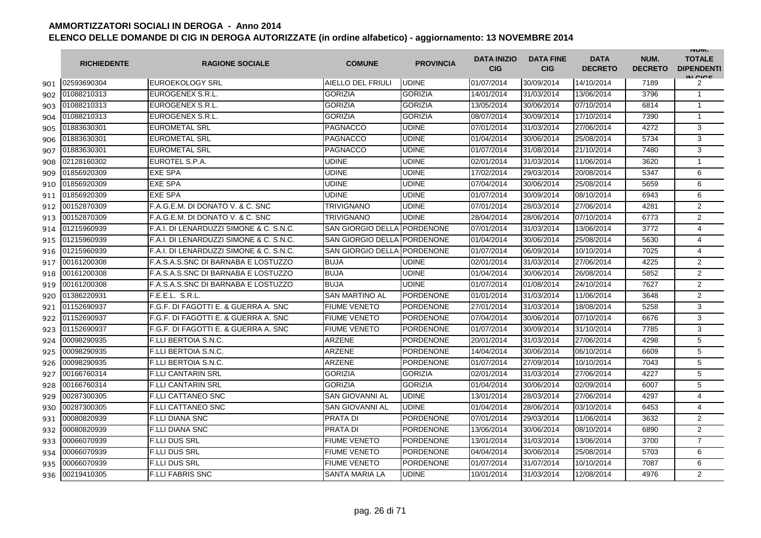|     | <b>RICHIEDENTE</b> | <b>RAGIONE SOCIALE</b>                  | <b>COMUNE</b>               | <b>PROVINCIA</b> | <b>DATA INIZIO</b><br><b>CIG</b> | <b>DATA FINE</b><br><b>CIG</b> | <b>DATA</b><br><b>DECRETO</b> | NUM.<br><b>DECRETO</b> | <b>INUIVI.</b><br><b>TOTALE</b><br><b>DIPENDENTI</b><br>IN CICS |
|-----|--------------------|-----------------------------------------|-----------------------------|------------------|----------------------------------|--------------------------------|-------------------------------|------------------------|-----------------------------------------------------------------|
| 901 | 02593690304        | <b>EUROEKOLOGY SRL</b>                  | <b>AIELLO DEL FRIULI</b>    | <b>UDINE</b>     | 01/07/2014                       | 30/09/2014                     | 14/10/2014                    | 7189                   | 2                                                               |
| 902 | 01088210313        | EUROGENEX S.R.L.                        | <b>GORIZIA</b>              | <b>GORIZIA</b>   | 14/01/2014                       | 31/03/2014                     | 13/06/2014                    | 3796                   | $\mathbf{1}$                                                    |
| 903 | 01088210313        | EUROGENEX S.R.L.                        | <b>GORIZIA</b>              | <b>GORIZIA</b>   | 13/05/2014                       | 30/06/2014                     | 07/10/2014                    | 6814                   | 1                                                               |
| 904 | 01088210313        | EUROGENEX S.R.L.                        | <b>GORIZIA</b>              | <b>GORIZIA</b>   | 08/07/2014                       | 30/09/2014                     | 17/10/2014                    | 7390                   | $\mathbf{1}$                                                    |
| 905 | 01883630301        | <b>EUROMETAL SRL</b>                    | <b>PAGNACCO</b>             | <b>UDINE</b>     | 07/01/2014                       | 31/03/2014                     | 27/06/2014                    | 4272                   | 3                                                               |
| 906 | 01883630301        | <b>EUROMETAL SRL</b>                    | <b>PAGNACCO</b>             | <b>UDINE</b>     | 01/04/2014                       | 30/06/2014                     | 25/08/2014                    | 5734                   | 3                                                               |
| 907 | 01883630301        | <b>EUROMETAL SRL</b>                    | PAGNACCO                    | <b>UDINE</b>     | 01/07/2014                       | 31/08/2014                     | 21/10/2014                    | 7480                   | 3                                                               |
| 908 | 02128160302        | EUROTEL S.P.A.                          | <b>UDINE</b>                | <b>UDINE</b>     | 02/01/2014                       | 31/03/2014                     | 11/06/2014                    | 3620                   | $\mathbf{1}$                                                    |
| 909 | 01856920309        | <b>EXE SPA</b>                          | <b>UDINE</b>                | <b>UDINE</b>     | 17/02/2014                       | 29/03/2014                     | 20/08/2014                    | 5347                   | 6                                                               |
| 910 | 01856920309        | <b>EXE SPA</b>                          | UDINE                       | <b>UDINE</b>     | 07/04/2014                       | 30/06/2014                     | 25/08/2014                    | 5659                   | 6                                                               |
| 911 | 01856920309        | <b>EXE SPA</b>                          | UDINE                       | <b>UDINE</b>     | 01/07/2014                       | 30/09/2014                     | 08/10/2014                    | 6943                   | 6                                                               |
| 912 | 00152870309        | F.A.G.E.M. DI DONATO V. & C. SNC        | TRIVIGNANO                  | <b>UDINE</b>     | 07/01/2014                       | 28/03/2014                     | 27/06/2014                    | 4281                   | $\overline{2}$                                                  |
| 913 | 00152870309        | F.A.G.E.M. DI DONATO V. & C. SNC        | <b>TRIVIGNANO</b>           | <b>UDINE</b>     | 28/04/2014                       | 28/06/2014                     | 07/10/2014                    | 6773                   | $\overline{2}$                                                  |
| 914 | 01215960939        | F.A.I. DI LENARDUZZI SIMONE & C. S.N.C. | SAN GIORGIO DELLA PORDENONE |                  | 07/01/2014                       | 31/03/2014                     | 13/06/2014                    | 3772                   | $\overline{4}$                                                  |
| 915 | 01215960939        | F.A.I. DI LENARDUZZI SIMONE & C. S.N.C. | <b>SAN GIORGIO DELLA</b>    | <b>PORDENONE</b> | 01/04/2014                       | 30/06/2014                     | 25/08/2014                    | 5630                   | 4                                                               |
| 916 | 01215960939        | F.A.I. DI LENARDUZZI SIMONE & C. S.N.C. | SAN GIORGIO DELLA           | <b>PORDENONE</b> | 01/07/2014                       | 06/09/2014                     | 10/10/2014                    | 7025                   | $\overline{4}$                                                  |
| 917 | 00161200308        | F.A.S.A.S.SNC DI BARNABA E LOSTUZZO     | <b>BUJA</b>                 | <b>UDINE</b>     | 02/01/2014                       | 31/03/2014                     | 27/06/2014                    | 4225                   | $\overline{2}$                                                  |
| 918 | 00161200308        | F.A.S.A.S.SNC DI BARNABA E LOSTUZZO     | <b>BUJA</b>                 | <b>UDINE</b>     | 01/04/2014                       | 30/06/2014                     | 26/08/2014                    | 5852                   | $\overline{2}$                                                  |
| 919 | 00161200308        | F.A.S.A.S.SNC DI BARNABA E LOSTUZZO     | <b>BUJA</b>                 | <b>UDINE</b>     | 01/07/2014                       | 01/08/2014                     | 24/10/2014                    | 7627                   | $\overline{2}$                                                  |
| 920 | 01386220931        | F.E.E.L. S.R.L.                         | <b>SAN MARTINO AL</b>       | <b>PORDENONE</b> | 01/01/2014                       | 31/03/2014                     | 11/06/2014                    | 3648                   | $\overline{2}$                                                  |
| 921 | 01152690937        | F.G.F. DI FAGOTTI E. & GUERRA A. SNC    | <b>FIUME VENETO</b>         | <b>PORDENONE</b> | 27/01/2014                       | 31/03/2014                     | 18/08/2014                    | 5258                   | 3                                                               |
| 922 | 01152690937        | F.G.F. DI FAGOTTI E. & GUERRA A. SNC    | FIUME VENETO                | <b>PORDENONE</b> | 07/04/2014                       | 30/06/2014                     | 07/10/2014                    | 6676                   | 3                                                               |
| 923 | 01152690937        | F.G.F. DI FAGOTTI E. & GUERRA A. SNC    | <b>FIUME VENETO</b>         | <b>PORDENONE</b> | 01/07/2014                       | 30/09/2014                     | 31/10/2014                    | 7785                   | 3                                                               |
| 924 | 00098290935        | <b>F.LLI BERTOIA S.N.C.</b>             | <b>ARZENE</b>               | PORDENONE        | 20/01/2014                       | 31/03/2014                     | 27/06/2014                    | 4298                   | 5                                                               |
| 925 | 00098290935        | <b>F.LLI BERTOIA S.N.C.</b>             | <b>ARZENE</b>               | <b>PORDENONE</b> | 14/04/2014                       | 30/06/2014                     | 06/10/2014                    | 6609                   | 5                                                               |
| 926 | 00098290935        | <b>F.LLI BERTOIA S.N.C.</b>             | <b>ARZENE</b>               | <b>PORDENONE</b> | 01/07/2014                       | 27/09/2014                     | 10/10/2014                    | 7043                   | 5                                                               |
| 927 | 00166760314        | <b>F.LLI CANTARIN SRL</b>               | <b>GORIZIA</b>              | <b>GORIZIA</b>   | 02/01/2014                       | 31/03/2014                     | 27/06/2014                    | 4227                   | 5                                                               |
| 928 | 00166760314        | <b>F.LLI CANTARIN SRL</b>               | <b>GORIZIA</b>              | <b>GORIZIA</b>   | 01/04/2014                       | 30/06/2014                     | 02/09/2014                    | 6007                   | 5                                                               |
| 929 | 00287300305        | <b>F.LLI CATTANEO SNC</b>               | <b>SAN GIOVANNI AL</b>      | <b>UDINE</b>     | 13/01/2014                       | 28/03/2014                     | 27/06/2014                    | 4297                   | $\overline{\mathbf{4}}$                                         |
| 930 | 00287300305        | <b>F.LLI CATTANEO SNC</b>               | <b>SAN GIOVANNI AL</b>      | <b>UDINE</b>     | 01/04/2014                       | 28/06/2014                     | 03/10/2014                    | 6453                   | $\overline{4}$                                                  |
| 931 | 00080820939        | <b>F.LLI DIANA SNC</b>                  | <b>PRATA DI</b>             | <b>PORDENONE</b> | 07/01/2014                       | 29/03/2014                     | 11/06/2014                    | 3632                   | $\overline{2}$                                                  |
| 932 | 00080820939        | <b>F.LLI DIANA SNC</b>                  | PRATA DI                    | <b>PORDENONE</b> | 13/06/2014                       | 30/06/2014                     | 08/10/2014                    | 6890                   | 2                                                               |
| 933 | 00066070939        | <b>F.LLI DUS SRL</b>                    | <b>FIUME VENETO</b>         | <b>PORDENONE</b> | 13/01/2014                       | 31/03/2014                     | 13/06/2014                    | 3700                   | $\overline{7}$                                                  |
| 934 | 00066070939        | <b>F.LLI DUS SRL</b>                    | <b>FIUME VENETO</b>         | <b>PORDENONE</b> | 04/04/2014                       | 30/06/2014                     | 25/08/2014                    | 5703                   | 6                                                               |
| 935 | 00066070939        | <b>F.LLI DUS SRL</b>                    | <b>FIUME VENETO</b>         | <b>PORDENONE</b> | 01/07/2014                       | 31/07/2014                     | 10/10/2014                    | 7087                   | 6                                                               |
| 936 | 00219410305        | <b>F.LLI FABRIS SNC</b>                 | <b>SANTA MARIA LA</b>       | <b>UDINE</b>     | 10/01/2014                       | 31/03/2014                     | 12/08/2014                    | 4976                   | $\overline{2}$                                                  |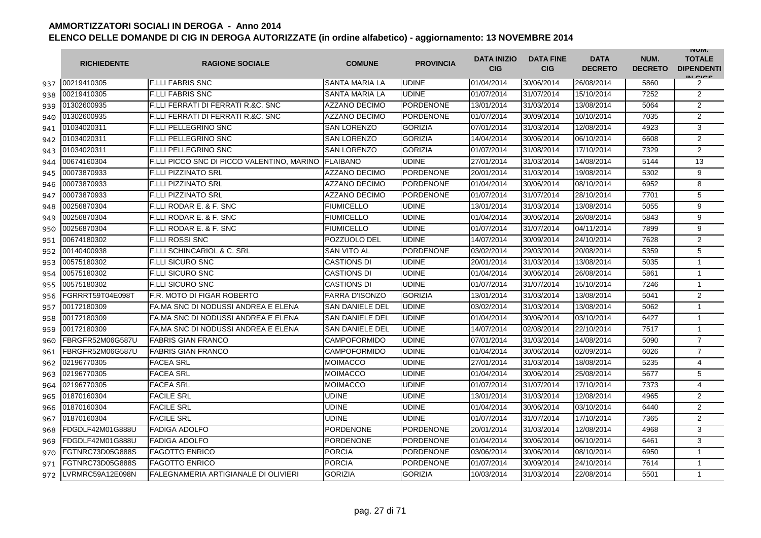|     | <b>RICHIEDENTE</b> | <b>RAGIONE SOCIALE</b>                        | <b>COMUNE</b>          | <b>PROVINCIA</b> | <b>DATA INIZIO</b><br><b>CIG</b> | <b>DATA FINE</b><br><b>CIG</b> | <b>DATA</b><br><b>DECRETO</b> | NUM.<br><b>DECRETO</b> | <b>INUIVI.</b><br><b>TOTALE</b><br><b>DIPENDENTI</b><br>IN CICS |
|-----|--------------------|-----------------------------------------------|------------------------|------------------|----------------------------------|--------------------------------|-------------------------------|------------------------|-----------------------------------------------------------------|
| 937 | 00219410305        | <b>F.LLI FABRIS SNC</b>                       | <b>SANTA MARIA LA</b>  | <b>UDINE</b>     | 01/04/2014                       | 30/06/2014                     | 26/08/2014                    | 5860                   | 2                                                               |
| 938 | 00219410305        | <b>F.LLI FABRIS SNC</b>                       | <b>SANTA MARIA LA</b>  | <b>UDINE</b>     | 01/07/2014                       | 31/07/2014                     | 15/10/2014                    | 7252                   | $\mathbf{2}$                                                    |
| 939 | 01302600935        | <b>F.LLI FERRATI DI FERRATI R.&amp;C. SNC</b> | <b>AZZANO DECIMO</b>   | <b>PORDENONE</b> | 13/01/2014                       | 31/03/2014                     | 13/08/2014                    | 5064                   | 2                                                               |
| 940 | 01302600935        | F.LLI FERRATI DI FERRATI R.&C. SNC            | AZZANO DECIMO          | <b>PORDENONE</b> | 01/07/2014                       | 30/09/2014                     | 10/10/2014                    | 7035                   | 2                                                               |
| 941 | 01034020311        | <b>F.LLI PELLEGRINO SNC</b>                   | <b>SAN LORENZO</b>     | <b>GORIZIA</b>   | 07/01/2014                       | 31/03/2014                     | 12/08/2014                    | 4923                   | 3                                                               |
| 942 | 01034020311        | <b>F.LLI PELLEGRINO SNC</b>                   | <b>SAN LORENZO</b>     | <b>GORIZIA</b>   | 14/04/2014                       | 30/06/2014                     | 06/10/2014                    | 6608                   | 2                                                               |
| 943 | 01034020311        | <b>F.LLI PELLEGRINO SNC</b>                   | <b>SAN LORENZO</b>     | <b>GORIZIA</b>   | 01/07/2014                       | 31/08/2014                     | 17/10/2014                    | 7329                   | 2                                                               |
| 944 | 00674160304        | F.LLI PICCO SNC DI PICCO VALENTINO, MARINO    | <b>FLAIBANO</b>        | <b>UDINE</b>     | 27/01/2014                       | 31/03/2014                     | 14/08/2014                    | 5144                   | 13                                                              |
| 945 | 00073870933        | <b>F.LLI PIZZINATO SRL</b>                    | <b>AZZANO DECIMO</b>   | PORDENONE        | 20/01/2014                       | 31/03/2014                     | 19/08/2014                    | 5302                   | 9                                                               |
| 946 | 00073870933        | <b>F.LLI PIZZINATO SRL</b>                    | <b>AZZANO DECIMO</b>   | <b>PORDENONE</b> | 01/04/2014                       | 30/06/2014                     | 08/10/2014                    | 6952                   | 8                                                               |
| 947 | 00073870933        | <b>F.LLI PIZZINATO SRL</b>                    | AZZANO DECIMO          | PORDENONE        | 01/07/2014                       | 31/07/2014                     | 28/10/2014                    | 7701                   | 5                                                               |
| 948 | 00256870304        | F.LLI RODAR E. & F. SNC                       | FIUMICELLO             | <b>UDINE</b>     | 13/01/2014                       | 31/03/2014                     | 13/08/2014                    | 5055                   | 9                                                               |
| 949 | 00256870304        | F.LLI RODAR E. & F. SNC                       | FIUMICELLO             | <b>UDINE</b>     | 01/04/2014                       | 30/06/2014                     | 26/08/2014                    | 5843                   | 9                                                               |
| 950 | 00256870304        | F.LLI RODAR E. & F. SNC                       | FIUMICELLO             | <b>UDINE</b>     | 01/07/2014                       | 31/07/2014                     | 04/11/2014                    | 7899                   | 9                                                               |
| 951 | 00674180302        | <b>F.LLI ROSSI SNC</b>                        | POZZUOLO DEL           | <b>UDINE</b>     | 14/07/2014                       | 30/09/2014                     | 24/10/2014                    | 7628                   | 2                                                               |
| 952 | 00140400938        | <b>F.LLI SCHINCARIOL &amp; C. SRL</b>         | <b>SAN VITO AL</b>     | <b>PORDENONE</b> | 03/02/2014                       | 29/03/2014                     | 20/08/2014                    | 5359                   | 5                                                               |
| 953 | 00575180302        | <b>F.LLI SICURO SNC</b>                       | <b>CASTIONS DI</b>     | <b>UDINE</b>     | 20/01/2014                       | 31/03/2014                     | 13/08/2014                    | 5035                   | $\mathbf{1}$                                                    |
| 954 | 00575180302        | <b>F.LLI SICURO SNC</b>                       | <b>CASTIONS DI</b>     | <b>UDINE</b>     | 01/04/2014                       | 30/06/2014                     | 26/08/2014                    | 5861                   | $\mathbf{1}$                                                    |
| 955 | 00575180302        | <b>F.LLI SICURO SNC</b>                       | <b>CASTIONS DI</b>     | <b>UDINE</b>     | 01/07/2014                       | 31/07/2014                     | 15/10/2014                    | 7246                   | $\mathbf 1$                                                     |
| 956 | GRRRT59T04E098T    | F.R. MOTO DI FIGAR ROBERTO                    | <b>FARRA D'ISONZO</b>  | <b>GORIZIA</b>   | 13/01/2014                       | 31/03/2014                     | 13/08/2014                    | 5041                   | 2                                                               |
| 957 | 00172180309        | FA.MA SNC DI NODUSSI ANDREA E ELENA           | SAN DANIELE DEL        | <b>UDINE</b>     | 03/02/2014                       | 31/03/2014                     | 13/08/2014                    | 5062                   | $\mathbf{1}$                                                    |
| 958 | 00172180309        | FA.MA SNC DI NODUSSI ANDREA E ELENA           | SAN DANIELE DEL        | <b>UDINE</b>     | 01/04/2014                       | 30/06/2014                     | 03/10/2014                    | 6427                   | $\mathbf{1}$                                                    |
| 959 | 00172180309        | FA.MA SNC DI NODUSSI ANDREA E ELENA           | <b>SAN DANIELE DEL</b> | <b>UDINE</b>     | 14/07/2014                       | 02/08/2014                     | 22/10/2014                    | 7517                   | $\mathbf{1}$                                                    |
| 960 | FBRGFR52M06G587U   | <b>FABRIS GIAN FRANCO</b>                     | <b>CAMPOFORMIDO</b>    | <b>UDINE</b>     | 07/01/2014                       | 31/03/2014                     | 14/08/2014                    | 5090                   | $\overline{7}$                                                  |
| 961 | FBRGFR52M06G587U   | <b>FABRIS GIAN FRANCO</b>                     | <b>CAMPOFORMIDO</b>    | <b>UDINE</b>     | 01/04/2014                       | 30/06/2014                     | 02/09/2014                    | 6026                   | $\overline{7}$                                                  |
| 962 | 02196770305        | <b>FACEA SRL</b>                              | <b>MOIMACCO</b>        | <b>UDINE</b>     | 27/01/2014                       | 31/03/2014                     | 18/08/2014                    | 5235                   | 4                                                               |
| 963 | 02196770305        | <b>FACEA SRL</b>                              | <b>MOIMACCO</b>        | <b>UDINE</b>     | 01/04/2014                       | 30/06/2014                     | 25/08/2014                    | 5677                   | 5                                                               |
| 964 | 02196770305        | <b>FACEA SRL</b>                              | <b>MOIMACCO</b>        | <b>UDINE</b>     | 01/07/2014                       | 31/07/2014                     | 17/10/2014                    | 7373                   | 4                                                               |
| 965 | 01870160304        | <b>FACILE SRL</b>                             | UDINE                  | <b>UDINE</b>     | 13/01/2014                       | 31/03/2014                     | 12/08/2014                    | 4965                   | 2                                                               |
| 966 | 01870160304        | <b>FACILE SRL</b>                             | UDINE                  | <b>UDINE</b>     | 01/04/2014                       | 30/06/2014                     | 03/10/2014                    | 6440                   | 2                                                               |
| 967 | 01870160304        | <b>FACILE SRL</b>                             | UDINE                  | <b>UDINE</b>     | 01/07/2014                       | 31/07/2014                     | 17/10/2014                    | 7365                   | $\overline{2}$                                                  |
| 968 | FDGDLF42M01G888U   | <b>FADIGA ADOLFO</b>                          | PORDENONE              | <b>PORDENONE</b> | 20/01/2014                       | 31/03/2014                     | 12/08/2014                    | 4968                   | 3                                                               |
| 969 | FDGDLF42M01G888U   | <b>FADIGA ADOLFO</b>                          | <b>PORDENONE</b>       | <b>PORDENONE</b> | 01/04/2014                       | 30/06/2014                     | 06/10/2014                    | 6461                   | 3                                                               |
| 970 | FGTNRC73D05G888S   | <b>FAGOTTO ENRICO</b>                         | <b>PORCIA</b>          | <b>PORDENONE</b> | 03/06/2014                       | 30/06/2014                     | 08/10/2014                    | 6950                   | $\mathbf{1}$                                                    |
| 971 | FGTNRC73D05G888S   | <b>FAGOTTO ENRICO</b>                         | <b>PORCIA</b>          | <b>PORDENONE</b> | 01/07/2014                       | 30/09/2014                     | 24/10/2014                    | 7614                   | $\mathbf{1}$                                                    |
| 972 | VRMRC59A12E098N    | FALEGNAMERIA ARTIGIANALE DI OLIVIERI          | <b>GORIZIA</b>         | <b>GORIZIA</b>   | 10/03/2014                       | 31/03/2014                     | 22/08/2014                    | 5501                   | $\mathbf{1}$                                                    |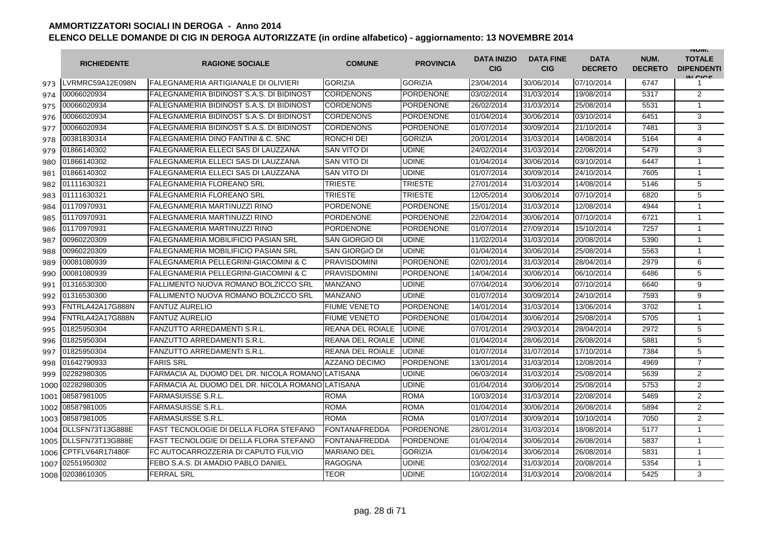|      | <b>RICHIEDENTE</b>    | <b>RAGIONE SOCIALE</b>                                   | <b>COMUNE</b>           | <b>PROVINCIA</b> | <b>DATA INIZIO</b><br><b>CIG</b> | <b>DATA FINE</b><br><b>CIG</b> | <b>DATA</b><br><b>DECRETO</b> | NUM.<br><b>DECRETO</b> | <b>INUIVI.</b><br><b>TOTALE</b><br><b>DIPENDENTI</b><br>IN CIGO |
|------|-----------------------|----------------------------------------------------------|-------------------------|------------------|----------------------------------|--------------------------------|-------------------------------|------------------------|-----------------------------------------------------------------|
| 973  | LVRMRC59A12E098N      | FALEGNAMERIA ARTIGIANALE DI OLIVIERI                     | <b>GORIZIA</b>          | <b>GORIZIA</b>   | 23/04/2014                       | 30/06/2014                     | 07/10/2014                    | 6747                   | 1                                                               |
| 974  | 00066020934           | FALEGNAMERIA BIDINOST S.A.S. DI BIDINOST                 | <b>CORDENONS</b>        | <b>PORDENONE</b> | 03/02/2014                       | 31/03/2014                     | 19/08/2014                    | 5317                   | 2                                                               |
| 975  | 00066020934           | FALEGNAMERIA BIDINOST S.A.S. DI BIDINOST                 | <b>CORDENONS</b>        | <b>PORDENONE</b> | 26/02/2014                       | 31/03/2014                     | 25/08/2014                    | 5531                   | $\mathbf{1}$                                                    |
| 976  | 00066020934           | FALEGNAMERIA BIDINOST S.A.S. DI BIDINOST                 | <b>CORDENONS</b>        | PORDENONE        | 01/04/2014                       | 30/06/2014                     | 03/10/2014                    | 6451                   | 3                                                               |
| 977  | 00066020934           | FALEGNAMERIA BIDINOST S.A.S. DI BIDINOST                 | <b>CORDENONS</b>        | <b>PORDENONE</b> | 01/07/2014                       | 30/09/2014                     | 21/10/2014                    | 7481                   | 3                                                               |
| 978  | 00381830314           | <b>FALEGNAMERIA DINO FANTINI &amp; C. SNC</b>            | <b>RONCHI DEI</b>       | <b>GORIZIA</b>   | 20/01/2014                       | 31/03/2014                     | 14/08/2014                    | 5164                   | $\overline{4}$                                                  |
| 979  | 01866140302           | FALEGNAMERIA ELLECI SAS DI LAUZZANA                      | SAN VITO DI             | <b>UDINE</b>     | 24/02/2014                       | 31/03/2014                     | 22/08/2014                    | 5479                   | 3                                                               |
| 980  | 01866140302           | FALEGNAMERIA ELLECI SAS DI LAUZZANA                      | ISAN VITO DI            | <b>UDINE</b>     | 01/04/2014                       | 30/06/2014                     | 03/10/2014                    | 6447                   | $\mathbf{1}$                                                    |
| 981  | 01866140302           | FALEGNAMERIA ELLECI SAS DI LAUZZANA                      | <b>SAN VITO DI</b>      | <b>UDINE</b>     | 01/07/2014                       | 30/09/2014                     | 24/10/2014                    | 7605                   | $\mathbf{1}$                                                    |
| 982  | 01111630321           | FALEGNAMERIA FLOREANO SRL                                | <b>TRIESTE</b>          | <b>TRIESTE</b>   | 27/01/2014                       | 31/03/2014                     | 14/08/2014                    | 5146                   | 5                                                               |
| 983  | 01111630321           | FALEGNAMERIA FLOREANO SRL                                | <b>TRIESTE</b>          | <b>TRIESTE</b>   | 12/05/2014                       | 30/06/2014                     | 07/10/2014                    | 6820                   | 5                                                               |
| 984  | 01170970931           | FALEGNAMERIA MARTINUZZI RINO                             | <b>PORDENONE</b>        | <b>PORDENONE</b> | 15/01/2014                       | 31/03/2014                     | 12/08/2014                    | 4944                   | $\mathbf{1}$                                                    |
| 985  | 01170970931           | FALEGNAMERIA MARTINUZZI RINO                             | <b>PORDENONE</b>        | <b>PORDENONE</b> | 22/04/2014                       | 30/06/2014                     | 07/10/2014                    | 6721                   | $\mathbf{1}$                                                    |
| 986  | 01170970931           | FALEGNAMERIA MARTINUZZI RINO                             | <b>PORDENONE</b>        | <b>PORDENONE</b> | 01/07/2014                       | 27/09/2014                     | 15/10/2014                    | 7257                   | $\mathbf{1}$                                                    |
| 987  | 00960220309           | FALEGNAMERIA MOBILIFICIO PASIAN SRL                      | <b>SAN GIORGIO DI</b>   | <b>UDINE</b>     | 11/02/2014                       | 31/03/2014                     | 20/08/2014                    | 5390                   | $\mathbf{1}$                                                    |
| 988  | 00960220309           | <b>FALEGNAMERIA MOBILIFICIO PASIAN SRL</b>               | <b>SAN GIORGIO DI</b>   | <b>UDINE</b>     | 01/04/2014                       | 30/06/2014                     | 25/08/2014                    | 5563                   | $\mathbf{1}$                                                    |
| 989  | 00081080939           | FALEGNAMERIA PELLEGRINI-GIACOMINI & C                    | <b>PRAVISDOMINI</b>     | PORDENONE        | 02/01/2014                       | 31/03/2014                     | 28/04/2014                    | 2979                   | 6                                                               |
| 990  | 00081080939           | <b>FALEGNAMERIA PELLEGRINI-GIACOMINI &amp; C</b>         | <b>PRAVISDOMINI</b>     | <b>PORDENONE</b> | 14/04/2014                       | 30/06/2014                     | 06/10/2014                    | 6486                   | 5                                                               |
| 991  | 01316530300           | FALLIMENTO NUOVA ROMANO BOLZICCO SRL                     | <b>MANZANO</b>          | <b>UDINE</b>     | 07/04/2014                       | 30/06/2014                     | 07/10/2014                    | 6640                   | 9                                                               |
| 992  | 01316530300           | FALLIMENTO NUOVA ROMANO BOLZICCO SRL                     | <b>MANZANO</b>          | <b>UDINE</b>     | 01/07/2014                       | 30/09/2014                     | 24/10/2014                    | 7593                   | 9                                                               |
| 993  | FNTRLA42A17G888N      | <b>FANTUZ AURELIO</b>                                    | <b>FIUME VENETO</b>     | <b>PORDENONE</b> | 14/01/2014                       | 31/03/2014                     | 13/06/2014                    | 3702                   | $\mathbf{1}$                                                    |
| 994  | FNTRLA42A17G888N      | <b>FANTUZ AURELIO</b>                                    | <b>FIUME VENETO</b>     | <b>PORDENONE</b> | 01/04/2014                       | 30/06/2014                     | 25/08/2014                    | 5705                   | $\mathbf{1}$                                                    |
| 995  | 01825950304           | FANZUTTO ARREDAMENTI S.R.L.                              | <b>REANA DEL ROIALE</b> | <b>UDINE</b>     | 07/01/2014                       | 29/03/2014                     | 28/04/2014                    | 2972                   | 5                                                               |
| 996  | 01825950304           | <b>FANZUTTO ARREDAMENTI S.R.L.</b>                       | <b>REANA DEL ROIALE</b> | <b>UDINE</b>     | 01/04/2014                       | 28/06/2014                     | 26/08/2014                    | 5881                   | 5                                                               |
| 997  | 01825950304           | <b>FANZUTTO ARREDAMENTI S.R.L.</b>                       | <b>REANA DEL ROIALE</b> | <b>UDINE</b>     | 01/07/2014                       | 31/07/2014                     | 17/10/2014                    | 7384                   | 5                                                               |
| 998  | 01642790933           | <b>FARIS SRL</b>                                         | <b>AZZANO DECIMO</b>    | <b>PORDENONE</b> | 13/01/2014                       | 31/03/2014                     | 12/08/2014                    | 4969                   | $\overline{7}$                                                  |
| 999  | 02282980305           | FARMACIA AL DUOMO DEL DR. NICOLA ROMANO $\sf I$ LATISANA |                         | <b>UDINE</b>     | 06/03/2014                       | 31/03/2014                     | 25/08/2014                    | 5639                   | $\overline{2}$                                                  |
| 1000 | 02282980305           | FARMACIA AL DUOMO DEL DR. NICOLA ROMANO $\sf I$ LATISANA |                         | <b>UDINE</b>     | 01/04/2014                       | 30/06/2014                     | 25/08/2014                    | 5753                   | 2                                                               |
| 1001 | 08587981005           | <b>FARMASUISSE S.R.L.</b>                                | <b>ROMA</b>             | <b>ROMA</b>      | 10/03/2014                       | 31/03/2014                     | 22/08/2014                    | 5469                   | 2                                                               |
| 1002 | 08587981005           | FARMASUISSE S.R.L.                                       | <b>ROMA</b>             | <b>ROMA</b>      | 01/04/2014                       | 30/06/2014                     | 26/08/2014                    | 5894                   | $\overline{2}$                                                  |
|      | 1003 08587981005      | <b>FARMASUISSE S.R.L.</b>                                | <b>ROMA</b>             | <b>ROMA</b>      | 01/07/2014                       | 30/09/2014                     | 10/10/2014                    | 7050                   | $\overline{2}$                                                  |
|      | 1004 DLLSFN73T13G888E | FAST TECNOLOGIE DI DELLA FLORA STEFANO                   | FONTANAFREDDA           | <b>PORDENONE</b> | 28/01/2014                       | 31/03/2014                     | 18/08/2014                    | 5177                   | $\mathbf{1}$                                                    |
|      | 1005 DLLSFN73T13G888E | FAST TECNOLOGIE DI DELLA FLORA STEFANO                   | FONTANAFREDDA           | <b>PORDENONE</b> | 01/04/2014                       | 30/06/2014                     | 26/08/2014                    | 5837                   | $\mathbf{1}$                                                    |
|      | 1006 CPTFLV64R17I480F | FC AUTOCARROZZERIA DI CAPUTO FULVIO                      | <b>MARIANO DEL</b>      | <b>GORIZIA</b>   | 01/04/2014                       | 30/06/2014                     | 26/08/2014                    | 5831                   | $\mathbf{1}$                                                    |
| 1007 | 02551950302           | FEBO S.A.S. DI AMADIO PABLO DANIEL                       | <b>RAGOGNA</b>          | <b>UDINE</b>     | 03/02/2014                       | 31/03/2014                     | 20/08/2014                    | 5354                   | $\mathbf{1}$                                                    |
| 1008 | 02038610305           | <b>FERRAL SRL</b>                                        | <b>TEOR</b>             | <b>UDINE</b>     | 10/02/2014                       | 31/03/2014                     | 20/08/2014                    | 5425                   | 3                                                               |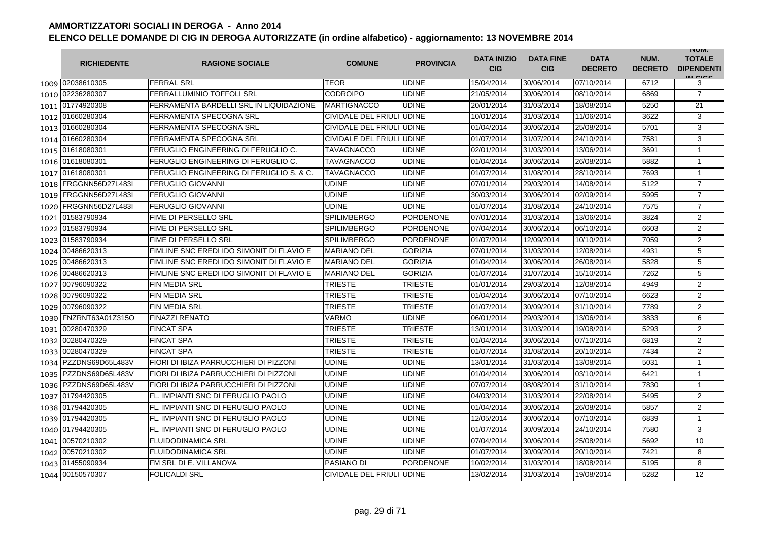|      | <b>RICHIEDENTE</b> | <b>RAGIONE SOCIALE</b>                    | <b>COMUNE</b>             | <b>PROVINCIA</b> | <b>DATA INIZIO</b><br><b>CIG</b> | <b>DATA FINE</b><br><b>CIG</b> | <b>DATA</b><br><b>DECRETO</b> | NUM.<br><b>DECRETO</b> | <b>INUIVI.</b><br><b>TOTALE</b><br><b>DIPENDENTI</b><br>IN CIGO |
|------|--------------------|-------------------------------------------|---------------------------|------------------|----------------------------------|--------------------------------|-------------------------------|------------------------|-----------------------------------------------------------------|
|      | 1009 02038610305   | <b>FERRAL SRL</b>                         | TEOR                      | <b>UDINE</b>     | 15/04/2014                       | 30/06/2014                     | 07/10/2014                    | 6712                   | 3                                                               |
| 1010 | 02236280307        | FERRALLUMINIO TOFFOLI SRL                 | <b>CODROIPO</b>           | <b>UDINE</b>     | 21/05/2014                       | 30/06/2014                     | 08/10/2014                    | 6869                   | $\overline{7}$                                                  |
|      | 1011 01774920308   | FERRAMENTA BARDELLI SRL IN LIQUIDAZIONE   | <b>MARTIGNACCO</b>        | <b>UDINE</b>     | 20/01/2014                       | 31/03/2014                     | 18/08/2014                    | 5250                   | 21                                                              |
|      | 1012 01660280304   | FERRAMENTA SPECOGNA SRL                   | CIVIDALE DEL FRIULI UDINE |                  | 10/01/2014                       | 31/03/2014                     | 11/06/2014                    | 3622                   | 3                                                               |
|      | 1013 01660280304   | FERRAMENTA SPECOGNA SRL                   | CIVIDALE DEL FRIULI UDINE |                  | 01/04/2014                       | 30/06/2014                     | 25/08/2014                    | 5701                   | 3                                                               |
|      | 1014 01660280304   | FERRAMENTA SPECOGNA SRL                   | CIVIDALE DEL FRIULI UDINE |                  | 01/07/2014                       | 31/07/2014                     | 24/10/2014                    | 7581                   | 3                                                               |
|      | 1015 01618080301   | FERUGLIO ENGINEERING DI FERUGLIO C.       | TAVAGNACCO                | <b>UDINE</b>     | 02/01/2014                       | 31/03/2014                     | 13/06/2014                    | 3691                   | $\mathbf{1}$                                                    |
|      | 1016 01618080301   | FERUGLIO ENGINEERING DI FERUGLIO C.       | TAVAGNACCO                | <b>UDINE</b>     | 01/04/2014                       | 30/06/2014                     | 26/08/2014                    | 5882                   | $\mathbf{1}$                                                    |
|      | 1017 01618080301   | FERUGLIO ENGINEERING DI FERUGLIO S. & C.  | TAVAGNACCO                | <b>UDINE</b>     | 01/07/2014                       | 31/08/2014                     | 28/10/2014                    | 7693                   | $\mathbf{1}$                                                    |
| 1018 | FRGGNN56D27L483I   | <b>FERUGLIO GIOVANNI</b>                  | <b>UDINE</b>              | <b>UDINE</b>     | 07/01/2014                       | 29/03/2014                     | 14/08/2014                    | 5122                   | $\overline{7}$                                                  |
| 1019 | FRGGNN56D27L483I   | <b>FERUGLIO GIOVANNI</b>                  | UDINE                     | <b>UDINE</b>     | 30/03/2014                       | 30/06/2014                     | 02/09/2014                    | 5995                   | $\overline{7}$                                                  |
| 1020 | FRGGNN56D27L483I   | <b>FERUGLIO GIOVANNI</b>                  | <b>UDINE</b>              | <b>UDINE</b>     | 01/07/2014                       | 31/08/2014                     | 24/10/2014                    | 7575                   | $\overline{7}$                                                  |
| 1021 | 01583790934        | <b>FIME DI PERSELLO SRL</b>               | <b>SPILIMBERGO</b>        | <b>PORDENONE</b> | 07/01/2014                       | 31/03/2014                     | 13/06/2014                    | 3824                   | $\overline{2}$                                                  |
| 1022 | 01583790934        | <b>FIME DI PERSELLO SRL</b>               | <b>SPILIMBERGO</b>        | <b>PORDENONE</b> | 07/04/2014                       | 30/06/2014                     | 06/10/2014                    | 6603                   | $\overline{2}$                                                  |
| 1023 | 01583790934        | FIME DI PERSELLO SRL                      | <b>SPILIMBERGO</b>        | <b>PORDENONE</b> | 01/07/2014                       | 12/09/2014                     | 10/10/2014                    | 7059                   | $\overline{2}$                                                  |
| 1024 | 00486620313        | FIMLINE SNC EREDI IDO SIMONIT DI FLAVIO E | <b>MARIANO DEL</b>        | <b>GORIZIA</b>   | 07/01/2014                       | 31/03/2014                     | 12/08/2014                    | 4931                   | 5                                                               |
| 1025 | 00486620313        | FIMLINE SNC EREDI IDO SIMONIT DI FLAVIO E | <b>MARIANO DEL</b>        | <b>GORIZIA</b>   | 01/04/2014                       | 30/06/2014                     | 26/08/2014                    | 5828                   | $\overline{5}$                                                  |
|      | 1026 00486620313   | FIMLINE SNC EREDI IDO SIMONIT DI FLAVIO E | <b>MARIANO DEL</b>        | <b>GORIZIA</b>   | 01/07/2014                       | 31/07/2014                     | 15/10/2014                    | 7262                   | 5                                                               |
| 1027 | 00796090322        | <b>FIN MEDIA SRL</b>                      | <b>TRIESTE</b>            | <b>TRIESTE</b>   | 01/01/2014                       | 29/03/2014                     | 12/08/2014                    | 4949                   | 2                                                               |
| 1028 | 00796090322        | <b>FIN MEDIA SRL</b>                      | TRIESTE                   | <b>TRIESTE</b>   | 01/04/2014                       | 30/06/2014                     | 07/10/2014                    | 6623                   | 2                                                               |
| 1029 | 00796090322        | <b>FIN MEDIA SRL</b>                      | TRIESTE                   | <b>TRIESTE</b>   | 01/07/2014                       | 30/09/2014                     | 31/10/2014                    | 7789                   | $\overline{2}$                                                  |
| 1030 | FNZRNT63A01Z315O   | <b>FINAZZI RENATO</b>                     | VARMO                     | <b>UDINE</b>     | 06/01/2014                       | 29/03/2014                     | 13/06/2014                    | 3833                   | 6                                                               |
| 1031 | 00280470329        | <b>FINCAT SPA</b>                         | <b>TRIESTE</b>            | <b>TRIESTE</b>   | 13/01/2014                       | 31/03/2014                     | 19/08/2014                    | 5293                   | $\overline{2}$                                                  |
| 1032 | 00280470329        | <b>FINCAT SPA</b>                         | TRIESTE                   | <b>TRIESTE</b>   | 01/04/2014                       | 30/06/2014                     | 07/10/2014                    | 6819                   | $\overline{c}$                                                  |
| 1033 | 00280470329        | <b>FINCAT SPA</b>                         | <b>TRIESTE</b>            | <b>TRIESTE</b>   | 01/07/2014                       | 31/08/2014                     | 20/10/2014                    | 7434                   | 2                                                               |
| 1034 | PZZDNS69D65L483V   | FIORI DI IBIZA PARRUCCHIERI DI PIZZONI    | UDINE                     | <b>UDINE</b>     | 13/01/2014                       | 31/03/2014                     | 13/08/2014                    | 5031                   | 1                                                               |
| 1035 | PZZDNS69D65L483V   | FIORI DI IBIZA PARRUCCHIERI DI PIZZONI    | UDINE                     | <b>UDINE</b>     | 01/04/2014                       | 30/06/2014                     | 03/10/2014                    | 6421                   | $\mathbf{1}$                                                    |
| 1036 | PZZDNS69D65L483V   | FIORI DI IBIZA PARRUCCHIERI DI PIZZONI    | UDINE                     | <b>UDINE</b>     | 07/07/2014                       | 08/08/2014                     | 31/10/2014                    | 7830                   | $\mathbf{1}$                                                    |
|      | 1037 01794420305   | FL. IMPIANTI SNC DI FERUGLIO PAOLO        | UDINE                     | <b>UDINE</b>     | 04/03/2014                       | 31/03/2014                     | 22/08/2014                    | 5495                   | 2                                                               |
|      | 1038 01794420305   | FL. IMPIANTI SNC DI FERUGLIO PAOLO        | UDINE                     | <b>UDINE</b>     | 01/04/2014                       | 30/06/2014                     | 26/08/2014                    | 5857                   | $\overline{2}$                                                  |
|      | 1039 01794420305   | FL. IMPIANTI SNC DI FERUGLIO PAOLO        | UDINE                     | <b>UDINE</b>     | 12/05/2014                       | 30/06/2014                     | 07/10/2014                    | 6839                   | 1                                                               |
|      | 1040 01794420305   | FL. IMPIANTI SNC DI FERUGLIO PAOLO        | UDINE                     | <b>UDINE</b>     | 01/07/2014                       | 30/09/2014                     | 24/10/2014                    | 7580                   | 3                                                               |
|      | 1041 00570210302   | <b>FLUIDODINAMICA SRL</b>                 | UDINE                     | <b>UDINE</b>     | 07/04/2014                       | 30/06/2014                     | 25/08/2014                    | 5692                   | 10                                                              |
|      | 1042 00570210302   | <b>FLUIDODINAMICA SRL</b>                 | UDINE                     | <b>UDINE</b>     | 01/07/2014                       | 30/09/2014                     | 20/10/2014                    | 7421                   | 8                                                               |
| 1043 | 01455090934        | FM SRL DI E. VILLANOVA                    | PASIANO DI                | <b>PORDENONE</b> | 10/02/2014                       | 31/03/2014                     | 18/08/2014                    | 5195                   | 8                                                               |
|      | 1044 00150570307   | <b>FOLICALDI SRL</b>                      | CIVIDALE DEL FRIULI UDINE |                  | 13/02/2014                       | 31/03/2014                     | 19/08/2014                    | 5282                   | 12                                                              |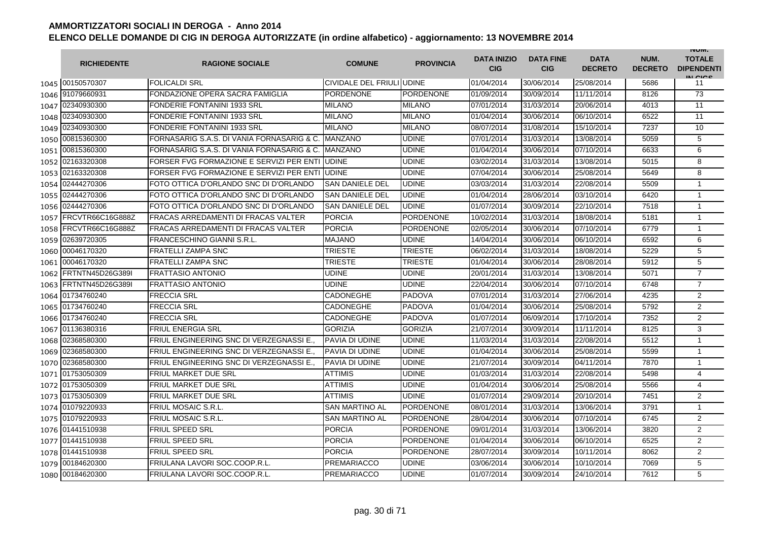|      | <b>RICHIEDENTE</b>    | <b>RAGIONE SOCIALE</b>                     | <b>COMUNE</b>             | <b>PROVINCIA</b> | <b>DATA INIZIO</b><br><b>CIG</b> | <b>DATA FINE</b><br><b>CIG</b> | <b>DATA</b><br><b>DECRETO</b> | NUM.<br><b>DECRETO</b> | <b>INUIVI.</b><br><b>TOTALE</b><br><b>DIPENDENTI</b><br>IN CICE |
|------|-----------------------|--------------------------------------------|---------------------------|------------------|----------------------------------|--------------------------------|-------------------------------|------------------------|-----------------------------------------------------------------|
|      | 1045 00150570307      | <b>FOLICALDI SRL</b>                       | CIVIDALE DEL FRIULI UDINE |                  | 01/04/2014                       | 30/06/2014                     | 25/08/2014                    | 5686                   | 11                                                              |
|      | 1046 91079660931      | FONDAZIONE OPERA SACRA FAMIGLIA            | <b>PORDENONE</b>          | <b>PORDENONE</b> | 01/09/2014                       | 30/09/2014                     | 11/11/2014                    | 8126                   | 73                                                              |
|      | 1047 02340930300      | FONDERIE FONTANINI 1933 SRL                | <b>MILANO</b>             | <b>MILANO</b>    | 07/01/2014                       | 31/03/2014                     | 20/06/2014                    | 4013                   | 11                                                              |
|      | 1048 02340930300      | <b>FONDERIE FONTANINI 1933 SRL</b>         | <b>MILANO</b>             | <b>MILANO</b>    | 01/04/2014                       | 30/06/2014                     | 06/10/2014                    | 6522                   | 11                                                              |
|      | 1049 02340930300      | <b>FONDERIE FONTANINI 1933 SRL</b>         | <b>MILANO</b>             | <b>MILANO</b>    | 08/07/2014                       | 31/08/2014                     | 15/10/2014                    | 7237                   | 10                                                              |
|      | 1050 00815360300      | FORNASARIG S.A.S. DI VANIA FORNASARIG & C. | <b>MANZANO</b>            | <b>UDINE</b>     | 07/01/2014                       | 31/03/2014                     | 13/08/2014                    | 5059                   | 5                                                               |
|      | 1051 00815360300      | FORNASARIG S.A.S. DI VANIA FORNASARIG & C. | <b>MANZANO</b>            | <b>UDINE</b>     | 01/04/2014                       | 30/06/2014                     | 07/10/2014                    | 6633                   | 6                                                               |
|      | 1052 02163320308      | FORSER FVG FORMAZIONE E SERVIZI PER ENTI   | <b>UDINE</b>              | <b>UDINE</b>     | 03/02/2014                       | 31/03/2014                     | 13/08/2014                    | 5015                   | 8                                                               |
|      | 1053 02163320308      | FORSER FVG FORMAZIONE E SERVIZI PER ENT    | <b>UDINE</b>              | <b>UDINE</b>     | 07/04/2014                       | 30/06/2014                     | 25/08/2014                    | 5649                   | 8                                                               |
| 1054 | 02444270306           | FOTO OTTICA D'ORLANDO SNC DI D'ORLANDO     | <b>SAN DANIELE DEL</b>    | <b>UDINE</b>     | 03/03/2014                       | 31/03/2014                     | 22/08/2014                    | 5509                   | $\mathbf 1$                                                     |
| 1055 | 02444270306           | FOTO OTTICA D'ORLANDO SNC DI D'ORLANDO     | <b>SAN DANIELE DEL</b>    | <b>UDINE</b>     | 01/04/2014                       | 28/06/2014                     | 03/10/2014                    | 6420                   | $\mathbf{1}$                                                    |
| 1056 | 02444270306           | FOTO OTTICA D'ORLANDO SNC DI D'ORLANDO     | <b>SAN DANIELE DEL</b>    | <b>UDINE</b>     | 01/07/2014                       | 30/09/2014                     | 22/10/2014                    | 7518                   | $\mathbf{1}$                                                    |
| 1057 | FRCVTR66C16G888Z      | <b>FRACAS ARREDAMENTI DI FRACAS VALTER</b> | <b>PORCIA</b>             | <b>PORDENONE</b> | 10/02/2014                       | 31/03/2014                     | 18/08/2014                    | 5181                   | $\mathbf{1}$                                                    |
| 1058 | FRCVTR66C16G888Z      | <b>FRACAS ARREDAMENTI DI FRACAS VALTER</b> | <b>PORCIA</b>             | <b>PORDENONE</b> | 02/05/2014                       | 30/06/2014                     | 07/10/2014                    | 6779                   | $\mathbf{1}$                                                    |
| 1059 | 02639720305           | <b>FRANCESCHINO GIANNI S.R.L.</b>          | MAJANO                    | <b>UDINE</b>     | 14/04/2014                       | 30/06/2014                     | 06/10/2014                    | 6592                   | 6                                                               |
| 1060 | 00046170320           | <b>FRATELLI ZAMPA SNC</b>                  | TRIESTE                   | <b>TRIESTE</b>   | 06/02/2014                       | 31/03/2014                     | 18/08/2014                    | 5229                   | 5                                                               |
| 1061 | 00046170320           | <b>FRATELLI ZAMPA SNC</b>                  | TRIESTE                   | <b>TRIESTE</b>   | 01/04/2014                       | 30/06/2014                     | 28/08/2014                    | 5912                   | 5                                                               |
|      | 1062 FRTNTN45D26G389I | <b>FRATTASIO ANTONIO</b>                   | <b>UDINE</b>              | <b>UDINE</b>     | 20/01/2014                       | 31/03/2014                     | 13/08/2014                    | 5071                   | $\overline{7}$                                                  |
| 1063 | FRTNTN45D26G389I      | <b>FRATTASIO ANTONIO</b>                   | <b>UDINE</b>              | <b>UDINE</b>     | 22/04/2014                       | 30/06/2014                     | 07/10/2014                    | 6748                   | $\overline{7}$                                                  |
|      | 1064 01734760240      | <b>FRECCIA SRL</b>                         | <b>CADONEGHE</b>          | <b>PADOVA</b>    | 07/01/2014                       | 31/03/2014                     | 27/06/2014                    | 4235                   | $\overline{2}$                                                  |
|      | 1065 01734760240      | <b>FRECCIA SRL</b>                         | <b>CADONEGHE</b>          | <b>PADOVA</b>    | 01/04/2014                       | 30/06/2014                     | 25/08/2014                    | 5792                   | $\overline{2}$                                                  |
|      | 1066 01734760240      | <b>FRECCIA SRL</b>                         | <b>CADONEGHE</b>          | <b>PADOVA</b>    | 01/07/2014                       | 06/09/2014                     | 17/10/2014                    | 7352                   | $\overline{2}$                                                  |
| 1067 | 01136380316           | <b>FRIUL ENERGIA SRL</b>                   | <b>GORIZIA</b>            | <b>GORIZIA</b>   | 21/07/2014                       | 30/09/2014                     | 11/11/2014                    | 8125                   | 3                                                               |
| 1068 | 02368580300           | FRIUL ENGINEERING SNC DI VERZEGNASSI E.    | PAVIA DI UDINE            | <b>UDINE</b>     | 11/03/2014                       | 31/03/2014                     | 22/08/2014                    | 5512                   | $\mathbf{1}$                                                    |
| 1069 | 02368580300           | FRIUL ENGINEERING SNC DI VERZEGNASSI E.    | PAVIA DI UDINE            | <b>UDINE</b>     | 01/04/2014                       | 30/06/2014                     | 25/08/2014                    | 5599                   | $\mathbf{1}$                                                    |
| 1070 | 02368580300           | FRIUL ENGINEERING SNC DI VERZEGNASSI E.    | PAVIA DI UDINE            | <b>UDINE</b>     | 21/07/2014                       | 30/09/2014                     | 04/11/2014                    | 7870                   | $\mathbf{1}$                                                    |
| 1071 | 01753050309           | <b>FRIUL MARKET DUE SRL</b>                | ATTIMIS                   | <b>UDINE</b>     | 01/03/2014                       | 31/03/2014                     | 22/08/2014                    | 5498                   | 4                                                               |
|      | 1072 01753050309      | <b>FRIUL MARKET DUE SRL</b>                | ATTIMIS                   | <b>UDINE</b>     | 01/04/2014                       | 30/06/2014                     | 25/08/2014                    | 5566                   | 4                                                               |
|      | 1073 01753050309      | <b>FRIUL MARKET DUE SRL</b>                | <b>ATTIMIS</b>            | <b>UDINE</b>     | 01/07/2014                       | 29/09/2014                     | 20/10/2014                    | 7451                   | 2                                                               |
|      | 1074 01079220933      | FRIUL MOSAIC S.R.L.                        | <b>SAN MARTINO AL</b>     | <b>PORDENONE</b> | 08/01/2014                       | 31/03/2014                     | 13/06/2014                    | 3791                   | $\mathbf{1}$                                                    |
|      | 1075 01079220933      | FRIUL MOSAIC S.R.L.                        | <b>SAN MARTINO AL</b>     | <b>PORDENONE</b> | 28/04/2014                       | 30/06/2014                     | 07/10/2014                    | 6745                   | 2                                                               |
|      | 1076 01441510938      | <b>FRIUL SPEED SRL</b>                     | <b>PORCIA</b>             | <b>PORDENONE</b> | 09/01/2014                       | 31/03/2014                     | 13/06/2014                    | 3820                   | 2                                                               |
|      | 1077 01441510938      | <b>FRIUL SPEED SRL</b>                     | <b>PORCIA</b>             | <b>PORDENONE</b> | 01/04/2014                       | 30/06/2014                     | 06/10/2014                    | 6525                   | $\overline{2}$                                                  |
|      | 1078 01441510938      | <b>FRIUL SPEED SRL</b>                     | <b>PORCIA</b>             | <b>PORDENONE</b> | 28/07/2014                       | 30/09/2014                     | 10/11/2014                    | 8062                   | $\overline{2}$                                                  |
|      | 1079 00184620300      | FRIULANA LAVORI SOC.COOP.R.L.              | <b>PREMARIACCO</b>        | <b>UDINE</b>     | 03/06/2014                       | 30/06/2014                     | 10/10/2014                    | 7069                   | 5                                                               |
| 1080 | 00184620300           | FRIULANA LAVORI SOC.COOP.R.L.              | <b>PREMARIACCO</b>        | <b>UDINE</b>     | 01/07/2014                       | 30/09/2014                     | 24/10/2014                    | 7612                   | 5                                                               |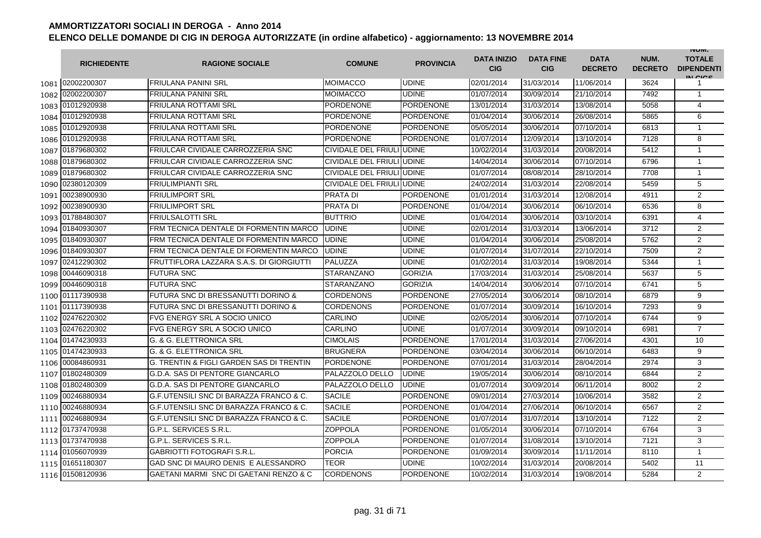|      | <b>RICHIEDENTE</b> | <b>RAGIONE SOCIALE</b>                   | <b>COMUNE</b>              | <b>PROVINCIA</b> | <b>DATA INIZIO</b><br><b>CIG</b> | <b>DATA FINE</b><br><b>CIG</b> | <b>DATA</b><br><b>DECRETO</b> | NUM.<br><b>DECRETO</b> | <b>INUIVI.</b><br><b>TOTALE</b><br><b>DIPENDENTI</b><br>IN CIGO |
|------|--------------------|------------------------------------------|----------------------------|------------------|----------------------------------|--------------------------------|-------------------------------|------------------------|-----------------------------------------------------------------|
|      | 1081 02002200307   | <b>FRIULANA PANINI SRL</b>               | <b>MOIMACCO</b>            | <b>UDINE</b>     | 02/01/2014                       | 31/03/2014                     | 11/06/2014                    | 3624                   | 1                                                               |
| 1082 | 02002200307        | <b>FRIULANA PANINI SRL</b>               | <b>MOIMACCO</b>            | <b>UDINE</b>     | 01/07/2014                       | 30/09/2014                     | 21/10/2014                    | 7492                   | $\mathbf{1}$                                                    |
| 1083 | 01012920938        | <b>FRIULANA ROTTAMI SRL</b>              | <b>PORDENONE</b>           | <b>PORDENONE</b> | 13/01/2014                       | 31/03/2014                     | 13/08/2014                    | 5058                   | $\overline{4}$                                                  |
| 1084 | 01012920938        | <b>FRIULANA ROTTAMI SRL</b>              | PORDENONE                  | PORDENONE        | 01/04/2014                       | 30/06/2014                     | 26/08/2014                    | 5865                   | 6                                                               |
| 1085 | 01012920938        | <b>FRIULANA ROTTAMI SRL</b>              | PORDENONE                  | PORDENONE        | 05/05/2014                       | 30/06/2014                     | 07/10/2014                    | 6813                   | $\mathbf{1}$                                                    |
| 1086 | 01012920938        | <b>FRIULANA ROTTAMI SRL</b>              | <b>PORDENONE</b>           | <b>PORDENONE</b> | 01/07/2014                       | 12/09/2014                     | 13/10/2014                    | 7128                   | 8                                                               |
| 1087 | 01879680302        | <b>FRIULCAR CIVIDALE CARROZZERIA SNC</b> | <b>CIVIDALE DEL FRIULI</b> | <b>UDINE</b>     | 10/02/2014                       | 31/03/2014                     | 20/08/2014                    | 5412                   | $\mathbf{1}$                                                    |
| 1088 | 01879680302        | <b>FRIULCAR CIVIDALE CARROZZERIA SNC</b> | CIVIDALE DEL FRIULI UDINE  |                  | 14/04/2014                       | 30/06/2014                     | 07/10/2014                    | 6796                   | $\mathbf{1}$                                                    |
| 1089 | 01879680302        | <b>FRIULCAR CIVIDALE CARROZZERIA SNC</b> | CIVIDALE DEL FRIULI UDINE  |                  | 01/07/2014                       | 08/08/2014                     | 28/10/2014                    | 7708                   | $\mathbf{1}$                                                    |
| 1090 | 02380120309        | <b>FRIULIMPIANTI SRL</b>                 | CIVIDALE DEL FRIULI UDINE  |                  | 24/02/2014                       | 31/03/2014                     | 22/08/2014                    | 5459                   | 5                                                               |
| 1091 | 00238900930        | <b>FRIULIMPORT SRL</b>                   | <b>PRATA DI</b>            | <b>PORDENONE</b> | 01/01/2014                       | 31/03/2014                     | 12/08/2014                    | 4911                   | $\overline{2}$                                                  |
| 1092 | 00238900930        | <b>FRIULIMPORT SRL</b>                   | <b>PRATA DI</b>            | <b>PORDENONE</b> | 01/04/2014                       | 30/06/2014                     | 06/10/2014                    | 6536                   | 8                                                               |
| 1093 | 01788480307        | <b>FRIULSALOTTI SRL</b>                  | <b>BUTTRIO</b>             | <b>UDINE</b>     | 01/04/2014                       | 30/06/2014                     | 03/10/2014                    | 6391                   | 4                                                               |
| 1094 | 01840930307        | FRM TECNICA DENTALE DI FORMENTIN MARCO   | <b>UDINE</b>               | UDINE            | 02/01/2014                       | 31/03/2014                     | 13/06/2014                    | 3712                   | $\overline{2}$                                                  |
| 1095 | 01840930307        | FRM TECNICA DENTALE DI FORMENTIN MARCO   | <b>UDINE</b>               | UDINE            | 01/04/2014                       | 30/06/2014                     | 25/08/2014                    | 5762                   | 2                                                               |
| 1096 | 01840930307        | FRM TECNICA DENTALE DI FORMENTIN MARCO   | <b>UDINE</b>               | <b>UDINE</b>     | 01/07/2014                       | 31/07/2014                     | 22/10/2014                    | 7509                   | $\overline{2}$                                                  |
| 1097 | 02412290302        | FRUTTIFLORA LAZZARA S.A.S. DI GIORGIUTTI | PALUZZA                    | <b>UDINE</b>     | 01/02/2014                       | 31/03/2014                     | 19/08/2014                    | 5344                   | $\mathbf{1}$                                                    |
| 1098 | 00446090318        | <b>FUTURA SNC</b>                        | STARANZANO                 | <b>GORIZIA</b>   | 17/03/2014                       | 31/03/2014                     | 25/08/2014                    | 5637                   | $\overline{5}$                                                  |
| 1099 | 00446090318        | <b>FUTURA SNC</b>                        | <b>STARANZANO</b>          | <b>GORIZIA</b>   | 14/04/2014                       | 30/06/2014                     | 07/10/2014                    | 6741                   | 5                                                               |
| 1100 | 01117390938        | FUTURA SNC DI BRESSANUTTI DORINO &       | <b>CORDENONS</b>           | <b>PORDENONE</b> | 27/05/2014                       | 30/06/2014                     | 08/10/2014                    | 6879                   | 9                                                               |
| 1101 | 01117390938        | FUTURA SNC DI BRESSANUTTI DORINO &       | <b>CORDENONS</b>           | <b>PORDENONE</b> | 01/07/2014                       | 30/09/2014                     | 16/10/2014                    | 7293                   | 9                                                               |
| 1102 | 02476220302        | <b>FVG ENERGY SRL A SOCIO UNICO</b>      | <b>CARLINO</b>             | <b>UDINE</b>     | 02/05/2014                       | 30/06/2014                     | 07/10/2014                    | 6744                   | 9                                                               |
| 1103 | 02476220302        | <b>FVG ENERGY SRL A SOCIO UNICO</b>      | CARLINO                    | <b>UDINE</b>     | 01/07/2014                       | 30/09/2014                     | 09/10/2014                    | 6981                   | $\overline{7}$                                                  |
| 1104 | 01474230933        | G. & G. ELETTRONICA SRL                  | <b>CIMOLAIS</b>            | <b>PORDENONE</b> | 17/01/2014                       | 31/03/2014                     | 27/06/2014                    | 4301                   | 10                                                              |
| 1105 | 01474230933        | G. & G. ELETTRONICA SRL                  | <b>BRUGNERA</b>            | <b>PORDENONE</b> | 03/04/2014                       | 30/06/2014                     | 06/10/2014                    | 6483                   | 9                                                               |
| 1106 | 00084860931        | G. TRENTIN & FIGLI GARDEN SAS DI TRENTIN | <b>PORDENONE</b>           | <b>PORDENONE</b> | 07/01/2014                       | 31/03/2014                     | 28/04/2014                    | 2974                   | 3                                                               |
| 1107 | 01802480309        | G.D.A. SAS DI PENTORE GIANCARLO          | PALAZZOLO DELLO            | <b>UDINE</b>     | 19/05/2014                       | 30/06/2014                     | 08/10/2014                    | 6844                   | $\overline{2}$                                                  |
| 1108 | 01802480309        | G.D.A. SAS DI PENTORE GIANCARLO          | PALAZZOLO DELLO            | <b>UDINE</b>     | 01/07/2014                       | 30/09/2014                     | 06/11/2014                    | 8002                   | $\overline{2}$                                                  |
| 1109 | 00246880934        | G.F.UTENSILI SNC DI BARAZZA FRANCO & C.  | <b>SACILE</b>              | PORDENONE        | 09/01/2014                       | 27/03/2014                     | 10/06/2014                    | 3582                   | 2                                                               |
| 1110 | 00246880934        | G.F.UTENSILI SNC DI BARAZZA FRANCO & C.  | <b>SACILE</b>              | PORDENONE        | 01/04/2014                       | 27/06/2014                     | 06/10/2014                    | 6567                   | $\overline{2}$                                                  |
| 1111 | 00246880934        | G.F.UTENSILI SNC DI BARAZZA FRANCO & C.  | <b>SACILE</b>              | PORDENONE        | 01/07/2014                       | 31/07/2014                     | 13/10/2014                    | 7122                   | $\overline{2}$                                                  |
|      | 1112 01737470938   | G.P.L. SERVICES S.R.L.                   | <b>ZOPPOLA</b>             | <b>PORDENONE</b> | 01/05/2014                       | 30/06/2014                     | 07/10/2014                    | 6764                   | 3                                                               |
|      | 1113 01737470938   | G.P.L. SERVICES S.R.L                    | <b>ZOPPOLA</b>             | <b>PORDENONE</b> | 01/07/2014                       | 31/08/2014                     | 13/10/2014                    | 7121                   | 3                                                               |
| 1114 | 01056070939        | <b>GABRIOTTI FOTOGRAFI S.R.L</b>         | <b>PORCIA</b>              | <b>PORDENONE</b> | 01/09/2014                       | 30/09/2014                     | 11/11/2014                    | 8110                   | $\mathbf{1}$                                                    |
| 1115 | 01651180307        | GAD SNC DI MAURO DENIS E ALESSANDRO      | TEOR                       | UDINE            | 10/02/2014                       | 31/03/2014                     | 20/08/2014                    | 5402                   | 11                                                              |
|      | 1116 01508120936   | GAETANI MARMI SNC DI GAETANI RENZO & C   | <b>CORDENONS</b>           | <b>PORDENONE</b> | 10/02/2014                       | 31/03/2014                     | 19/08/2014                    | 5284                   | $\overline{2}$                                                  |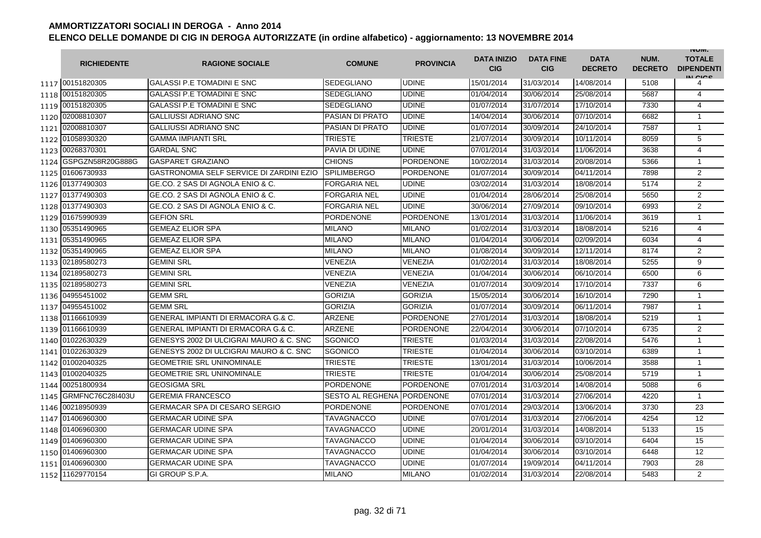|      | <b>RICHIEDENTE</b> | <b>RAGIONE SOCIALE</b>                   | <b>COMUNE</b>              | <b>PROVINCIA</b> | <b>DATA INIZIO</b><br><b>CIG</b> | <b>DATA FINE</b><br><b>CIG</b> | <b>DATA</b><br><b>DECRETO</b> | NUM.<br><b>DECRETO</b> | <b>INUIVI.</b><br><b>TOTALE</b><br><b>DIPENDENTI</b><br>IN CIGO |
|------|--------------------|------------------------------------------|----------------------------|------------------|----------------------------------|--------------------------------|-------------------------------|------------------------|-----------------------------------------------------------------|
|      | 1117 00151820305   | <b>GALASSI P.E TOMADINI E SNC</b>        | <b>SEDEGLIANO</b>          | <b>UDINE</b>     | 15/01/2014                       | 31/03/2014                     | 14/08/2014                    | 5108                   | 4                                                               |
|      | 1118 00151820305   | <b>GALASSI P.E TOMADINI E SNC</b>        | <b>SEDEGLIANO</b>          | <b>UDINE</b>     | 01/04/2014                       | 30/06/2014                     | 25/08/2014                    | 5687                   | 4                                                               |
|      | 1119 00151820305   | <b>GALASSI P.E TOMADINI E SNC</b>        | <b>SEDEGLIANO</b>          | <b>UDINE</b>     | 01/07/2014                       | 31/07/2014                     | 17/10/2014                    | 7330                   | $\overline{4}$                                                  |
|      | 1120 02008810307   | <b>GALLIUSSI ADRIANO SNC</b>             | PASIAN DI PRATO            | <b>UDINE</b>     | 14/04/2014                       | 30/06/2014                     | 07/10/2014                    | 6682                   | $\mathbf{1}$                                                    |
|      | 1121 02008810307   | <b>GALLIUSSI ADRIANO SNC</b>             | <b>PASIAN DI PRATO</b>     | <b>UDINE</b>     | 01/07/2014                       | 30/09/2014                     | 24/10/2014                    | 7587                   | $\mathbf{1}$                                                    |
|      | 1122 01058930320   | <b>GAMMA IMPIANTI SRL</b>                | <b>TRIESTE</b>             | <b>TRIESTE</b>   | 21/07/2014                       | 30/09/2014                     | 10/11/2014                    | 8059                   | 5                                                               |
|      | 1123 00268370301   | <b>GARDAL SNC</b>                        | PAVIA DI UDINE             | <b>UDINE</b>     | 07/01/2014                       | 31/03/2014                     | 11/06/2014                    | 3638                   | 4                                                               |
| 1124 | GSPGZN58R20G888G   | <b>GASPARET GRAZIANO</b>                 | <b>CHIONS</b>              | <b>PORDENONE</b> | 10/02/2014                       | 31/03/2014                     | 20/08/2014                    | 5366                   | $\mathbf{1}$                                                    |
|      | 1125 01606730933   | GASTRONOMIA SELF SERVICE DI ZARDINI EZIO | <b>SPILIMBERGO</b>         | <b>PORDENONE</b> | 01/07/2014                       | 30/09/2014                     | 04/11/2014                    | 7898                   | $\overline{2}$                                                  |
|      | 1126 01377490303   | GE.CO. 2 SAS DI AGNOLA ENIO & C.         | FORGARIA NEL               | <b>UDINE</b>     | 03/02/2014                       | 31/03/2014                     | 18/08/2014                    | 5174                   | $\overline{2}$                                                  |
| 1127 | 01377490303        | GE.CO. 2 SAS DI AGNOLA ENIO & C.         | <b>FORGARIA NEL</b>        | <b>UDINE</b>     | 01/04/2014                       | 28/06/2014                     | 25/08/2014                    | 5650                   | $\overline{2}$                                                  |
| 1128 | 01377490303        | GE.CO. 2 SAS DI AGNOLA ENIO & C.         | <b>FORGARIA NEL</b>        | <b>UDINE</b>     | 30/06/2014                       | 27/09/2014                     | 09/10/2014                    | 6993                   | 2                                                               |
| 1129 | 01675990939        | <b>GEFION SRL</b>                        | <b>PORDENONE</b>           | <b>PORDENONE</b> | 13/01/2014                       | 31/03/2014                     | 11/06/2014                    | 3619                   | $\mathbf{1}$                                                    |
| 1130 | 05351490965        | <b>GEMEAZ ELIOR SPA</b>                  | MILANO                     | <b>MILANO</b>    | 01/02/2014                       | 31/03/2014                     | 18/08/2014                    | 5216                   | 4                                                               |
| 1131 | 05351490965        | <b>GEMEAZ ELIOR SPA</b>                  | MILANO                     | <b>MILANO</b>    | 01/04/2014                       | 30/06/2014                     | 02/09/2014                    | 6034                   | 4                                                               |
| 1132 | 05351490965        | <b>GEMEAZ ELIOR SPA</b>                  | <b>MILANO</b>              | <b>MILANO</b>    | 01/08/2014                       | 30/09/2014                     | 12/11/2014                    | 8174                   | $\overline{2}$                                                  |
|      | 1133 02189580273   | <b>GEMINI SRL</b>                        | VENEZIA                    | VENEZIA          | 01/02/2014                       | 31/03/2014                     | 18/08/2014                    | 5255                   | 9                                                               |
|      | 1134 02189580273   | <b>GEMINI SRL</b>                        | VENEZIA                    | VENEZIA          | 01/04/2014                       | 30/06/2014                     | 06/10/2014                    | 6500                   | $\overline{6}$                                                  |
|      | 1135 02189580273   | <b>GEMINI SRL</b>                        | VENEZIA                    | <b>VENEZIA</b>   | 01/07/2014                       | 30/09/2014                     | 17/10/2014                    | 7337                   | 6                                                               |
|      | 1136 04955451002   | <b>GEMM SRL</b>                          | <b>GORIZIA</b>             | <b>GORIZIA</b>   | 15/05/2014                       | 30/06/2014                     | 16/10/2014                    | 7290                   | $\mathbf{1}$                                                    |
| 1137 | 04955451002        | <b>GEMM SRL</b>                          | <b>GORIZIA</b>             | <b>GORIZIA</b>   | 01/07/2014                       | 30/09/2014                     | 06/11/2014                    | 7987                   | $\mathbf{1}$                                                    |
| 1138 | 01166610939        | GENERAL IMPIANTI DI ERMACORA G.& C.      | <b>ARZENE</b>              | <b>PORDENONE</b> | 27/01/2014                       | 31/03/2014                     | 18/08/2014                    | 5219                   | $\mathbf{1}$                                                    |
|      | 1139 01166610939   | GENERAL IMPIANTI DI ERMACORA G.& C.      | ARZENE                     | <b>PORDENONE</b> | 22/04/2014                       | 30/06/2014                     | 07/10/2014                    | 6735                   | $\overline{2}$                                                  |
|      | 1140 01022630329   | GENESYS 2002 DI ULCIGRAI MAURO & C. SNC  | SGONICO                    | <b>TRIESTE</b>   | 01/03/2014                       | 31/03/2014                     | 22/08/2014                    | 5476                   | 1                                                               |
| 1141 | 01022630329        | GENESYS 2002 DI ULCIGRAI MAURO & C. SNC  | SGONICO                    | <b>TRIESTE</b>   | 01/04/2014                       | 30/06/2014                     | 03/10/2014                    | 6389                   | $\mathbf{1}$                                                    |
| 1142 | 01002040325        | <b>GEOMETRIE SRL UNINOMINALE</b>         | <b>TRIESTE</b>             | <b>TRIESTE</b>   | 13/01/2014                       | 31/03/2014                     | 10/06/2014                    | 3588                   | $\mathbf{1}$                                                    |
| 1143 | 01002040325        | <b>GEOMETRIE SRL UNINOMINALE</b>         | TRIESTE                    | <b>TRIESTE</b>   | 01/04/2014                       | 30/06/2014                     | 25/08/2014                    | 5719                   | $\mathbf{1}$                                                    |
| 1144 | 00251800934        | <b>GEOSIGMA SRL</b>                      | <b>PORDENONE</b>           | <b>PORDENONE</b> | 07/01/2014                       | 31/03/2014                     | 14/08/2014                    | 5088                   | 6                                                               |
| 1145 | GRMFNC76C28I403U   | <b>GEREMIA FRANCESCO</b>                 | SESTO AL REGHENA PORDENONE |                  | 07/01/2014                       | 31/03/2014                     | 27/06/2014                    | 4220                   | $\mathbf{1}$                                                    |
|      | 1146 00218950939   | GERMACAR SPA DI CESARO SERGIO            | PORDENONE                  | <b>PORDENONE</b> | 07/01/2014                       | 29/03/2014                     | 13/06/2014                    | 3730                   | 23                                                              |
|      | 1147 01406960300   | <b>GERMACAR UDINE SPA</b>                | TAVAGNACCO                 | <b>UDINE</b>     | 07/01/2014                       | 31/03/2014                     | 27/06/2014                    | 4254                   | 12                                                              |
|      | 1148 01406960300   | <b>GERMACAR UDINE SPA</b>                | <b>TAVAGNACCO</b>          | <b>UDINE</b>     | 20/01/2014                       | 31/03/2014                     | 14/08/2014                    | 5133                   | 15                                                              |
|      | 1149 01406960300   | <b>GERMACAR UDINE SPA</b>                | <b>TAVAGNACCO</b>          | <b>UDINE</b>     | 01/04/2014                       | 30/06/2014                     | 03/10/2014                    | 6404                   | 15                                                              |
|      | 1150 01406960300   | <b>GERMACAR UDINE SPA</b>                | TAVAGNACCO                 | <b>UDINE</b>     | 01/04/2014                       | 30/06/2014                     | 03/10/2014                    | 6448                   | 12                                                              |
|      | 1151 01406960300   | <b>GERMACAR UDINE SPA</b>                | <b>TAVAGNACCO</b>          | <b>UDINE</b>     | 01/07/2014                       | 19/09/2014                     | 04/11/2014                    | 7903                   | 28                                                              |
| 1152 | 11629770154        | GI GROUP S.P.A.                          | <b>MILANO</b>              | <b>MILANO</b>    | 01/02/2014                       | 31/03/2014                     | 22/08/2014                    | 5483                   | $\overline{2}$                                                  |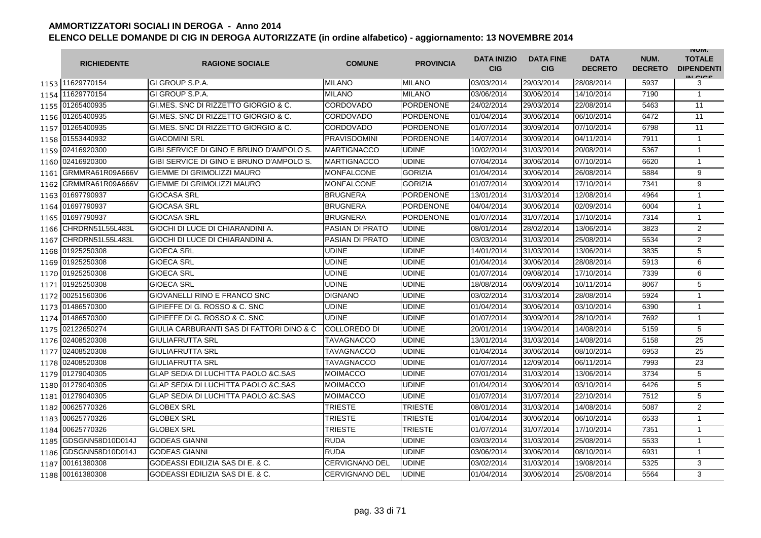|        | <b>RICHIEDENTE</b> | <b>RAGIONE SOCIALE</b>                         | <b>COMUNE</b>          | <b>PROVINCIA</b> | <b>DATA INIZIO</b><br><b>CIG</b> | <b>DATA FINE</b><br><b>CIG</b> | <b>DATA</b><br><b>DECRETO</b> | NUM.<br><b>DECRETO</b> | <b>INUIVI.</b><br><b>TOTALE</b><br><b>DIPENDENTI</b><br>IN CICS |
|--------|--------------------|------------------------------------------------|------------------------|------------------|----------------------------------|--------------------------------|-------------------------------|------------------------|-----------------------------------------------------------------|
|        | 1153 11629770154   | GI GROUP S.P.A.                                | <b>MILANO</b>          | <b>MILANO</b>    | 03/03/2014                       | 29/03/2014                     | 28/08/2014                    | 5937                   | 3                                                               |
| 1154 l | 11629770154        | GI GROUP S.P.A.                                | <b>MILANO</b>          | <b>MILANO</b>    | 03/06/2014                       | 30/06/2014                     | 14/10/2014                    | 7190                   | $\mathbf{1}$                                                    |
|        | 1155 01265400935   | GI.MES. SNC DI RIZZETTO GIORGIO & C.           | CORDOVADO              | <b>PORDENONE</b> | 24/02/2014                       | 29/03/2014                     | 22/08/2014                    | 5463                   | 11                                                              |
|        | 1156 01265400935   | GLMES, SNC DI RIZZETTO GIORGIO & C.            | CORDOVADO              | <b>PORDENONE</b> | 01/04/2014                       | 30/06/2014                     | 06/10/2014                    | 6472                   | 11                                                              |
|        | 1157 01265400935   | GI.MES. SNC DI RIZZETTO GIORGIO & C.           | CORDOVADO              | <b>PORDENONE</b> | 01/07/2014                       | 30/09/2014                     | 07/10/2014                    | 6798                   | 11                                                              |
|        | 1158 01553440932   | <b>GIACOMINI SRL</b>                           | <b>PRAVISDOMINI</b>    | <b>PORDENONE</b> | 14/07/2014                       | 30/09/2014                     | 04/11/2014                    | 7911                   | $\mathbf{1}$                                                    |
| 1159   | 02416920300        | GIBI SERVICE DI GINO E BRUNO D'AMPOLO S.       | <b>MARTIGNACCO</b>     | <b>UDINE</b>     | 10/02/2014                       | 31/03/2014                     | 20/08/2014                    | 5367                   | $\mathbf{1}$                                                    |
|        | 1160 02416920300   | GIBI SERVICE DI GINO E BRUNO D'AMPOLO S.       | <b>MARTIGNACCO</b>     | <b>UDINE</b>     | 07/04/2014                       | 30/06/2014                     | 07/10/2014                    | 6620                   | 1                                                               |
| 1161   | GRMMRA61R09A666V   | <b>GIEMME DI GRIMOLIZZI MAURO</b>              | <b>MONFALCONE</b>      | <b>GORIZIA</b>   | 01/04/2014                       | 30/06/2014                     | 26/08/2014                    | 5884                   | 9                                                               |
| 1162   | GRMMRA61R09A666V   | <b>GIEMME DI GRIMOLIZZI MAURO</b>              | <b>MONFALCONE</b>      | <b>GORIZIA</b>   | 01/07/2014                       | 30/09/2014                     | 17/10/2014                    | 7341                   | 9                                                               |
| 1163   | 01697790937        | <b>GIOCASA SRL</b>                             | BRUGNERA               | <b>PORDENONE</b> | 13/01/2014                       | 31/03/2014                     | 12/08/2014                    | 4964                   | $\mathbf{1}$                                                    |
|        | 1164 01697790937   | <b>GIOCASA SRL</b>                             | BRUGNERA               | <b>PORDENONE</b> | 04/04/2014                       | 30/06/2014                     | 02/09/2014                    | 6004                   | $\mathbf{1}$                                                    |
|        | 1165 01697790937   | <b>GIOCASA SRL</b>                             | <b>BRUGNERA</b>        | <b>PORDENONE</b> | 01/07/2014                       | 31/07/2014                     | 17/10/2014                    | 7314                   | $\mathbf{1}$                                                    |
| 1166   | CHRDRN51L55L483L   | GIOCHI DI LUCE DI CHIARANDINI A.               | PASIAN DI PRATO        | <b>UDINE</b>     | 08/01/2014                       | 28/02/2014                     | 13/06/2014                    | 3823                   | $\overline{2}$                                                  |
| 1167   | CHRDRN51L55L483L   | GIOCHI DI LUCE DI CHIARANDINI A.               | <b>PASIAN DI PRATO</b> | <b>UDINE</b>     | 03/03/2014                       | 31/03/2014                     | 25/08/2014                    | 5534                   | 2                                                               |
| 1168   | 01925250308        | <b>GIOECA SRL</b>                              | UDINE                  | <b>UDINE</b>     | 14/01/2014                       | 31/03/2014                     | 13/06/2014                    | 3835                   | 5                                                               |
| 1169   | 01925250308        | <b>GIOECA SRL</b>                              | <b>UDINE</b>           | <b>UDINE</b>     | 01/04/2014                       | 30/06/2014                     | 28/08/2014                    | 5913                   | 6                                                               |
| 1170   | 01925250308        | <b>GIOECA SRL</b>                              | <b>UDINE</b>           | <b>UDINE</b>     | 01/07/2014                       | 09/08/2014                     | 17/10/2014                    | 7339                   | 6                                                               |
|        | 1171 01925250308   | <b>GIOECA SRL</b>                              | <b>UDINE</b>           | <b>UDINE</b>     | 18/08/2014                       | 06/09/2014                     | 10/11/2014                    | 8067                   | 5                                                               |
| 1172   | 00251560306        | GIOVANELLI RINO E FRANCO SNC                   | <b>DIGNANO</b>         | <b>UDINE</b>     | 03/02/2014                       | 31/03/2014                     | 28/08/2014                    | 5924                   | $\mathbf{1}$                                                    |
| 1173   | 01486570300        | GIPIEFFE DI G. ROSSO & C. SNC                  | UDINE                  | <b>UDINE</b>     | 01/04/2014                       | 30/06/2014                     | 03/10/2014                    | 6390                   | $\mathbf{1}$                                                    |
|        | 1174 01486570300   | GIPIEFFE DI G. ROSSO & C. SNC                  | UDINE                  | <b>UDINE</b>     | 01/07/2014                       | 30/09/2014                     | 28/10/2014                    | 7692                   | $\mathbf{1}$                                                    |
| 1175   | 02122650274        | GIULIA CARBURANTI SAS DI FATTORI DINO & C      | COLLOREDO DI           | <b>UDINE</b>     | 20/01/2014                       | 19/04/2014                     | 14/08/2014                    | 5159                   | 5                                                               |
|        | 1176 02408520308   | <b>GIULIAFRUTTA SRL</b>                        | TAVAGNACCO             | <b>UDINE</b>     | 13/01/2014                       | 31/03/2014                     | 14/08/2014                    | 5158                   | 25                                                              |
|        | 1177 02408520308   | <b>GIULIAFRUTTA SRL</b>                        | TAVAGNACCO             | <b>UDINE</b>     | 01/04/2014                       | 30/06/2014                     | 08/10/2014                    | 6953                   | 25                                                              |
|        | 1178 02408520308   | <b>GIULIAFRUTTA SRL</b>                        | <b>TAVAGNACCO</b>      | <b>UDINE</b>     | 01/07/2014                       | 12/09/2014                     | 06/11/2014                    | 7993                   | 23                                                              |
|        | 1179 01279040305   | GLAP SEDIA DI LUCHITTA PAOLO & C.SAS           | <b>MOIMACCO</b>        | <b>UDINE</b>     | 07/01/2014                       | 31/03/2014                     | 13/06/2014                    | 3734                   | 5                                                               |
|        | 1180 01279040305   | <b>GLAP SEDIA DI LUCHITTA PAOLO &amp;C.SAS</b> | MOIMACCO               | <b>UDINE</b>     | 01/04/2014                       | 30/06/2014                     | 03/10/2014                    | 6426                   | 5                                                               |
| 1181   | 01279040305        | <b>GLAP SEDIA DI LUCHITTA PAOLO &amp;C.SAS</b> | <b>MOIMACCO</b>        | <b>UDINE</b>     | 01/07/2014                       | 31/07/2014                     | 22/10/2014                    | 7512                   | 5                                                               |
| 1182   | 00625770326        | <b>GLOBEX SRL</b>                              | <b>TRIESTE</b>         | <b>TRIESTE</b>   | 08/01/2014                       | 31/03/2014                     | 14/08/2014                    | 5087                   | $\overline{2}$                                                  |
| 1183   | 00625770326        | <b>GLOBEX SRL</b>                              | TRIESTE                | <b>TRIESTE</b>   | 01/04/2014                       | 30/06/2014                     | 06/10/2014                    | 6533                   | 1                                                               |
| 1184   | 00625770326        | <b>GLOBEX SRL</b>                              | TRIESTE                | <b>TRIESTE</b>   | 01/07/2014                       | 31/07/2014                     | 17/10/2014                    | 7351                   | $\mathbf{1}$                                                    |
| 1185   | GDSGNN58D10D014J   | <b>GODEAS GIANNI</b>                           | RUDA                   | <b>UDINE</b>     | 03/03/2014                       | 31/03/2014                     | 25/08/2014                    | 5533                   | $\mathbf{1}$                                                    |
| 1186   | GDSGNN58D10D014J   | <b>GODEAS GIANNI</b>                           | <b>RUDA</b>            | <b>UDINE</b>     | 03/06/2014                       | 30/06/2014                     | 08/10/2014                    | 6931                   | $\mathbf{1}$                                                    |
| 1187   | 00161380308        | GODEASSI EDILIZIA SAS DI E. & C.               | <b>CERVIGNANO DEL</b>  | <b>UDINE</b>     | 03/02/2014                       | 31/03/2014                     | 19/08/2014                    | 5325                   | 3                                                               |
|        | 1188 00161380308   | GODEASSI EDILIZIA SAS DI E. & C.               | CERVIGNANO DEL         | <b>UDINE</b>     | 01/04/2014                       | 30/06/2014                     | 25/08/2014                    | 5564                   | 3                                                               |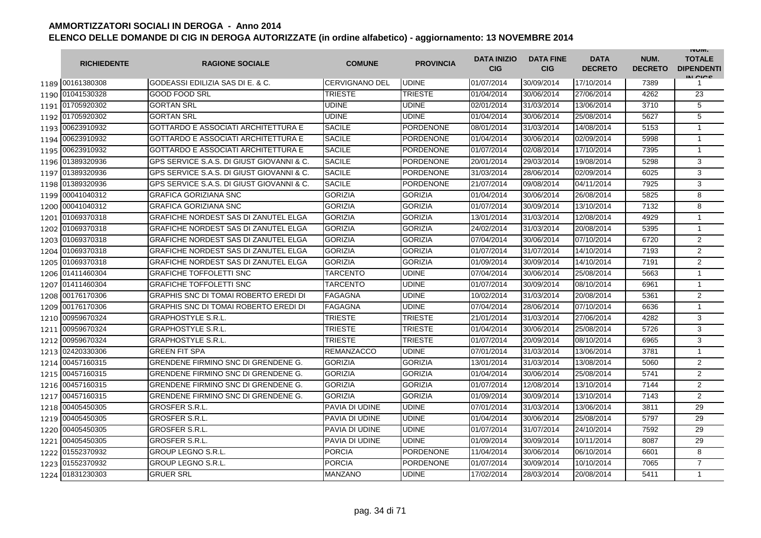|      | <b>RICHIEDENTE</b> | <b>RAGIONE SOCIALE</b>                       | <b>COMUNE</b>         | <b>PROVINCIA</b> | <b>DATA INIZIO</b><br><b>CIG</b> | <b>DATA FINE</b><br><b>CIG</b> | <b>DATA</b><br><b>DECRETO</b> | NUM.<br><b>DECRETO</b> | <b>INUIVI.</b><br><b>TOTALE</b><br><b>DIPENDENTI</b><br>IN CIGO |
|------|--------------------|----------------------------------------------|-----------------------|------------------|----------------------------------|--------------------------------|-------------------------------|------------------------|-----------------------------------------------------------------|
|      | 1189 00161380308   | GODEASSI EDILIZIA SAS DI E. & C.             | <b>CERVIGNANO DEL</b> | <b>UDINE</b>     | 01/07/2014                       | 30/09/2014                     | 17/10/2014                    | 7389                   | 1                                                               |
|      | 1190 01041530328   | <b>GOOD FOOD SRL</b>                         | <b>TRIESTE</b>        | <b>TRIESTE</b>   | 01/04/2014                       | 30/06/2014                     | 27/06/2014                    | 4262                   | 23                                                              |
|      | 1191 01705920302   | <b>GORTAN SRL</b>                            | <b>UDINE</b>          | <b>UDINE</b>     | 02/01/2014                       | 31/03/2014                     | 13/06/2014                    | 3710                   | 5                                                               |
|      | 1192 01705920302   | <b>GORTAN SRL</b>                            | <b>UDINE</b>          | <b>UDINE</b>     | 01/04/2014                       | 30/06/2014                     | 25/08/2014                    | 5627                   | 5                                                               |
|      | 1193 00623910932   | <b>GOTTARDO E ASSOCIATI ARCHITETTURA E</b>   | <b>SACILE</b>         | <b>PORDENONE</b> | 08/01/2014                       | 31/03/2014                     | 14/08/2014                    | 5153                   | $\mathbf{1}$                                                    |
|      | 1194 00623910932   | <b>GOTTARDO E ASSOCIATI ARCHITETTURA E</b>   | <b>SACILE</b>         | <b>PORDENONE</b> | 01/04/2014                       | 30/06/2014                     | 02/09/2014                    | 5998                   | $\mathbf{1}$                                                    |
|      | 1195 00623910932   | <b>GOTTARDO E ASSOCIATI ARCHITETTURA E</b>   | <b>SACILE</b>         | <b>PORDENONE</b> | 01/07/2014                       | 02/08/2014                     | 17/10/2014                    | 7395                   | $\mathbf{1}$                                                    |
|      | 1196 01389320936   | GPS SERVICE S.A.S. DI GIUST GIOVANNI & C.    | <b>SACILE</b>         | <b>PORDENONE</b> | 20/01/2014                       | 29/03/2014                     | 19/08/2014                    | 5298                   | 3                                                               |
|      | 1197 01389320936   | GPS SERVICE S.A.S. DI GIUST GIOVANNI & C.    | <b>SACILE</b>         | <b>PORDENONE</b> | 31/03/2014                       | 28/06/2014                     | 02/09/2014                    | 6025                   | 3                                                               |
|      | 1198 01389320936   | GPS SERVICE S.A.S. DI GIUST GIOVANNI & C.    | <b>SACILE</b>         | <b>PORDENONE</b> | 21/07/2014                       | 09/08/2014                     | 04/11/2014                    | 7925                   | 3                                                               |
| 1199 | 00041040312        | <b>GRAFICA GORIZIANA SNC</b>                 | <b>GORIZIA</b>        | <b>GORIZIA</b>   | 01/04/2014                       | 30/06/2014                     | 26/08/2014                    | 5825                   | 8                                                               |
| 1200 | 00041040312        | <b>GRAFICA GORIZIANA SNC</b>                 | <b>GORIZIA</b>        | <b>GORIZIA</b>   | 01/07/2014                       | 30/09/2014                     | 13/10/2014                    | 7132                   | 8                                                               |
| 1201 | 01069370318        | <b>GRAFICHE NORDEST SAS DI ZANUTEL ELGA</b>  | <b>GORIZIA</b>        | <b>GORIZIA</b>   | 13/01/2014                       | 31/03/2014                     | 12/08/2014                    | 4929                   | $\mathbf{1}$                                                    |
| 1202 | 01069370318        | <b>GRAFICHE NORDEST SAS DI ZANUTEL ELGA</b>  | <b>GORIZIA</b>        | <b>GORIZIA</b>   | 24/02/2014                       | 31/03/2014                     | 20/08/2014                    | 5395                   | $\mathbf{1}$                                                    |
| 1203 | 01069370318        | <b>GRAFICHE NORDEST SAS DI ZANUTEL ELGA</b>  | <b>GORIZIA</b>        | <b>GORIZIA</b>   | 07/04/2014                       | 30/06/2014                     | 07/10/2014                    | 6720                   | 2                                                               |
| 1204 | 01069370318        | <b>GRAFICHE NORDEST SAS DI ZANUTEL ELGA</b>  | <b>GORIZIA</b>        | <b>GORIZIA</b>   | 01/07/2014                       | 31/07/2014                     | 14/10/2014                    | 7193                   | $\overline{2}$                                                  |
|      | 1205 01069370318   | <b>GRAFICHE NORDEST SAS DI ZANUTEL ELGA</b>  | <b>GORIZIA</b>        | <b>GORIZIA</b>   | 01/09/2014                       | 30/09/2014                     | 14/10/2014                    | 7191                   | $\overline{2}$                                                  |
|      | 1206 01411460304   | <b>GRAFICHE TOFFOLETTI SNC</b>               | TARCENTO              | <b>UDINE</b>     | 07/04/2014                       | 30/06/2014                     | 25/08/2014                    | 5663                   | $\mathbf{1}$                                                    |
|      | 1207 01411460304   | <b>GRAFICHE TOFFOLETTI SNC</b>               | <b>TARCENTO</b>       | <b>UDINE</b>     | 01/07/2014                       | 30/09/2014                     | 08/10/2014                    | 6961                   | $\mathbf{1}$                                                    |
|      | 1208 00176170306   | <b>GRAPHIS SNC DI TOMAI ROBERTO EREDI DI</b> | <b>FAGAGNA</b>        | <b>UDINE</b>     | 10/02/2014                       | 31/03/2014                     | 20/08/2014                    | 5361                   | $\overline{2}$                                                  |
| 1209 | 00176170306        | <b>GRAPHIS SNC DI TOMAI ROBERTO EREDI DI</b> | <b>FAGAGNA</b>        | <b>UDINE</b>     | 07/04/2014                       | 28/06/2014                     | 07/10/2014                    | 6636                   | $\mathbf{1}$                                                    |
| 1210 | 00959670324        | <b>GRAPHOSTYLE S.R.L.</b>                    | <b>TRIESTE</b>        | <b>TRIESTE</b>   | 21/01/2014                       | 31/03/2014                     | 27/06/2014                    | 4282                   | 3                                                               |
| 1211 | 00959670324        | <b>GRAPHOSTYLE S.R.L.</b>                    | <b>TRIESTE</b>        | <b>TRIESTE</b>   | 01/04/2014                       | 30/06/2014                     | 25/08/2014                    | 5726                   | 3                                                               |
| 1212 | 00959670324        | <b>GRAPHOSTYLE S.R.L.</b>                    | TRIESTE               | <b>TRIESTE</b>   | 01/07/2014                       | 20/09/2014                     | 08/10/2014                    | 6965                   | 3                                                               |
|      | 1213 02420330306   | <b>GREEN FIT SPA</b>                         | <b>REMANZACCO</b>     | <b>UDINE</b>     | 07/01/2014                       | 31/03/2014                     | 13/06/2014                    | 3781                   | $\mathbf{1}$                                                    |
| 1214 | 00457160315        | <b>GRENDENE FIRMINO SNC DI GRENDENE G.</b>   | <b>GORIZIA</b>        | <b>GORIZIA</b>   | 13/01/2014                       | 31/03/2014                     | 13/08/2014                    | 5060                   | $\overline{2}$                                                  |
| 1215 | 00457160315        | <b>GRENDENE FIRMINO SNC DI GRENDENE G.</b>   | <b>GORIZIA</b>        | <b>GORIZIA</b>   | 01/04/2014                       | 30/06/2014                     | 25/08/2014                    | 5741                   | $\overline{2}$                                                  |
|      | 1216 00457160315   | <b>GRENDENE FIRMINO SNC DI GRENDENE G.</b>   | <b>GORIZIA</b>        | <b>GORIZIA</b>   | 01/07/2014                       | 12/08/2014                     | 13/10/2014                    | 7144                   | 2                                                               |
|      | 1217 00457160315   | <b>GRENDENE FIRMINO SNC DI GRENDENE G.</b>   | <b>GORIZIA</b>        | <b>GORIZIA</b>   | 01/09/2014                       | 30/09/2014                     | 13/10/2014                    | 7143                   | 2                                                               |
|      | 1218 00405450305   | <b>GROSFER S.R.L.</b>                        | PAVIA DI UDINE        | <b>UDINE</b>     | 07/01/2014                       | 31/03/2014                     | 13/06/2014                    | 3811                   | 29                                                              |
|      | 1219 00405450305   | <b>GROSFER S.R.L.</b>                        | PAVIA DI UDINE        | <b>UDINE</b>     | 01/04/2014                       | 30/06/2014                     | 25/08/2014                    | 5797                   | 29                                                              |
|      | 1220 00405450305   | <b>GROSFER S.R.L.</b>                        | PAVIA DI UDINE        | <b>UDINE</b>     | 01/07/2014                       | 31/07/2014                     | 24/10/2014                    | 7592                   | 29                                                              |
|      | 1221 00405450305   | <b>GROSFER S.R.L.</b>                        | PAVIA DI UDINE        | <b>UDINE</b>     | 01/09/2014                       | 30/09/2014                     | 10/11/2014                    | 8087                   | 29                                                              |
|      | 1222 01552370932   | <b>GROUP LEGNO S.R.L.</b>                    | <b>PORCIA</b>         | <b>PORDENONE</b> | 11/04/2014                       | 30/06/2014                     | 06/10/2014                    | 6601                   | 8                                                               |
|      | 1223 01552370932   | <b>GROUP LEGNO S.R.L.</b>                    | <b>PORCIA</b>         | <b>PORDENONE</b> | 01/07/2014                       | 30/09/2014                     | 10/10/2014                    | 7065                   | $\overline{7}$                                                  |
|      | 1224 01831230303   | <b>GRUER SRL</b>                             | <b>MANZANO</b>        | <b>UDINE</b>     | 17/02/2014                       | 28/03/2014                     | 20/08/2014                    | 5411                   | $\mathbf{1}$                                                    |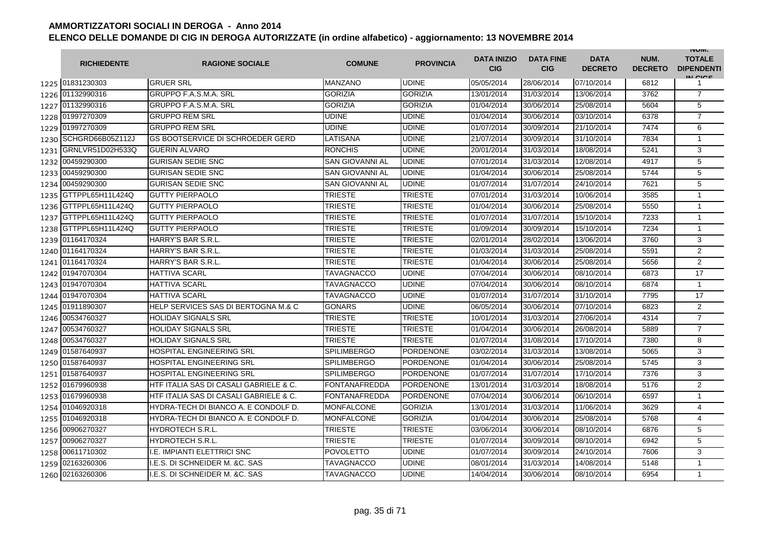|      | <b>RICHIEDENTE</b> | <b>RAGIONE SOCIALE</b>                  | <b>COMUNE</b>          | <b>PROVINCIA</b> | <b>DATA INIZIO</b><br><b>CIG</b> | <b>DATA FINE</b><br><b>CIG</b> | <b>DATA</b><br><b>DECRETO</b> | NUM.<br><b>DECRETO</b> | <b>INUIVI.</b><br><b>TOTALE</b><br><b>DIPENDENTI</b><br>IN CICE |
|------|--------------------|-----------------------------------------|------------------------|------------------|----------------------------------|--------------------------------|-------------------------------|------------------------|-----------------------------------------------------------------|
|      | 1225 01831230303   | <b>GRUER SRL</b>                        | <b>MANZANO</b>         | <b>UDINE</b>     | 05/05/2014                       | 28/06/2014                     | 07/10/2014                    | 6812                   |                                                                 |
| 1226 | 01132990316        | <b>GRUPPO F.A.S.M.A. SRL</b>            | <b>GORIZIA</b>         | <b>GORIZIA</b>   | 13/01/2014                       | 31/03/2014                     | 13/06/2014                    | 3762                   | $\overline{7}$                                                  |
| 1227 | 01132990316        | <b>GRUPPO F.A.S.M.A. SRL</b>            | <b>GORIZIA</b>         | <b>GORIZIA</b>   | 01/04/2014                       | 30/06/2014                     | 25/08/2014                    | 5604                   | 5                                                               |
| 1228 | 01997270309        | <b>GRUPPO REM SRL</b>                   | <b>UDINE</b>           | <b>UDINE</b>     | 01/04/2014                       | 30/06/2014                     | 03/10/2014                    | 6378                   | $\overline{7}$                                                  |
| 1229 | 01997270309        | <b>GRUPPO REM SRL</b>                   | <b>UDINE</b>           | <b>UDINE</b>     | 01/07/2014                       | 30/09/2014                     | 21/10/2014                    | 7474                   | 6                                                               |
| 1230 | SCHGRD66B05Z112J   | <b>GS BOOTSERVICE DI SCHROEDER GERD</b> | LATISANA               | <b>UDINE</b>     | 21/07/2014                       | 30/09/2014                     | 31/10/2014                    | 7834                   | $\mathbf{1}$                                                    |
| 1231 | GRNLVR51D02H533Q   | <b>GUERIN ALVARO</b>                    | <b>RONCHIS</b>         | <b>UDINE</b>     | 20/01/2014                       | 31/03/2014                     | 18/08/2014                    | 5241                   | 3                                                               |
| 1232 | 00459290300        | <b>GURISAN SEDIE SNC</b>                | <b>SAN GIOVANNI AL</b> | <b>UDINE</b>     | 07/01/2014                       | 31/03/2014                     | 12/08/2014                    | 4917                   | 5                                                               |
| 1233 | 00459290300        | <b>GURISAN SEDIE SNC</b>                | <b>SAN GIOVANNI AL</b> | <b>UDINE</b>     | 01/04/2014                       | 30/06/2014                     | 25/08/2014                    | 5744                   | 5                                                               |
| 1234 | 00459290300        | <b>GURISAN SEDIE SNC</b>                | <b>SAN GIOVANNI AL</b> | <b>UDINE</b>     | 01/07/2014                       | 31/07/2014                     | 24/10/2014                    | 7621                   | 5                                                               |
| 1235 | GTTPPL65H11L424Q   | <b>GUTTY PIERPAOLO</b>                  | <b>TRIESTE</b>         | <b>TRIESTE</b>   | 07/01/2014                       | 31/03/2014                     | 10/06/2014                    | 3585                   | $\mathbf 1$                                                     |
| 1236 | GTTPPL65H11L424Q   | <b>GUTTY PIERPAOLO</b>                  | TRIESTE                | <b>TRIESTE</b>   | 01/04/2014                       | 30/06/2014                     | 25/08/2014                    | 5550                   | $\overline{1}$                                                  |
| 1237 | GTTPPL65H11L424Q   | <b>GUTTY PIERPAOLO</b>                  | TRIESTE                | <b>TRIESTE</b>   | 01/07/2014                       | 31/07/2014                     | 15/10/2014                    | 7233                   | $\overline{1}$                                                  |
| 1238 | GTTPPL65H11L424Q   | <b>GUTTY PIERPAOLO</b>                  | TRIESTE                | <b>TRIESTE</b>   | 01/09/2014                       | 30/09/2014                     | 15/10/2014                    | 7234                   | $\overline{1}$                                                  |
| 1239 | 01164170324        | HARRY'S BAR S.R.L.                      | TRIESTE                | <b>TRIESTE</b>   | 02/01/2014                       | 28/02/2014                     | 13/06/2014                    | 3760                   | 3                                                               |
| 1240 | 01164170324        | HARRY'S BAR S.R.L.                      | TRIESTE                | <b>TRIESTE</b>   | 01/03/2014                       | 31/03/2014                     | 25/08/2014                    | 5591                   | $\overline{2}$                                                  |
| 1241 | 01164170324        | HARRY'S BAR S.R.L.                      | TRIESTE                | <b>TRIESTE</b>   | 01/04/2014                       | 30/06/2014                     | 25/08/2014                    | 5656                   | $\overline{2}$                                                  |
| 1242 | 01947070304        | <b>HATTIVA SCARL</b>                    | TAVAGNACCO             | <b>UDINE</b>     | 07/04/2014                       | 30/06/2014                     | 08/10/2014                    | 6873                   | 17                                                              |
| 1243 | 01947070304        | <b>HATTIVA SCARL</b>                    | TAVAGNACCO             | <b>UDINE</b>     | 07/04/2014                       | 30/06/2014                     | 08/10/2014                    | 6874                   | $\overline{1}$                                                  |
| 1244 | 01947070304        | <b>HATTIVA SCARL</b>                    | <b>TAVAGNACCO</b>      | <b>UDINE</b>     | 01/07/2014                       | 31/07/2014                     | 31/10/2014                    | 7795                   | 17                                                              |
| 1245 | 01911890307        | HELP SERVICES SAS DI BERTOGNA M.& C     | <b>GONARS</b>          | <b>UDINE</b>     | 06/05/2014                       | 30/06/2014                     | 07/10/2014                    | 6823                   | $\overline{2}$                                                  |
| 1246 | 00534760327        | <b>HOLIDAY SIGNALS SRL</b>              | <b>TRIESTE</b>         | <b>TRIESTE</b>   | 10/01/2014                       | 31/03/2014                     | 27/06/2014                    | 4314                   | $\overline{7}$                                                  |
| 1247 | 00534760327        | <b>HOLIDAY SIGNALS SRL</b>              | <b>TRIESTE</b>         | <b>TRIESTE</b>   | 01/04/2014                       | 30/06/2014                     | 26/08/2014                    | 5889                   | $\overline{7}$                                                  |
| 1248 | 00534760327        | <b>HOLIDAY SIGNALS SRL</b>              | <b>TRIESTE</b>         | <b>TRIESTE</b>   | 01/07/2014                       | 31/08/2014                     | 17/10/2014                    | 7380                   | 8                                                               |
| 1249 | 01587640937        | HOSPITAL ENGINEERING SRL                | <b>SPILIMBERGO</b>     | <b>PORDENONE</b> | 03/02/2014                       | 31/03/2014                     | 13/08/2014                    | 5065                   | 3                                                               |
| 1250 | 01587640937        | <b>HOSPITAL ENGINEERING SRL</b>         | <b>SPILIMBERGO</b>     | <b>PORDENONE</b> | 01/04/2014                       | 30/06/2014                     | 25/08/2014                    | 5745                   | 3                                                               |
| 1251 | 01587640937        | <b>HOSPITAL ENGINEERING SRL</b>         | <b>SPILIMBERGO</b>     | <b>PORDENONE</b> | 01/07/2014                       | 31/07/2014                     | 17/10/2014                    | 7376                   | 3                                                               |
| 1252 | 01679960938        | HTF ITALIA SAS DI CASALI GABRIELE & C.  | <b>FONTANAFREDDA</b>   | <b>PORDENONE</b> | 13/01/2014                       | 31/03/2014                     | 18/08/2014                    | 5176                   | 2                                                               |
| 1253 | 01679960938        | HTF ITALIA SAS DI CASALI GABRIELE & C.  | <b>FONTANAFREDDA</b>   | <b>PORDENONE</b> | 07/04/2014                       | 30/06/2014                     | 06/10/2014                    | 6597                   | $\mathbf{1}$                                                    |
| 1254 | 01046920318        | HYDRA-TECH DI BIANCO A. E CONDOLF D.    | <b>MONFALCONE</b>      | <b>GORIZIA</b>   | 13/01/2014                       | 31/03/2014                     | 11/06/2014                    | 3629                   | 4                                                               |
| 1255 | 01046920318        | HYDRA-TECH DI BIANCO A. E CONDOLF D.    | <b>MONFALCONE</b>      | <b>GORIZIA</b>   | 01/04/2014                       | 30/06/2014                     | 25/08/2014                    | 5768                   | $\overline{4}$                                                  |
| 1256 | 00906270327        | <b>HYDROTECH S.R.L.</b>                 | <b>TRIESTE</b>         | <b>TRIESTE</b>   | 03/06/2014                       | 30/06/2014                     | 08/10/2014                    | 6876                   | 5                                                               |
| 1257 | 00906270327        | <b>HYDROTECH S.R.L.</b>                 | <b>TRIESTE</b>         | <b>TRIESTE</b>   | 01/07/2014                       | 30/09/2014                     | 08/10/2014                    | 6942                   | 5                                                               |
| 1258 | 00611710302        | I.E. IMPIANTI ELETTRICI SNC             | <b>POVOLETTO</b>       | <b>UDINE</b>     | 01/07/2014                       | 30/09/2014                     | 24/10/2014                    | 7606                   | 3                                                               |
| 1259 | 02163260306        | LE.S. DI SCHNEIDER M. &C. SAS           | TAVAGNACCO             | <b>UDINE</b>     | 08/01/2014                       | 31/03/2014                     | 14/08/2014                    | 5148                   | $\mathbf{1}$                                                    |
| 1260 | 02163260306        | LE.S. DI SCHNEIDER M. &C. SAS           | TAVAGNACCO             | <b>UDINE</b>     | 14/04/2014                       | 30/06/2014                     | 08/10/2014                    | 6954                   | $\mathbf{1}$                                                    |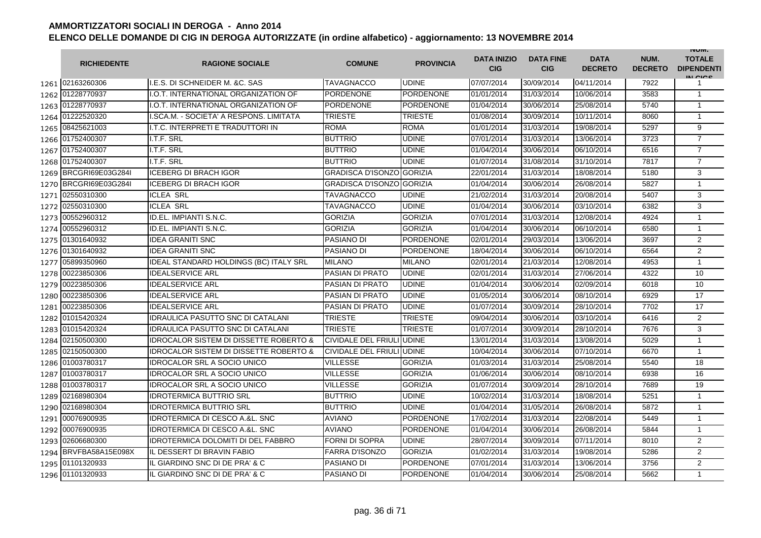|      | <b>RICHIEDENTE</b>    | <b>RAGIONE SOCIALE</b>                            | <b>COMUNE</b>                    | <b>PROVINCIA</b> | <b>DATA INIZIO</b><br><b>CIG</b> | <b>DATA FINE</b><br><b>CIG</b> | <b>DATA</b><br><b>DECRETO</b> | NUM.<br><b>DECRETO</b> | <b>INUIVI.</b><br><b>TOTALE</b><br><b>DIPENDENTI</b><br>IN CICS |
|------|-----------------------|---------------------------------------------------|----------------------------------|------------------|----------------------------------|--------------------------------|-------------------------------|------------------------|-----------------------------------------------------------------|
|      | 1261 02163260306      | I.E.S. DI SCHNEIDER M. & C. SAS                   | <b>TAVAGNACCO</b>                | <b>UDINE</b>     | 07/07/2014                       | 30/09/2014                     | 04/11/2014                    | 7922                   | 1                                                               |
|      | 1262 01228770937      | I.O.T. INTERNATIONAL ORGANIZATION OF              | PORDENONE                        | <b>PORDENONE</b> | 01/01/2014                       | 31/03/2014                     | 10/06/2014                    | 3583                   | $\mathbf{1}$                                                    |
|      | 1263 01228770937      | I.O.T. INTERNATIONAL ORGANIZATION OF              | <b>PORDENONE</b>                 | <b>PORDENONE</b> | 01/04/2014                       | 30/06/2014                     | 25/08/2014                    | 5740                   | 1                                                               |
|      | 1264 01222520320      | I.SCA.M. - SOCIETA' A RESPONS. LIMITATA           | <b>TRIESTE</b>                   | <b>TRIESTE</b>   | 01/08/2014                       | 30/09/2014                     | 10/11/2014                    | 8060                   | $\mathbf{1}$                                                    |
| 1265 | 08425621003           | I.T.C. INTERPRETI E TRADUTTORI IN                 | <b>ROMA</b>                      | <b>ROMA</b>      | 01/01/2014                       | 31/03/2014                     | 19/08/2014                    | 5297                   | 9                                                               |
|      | 1266 01752400307      | I.T.F. SRL                                        | <b>BUTTRIO</b>                   | <b>UDINE</b>     | 07/01/2014                       | 31/03/2014                     | 13/06/2014                    | 3723                   | $\overline{7}$                                                  |
|      | 1267 01752400307      | I.T.F. SRL                                        | <b>BUTTRIO</b>                   | <b>UDINE</b>     | 01/04/2014                       | 30/06/2014                     | 06/10/2014                    | 6516                   | $\overline{7}$                                                  |
|      | 1268 01752400307      | I.T.F. SRL                                        | <b>BUTTRIO</b>                   | <b>UDINE</b>     | 01/07/2014                       | 31/08/2014                     | 31/10/2014                    | 7817                   | $\overline{7}$                                                  |
|      | 1269 BRCGRI69E03G284I | <b>ICEBERG DI BRACH IGOR</b>                      | <b>GRADISCA D'ISONZO GORIZIA</b> |                  | 22/01/2014                       | 31/03/2014                     | 18/08/2014                    | 5180                   | 3                                                               |
| 1270 | BRCGRI69E03G284I      | <b>ICEBERG DI BRACH IGOR</b>                      | GRADISCA D'ISONZO GORIZIA        |                  | 01/04/2014                       | 30/06/2014                     | 26/08/2014                    | 5827                   | $\mathbf{1}$                                                    |
| 1271 | 02550310300           | <b>ICLEA SRL</b>                                  | TAVAGNACCO                       | <b>UDINE</b>     | 21/02/2014                       | 31/03/2014                     | 20/08/2014                    | 5407                   | 3                                                               |
| 1272 | 02550310300           | <b>ICLEA SRL</b>                                  | TAVAGNACCO                       | <b>UDINE</b>     | 01/04/2014                       | 30/06/2014                     | 03/10/2014                    | 6382                   | 3                                                               |
|      | 1273 00552960312      | ID.EL. IMPIANTI S.N.C.                            | <b>GORIZIA</b>                   | <b>GORIZIA</b>   | 07/01/2014                       | 31/03/2014                     | 12/08/2014                    | 4924                   | $\mathbf{1}$                                                    |
|      | 1274 00552960312      | ID.EL. IMPIANTI S.N.C.                            | <b>GORIZIA</b>                   | <b>GORIZIA</b>   | 01/04/2014                       | 30/06/2014                     | 06/10/2014                    | 6580                   | $\mathbf{1}$                                                    |
|      | 1275 01301640932      | <b>IDEA GRANITI SNC</b>                           | PASIANO DI                       | <b>PORDENONE</b> | 02/01/2014                       | 29/03/2014                     | 13/06/2014                    | 3697                   | 2                                                               |
|      | 1276 01301640932      | <b>IDEA GRANITI SNC</b>                           | PASIANO DI                       | <b>PORDENONE</b> | 18/04/2014                       | 30/06/2014                     | 06/10/2014                    | 6564                   | $\overline{2}$                                                  |
| 1277 | 05899350960           | <b>IDEAL STANDARD HOLDINGS (BC) ITALY SRL</b>     | <b>MILANO</b>                    | <b>MILANO</b>    | 02/01/2014                       | 21/03/2014                     | 12/08/2014                    | 4953                   | 1                                                               |
| 1278 | 00223850306           | <b>IDEALSERVICE ARL</b>                           | PASIAN DI PRATO                  | <b>UDINE</b>     | 02/01/2014                       | 31/03/2014                     | 27/06/2014                    | 4322                   | 10                                                              |
| 1279 | 00223850306           | <b>IDEALSERVICE ARL</b>                           | <b>PASIAN DI PRATO</b>           | <b>UDINE</b>     | 01/04/2014                       | 30/06/2014                     | 02/09/2014                    | 6018                   | 10                                                              |
| 1280 | 00223850306           | <b>IDEALSERVICE ARL</b>                           | <b>PASIAN DI PRATO</b>           | <b>UDINE</b>     | 01/05/2014                       | 30/06/2014                     | 08/10/2014                    | 6929                   | 17                                                              |
| 1281 | 00223850306           | <b>IDEALSERVICE ARL</b>                           | <b>PASIAN DI PRATO</b>           | <b>UDINE</b>     | 01/07/2014                       | 30/09/2014                     | 28/10/2014                    | 7702                   | 17                                                              |
|      | 1282 01015420324      | <b>IDRAULICA PASUTTO SNC DI CATALANI</b>          | TRIESTE                          | <b>TRIESTE</b>   | 09/04/2014                       | 30/06/2014                     | 03/10/2014                    | 6416                   | $\overline{2}$                                                  |
|      | 1283 01015420324      | <b>IDRAULICA PASUTTO SNC DI CATALANI</b>          | TRIESTE                          | <b>TRIESTE</b>   | 01/07/2014                       | 30/09/2014                     | 28/10/2014                    | 7676                   | 3                                                               |
|      | 1284 02150500300      | <b>IDROCALOR SISTEM DI DISSETTE ROBERTO &amp;</b> | CIVIDALE DEL FRIULI UDINE        |                  | 13/01/2014                       | 31/03/2014                     | 13/08/2014                    | 5029                   | $\mathbf{1}$                                                    |
|      | 1285 02150500300      | <b>IDROCALOR SISTEM DI DISSETTE ROBERTO &amp;</b> | CIVIDALE DEL FRIULI UDINE        |                  | 10/04/2014                       | 30/06/2014                     | 07/10/2014                    | 6670                   | $\mathbf{1}$                                                    |
|      | 1286 01003780317      | <b>IDROCALOR SRL A SOCIO UNICO</b>                | <b>VILLESSE</b>                  | <b>GORIZIA</b>   | 01/03/2014                       | 31/03/2014                     | 25/08/2014                    | 5540                   | 18                                                              |
|      | 1287 01003780317      | <b>IDROCALOR SRL A SOCIO UNICO</b>                | <b>VILLESSE</b>                  | <b>GORIZIA</b>   | 01/06/2014                       | 30/06/2014                     | 08/10/2014                    | 6938                   | 16                                                              |
| 1288 | 01003780317           | <b>IDROCALOR SRL A SOCIO UNICO</b>                | <b>VILLESSE</b>                  | <b>GORIZIA</b>   | 01/07/2014                       | 30/09/2014                     | 28/10/2014                    | 7689                   | 19                                                              |
| 1289 | 02168980304           | <b>IDROTERMICA BUTTRIO SRL</b>                    | <b>BUTTRIO</b>                   | <b>UDINE</b>     | 10/02/2014                       | 31/03/2014                     | 18/08/2014                    | 5251                   | $\mathbf{1}$                                                    |
| 1290 | 02168980304           | <b>IDROTERMICA BUTTRIO SRL</b>                    | <b>BUTTRIO</b>                   | <b>UDINE</b>     | 01/04/2014                       | 31/05/2014                     | 26/08/2014                    | 5872                   | 1                                                               |
| 1291 | 00076900935           | <b>IDROTERMICA DI CESCO A.&amp;L. SNC</b>         | <b>AVIANO</b>                    | <b>PORDENONE</b> | 17/02/2014                       | 31/03/2014                     | 22/08/2014                    | 5449                   | $\mathbf{1}$                                                    |
| 1292 | 00076900935           | <b>IDROTERMICA DI CESCO A.&amp;L. SNC</b>         | AVIANO                           | <b>PORDENONE</b> | 01/04/2014                       | 30/06/2014                     | 26/08/2014                    | 5844                   | $\mathbf{1}$                                                    |
| 1293 | 02606680300           | <b>IDROTERMICA DOLOMITI DI DEL FABBRO</b>         | <b>FORNI DI SOPRA</b>            | <b>UDINE</b>     | 28/07/2014                       | 30/09/2014                     | 07/11/2014                    | 8010                   | $\overline{2}$                                                  |
|      | 1294 BRVFBA58A15E098X | IL DESSERT DI BRAVIN FABIO                        | <b>FARRA D'ISONZO</b>            | <b>GORIZIA</b>   | 01/02/2014                       | 31/03/2014                     | 19/08/2014                    | 5286                   | 2                                                               |
|      | 1295 01101320933      | IL GIARDINO SNC DI DE PRA' & C                    | PASIANO DI                       | <b>PORDENONE</b> | 07/01/2014                       | 31/03/2014                     | 13/06/2014                    | 3756                   | $\overline{2}$                                                  |
|      | 1296 01101320933      | IL GIARDINO SNC DI DE PRA' & C                    | PASIANO DI                       | <b>PORDENONE</b> | 01/04/2014                       | 30/06/2014                     | 25/08/2014                    | 5662                   | $\mathbf{1}$                                                    |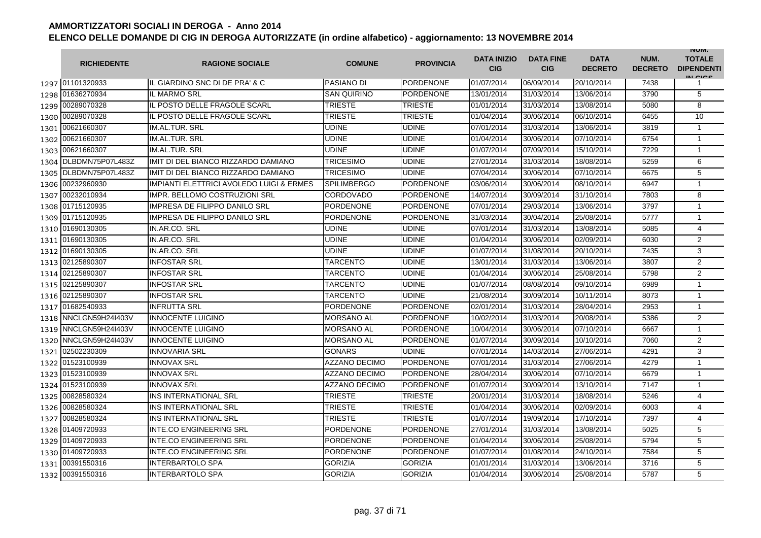|      | <b>RICHIEDENTE</b>    | <b>RAGIONE SOCIALE</b>                   | <b>COMUNE</b>        | <b>PROVINCIA</b> | <b>DATA INIZIO</b><br><b>CIG</b> | <b>DATA FINE</b><br><b>CIG</b> | <b>DATA</b><br><b>DECRETO</b> | NUM.<br><b>DECRETO</b> | <b>INUIVI.</b><br><b>TOTALE</b><br><b>DIPENDENTI</b><br>IN CIGO |
|------|-----------------------|------------------------------------------|----------------------|------------------|----------------------------------|--------------------------------|-------------------------------|------------------------|-----------------------------------------------------------------|
|      | 1297 01101320933      | IL GIARDINO SNC DI DE PRA' & C           | PASIANO DI           | <b>PORDENONE</b> | 01/07/2014                       | 06/09/2014                     | 20/10/2014                    | 7438                   | 1                                                               |
|      | 1298 01636270934      | <b>IL MARMO SRL</b>                      | <b>SAN QUIRINO</b>   | <b>PORDENONE</b> | 13/01/2014                       | 31/03/2014                     | 13/06/2014                    | 3790                   | 5                                                               |
|      | 1299 00289070328      | IL POSTO DELLE FRAGOLE SCARL             | <b>TRIESTE</b>       | <b>TRIESTE</b>   | 01/01/2014                       | 31/03/2014                     | 13/08/2014                    | 5080                   | 8                                                               |
|      | 1300 00289070328      | IL POSTO DELLE FRAGOLE SCARL             | <b>TRIESTE</b>       | <b>TRIESTE</b>   | 01/04/2014                       | 30/06/2014                     | 06/10/2014                    | 6455                   | 10                                                              |
|      | 1301 00621660307      | IM.AL.TUR. SRL                           | UDINE                | <b>UDINE</b>     | 07/01/2014                       | 31/03/2014                     | 13/06/2014                    | 3819                   | $\mathbf{1}$                                                    |
|      | 1302 00621660307      | IM.AL.TUR. SRL                           | <b>UDINE</b>         | <b>UDINE</b>     | 01/04/2014                       | 30/06/2014                     | 07/10/2014                    | 6754                   | $\mathbf{1}$                                                    |
|      | 1303 00621660307      | <b>IM.AL.TUR. SRL</b>                    | UDINE                | <b>UDINE</b>     | 01/07/2014                       | 07/09/2014                     | 15/10/2014                    | 7229                   | $\mathbf{1}$                                                    |
|      | 1304 DLBDMN75P07L483Z | IMIT DI DEL BIANCO RIZZARDO DAMIANO      | <b>TRICESIMO</b>     | <b>UDINE</b>     | 27/01/2014                       | 31/03/2014                     | 18/08/2014                    | 5259                   | 6                                                               |
|      | 1305 DLBDMN75P07L483Z | IMIT DI DEL BIANCO RIZZARDO DAMIANO      | <b>TRICESIMO</b>     | <b>UDINE</b>     | 07/04/2014                       | 30/06/2014                     | 07/10/2014                    | 6675                   | 5                                                               |
| 1306 | 00232960930           | IMPIANTI ELETTRICI AVOLEDO LUIGI & ERMES | <b>SPILIMBERGO</b>   | <b>PORDENONE</b> | 03/06/2014                       | 30/06/2014                     | 08/10/2014                    | 6947                   | $\mathbf{1}$                                                    |
| 1307 | 00232010934           | <b>IMPR. BELLOMO COSTRUZIONI SRL</b>     | CORDOVADO            | <b>PORDENONE</b> | 14/07/2014                       | 30/09/2014                     | 31/10/2014                    | 7803                   | 8                                                               |
| 1308 | 01715120935           | <b>IMPRESA DE FILIPPO DANILO SRL</b>     | PORDENONE            | <b>PORDENONE</b> | 07/01/2014                       | 29/03/2014                     | 13/06/2014                    | 3797                   | $\mathbf{1}$                                                    |
| 1309 | 01715120935           | <b>IMPRESA DE FILIPPO DANILO SRL</b>     | <b>PORDENONE</b>     | <b>PORDENONE</b> | 31/03/2014                       | 30/04/2014                     | 25/08/2014                    | 5777                   | $\mathbf{1}$                                                    |
| 1310 | 01690130305           | IN.AR.CO. SRL                            | UDINE                | <b>UDINE</b>     | 07/01/2014                       | 31/03/2014                     | 13/08/2014                    | 5085                   | 4                                                               |
| 1311 | 01690130305           | IN.AR.CO. SRL                            | UDINE                | <b>UDINE</b>     | 01/04/2014                       | 30/06/2014                     | 02/09/2014                    | 6030                   | $\overline{2}$                                                  |
|      | 1312 01690130305      | IN.AR.CO. SRL                            | UDINE                | <b>UDINE</b>     | 01/07/2014                       | 31/08/2014                     | 20/10/2014                    | 7435                   | 3                                                               |
|      | 1313 02125890307      | <b>INFOSTAR SRL</b>                      | TARCENTO             | <b>UDINE</b>     | 13/01/2014                       | 31/03/2014                     | 13/06/2014                    | 3807                   | $\overline{2}$                                                  |
|      | 1314 02125890307      | <b>INFOSTAR SRL</b>                      | TARCENTO             | <b>UDINE</b>     | 01/04/2014                       | 30/06/2014                     | 25/08/2014                    | 5798                   | $\overline{2}$                                                  |
|      | 1315 02125890307      | <b>INFOSTAR SRL</b>                      | <b>TARCENTO</b>      | <b>UDINE</b>     | 01/07/2014                       | 08/08/2014                     | 09/10/2014                    | 6989                   | $\mathbf{1}$                                                    |
|      | 1316 02125890307      | <b>INFOSTAR SRL</b>                      | <b>TARCENTO</b>      | <b>UDINE</b>     | 21/08/2014                       | 30/09/2014                     | 10/11/2014                    | 8073                   | $\mathbf{1}$                                                    |
|      | 1317 01682540933      | <b>INFRUTTA SRL</b>                      | <b>PORDENONE</b>     | <b>PORDENONE</b> | 02/01/2014                       | 31/03/2014                     | 28/04/2014                    | 2953                   | $\mathbf{1}$                                                    |
| 1318 | NNCLGN59H24I403V      | <b>INNOCENTE LUIGINO</b>                 | <b>MORSANO AL</b>    | <b>PORDENONE</b> | 10/02/2014                       | 31/03/2014                     | 20/08/2014                    | 5386                   | 2                                                               |
|      | 1319 NNCLGN59H24I403V | <b>INNOCENTE LUIGINO</b>                 | <b>MORSANO AL</b>    | <b>PORDENONE</b> | 10/04/2014                       | 30/06/2014                     | 07/10/2014                    | 6667                   | $\mathbf{1}$                                                    |
| 1320 | NNCLGN59H24I403V      | <b>INNOCENTE LUIGINO</b>                 | <b>MORSANO AL</b>    | <b>PORDENONE</b> | 01/07/2014                       | 30/09/2014                     | 10/10/2014                    | 7060                   | $\overline{2}$                                                  |
| 1321 | 02502230309           | <b>INNOVARIA SRL</b>                     | <b>GONARS</b>        | <b>UDINE</b>     | 07/01/2014                       | 14/03/2014                     | 27/06/2014                    | 4291                   | 3                                                               |
| 1322 | 01523100939           | <b>INNOVAX SRL</b>                       | <b>AZZANO DECIMO</b> | <b>PORDENONE</b> | 07/01/2014                       | 31/03/2014                     | 27/06/2014                    | 4279                   | $\mathbf{1}$                                                    |
| 1323 | 01523100939           | <b>INNOVAX SRL</b>                       | <b>AZZANO DECIMO</b> | <b>PORDENONE</b> | 28/04/2014                       | 30/06/2014                     | 07/10/2014                    | 6679                   | $\mathbf{1}$                                                    |
|      | 1324 01523100939      | <b>INNOVAX SRL</b>                       | AZZANO DECIMO        | <b>PORDENONE</b> | 01/07/2014                       | 30/09/2014                     | 13/10/2014                    | 7147                   | $\mathbf{1}$                                                    |
| 1325 | 00828580324           | INS INTERNATIONAL SRL                    | TRIESTE              | <b>TRIESTE</b>   | 20/01/2014                       | 31/03/2014                     | 18/08/2014                    | 5246                   | 4                                                               |
|      | 1326 00828580324      | INS INTERNATIONAL SRL                    | TRIESTE              | <b>TRIESTE</b>   | 01/04/2014                       | 30/06/2014                     | 02/09/2014                    | 6003                   | 4                                                               |
|      | 1327 00828580324      | INS INTERNATIONAL SRL                    | <b>TRIESTE</b>       | <b>TRIESTE</b>   | 01/07/2014                       | 19/09/2014                     | 17/10/2014                    | 7397                   | 4                                                               |
|      | 1328 01409720933      | <b>INTE.CO ENGINEERING SRL</b>           | <b>PORDENONE</b>     | <b>PORDENONE</b> | 27/01/2014                       | 31/03/2014                     | 13/08/2014                    | 5025                   | 5                                                               |
|      | 1329 01409720933      | <b>INTE.CO ENGINEERING SRL</b>           | <b>PORDENONE</b>     | <b>PORDENONE</b> | 01/04/2014                       | 30/06/2014                     | 25/08/2014                    | 5794                   | 5                                                               |
|      | 1330 01409720933      | <b>INTE.CO ENGINEERING SRL</b>           | <b>PORDENONE</b>     | <b>PORDENONE</b> | 01/07/2014                       | 01/08/2014                     | 24/10/2014                    | 7584                   | 5                                                               |
|      | 1331 00391550316      | <b>INTERBARTOLO SPA</b>                  | <b>GORIZIA</b>       | <b>GORIZIA</b>   | 01/01/2014                       | 31/03/2014                     | 13/06/2014                    | 3716                   | 5                                                               |
| 1332 | 00391550316           | <b>INTERBARTOLO SPA</b>                  | <b>GORIZIA</b>       | <b>GORIZIA</b>   | 01/04/2014                       | 30/06/2014                     | 25/08/2014                    | 5787                   | 5                                                               |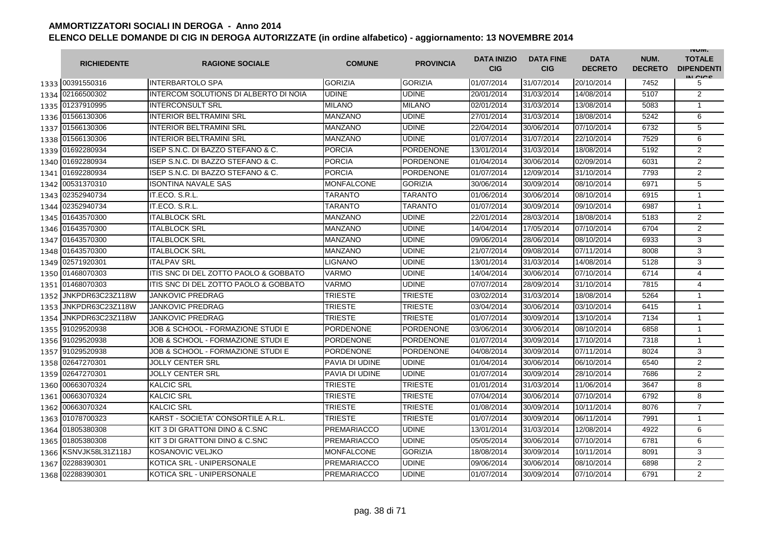|      | <b>RICHIEDENTE</b>    | <b>RAGIONE SOCIALE</b>                    | <b>COMUNE</b>      | <b>PROVINCIA</b> | <b>DATA INIZIO</b><br><b>CIG</b> | <b>DATA FINE</b><br><b>CIG</b> | <b>DATA</b><br><b>DECRETO</b> | NUM.<br><b>DECRETO</b> | <b>INUIVI.</b><br><b>TOTALE</b><br><b>DIPENDENTI</b><br>IN CIGO |
|------|-----------------------|-------------------------------------------|--------------------|------------------|----------------------------------|--------------------------------|-------------------------------|------------------------|-----------------------------------------------------------------|
|      | 1333 00391550316      | <b>INTERBARTOLO SPA</b>                   | <b>GORIZIA</b>     | GORIZIA          | 01/07/2014                       | 31/07/2014                     | 20/10/2014                    | 7452                   | 5                                                               |
|      | 1334 02166500302      | INTERCOM SOLUTIONS DI ALBERTO DI NOIA     | UDINE              | <b>UDINE</b>     | 20/01/2014                       | 31/03/2014                     | 14/08/2014                    | 5107                   | $\overline{2}$                                                  |
|      | 1335 01237910995      | <b>INTERCONSULT SRL</b>                   | <b>MILANO</b>      | <b>MILANO</b>    | 02/01/2014                       | 31/03/2014                     | 13/08/2014                    | 5083                   | $\mathbf{1}$                                                    |
|      | 1336 01566130306      | <b>INTERIOR BELTRAMINI SRL</b>            | MANZANO            | <b>UDINE</b>     | 27/01/2014                       | 31/03/2014                     | 18/08/2014                    | 5242                   | 6                                                               |
|      | 1337 01566130306      | <b>INTERIOR BELTRAMINI SRL</b>            | <b>MANZANO</b>     | <b>UDINE</b>     | 22/04/2014                       | 30/06/2014                     | 07/10/2014                    | 6732                   | 5                                                               |
|      | 1338 01566130306      | <b>INTERIOR BELTRAMINI SRL</b>            | <b>MANZANO</b>     | <b>UDINE</b>     | 01/07/2014                       | 31/07/2014                     | 22/10/2014                    | 7529                   | 6                                                               |
|      | 1339 01692280934      | ISEP S.N.C. DI BAZZO STEFANO & C.         | <b>PORCIA</b>      | <b>PORDENONE</b> | 13/01/2014                       | 31/03/2014                     | 18/08/2014                    | 5192                   | $\overline{2}$                                                  |
|      | 1340 01692280934      | ISEP S.N.C. DI BAZZO STEFANO & C.         | <b>PORCIA</b>      | <b>PORDENONE</b> | 01/04/2014                       | 30/06/2014                     | 02/09/2014                    | 6031                   | $\overline{2}$                                                  |
|      | 1341 01692280934      | ISEP S.N.C. DI BAZZO STEFANO & C.         | <b>PORCIA</b>      | <b>PORDENONE</b> | 01/07/2014                       | 12/09/2014                     | 31/10/2014                    | 7793                   | $\overline{2}$                                                  |
| 1342 | 00531370310           | <b>ISONTINA NAVALE SAS</b>                | <b>MONFALCONE</b>  | <b>GORIZIA</b>   | 30/06/2014                       | 30/09/2014                     | 08/10/2014                    | 6971                   | 5                                                               |
| 1343 | 02352940734           | IT.ECO. S.R.L.                            | TARANTO            | <b>TARANTO</b>   | 01/06/2014                       | 30/06/2014                     | 08/10/2014                    | 6915                   | 1                                                               |
| 1344 | 02352940734           | IT.ECO. S.R.L.                            | TARANTO            | <b>TARANTO</b>   | 01/07/2014                       | 30/09/2014                     | 09/10/2014                    | 6987                   | $\mathbf{1}$                                                    |
| 1345 | 01643570300           | <b>ITALBLOCK SRL</b>                      | MANZANO            | <b>UDINE</b>     | 22/01/2014                       | 28/03/2014                     | 18/08/2014                    | 5183                   | $\overline{2}$                                                  |
| 1346 | 01643570300           | <b>ITALBLOCK SRL</b>                      | MANZANO            | <b>UDINE</b>     | 14/04/2014                       | 17/05/2014                     | 07/10/2014                    | 6704                   | $\overline{2}$                                                  |
| 1347 | 01643570300           | <b>ITALBLOCK SRL</b>                      | <b>MANZANO</b>     | <b>UDINE</b>     | 09/06/2014                       | 28/06/2014                     | 08/10/2014                    | 6933                   | 3                                                               |
|      | 1348 01643570300      | <b>ITALBLOCK SRL</b>                      | <b>MANZANO</b>     | <b>UDINE</b>     | 21/07/2014                       | 09/08/2014                     | 07/11/2014                    | 8008                   | 3                                                               |
|      | 1349 02571920301      | <b>ITALPAV SRL</b>                        | LIGNANO            | <b>UDINE</b>     | 13/01/2014                       | 31/03/2014                     | 14/08/2014                    | 5128                   | 3                                                               |
|      | 1350 01468070303      | ITIS SNC DI DEL ZOTTO PAOLO & GOBBATO     | VARMO              | <b>UDINE</b>     | 14/04/2014                       | 30/06/2014                     | 07/10/2014                    | 6714                   | $\overline{4}$                                                  |
|      | 1351 01468070303      | ITIS SNC DI DEL ZOTTO PAOLO & GOBBATO     | VARMO              | <b>UDINE</b>     | 07/07/2014                       | 28/09/2014                     | 31/10/2014                    | 7815                   | 4                                                               |
| 1352 | JNKPDR63C23Z118W      | <b>JANKOVIC PREDRAG</b>                   | <b>TRIESTE</b>     | <b>TRIESTE</b>   | 03/02/2014                       | 31/03/2014                     | 18/08/2014                    | 5264                   | $\mathbf{1}$                                                    |
| 1353 | JNKPDR63C23Z118W      | <b>JANKOVIC PREDRAG</b>                   | TRIESTE            | <b>TRIESTE</b>   | 03/04/2014                       | 30/06/2014                     | 03/10/2014                    | 6415                   | $\mathbf{1}$                                                    |
| 1354 | JNKPDR63C23Z118W      | <b>JANKOVIC PREDRAG</b>                   | <b>TRIESTE</b>     | <b>TRIESTE</b>   | 01/07/2014                       | 30/09/2014                     | 13/10/2014                    | 7134                   | $\mathbf{1}$                                                    |
|      | 1355 91029520938      | JOB & SCHOOL - FORMAZIONE STUDI E         | PORDENONE          | <b>PORDENONE</b> | 03/06/2014                       | 30/06/2014                     | 08/10/2014                    | 6858                   | $\mathbf{1}$                                                    |
|      | 1356 91029520938      | JOB & SCHOOL - FORMAZIONE STUDI E         | <b>PORDENONE</b>   | <b>PORDENONE</b> | 01/07/2014                       | 30/09/2014                     | 17/10/2014                    | 7318                   | 1                                                               |
| 1357 | 91029520938           | JOB & SCHOOL - FORMAZIONE STUDI E         | <b>PORDENONE</b>   | <b>PORDENONE</b> | 04/08/2014                       | 30/09/2014                     | 07/11/2014                    | 8024                   | 3                                                               |
| 1358 | 02647270301           | <b>JOLLY CENTER SRL</b>                   | PAVIA DI UDINE     | <b>UDINE</b>     | 01/04/2014                       | 30/06/2014                     | 06/10/2014                    | 6540                   | $\overline{2}$                                                  |
| 1359 | 02647270301           | <b>JOLLY CENTER SRL</b>                   | PAVIA DI UDINE     | <b>UDINE</b>     | 01/07/2014                       | 30/09/2014                     | 28/10/2014                    | 7686                   | $\overline{2}$                                                  |
|      | 1360 00663070324      | <b>KALCIC SRL</b>                         | TRIESTE            | <b>TRIESTE</b>   | 01/01/2014                       | 31/03/2014                     | 11/06/2014                    | 3647                   | 8                                                               |
| 1361 | 00663070324           | <b>KALCIC SRL</b>                         | <b>TRIESTE</b>     | <b>TRIESTE</b>   | 07/04/2014                       | 30/06/2014                     | 07/10/2014                    | 6792                   | 8                                                               |
|      | 1362 00663070324      | <b>KALCIC SRL</b>                         | TRIESTE            | <b>TRIESTE</b>   | 01/08/2014                       | 30/09/2014                     | 10/11/2014                    | 8076                   | $\overline{7}$                                                  |
|      | 1363 01078700323      | KARST - SOCIETA' CONSORTILE A.R.L.        | TRIESTE            | <b>TRIESTE</b>   | 01/07/2014                       | 30/09/2014                     | 06/11/2014                    | 7991                   | 1                                                               |
|      | 1364 01805380308      | KIT 3 DI GRATTONI DINO & C.SNC            | <b>PREMARIACCO</b> | <b>UDINE</b>     | 13/01/2014                       | 31/03/2014                     | 12/08/2014                    | 4922                   | 6                                                               |
|      | 1365 01805380308      | <b>KIT 3 DI GRATTONI DINO &amp; C.SNC</b> | <b>PREMARIACCO</b> | <b>UDINE</b>     | 05/05/2014                       | 30/06/2014                     | 07/10/2014                    | 6781                   | 6                                                               |
|      | 1366 KSNVJK58L31Z118J | KOSANOVIC VELJKO                          | MONFALCONE         | <b>GORIZIA</b>   | 18/08/2014                       | 30/09/2014                     | 10/11/2014                    | 8091                   | 3                                                               |
| 1367 | 02288390301           | KOTICA SRL - UNIPERSONALE                 | PREMARIACCO        | <b>UDINE</b>     | 09/06/2014                       | 30/06/2014                     | 08/10/2014                    | 6898                   | $\overline{2}$                                                  |
| 1368 | 02288390301           | KOTICA SRL - UNIPERSONALE                 | <b>PREMARIACCO</b> | <b>UDINE</b>     | 01/07/2014                       | 30/09/2014                     | 07/10/2014                    | 6791                   | $\overline{2}$                                                  |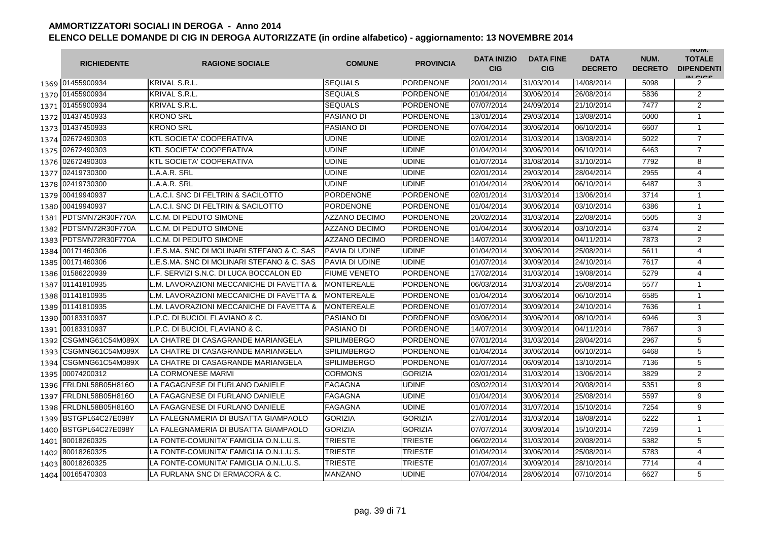|      | <b>RICHIEDENTE</b>    | <b>RAGIONE SOCIALE</b>                     | <b>COMUNE</b>        | <b>PROVINCIA</b> | <b>DATA INIZIO</b><br><b>CIG</b> | <b>DATA FINE</b><br><b>CIG</b> | <b>DATA</b><br><b>DECRETO</b> | NUM.<br><b>DECRETO</b> | <b>INUIVI.</b><br><b>TOTALE</b><br><b>DIPENDENTI</b><br>IN CICE |
|------|-----------------------|--------------------------------------------|----------------------|------------------|----------------------------------|--------------------------------|-------------------------------|------------------------|-----------------------------------------------------------------|
|      | 1369 01455900934      | <b>KRIVAL S.R.L.</b>                       | <b>SEQUALS</b>       | <b>PORDENONE</b> | 20/01/2014                       | 31/03/2014                     | 14/08/2014                    | 5098                   | 2                                                               |
|      | 1370 01455900934      | <b>KRIVAL S.R.L.</b>                       | <b>SEQUALS</b>       | <b>PORDENONE</b> | 01/04/2014                       | 30/06/2014                     | 26/08/2014                    | 5836                   | $\overline{2}$                                                  |
|      | 1371 01455900934      | <b>KRIVAL S.R.L.</b>                       | <b>SEQUALS</b>       | <b>PORDENONE</b> | 07/07/2014                       | 24/09/2014                     | 21/10/2014                    | 7477                   | $\overline{2}$                                                  |
|      | 1372 01437450933      | <b>KRONO SRL</b>                           | PASIANO DI           | <b>PORDENONE</b> | 13/01/2014                       | 29/03/2014                     | 13/08/2014                    | 5000                   | 1                                                               |
|      | 1373 01437450933      | <b>KRONO SRL</b>                           | PASIANO DI           | <b>PORDENONE</b> | 07/04/2014                       | 30/06/2014                     | 06/10/2014                    | 6607                   | $\mathbf{1}$                                                    |
|      | 1374 02672490303      | <b>KTL SOCIETA' COOPERATIVA</b>            | <b>UDINE</b>         | <b>UDINE</b>     | 02/01/2014                       | 31/03/2014                     | 13/08/2014                    | 5022                   | $\overline{7}$                                                  |
| 1375 | 02672490303           | <b>KTL SOCIETA' COOPERATIVA</b>            | UDINE                | <b>UDINE</b>     | 01/04/2014                       | 30/06/2014                     | 06/10/2014                    | 6463                   | $\overline{7}$                                                  |
| 1376 | 02672490303           | <b>KTL SOCIETA' COOPERATIVA</b>            | UDINE                | <b>UDINE</b>     | 01/07/2014                       | 31/08/2014                     | 31/10/2014                    | 7792                   | 8                                                               |
| 1377 | 02419730300           | L.A.A.R. SRL                               | <b>UDINE</b>         | <b>UDINE</b>     | 02/01/2014                       | 29/03/2014                     | 28/04/2014                    | 2955                   | 4                                                               |
| 1378 | 02419730300           | L.A.A.R. SRL                               | <b>UDINE</b>         | <b>UDINE</b>     | 01/04/2014                       | 28/06/2014                     | 06/10/2014                    | 6487                   | 3                                                               |
| 1379 | 00419940937           | L.A.C.I. SNC DI FELTRIN & SACILOTTO        | PORDENONE            | <b>PORDENONE</b> | 02/01/2014                       | 31/03/2014                     | 13/06/2014                    | 3714                   | 1                                                               |
| 1380 | 00419940937           | L.A.C.I. SNC DI FELTRIN & SACILOTTO        | PORDENONE            | <b>PORDENONE</b> | 01/04/2014                       | 30/06/2014                     | 03/10/2014                    | 6386                   | $\mathbf{1}$                                                    |
| 1381 | PDTSMN72R30F770A      | L.C.M. DI PEDUTO SIMONE                    | AZZANO DECIMO        | <b>PORDENONE</b> | 20/02/2014                       | 31/03/2014                     | 22/08/2014                    | 5505                   | 3                                                               |
| 1382 | PDTSMN72R30F770A      | L.C.M. DI PEDUTO SIMONE                    | AZZANO DECIMO        | <b>PORDENONE</b> | 01/04/2014                       | 30/06/2014                     | 03/10/2014                    | 6374                   | $\overline{2}$                                                  |
| 1383 | PDTSMN72R30F770A      | L.C.M. DI PEDUTO SIMONE                    | <b>AZZANO DECIMO</b> | <b>PORDENONE</b> | 14/07/2014                       | 30/09/2014                     | 04/11/2014                    | 7873                   | $\overline{2}$                                                  |
|      | 1384 00171460306      | LE.S.MA. SNC DI MOLINARI STEFANO & C. SAS  | PAVIA DI UDINE       | <b>UDINE</b>     | 01/04/2014                       | 30/06/2014                     | 25/08/2014                    | 5611                   | $\overline{4}$                                                  |
|      | 1385 00171460306      | L.E.S.MA. SNC DI MOLINARI STEFANO & C. SAS | PAVIA DI UDINE       | <b>UDINE</b>     | 01/07/2014                       | 30/09/2014                     | 24/10/2014                    | 7617                   | $\overline{4}$                                                  |
|      | 1386 01586220939      | L.F. SERVIZI S.N.C. DI LUCA BOCCALON ED    | <b>FIUME VENETO</b>  | <b>PORDENONE</b> | 17/02/2014                       | 31/03/2014                     | 19/08/2014                    | 5279                   | 4                                                               |
|      | 1387 01141810935      | L.M. LAVORAZIONI MECCANICHE DI FAVETTA &   | <b>MONTEREALE</b>    | <b>PORDENONE</b> | 06/03/2014                       | 31/03/2014                     | 25/08/2014                    | 5577                   | $\mathbf{1}$                                                    |
|      | 1388 01141810935      | L.M. LAVORAZIONI MECCANICHE DI FAVETTA &   | <b>MONTEREALE</b>    | <b>PORDENONE</b> | 01/04/2014                       | 30/06/2014                     | 06/10/2014                    | 6585                   | $\mathbf{1}$                                                    |
|      | 1389 01141810935      | L.M. LAVORAZIONI MECCANICHE DI FAVETTA &   | <b>MONTEREALE</b>    | <b>PORDENONE</b> | 01/07/2014                       | 30/09/2014                     | 24/10/2014                    | 7636                   | $\mathbf{1}$                                                    |
| 1390 | 00183310937           | L.P.C. DI BUCIOL FLAVIANO & C.             | PASIANO DI           | <b>PORDENONE</b> | 03/06/2014                       | 30/06/2014                     | 08/10/2014                    | 6946                   | 3                                                               |
| 1391 | 00183310937           | L.P.C. DI BUCIOL FLAVIANO & C.             | PASIANO DI           | <b>PORDENONE</b> | 14/07/2014                       | 30/09/2014                     | 04/11/2014                    | 7867                   | 3                                                               |
| 1392 | CSGMNG61C54M089X      | LA CHATRE DI CASAGRANDE MARIANGELA         | <b>SPILIMBERGO</b>   | <b>PORDENONE</b> | 07/01/2014                       | 31/03/2014                     | 28/04/2014                    | 2967                   | 5                                                               |
| 1393 | CSGMNG61C54M089X      | LA CHATRE DI CASAGRANDE MARIANGELA         | <b>SPILIMBERGO</b>   | <b>PORDENONE</b> | 01/04/2014                       | 30/06/2014                     | 06/10/2014                    | 6468                   | 5                                                               |
| 1394 | CSGMNG61C54M089X      | LA CHATRE DI CASAGRANDE MARIANGELA         | <b>SPILIMBERGO</b>   | <b>PORDENONE</b> | 01/07/2014                       | 06/09/2014                     | 13/10/2014                    | 7136                   | 5                                                               |
| 1395 | 00074200312           | LA CORMONESE MARMI                         | CORMONS              | <b>GORIZIA</b>   | 02/01/2014                       | 31/03/2014                     | 13/06/2014                    | 3829                   | 2                                                               |
| 1396 | FRLDNL58B05H816O      | LA FAGAGNESE DI FURLANO DANIELE            | FAGAGNA              | <b>UDINE</b>     | 03/02/2014                       | 31/03/2014                     | 20/08/2014                    | 5351                   | 9                                                               |
|      | 1397 FRLDNL58B05H816O | LA FAGAGNESE DI FURLANO DANIELE            | <b>FAGAGNA</b>       | <b>UDINE</b>     | 01/04/2014                       | 30/06/2014                     | 25/08/2014                    | 5597                   | 9                                                               |
|      | 1398 FRLDNL58B05H816O | LA FAGAGNESE DI FURLANO DANIELE            | FAGAGNA              | <b>UDINE</b>     | 01/07/2014                       | 31/07/2014                     | 15/10/2014                    | 7254                   | 9                                                               |
|      | 1399 BSTGPL64C27E098Y | LA FALEGNAMERIA DI BUSATTA GIAMPAOLO       | <b>GORIZIA</b>       | <b>GORIZIA</b>   | 27/01/2014                       | 31/03/2014                     | 18/08/2014                    | 5222                   | 1                                                               |
|      | 1400 BSTGPL64C27E098Y | LA FALEGNAMERIA DI BUSATTA GIAMPAOLO       | <b>GORIZIA</b>       | <b>GORIZIA</b>   | 07/07/2014                       | 30/09/2014                     | 15/10/2014                    | 7259                   | $\mathbf{1}$                                                    |
|      | 1401 80018260325      | LA FONTE-COMUNITA' FAMIGLIA O.N.L.U.S.     | <b>TRIESTE</b>       | <b>TRIESTE</b>   | 06/02/2014                       | 31/03/2014                     | 20/08/2014                    | 5382                   | 5                                                               |
|      | 1402 80018260325      | LA FONTE-COMUNITA' FAMIGLIA O.N.L.U.S.     | <b>TRIESTE</b>       | <b>TRIESTE</b>   | 01/04/2014                       | 30/06/2014                     | 25/08/2014                    | 5783                   | 4                                                               |
| 1403 | 80018260325           | LA FONTE-COMUNITA' FAMIGLIA O.N.L.U.S.     | TRIESTE              | <b>TRIESTE</b>   | 01/07/2014                       | 30/09/2014                     | 28/10/2014                    | 7714                   | 4                                                               |
|      | 1404 00165470303      | LA FURLANA SNC DI ERMACORA & C.            | <b>MANZANO</b>       | <b>UDINE</b>     | 07/04/2014                       | 28/06/2014                     | 07/10/2014                    | 6627                   | 5                                                               |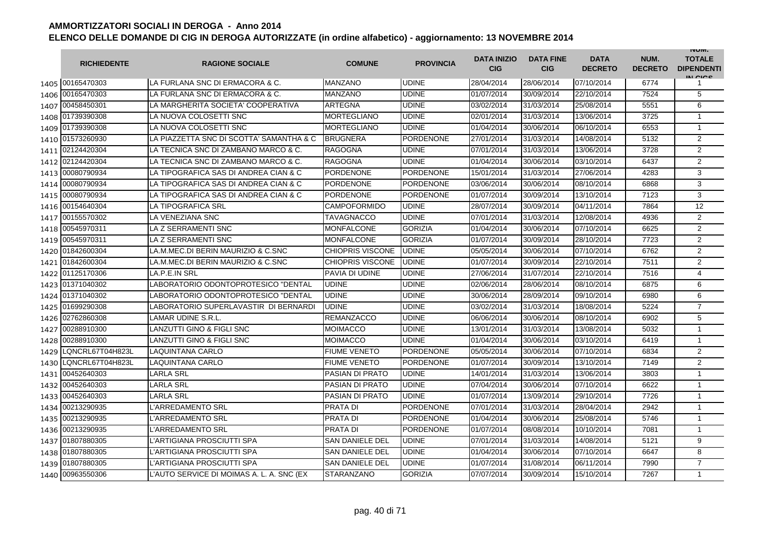|      | <b>RICHIEDENTE</b> | <b>RAGIONE SOCIALE</b>                    | <b>COMUNE</b>           | <b>PROVINCIA</b> | <b>DATA INIZIO</b><br><b>CIG</b> | <b>DATA FINE</b><br><b>CIG</b> | <b>DATA</b><br><b>DECRETO</b> | NUM.<br><b>DECRETO</b> | <b>INUIVI.</b><br><b>TOTALE</b><br><b>DIPENDENTI</b><br>IN CIGO |
|------|--------------------|-------------------------------------------|-------------------------|------------------|----------------------------------|--------------------------------|-------------------------------|------------------------|-----------------------------------------------------------------|
|      | 1405 00165470303   | LA FURLANA SNC DI ERMACORA & C.           | <b>MANZANO</b>          | <b>UDINE</b>     | 28/04/2014                       | 28/06/2014                     | 07/10/2014                    | 6774                   | 1                                                               |
|      | 1406 00165470303   | LA FURLANA SNC DI ERMACORA & C.           | MANZANO                 | <b>UDINE</b>     | 01/07/2014                       | 30/09/2014                     | 22/10/2014                    | 7524                   | 5                                                               |
|      | 1407 00458450301   | LA MARGHERITA SOCIETA' COOPERATIVA        | ARTEGNA                 | <b>UDINE</b>     | 03/02/2014                       | 31/03/2014                     | 25/08/2014                    | 5551                   | 6                                                               |
|      | 1408 01739390308   | LA NUOVA COLOSETTI SNC                    | <b>MORTEGLIANO</b>      | <b>UDINE</b>     | 02/01/2014                       | 31/03/2014                     | 13/06/2014                    | 3725                   | $\mathbf{1}$                                                    |
|      | 1409 01739390308   | LA NUOVA COLOSETTI SNC                    | <b>MORTEGLIANO</b>      | <b>UDINE</b>     | 01/04/2014                       | 30/06/2014                     | 06/10/2014                    | 6553                   | $\mathbf{1}$                                                    |
|      | 1410 01573260930   | LA PIAZZETTA SNC DI SCOTTA' SAMANTHA & C  | <b>BRUGNERA</b>         | <b>PORDENONE</b> | 27/01/2014                       | 31/03/2014                     | 14/08/2014                    | 5132                   | $\overline{2}$                                                  |
|      | 1411 02124420304   | LA TECNICA SNC DI ZAMBANO MARCO & C.      | <b>RAGOGNA</b>          | <b>UDINE</b>     | 07/01/2014                       | 31/03/2014                     | 13/06/2014                    | 3728                   | $\overline{2}$                                                  |
|      | 1412 02124420304   | LA TECNICA SNC DI ZAMBANO MARCO & C.      | <b>RAGOGNA</b>          | <b>UDINE</b>     | 01/04/2014                       | 30/06/2014                     | 03/10/2014                    | 6437                   | $\overline{2}$                                                  |
| 1413 | 00080790934        | LA TIPOGRAFICA SAS DI ANDREA CIAN & C     | <b>PORDENONE</b>        | <b>PORDENONE</b> | 15/01/2014                       | 31/03/2014                     | 27/06/2014                    | 4283                   | 3                                                               |
| 1414 | 00080790934        | LA TIPOGRAFICA SAS DI ANDREA CIAN & C     | PORDENONE               | <b>PORDENONE</b> | 03/06/2014                       | 30/06/2014                     | 08/10/2014                    | 6868                   | 3                                                               |
| 1415 | 00080790934        | LA TIPOGRAFICA SAS DI ANDREA CIAN & C     | <b>PORDENONE</b>        | <b>PORDENONE</b> | 01/07/2014                       | 30/09/2014                     | 13/10/2014                    | 7123                   | 3                                                               |
|      | 1416 00154640304   | <b>LA TIPOGRAFICA SRL</b>                 | <b>CAMPOFORMIDO</b>     | <b>UDINE</b>     | 28/07/2014                       | 30/09/2014                     | 04/11/2014                    | 7864                   | 12                                                              |
|      | 1417 00155570302   | LA VENEZIANA SNC                          | <b>TAVAGNACCO</b>       | <b>UDINE</b>     | 07/01/2014                       | 31/03/2014                     | 12/08/2014                    | 4936                   | $\overline{2}$                                                  |
|      | 1418 00545970311   | LA Z SERRAMENTI SNC                       | <b>MONFALCONE</b>       | <b>GORIZIA</b>   | 01/04/2014                       | 30/06/2014                     | 07/10/2014                    | 6625                   | 2                                                               |
| 1419 | 00545970311        | LA Z SERRAMENTI SNC                       | MONFALCONE              | <b>GORIZIA</b>   | 01/07/2014                       | 30/09/2014                     | 28/10/2014                    | 7723                   | $\overline{2}$                                                  |
| 1420 | 01842600304        | LA.M.MEC.DI BERIN MAURIZIO & C.SNC        | <b>CHIOPRIS VISCONE</b> | <b>UDINE</b>     | 05/05/2014                       | 30/06/2014                     | 07/10/2014                    | 6762                   | 2                                                               |
| 1421 | 01842600304        | LA.M.MEC.DI BERIN MAURIZIO & C.SNC        | <b>CHIOPRIS VISCONE</b> | <b>UDINE</b>     | 01/07/2014                       | 30/09/2014                     | 22/10/2014                    | 7511                   | $\overline{2}$                                                  |
| 1422 | 01125170306        | LA.P.E.IN SRL                             | PAVIA DI UDINE          | <b>UDINE</b>     | 27/06/2014                       | 31/07/2014                     | 22/10/2014                    | 7516                   | $\overline{4}$                                                  |
|      | 1423 01371040302   | LABORATORIO ODONTOPROTESICO "DENTAL       | <b>UDINE</b>            | <b>UDINE</b>     | 02/06/2014                       | 28/06/2014                     | 08/10/2014                    | 6875                   | 6                                                               |
|      | 1424 01371040302   | LABORATORIO ODONTOPROTESICO "DENTAL       | <b>UDINE</b>            | <b>UDINE</b>     | 30/06/2014                       | 28/09/2014                     | 09/10/2014                    | 6980                   | 6                                                               |
| 1425 | 01699290308        | LABORATORIO SUPERLAVASTIR DI BERNARDI     | <b>UDINE</b>            | <b>UDINE</b>     | 03/02/2014                       | 31/03/2014                     | 18/08/2014                    | 5224                   | $\overline{7}$                                                  |
| 1426 | 02762860308        | LAMAR UDINE S.R.L.                        | REMANZACCO              | <b>UDINE</b>     | 06/06/2014                       | 30/06/2014                     | 08/10/2014                    | 6902                   | 5                                                               |
| 1427 | 00288910300        | <b>LANZUTTI GINO &amp; FIGLI SNC</b>      | <b>MOIMACCO</b>         | <b>UDINE</b>     | 13/01/2014                       | 31/03/2014                     | 13/08/2014                    | 5032                   | $\mathbf{1}$                                                    |
|      | 1428 00288910300   | <b>LANZUTTI GINO &amp; FIGLI SNC</b>      | <b>MOIMACCO</b>         | <b>UDINE</b>     | 01/04/2014                       | 30/06/2014                     | 03/10/2014                    | 6419                   | $\mathbf{1}$                                                    |
| 1429 | LQNCRL67T04H823L   | LAQUINTANA CARLO                          | <b>FIUME VENETO</b>     | <b>PORDENONE</b> | 05/05/2014                       | 30/06/2014                     | 07/10/2014                    | 6834                   | $\overline{2}$                                                  |
| 1430 | LQNCRL67T04H823L   | <b>LAQUINTANA CARLO</b>                   | <b>FIUME VENETO</b>     | <b>PORDENONE</b> | 01/07/2014                       | 30/09/2014                     | 13/10/2014                    | 7149                   | $\overline{2}$                                                  |
| 1431 | 00452640303        | <b>LARLA SRL</b>                          | <b>PASIAN DI PRATO</b>  | <b>UDINE</b>     | 14/01/2014                       | 31/03/2014                     | 13/06/2014                    | 3803                   | $\mathbf{1}$                                                    |
| 1432 | 00452640303        | <b>LARLA SRL</b>                          | PASIAN DI PRATO         | <b>UDINE</b>     | 07/04/2014                       | 30/06/2014                     | 07/10/2014                    | 6622                   | $\mathbf{1}$                                                    |
| 1433 | 00452640303        | <b>LARLA SRL</b>                          | <b>PASIAN DI PRATO</b>  | <b>UDINE</b>     | 01/07/2014                       | 13/09/2014                     | 29/10/2014                    | 7726                   | $\mathbf{1}$                                                    |
| 1434 | 00213290935        | L'ARREDAMENTO SRL                         | PRATA DI                | <b>PORDENONE</b> | 07/01/2014                       | 31/03/2014                     | 28/04/2014                    | 2942                   | $\mathbf{1}$                                                    |
| 1435 | 00213290935        | <b>L'ARREDAMENTO SRL</b>                  | <b>PRATA DI</b>         | <b>PORDENONE</b> | 01/04/2014                       | 30/06/2014                     | 25/08/2014                    | 5746                   | $\mathbf{1}$                                                    |
|      | 1436 00213290935   | <b>L'ARREDAMENTO SRL</b>                  | PRATA DI                | <b>PORDENONE</b> | 01/07/2014                       | 08/08/2014                     | 10/10/2014                    | 7081                   | $\mathbf{1}$                                                    |
|      | 1437 01807880305   | L'ARTIGIANA PROSCIUTTI SPA                | <b>SAN DANIELE DEL</b>  | <b>UDINE</b>     | 07/01/2014                       | 31/03/2014                     | 14/08/2014                    | 5121                   | 9                                                               |
|      | 1438 01807880305   | L'ARTIGIANA PROSCIUTTI SPA                | <b>SAN DANIELE DEL</b>  | <b>UDINE</b>     | 01/04/2014                       | 30/06/2014                     | 07/10/2014                    | 6647                   | 8                                                               |
|      | 1439 01807880305   | L'ARTIGIANA PROSCIUTTI SPA                | <b>SAN DANIELE DEL</b>  | <b>UDINE</b>     | 01/07/2014                       | 31/08/2014                     | 06/11/2014                    | 7990                   | $\overline{7}$                                                  |
|      | 1440 00963550306   | L'AUTO SERVICE DI MOIMAS A. L. A. SNC (EX | <b>STARANZANO</b>       | <b>GORIZIA</b>   | 07/07/2014                       | 30/09/2014                     | 15/10/2014                    | 7267                   | $\mathbf{1}$                                                    |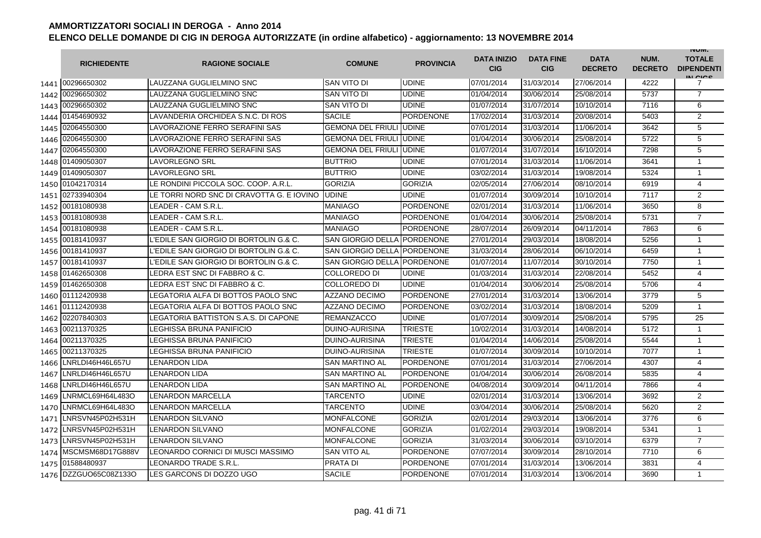|      | <b>RICHIEDENTE</b>      | <b>RAGIONE SOCIALE</b>                    | <b>COMUNE</b>               | <b>PROVINCIA</b> | <b>DATA INIZIO</b><br><b>CIG</b> | <b>DATA FINE</b><br><b>CIG</b> | <b>DATA</b><br><b>DECRETO</b> | NUM.<br><b>DECRETO</b> | <b>INUIVI.</b><br><b>TOTALE</b><br><b>DIPENDENTI</b><br>IN CIGO |
|------|-------------------------|-------------------------------------------|-----------------------------|------------------|----------------------------------|--------------------------------|-------------------------------|------------------------|-----------------------------------------------------------------|
|      | 1441 00296650302        | LAUZZANA GUGLIELMINO SNC                  | SAN VITO DI                 | <b>UDINE</b>     | 07/01/2014                       | 31/03/2014                     | 27/06/2014                    | 4222                   | 7                                                               |
| 1442 | 00296650302             | LAUZZANA GUGLIELMINO SNC                  | SAN VITO DI                 | <b>UDINE</b>     | 01/04/2014                       | 30/06/2014                     | 25/08/2014                    | 5737                   | $\overline{7}$                                                  |
|      | 1443 00296650302        | LAUZZANA GUGLIELMINO SNC                  | SAN VITO DI                 | <b>UDINE</b>     | 01/07/2014                       | 31/07/2014                     | 10/10/2014                    | 7116                   | 6                                                               |
|      | 1444 01454690932        | LAVANDERIA ORCHIDEA S.N.C. DI ROS         | <b>SACILE</b>               | <b>PORDENONE</b> | 17/02/2014                       | 31/03/2014                     | 20/08/2014                    | 5403                   | $\overline{c}$                                                  |
|      | 1445 02064550300        | LAVORAZIONE FERRO SERAFINI SAS            | <b>GEMONA DEL FRIULI</b>    | <b>UDINE</b>     | 07/01/2014                       | 31/03/2014                     | 11/06/2014                    | 3642                   | 5                                                               |
|      | 1446 02064550300        | LAVORAZIONE FERRO SERAFINI SAS            | <b>GEMONA DEL FRIULI</b>    | <b>UDINE</b>     | 01/04/2014                       | 30/06/2014                     | 25/08/2014                    | 5722                   | 5                                                               |
| 1447 | 02064550300             | LAVORAZIONE FERRO SERAFINI SAS            | <b>GEMONA DEL FRIULI</b>    | <b>UDINE</b>     | 01/07/2014                       | 31/07/2014                     | 16/10/2014                    | 7298                   | 5                                                               |
| 1448 | 01409050307             | <b>LAVORLEGNO SRL</b>                     | <b>BUTTRIO</b>              | <b>UDINE</b>     | 07/01/2014                       | 31/03/2014                     | 11/06/2014                    | 3641                   | $\mathbf{1}$                                                    |
|      | 1449 01409050307        | <b>LAVORLEGNO SRL</b>                     | <b>BUTTRIO</b>              | <b>UDINE</b>     | 03/02/2014                       | 31/03/2014                     | 19/08/2014                    | 5324                   | $\mathbf{1}$                                                    |
| 1450 | 01042170314             | LE RONDINI PICCOLA SOC. COOP. A.R.L.      | <b>GORIZIA</b>              | <b>GORIZIA</b>   | 02/05/2014                       | 27/06/2014                     | 08/10/2014                    | 6919                   | $\overline{4}$                                                  |
| 1451 | 02733940304             | LE TORRI NORD SNC DI CRAVOTTA G. E IOVINO | <b>UDINE</b>                | <b>UDINE</b>     | 01/07/2014                       | 30/09/2014                     | 10/10/2014                    | 7117                   | 2                                                               |
| 1452 | 00181080938             | LEADER - CAM S.R.L.                       | MANIAGO                     | <b>PORDENONE</b> | 02/01/2014                       | 31/03/2014                     | 11/06/2014                    | 3650                   | 8                                                               |
| 1453 | 00181080938             | LEADER - CAM S.R.L.                       | MANIAGO                     | <b>PORDENONE</b> | 01/04/2014                       | 30/06/2014                     | 25/08/2014                    | 5731                   | $\overline{7}$                                                  |
| 1454 | 00181080938             | LEADER - CAM S.R.L                        | MANIAGO                     | <b>PORDENONE</b> | 28/07/2014                       | 26/09/2014                     | 04/11/2014                    | 7863                   | 6                                                               |
| 1455 | 00181410937             | L'EDILE SAN GIORGIO DI BORTOLIN G.& C.    | SAN GIORGIO DELLA PORDENONE |                  | 27/01/2014                       | 29/03/2014                     | 18/08/2014                    | 5256                   | $\mathbf{1}$                                                    |
| 1456 | 00181410937             | L'EDILE SAN GIORGIO DI BORTOLIN G.& C.    | SAN GIORGIO DELLA PORDENONE |                  | 31/03/2014                       | 28/06/2014                     | 06/10/2014                    | 6459                   | $\mathbf{1}$                                                    |
| 1457 | 00181410937             | L'EDILE SAN GIORGIO DI BORTOLIN G.& C.    | <b>SAN GIORGIO DELLA</b>    | <b>PORDENONE</b> | 01/07/2014                       | 11/07/2014                     | 30/10/2014                    | 7750                   | $\mathbf{1}$                                                    |
| 1458 | 01462650308             | LEDRA EST SNC DI FABBRO & C.              | COLLOREDO DI                | <b>UDINE</b>     | 01/03/2014                       | 31/03/2014                     | 22/08/2014                    | 5452                   | 4                                                               |
|      | 1459 01462650308        | LEDRA EST SNC DI FABBRO & C.              | COLLOREDO DI                | <b>UDINE</b>     | 01/04/2014                       | 30/06/2014                     | 25/08/2014                    | 5706                   | 4                                                               |
|      | 1460 01112420938        | LEGATORIA ALFA DI BOTTOS PAOLO SNC        | <b>AZZANO DECIMO</b>        | <b>PORDENONE</b> | 27/01/2014                       | 31/03/2014                     | 13/06/2014                    | 3779                   | 5                                                               |
|      | 1461 01112420938        | LEGATORIA ALFA DI BOTTOS PAOLO SNC        | <b>AZZANO DECIMO</b>        | <b>PORDENONE</b> | 03/02/2014                       | 31/03/2014                     | 18/08/2014                    | 5209                   | $\mathbf{1}$                                                    |
| 1462 | 02207840303             | LEGATORIA BATTISTON S.A.S. DI CAPONE      | <b>REMANZACCO</b>           | <b>UDINE</b>     | 01/07/2014                       | 30/09/2014                     | 25/08/2014                    | 5795                   | 25                                                              |
|      | 1463 00211370325        | <b>LEGHISSA BRUNA PANIFICIO</b>           | <b>DUINO-AURISINA</b>       | <b>TRIESTE</b>   | 10/02/2014                       | 31/03/2014                     | 14/08/2014                    | 5172                   | $\mathbf{1}$                                                    |
| 1464 | 00211370325             | LEGHISSA BRUNA PANIFICIO                  | DUINO-AURISINA              | <b>TRIESTE</b>   | 01/04/2014                       | 14/06/2014                     | 25/08/2014                    | 5544                   | 1                                                               |
| 1465 | 00211370325             | LEGHISSA BRUNA PANIFICIO                  | DUINO-AURISINA              | <b>TRIESTE</b>   | 01/07/2014                       | 30/09/2014                     | 10/10/2014                    | 7077                   | 1                                                               |
| 1466 | LNRLDI46H46L657U        | <b>LENARDON LIDA</b>                      | <b>SAN MARTINO AL</b>       | <b>PORDENONE</b> | 07/01/2014                       | 31/03/2014                     | 27/06/2014                    | 4307                   | 4                                                               |
| 1467 | LNRLDI46H46L657U        | LENARDON LIDA                             | SAN MARTINO AL              | <b>PORDENONE</b> | 01/04/2014                       | 30/06/2014                     | 26/08/2014                    | 5835                   | 4                                                               |
| 1468 | LNRLDI46H46L657U        | <b>LENARDON LIDA</b>                      | <b>SAN MARTINO AL</b>       | <b>PORDENONE</b> | 04/08/2014                       | 30/09/2014                     | 04/11/2014                    | 7866                   | 4                                                               |
| 1469 | LNRMCL69H64L483O        | <b>LENARDON MARCELLA</b>                  | TARCENTO                    | <b>UDINE</b>     | 02/01/2014                       | 31/03/2014                     | 13/06/2014                    | 3692                   | 2                                                               |
| 1470 | LNRMCL69H64L483O        | <b>LENARDON MARCELLA</b>                  | TARCENTO                    | <b>UDINE</b>     | 03/04/2014                       | 30/06/2014                     | 25/08/2014                    | 5620                   | 2                                                               |
| 1471 | LNRSVN45P02H531H        | <b>LENARDON SILVANO</b>                   | <b>MONFALCONE</b>           | <b>GORIZIA</b>   | 02/01/2014                       | 29/03/2014                     | 13/06/2014                    | 3776                   | 6                                                               |
|      | 1472 LNRSVN45P02H531H   | <b>LENARDON SILVANO</b>                   | <b>MONFALCONE</b>           | <b>GORIZIA</b>   | 01/02/2014                       | 29/03/2014                     | 19/08/2014                    | 5341                   | $\mathbf{1}$                                                    |
|      | 1473 LNRSVN45P02H531H   | <b>LENARDON SILVANO</b>                   | <b>MONFALCONE</b>           | <b>GORIZIA</b>   | 31/03/2014                       | 30/06/2014                     | 03/10/2014                    | 6379                   | $\overline{7}$                                                  |
|      | 1474   MSCMSM68D17G888V | LEONARDO CORNICI DI MUSCI MASSIMO         | <b>SAN VITO AL</b>          | <b>PORDENONE</b> | 07/07/2014                       | 30/09/2014                     | 28/10/2014                    | 7710                   | 6                                                               |
| 1475 | 01588480937             | LEONARDO TRADE S.R.L                      | PRATA DI                    | <b>PORDENONE</b> | 07/01/2014                       | 31/03/2014                     | 13/06/2014                    | 3831                   | 4                                                               |
|      | 1476 DZZGUO65C08Z133O   | LES GARCONS DI DOZZO UGO                  | <b>SACILE</b>               | <b>PORDENONE</b> | 07/01/2014                       | 31/03/2014                     | 13/06/2014                    | 3690                   | $\mathbf 1$                                                     |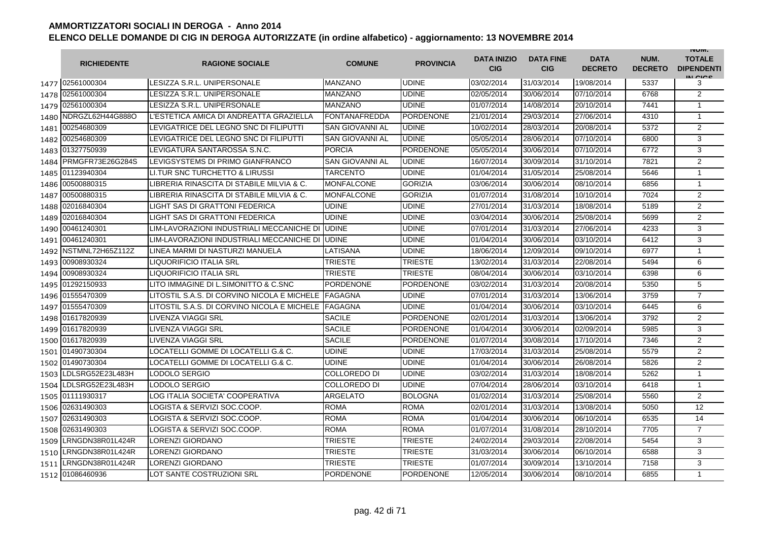|      | <b>RICHIEDENTE</b>    | <b>RAGIONE SOCIALE</b>                      | <b>COMUNE</b>          | <b>PROVINCIA</b> | <b>DATA INIZIO</b><br><b>CIG</b> | <b>DATA FINE</b><br><b>CIG</b> | <b>DATA</b><br><b>DECRETO</b> | NUM.<br><b>DECRETO</b> | <b>INUIVI.</b><br><b>TOTALE</b><br><b>DIPENDENTI</b><br>IN CIGO |
|------|-----------------------|---------------------------------------------|------------------------|------------------|----------------------------------|--------------------------------|-------------------------------|------------------------|-----------------------------------------------------------------|
|      | 1477 02561000304      | LESIZZA S.R.L. UNIPERSONALE                 | MANZANO                | <b>UDINE</b>     | 03/02/2014                       | 31/03/2014                     | 19/08/2014                    | 5337                   | 3                                                               |
| 1478 | 02561000304           | LESIZZA S.R.L. UNIPERSONALE                 | <b>MANZANO</b>         | <b>UDINE</b>     | 02/05/2014                       | 30/06/2014                     | 07/10/2014                    | 6768                   | $\overline{2}$                                                  |
|      | 1479 02561000304      | LESIZZA S.R.L. UNIPERSONALE                 | <b>MANZANO</b>         | <b>UDINE</b>     | 01/07/2014                       | 14/08/2014                     | 20/10/2014                    | 7441                   | $\mathbf{1}$                                                    |
|      | 1480 NDRGZL62H44G888O | L'ESTETICA AMICA DI ANDREATTA GRAZIELLA     | <b>FONTANAFREDDA</b>   | <b>PORDENONE</b> | 21/01/2014                       | 29/03/2014                     | 27/06/2014                    | 4310                   | $\mathbf{1}$                                                    |
|      | 1481 00254680309      | LEVIGATRICE DEL LEGNO SNC DI FILIPUTTI      | <b>SAN GIOVANNI AL</b> | <b>UDINE</b>     | 10/02/2014                       | 28/03/2014                     | 20/08/2014                    | 5372                   | 2                                                               |
|      | 1482 00254680309      | LEVIGATRICE DEL LEGNO SNC DI FILIPUTTI      | <b>SAN GIOVANNI AL</b> | <b>UDINE</b>     | 05/05/2014                       | 28/06/2014                     | 07/10/2014                    | 6800                   | 3                                                               |
|      | 1483 01327750939      | LEVIGATURA SANTAROSSA S.N.C.                | <b>PORCIA</b>          | <b>PORDENONE</b> | 05/05/2014                       | 30/06/2014                     | 07/10/2014                    | 6772                   | 3                                                               |
|      | 1484 PRMGFR73E26G284S | LEVIGSYSTEMS DI PRIMO GIANFRANCO            | <b>SAN GIOVANNI AL</b> | <b>UDINE</b>     | 16/07/2014                       | 30/09/2014                     | 31/10/2014                    | 7821                   | $\overline{2}$                                                  |
| 1485 | 01123940304           | LI. TUR SNC TURCHETTO & LIRUSSI             | <b>TARCENTO</b>        | <b>UDINE</b>     | 01/04/2014                       | 31/05/2014                     | 25/08/2014                    | 5646                   | $\mathbf{1}$                                                    |
| 1486 | 00500880315           | LIBRERIA RINASCITA DI STABILE MILVIA & C.   | <b>MONFALCONE</b>      | <b>GORIZIA</b>   | 03/06/2014                       | 30/06/2014                     | 08/10/2014                    | 6856                   | $\mathbf{1}$                                                    |
| 1487 | 00500880315           | LIBRERIA RINASCITA DI STABILE MILVIA & C.   | <b>MONFALCONE</b>      | <b>GORIZIA</b>   | 01/07/2014                       | 31/08/2014                     | 10/10/2014                    | 7024                   | $\overline{2}$                                                  |
| 1488 | 02016840304           | LIGHT SAS DI GRATTONI FEDERICA              | <b>UDINE</b>           | <b>UDINE</b>     | 27/01/2014                       | 31/03/2014                     | 18/08/2014                    | 5189                   | $\overline{2}$                                                  |
| 1489 | 02016840304           | LIGHT SAS DI GRATTONI FEDERICA              | UDINE                  | <b>UDINE</b>     | 03/04/2014                       | 30/06/2014                     | 25/08/2014                    | 5699                   | $\overline{2}$                                                  |
| 1490 | 00461240301           | LIM-LAVORAZIONI INDUSTRIALI MECCANICHE DI   | UDINE                  | <b>UDINE</b>     | 07/01/2014                       | 31/03/2014                     | 27/06/2014                    | 4233                   | 3                                                               |
| 1491 | 00461240301           | LIM-LAVORAZIONI INDUSTRIALI MECCANICHE DI   | <b>UDINE</b>           | <b>UDINE</b>     | 01/04/2014                       | 30/06/2014                     | 03/10/2014                    | 6412                   | 3                                                               |
| 1492 | NSTMNL72H65Z112Z      | LINEA MARMI DI NASTURZI MANUELA             | LATISANA               | <b>UDINE</b>     | 18/06/2014                       | 12/09/2014                     | 09/10/2014                    | 6977                   | $\mathbf{1}$                                                    |
|      | 1493 00908930324      | <b>LIQUORIFICIO ITALIA SRL</b>              | <b>TRIESTE</b>         | <b>TRIESTE</b>   | 13/02/2014                       | 31/03/2014                     | 22/08/2014                    | 5494                   | 6                                                               |
|      | 1494 00908930324      | <b>LIQUORIFICIO ITALIA SRL</b>              | TRIESTE                | <b>TRIESTE</b>   | 08/04/2014                       | 30/06/2014                     | 03/10/2014                    | 6398                   | 6                                                               |
|      | 1495 01292150933      | LITO IMMAGINE DI L.SIMONITTO & C.SNC        | <b>PORDENONE</b>       | <b>PORDENONE</b> | 03/02/2014                       | 31/03/2014                     | 20/08/2014                    | 5350                   | 5                                                               |
|      | 1496 01555470309      | LITOSTIL S.A.S. DI CORVINO NICOLA E MICHELE | <b>FAGAGNA</b>         | <b>UDINE</b>     | 07/01/2014                       | 31/03/2014                     | 13/06/2014                    | 3759                   | $\overline{7}$                                                  |
|      | 1497 01555470309      | LITOSTIL S.A.S. DI CORVINO NICOLA E MICHELE | <b>FAGAGNA</b>         | <b>UDINE</b>     | 01/04/2014                       | 30/06/2014                     | 03/10/2014                    | 6445                   | 6                                                               |
| 1498 | 01617820939           | LIVENZA VIAGGI SRL                          | <b>SACILE</b>          | <b>PORDENONE</b> | 02/01/2014                       | 31/03/2014                     | 13/06/2014                    | 3792                   | $\overline{2}$                                                  |
|      | 1499 01617820939      | <b>LIVENZA VIAGGI SRL</b>                   | <b>SACILE</b>          | <b>PORDENONE</b> | 01/04/2014                       | 30/06/2014                     | 02/09/2014                    | 5985                   | 3                                                               |
|      | 1500 01617820939      | <b>LIVENZA VIAGGI SRL</b>                   | <b>SACILE</b>          | <b>PORDENONE</b> | 01/07/2014                       | 30/08/2014                     | 17/10/2014                    | 7346                   | $\overline{2}$                                                  |
| 1501 | 01490730304           | LOCATELLI GOMME DI LOCATELLI G.& C.         | UDINE                  | <b>UDINE</b>     | 17/03/2014                       | 31/03/2014                     | 25/08/2014                    | 5579                   | 2                                                               |
| 1502 | 01490730304           | LOCATELLI GOMME DI LOCATELLI G.& C.         | UDINE                  | <b>UDINE</b>     | 01/04/2014                       | 30/06/2014                     | 26/08/2014                    | 5826                   | $\overline{2}$                                                  |
| 1503 | LDLSRG52E23L483H      | LODOLO SERGIO                               | COLLOREDO DI           | <b>UDINE</b>     | 03/02/2014                       | 31/03/2014                     | 18/08/2014                    | 5262                   | $\mathbf{1}$                                                    |
| 1504 | DLSRG52E23L483H       | LODOLO SERGIO                               | COLLOREDO DI           | <b>UDINE</b>     | 07/04/2014                       | 28/06/2014                     | 03/10/2014                    | 6418                   | $\mathbf{1}$                                                    |
|      | 1505 01111930317      | LOG ITALIA SOCIETA' COOPERATIVA             | ARGELATO               | <b>BOLOGNA</b>   | 01/02/2014                       | 31/03/2014                     | 25/08/2014                    | 5560                   | 2                                                               |
|      | 1506 02631490303      | LOGISTA & SERVIZI SOC.COOP.                 | ROMA                   | <b>ROMA</b>      | 02/01/2014                       | 31/03/2014                     | 13/08/2014                    | 5050                   | 12                                                              |
|      | 1507 02631490303      | LOGISTA & SERVIZI SOC.COOP.                 | <b>ROMA</b>            | <b>ROMA</b>      | 01/04/2014                       | 30/06/2014                     | 06/10/2014                    | 6535                   | 14                                                              |
|      | 1508 02631490303      | LOGISTA & SERVIZI SOC.COOP.                 | <b>ROMA</b>            | <b>ROMA</b>      | 01/07/2014                       | 31/08/2014                     | 28/10/2014                    | 7705                   | $\overline{7}$                                                  |
| 1509 | LRNGDN38R01L424R      | <b>LORENZI GIORDANO</b>                     | <b>TRIESTE</b>         | <b>TRIESTE</b>   | 24/02/2014                       | 29/03/2014                     | 22/08/2014                    | 5454                   | 3                                                               |
| 1510 | LRNGDN38R01L424R      | <b>LORENZI GIORDANO</b>                     | TRIESTE                | <b>TRIESTE</b>   | 31/03/2014                       | 30/06/2014                     | 06/10/2014                    | 6588                   | 3                                                               |
| 1511 | LRNGDN38R01L424R      | <b>LORENZI GIORDANO</b>                     | TRIESTE                | <b>TRIESTE</b>   | 01/07/2014                       | 30/09/2014                     | 13/10/2014                    | 7158                   | 3                                                               |
| 1512 | 01086460936           | LOT SANTE COSTRUZIONI SRL                   | <b>PORDENONE</b>       | <b>PORDENONE</b> | 12/05/2014                       | 30/06/2014                     | 08/10/2014                    | 6855                   | $\mathbf{1}$                                                    |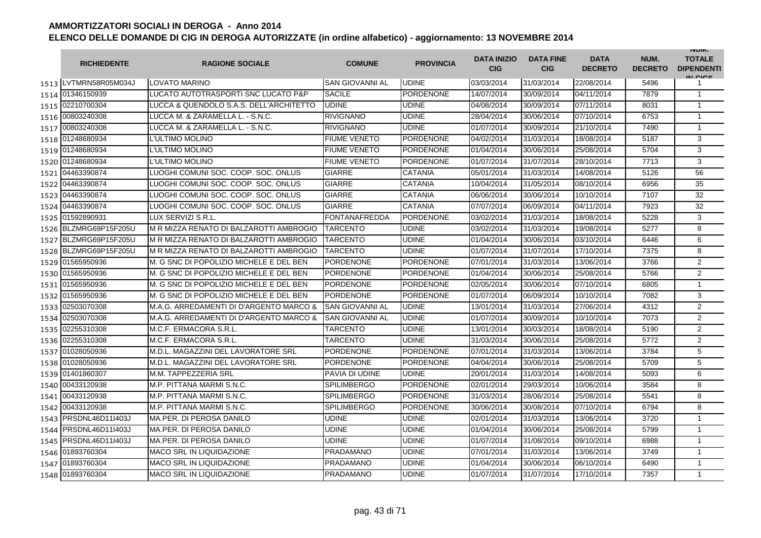|      | <b>RICHIEDENTE</b>     | <b>RAGIONE SOCIALE</b>                  | <b>COMUNE</b>          | <b>PROVINCIA</b> | <b>DATA INIZIO</b><br><b>CIG</b> | <b>DATA FINE</b><br><b>CIG</b> | <b>DATA</b><br><b>DECRETO</b> | NUM.<br><b>DECRETO</b> | <b>INUIVI.</b><br><b>TOTALE</b><br><b>DIPENDENTI</b><br>IN CIGO |
|------|------------------------|-----------------------------------------|------------------------|------------------|----------------------------------|--------------------------------|-------------------------------|------------------------|-----------------------------------------------------------------|
|      | 1513 ILVTMRN58R05M034J | <b>LOVATO MARINO</b>                    | SAN GIOVANNI AL        | <b>UDINE</b>     | 03/03/2014                       | 31/03/2014                     | 22/08/2014                    | 5496                   | 1                                                               |
|      | 1514 01346150939       | LUCATO AUTOTRASPORTI SNC LUCATO P&P     | <b>SACILE</b>          | <b>PORDENONE</b> | 14/07/2014                       | 30/09/2014                     | 04/11/2014                    | 7879                   | $\mathbf{1}$                                                    |
|      | 1515 02210700304       | LUCCA & QUENDOLO S.A.S. DELL'ARCHITETTO | <b>UDINE</b>           | <b>UDINE</b>     | 04/08/2014                       | 30/09/2014                     | 07/11/2014                    | 8031                   | $\mathbf{1}$                                                    |
|      | 1516 00803240308       | LUCCA M. & ZARAMELLA L. - S.N.C.        | <b>RIVIGNANO</b>       | <b>UDINE</b>     | 28/04/2014                       | 30/06/2014                     | 07/10/2014                    | 6753                   | $\mathbf{1}$                                                    |
|      | 1517 00803240308       | LUCCA M. & ZARAMELLA L. - S.N.C.        | RIVIGNANO              | <b>UDINE</b>     | 01/07/2014                       | 30/09/2014                     | 21/10/2014                    | 7490                   | $\mathbf{1}$                                                    |
|      | 1518 01248680934       | L'ULTIMO MOLINO                         | <b>FIUME VENETO</b>    | <b>PORDENONE</b> | 04/02/2014                       | 31/03/2014                     | 18/08/2014                    | 5187                   | 3                                                               |
|      | 1519 01248680934       | L'ULTIMO MOLINO                         | <b>FIUME VENETO</b>    | <b>PORDENONE</b> | 01/04/2014                       | 30/06/2014                     | 25/08/2014                    | 5704                   | 3                                                               |
|      | 1520 01248680934       | L'ULTIMO MOLINO                         | <b>FIUME VENETO</b>    | <b>PORDENONE</b> | 01/07/2014                       | 31/07/2014                     | 28/10/2014                    | 7713                   | 3                                                               |
| 1521 | 04463390874            | LUOGHI COMUNI SOC. COOP. SOC. ONLUS     | <b>GIARRE</b>          | <b>CATANIA</b>   | 05/01/2014                       | 31/03/2014                     | 14/08/2014                    | 5126                   | 56                                                              |
| 1522 | 04463390874            | LUOGHI COMUNI SOC. COOP. SOC. ONLUS     | <b>GIARRE</b>          | <b>CATANIA</b>   | 10/04/2014                       | 31/05/2014                     | 08/10/2014                    | 6956                   | 35                                                              |
| 1523 | 04463390874            | LUOGHI COMUNI SOC. COOP. SOC. ONLUS     | <b>GIARRE</b>          | <b>CATANIA</b>   | 06/06/2014                       | 30/06/2014                     | 10/10/2014                    | 7107                   | 32                                                              |
| 1524 | 04463390874            | LUOGHI COMUNI SOC. COOP. SOC. ONLUS     | <b>GIARRE</b>          | <b>CATANIA</b>   | 07/07/2014                       | 06/09/2014                     | 04/11/2014                    | 7923                   | 32                                                              |
| 1525 | 01592890931            | LUX SERVIZI S.R.L.                      | <b>FONTANAFREDDA</b>   | <b>PORDENONE</b> | 03/02/2014                       | 31/03/2014                     | 18/08/2014                    | 5228                   | 3                                                               |
| 1526 | BLZMRG69P15F205U       | M R MIZZA RENATO DI BALZAROTTI AMBROGIO | TARCENTO               | <b>UDINE</b>     | 03/02/2014                       | 31/03/2014                     | 19/08/2014                    | 5277                   | 8                                                               |
| 1527 | BLZMRG69P15F205U       | M R MIZZA RENATO DI BALZAROTTI AMBROGIO | TARCENTO               | <b>UDINE</b>     | 01/04/2014                       | 30/06/2014                     | 03/10/2014                    | 6446                   | 6                                                               |
| 1528 | BLZMRG69P15F205U       | M R MIZZA RENATO DI BALZAROTTI AMBROGIO | <b>TARCENTO</b>        | <b>UDINE</b>     | 01/07/2014                       | 31/07/2014                     | 17/10/2014                    | 7375                   | 8                                                               |
|      | 1529 01565950936       | M. G SNC DI POPOLIZIO MICHELE E DEL BEN | PORDENONE              | <b>PORDENONE</b> | 07/01/2014                       | 31/03/2014                     | 13/06/2014                    | 3766                   | $\overline{2}$                                                  |
|      | 1530 01565950936       | M. G SNC DI POPOLIZIO MICHELE E DEL BEN | <b>PORDENONE</b>       | <b>PORDENONE</b> | 01/04/2014                       | 30/06/2014                     | 25/08/2014                    | 5766                   | $\overline{2}$                                                  |
|      | 1531 01565950936       | M. G SNC DI POPOLIZIO MICHELE E DEL BEN | PORDENONE              | <b>PORDENONE</b> | 02/05/2014                       | 30/06/2014                     | 07/10/2014                    | 6805                   | $\mathbf{1}$                                                    |
|      | 1532 01565950936       | M. G SNC DI POPOLIZIO MICHELE E DEL BEN | <b>PORDENONE</b>       | <b>PORDENONE</b> | 01/07/2014                       | 06/09/2014                     | 10/10/2014                    | 7082                   | 3                                                               |
|      | 1533 02503070308       | M.A.G. ARREDAMENTI DI D'ARGENTO MARCO & | <b>SAN GIOVANNI AL</b> | <b>UDINE</b>     | 13/01/2014                       | 31/03/2014                     | 27/06/2014                    | 4312                   | $\overline{2}$                                                  |
| 1534 | 02503070308            | M.A.G. ARREDAMENTI DI D'ARGENTO MARCO & | <b>SAN GIOVANNI AL</b> | <b>UDINE</b>     | 01/07/2014                       | 30/09/2014                     | 10/10/2014                    | 7073                   | $\overline{2}$                                                  |
| 1535 | 02255310308            | M.C.F. ERMACORA S.R.L.                  | <b>TARCENTO</b>        | <b>UDINE</b>     | 13/01/2014                       | 30/03/2014                     | 18/08/2014                    | 5190                   | $\overline{2}$                                                  |
| 1536 | 02255310308            | M.C.F. ERMACORA S.R.L.                  | TARCENTO               | <b>UDINE</b>     | 31/03/2014                       | 30/06/2014                     | 25/08/2014                    | 5772                   | $\overline{2}$                                                  |
| 1537 | 01028050936            | M.D.L. MAGAZZINI DEL LAVORATORE SRL     | <b>PORDENONE</b>       | <b>PORDENONE</b> | 07/01/2014                       | 31/03/2014                     | 13/06/2014                    | 3784                   | 5                                                               |
| 1538 | 01028050936            | M.D.L. MAGAZZINI DEL LAVORATORE SRL     | <b>PORDENONE</b>       | <b>PORDENONE</b> | 04/04/2014                       | 30/06/2014                     | 25/08/2014                    | 5709                   | 5                                                               |
| 1539 | 01401860307            | M.M. TAPPEZZERIA SRL                    | PAVIA DI UDINE         | <b>UDINE</b>     | 20/01/2014                       | 31/03/2014                     | 14/08/2014                    | 5093                   | 6                                                               |
| 1540 | 00433120938            | M.P. PITTANA MARMI S.N.C.               | <b>SPILIMBERGO</b>     | <b>PORDENONE</b> | 02/01/2014                       | 29/03/2014                     | 10/06/2014                    | 3584                   | 8                                                               |
| 1541 | 00433120938            | M.P. PITTANA MARMI S.N.C.               | <b>SPILIMBERGO</b>     | <b>PORDENONE</b> | 31/03/2014                       | 28/06/2014                     | 25/08/2014                    | 5541                   | 8                                                               |
|      | 1542 00433120938       | M.P. PITTANA MARMI S.N.C.               | SPILIMBERGO            | <b>PORDENONE</b> | 30/06/2014                       | 30/08/2014                     | 07/10/2014                    | 6794                   | 8                                                               |
|      | 1543 PRSDNL46D11I403J  | MA.PER. DI PEROSA DANILO                | UDINE                  | <b>UDINE</b>     | 02/01/2014                       | 31/03/2014                     | 13/06/2014                    | 3720                   | 1                                                               |
|      | 1544 PRSDNL46D11I403J  | MA.PER. DI PEROSA DANILO                | UDINE                  | <b>UDINE</b>     | 01/04/2014                       | 30/06/2014                     | 25/08/2014                    | 5799                   | $\mathbf{1}$                                                    |
|      | 1545 PRSDNL46D11I403J  | MA.PER. DI PEROSA DANILO                | UDINE                  | <b>UDINE</b>     | 01/07/2014                       | 31/08/2014                     | 09/10/2014                    | 6988                   | $\mathbf{1}$                                                    |
|      | 1546 01893760304       | <b>MACO SRL IN LIQUIDAZIONE</b>         | PRADAMANO              | <b>UDINE</b>     | 07/01/2014                       | 31/03/2014                     | 13/06/2014                    | 3749                   | $\mathbf{1}$                                                    |
| 1547 | 01893760304            | <b>MACO SRL IN LIQUIDAZIONE</b>         | PRADAMANO              | <b>UDINE</b>     | 01/04/2014                       | 30/06/2014                     | 06/10/2014                    | 6490                   | $\mathbf{1}$                                                    |
|      | 1548 01893760304       | <b>MACO SRL IN LIQUIDAZIONE</b>         | <b>PRADAMANO</b>       | <b>UDINE</b>     | 01/07/2014                       | 31/07/2014                     | 17/10/2014                    | 7357                   | $\mathbf{1}$                                                    |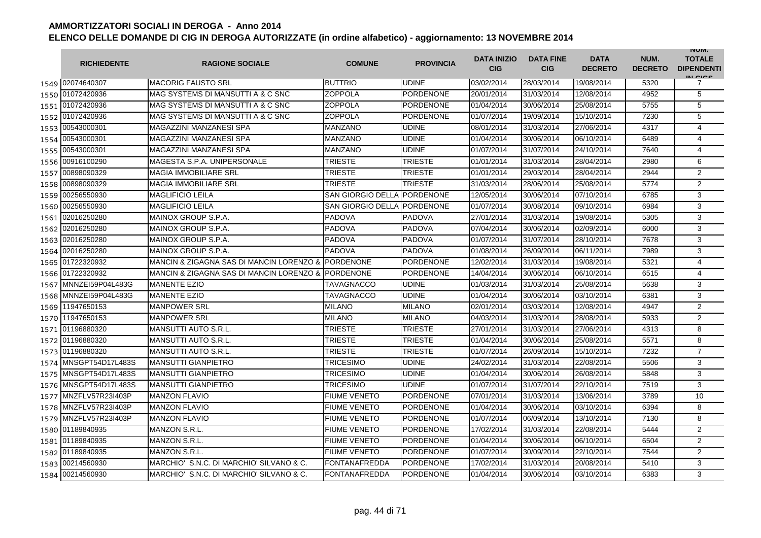|      | <b>RICHIEDENTE</b>    | <b>RAGIONE SOCIALE</b>                             | <b>COMUNE</b>               | <b>PROVINCIA</b> | <b>DATA INIZIO</b><br><b>CIG</b> | <b>DATA FINE</b><br><b>CIG</b> | <b>DATA</b><br><b>DECRETO</b> | NUM.<br><b>DECRETO</b> | <b>INUIVI.</b><br><b>TOTALE</b><br><b>DIPENDENTI</b><br>IN CIGO |
|------|-----------------------|----------------------------------------------------|-----------------------------|------------------|----------------------------------|--------------------------------|-------------------------------|------------------------|-----------------------------------------------------------------|
|      | 1549 02074640307      | <b>MACORIG FAUSTO SRL</b>                          | <b>BUTTRIO</b>              | <b>UDINE</b>     | 03/02/2014                       | 28/03/2014                     | 19/08/2014                    | 5320                   | 7                                                               |
|      | 1550 01072420936      | MAG SYSTEMS DI MANSUTTI A & C SNC                  | <b>ZOPPOLA</b>              | <b>PORDENONE</b> | 20/01/2014                       | 31/03/2014                     | 12/08/2014                    | 4952                   | 5                                                               |
|      | 1551 01072420936      | MAG SYSTEMS DI MANSUTTI A & C SNC                  | <b>ZOPPOLA</b>              | <b>PORDENONE</b> | 01/04/2014                       | 30/06/2014                     | 25/08/2014                    | 5755                   | 5                                                               |
|      | 1552 01072420936      | MAG SYSTEMS DI MANSUTTI A & C SNC                  | <b>ZOPPOLA</b>              | <b>PORDENONE</b> | 01/07/2014                       | 19/09/2014                     | 15/10/2014                    | 7230                   | 5                                                               |
|      | 1553 00543000301      | MAGAZZINI MANZANESI SPA                            | MANZANO                     | <b>UDINE</b>     | 08/01/2014                       | 31/03/2014                     | 27/06/2014                    | 4317                   | $\overline{4}$                                                  |
|      | 1554 00543000301      | MAGAZZINI MANZANESI SPA                            | <b>MANZANO</b>              | <b>UDINE</b>     | 01/04/2014                       | 30/06/2014                     | 06/10/2014                    | 6489                   | $\overline{4}$                                                  |
|      | 1555 00543000301      | MAGAZZINI MANZANESI SPA                            | MANZANO                     | <b>UDINE</b>     | 01/07/2014                       | 31/07/2014                     | 24/10/2014                    | 7640                   | 4                                                               |
|      | 1556 00916100290      | MAGESTA S.P.A. UNIPERSONALE                        | <b>TRIESTE</b>              | <b>TRIESTE</b>   | 01/01/2014                       | 31/03/2014                     | 28/04/2014                    | 2980                   | 6                                                               |
| 1557 | 00898090329           | <b>MAGIA IMMOBILIARE SRL</b>                       | <b>TRIESTE</b>              | <b>TRIESTE</b>   | 01/01/2014                       | 29/03/2014                     | 28/04/2014                    | 2944                   | $\overline{2}$                                                  |
| 1558 | 00898090329           | <b>MAGIA IMMOBILIARE SRL</b>                       | TRIESTE                     | <b>TRIESTE</b>   | 31/03/2014                       | 28/06/2014                     | 25/08/2014                    | 5774                   | $\overline{2}$                                                  |
| 1559 | 00256550930           | <b>MAGLIFICIO LEILA</b>                            | <b>SAN GIORGIO DELLA</b>    | <b>PORDENONE</b> | 12/05/2014                       | 30/06/2014                     | 07/10/2014                    | 6785                   | 3                                                               |
| 1560 | 00256550930           | <b>MAGLIFICIO LEILA</b>                            | SAN GIORGIO DELLA PORDENONE |                  | 01/07/2014                       | 30/08/2014                     | 09/10/2014                    | 6984                   | 3                                                               |
| 1561 | 02016250280           | MAINOX GROUP S.P.A.                                | <b>PADOVA</b>               | <b>PADOVA</b>    | 27/01/2014                       | 31/03/2014                     | 19/08/2014                    | 5305                   | 3                                                               |
| 1562 | 02016250280           | MAINOX GROUP S.P.A.                                | <b>PADOVA</b>               | <b>PADOVA</b>    | 07/04/2014                       | 30/06/2014                     | 02/09/2014                    | 6000                   | 3                                                               |
| 1563 | 02016250280           | MAINOX GROUP S.P.A.                                | <b>PADOVA</b>               | <b>PADOVA</b>    | 01/07/2014                       | 31/07/2014                     | 28/10/2014                    | 7678                   | 3                                                               |
|      | 1564 02016250280      | MAINOX GROUP S.P.A.                                | <b>PADOVA</b>               | <b>PADOVA</b>    | 01/08/2014                       | 26/09/2014                     | 06/11/2014                    | 7989                   | 3                                                               |
|      | 1565 01722320932      | MANCIN & ZIGAGNA SAS DI MANCIN LORENZO & PORDENONE |                             | <b>PORDENONE</b> | 12/02/2014                       | 31/03/2014                     | 19/08/2014                    | 5321                   | $\overline{4}$                                                  |
|      | 1566 01722320932      | MANCIN & ZIGAGNA SAS DI MANCIN LORENZO &           | <b>PORDENONE</b>            | <b>PORDENONE</b> | 14/04/2014                       | 30/06/2014                     | 06/10/2014                    | 6515                   | $\overline{4}$                                                  |
|      | 1567 MNNZE159P04L483G | <b>MANENTE EZIO</b>                                | TAVAGNACCO                  | <b>UDINE</b>     | 01/03/2014                       | 31/03/2014                     | 25/08/2014                    | 5638                   | 3                                                               |
|      | 1568 MNNZEI59P04L483G | <b>MANENTE EZIO</b>                                | <b>TAVAGNACCO</b>           | <b>UDINE</b>     | 01/04/2014                       | 30/06/2014                     | 03/10/2014                    | 6381                   | 3                                                               |
|      | 1569 11947650153      | <b>MANPOWER SRL</b>                                | <b>MILANO</b>               | <b>MILANO</b>    | 02/01/2014                       | 03/03/2014                     | 12/08/2014                    | 4947                   | $\overline{2}$                                                  |
| 1570 | 11947650153           | <b>MANPOWER SRL</b>                                | <b>MILANO</b>               | <b>MILANO</b>    | 04/03/2014                       | 31/03/2014                     | 28/08/2014                    | 5933                   | $\overline{2}$                                                  |
|      | 1571 01196880320      | MANSUTTI AUTO S.R.L.                               | <b>TRIESTE</b>              | <b>TRIESTE</b>   | 27/01/2014                       | 31/03/2014                     | 27/06/2014                    | 4313                   | 8                                                               |
|      | 1572 01196880320      | MANSUTTI AUTO S.R.L                                | TRIESTE                     | <b>TRIESTE</b>   | 01/04/2014                       | 30/06/2014                     | 25/08/2014                    | 5571                   | 8                                                               |
|      | 1573 01196880320      | <b>MANSUTTI AUTO S.R.L</b>                         | <b>TRIESTE</b>              | <b>TRIESTE</b>   | 01/07/2014                       | 26/09/2014                     | 15/10/2014                    | 7232                   | $\overline{7}$                                                  |
| 1574 | MNSGPT54D17L483S      | <b>MANSUTTI GIANPIETRO</b>                         | TRICESIMO                   | <b>UDINE</b>     | 24/02/2014                       | 31/03/2014                     | 22/08/2014                    | 5506                   | 3                                                               |
| 1575 | MNSGPT54D17L483S      | <b>MANSUTTI GIANPIETRO</b>                         | TRICESIMO                   | <b>UDINE</b>     | 01/04/2014                       | 30/06/2014                     | 26/08/2014                    | 5848                   | 3                                                               |
|      | 1576 MNSGPT54D17L483S | <b>MANSUTTI GIANPIETRO</b>                         | TRICESIMO                   | <b>UDINE</b>     | 01/07/2014                       | 31/07/2014                     | 22/10/2014                    | 7519                   | 3                                                               |
| 1577 | MNZFLV57R23I403P      | <b>MANZON FLAVIO</b>                               | FIUME VENETO                | <b>PORDENONE</b> | 07/01/2014                       | 31/03/2014                     | 13/06/2014                    | 3789                   | 10                                                              |
|      | 1578 MNZFLV57R23I403P | <b>MANZON FLAVIO</b>                               | <b>FIUME VENETO</b>         | <b>PORDENONE</b> | 01/04/2014                       | 30/06/2014                     | 03/10/2014                    | 6394                   | 8                                                               |
|      | 1579 MNZFLV57R23I403P | <b>MANZON FLAVIO</b>                               | <b>FIUME VENETO</b>         | <b>PORDENONE</b> | 01/07/2014                       | 06/09/2014                     | 13/10/2014                    | 7130                   | 8                                                               |
|      | 1580 01189840935      | <b>MANZON S.R.L.</b>                               | <b>FIUME VENETO</b>         | <b>PORDENONE</b> | 17/02/2014                       | 31/03/2014                     | 22/08/2014                    | 5444                   | 2                                                               |
|      | 1581 01189840935      | MANZON S.R.L.                                      | <b>FIUME VENETO</b>         | <b>PORDENONE</b> | 01/04/2014                       | 30/06/2014                     | 06/10/2014                    | 6504                   | $\overline{2}$                                                  |
|      | 1582 01189840935      | <b>MANZON S.R.L.</b>                               | <b>FIUME VENETO</b>         | <b>PORDENONE</b> | 01/07/2014                       | 30/09/2014                     | 22/10/2014                    | 7544                   | $\overline{2}$                                                  |
| 1583 | 00214560930           | MARCHIO' S.N.C. DI MARCHIO' SILVANO & C.           | <b>FONTANAFREDDA</b>        | <b>PORDENONE</b> | 17/02/2014                       | 31/03/2014                     | 20/08/2014                    | 5410                   | 3                                                               |
|      | 1584 00214560930      | MARCHIO' S.N.C. DI MARCHIO' SILVANO & C.           | <b>FONTANAFREDDA</b>        | <b>PORDENONE</b> | 01/04/2014                       | 30/06/2014                     | 03/10/2014                    | 6383                   | 3                                                               |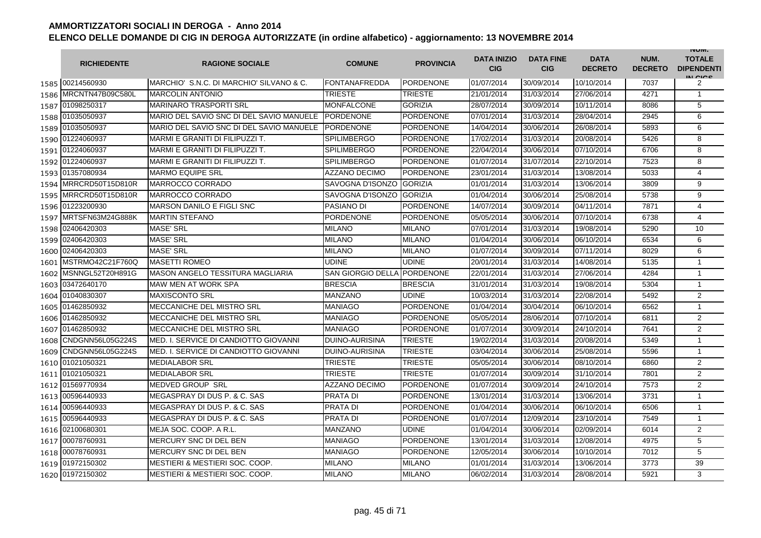|      | <b>RICHIEDENTE</b>    | <b>RAGIONE SOCIALE</b>                    | <b>COMUNE</b>            | <b>PROVINCIA</b> | <b>DATA INIZIO</b><br><b>CIG</b> | <b>DATA FINE</b><br><b>CIG</b> | <b>DATA</b><br><b>DECRETO</b> | NUM.<br><b>DECRETO</b> | <b>INUIVI.</b><br><b>TOTALE</b><br><b>DIPENDENTI</b><br>IN CIGO |
|------|-----------------------|-------------------------------------------|--------------------------|------------------|----------------------------------|--------------------------------|-------------------------------|------------------------|-----------------------------------------------------------------|
|      | 1585 00214560930      | IMARCHIO' S.N.C. DI MARCHIO' SILVANO & C. | <b>FONTANAFREDDA</b>     | <b>PORDENONE</b> | 01/07/2014                       | 30/09/2014                     | 10/10/2014                    | 7037                   | 2                                                               |
|      | 1586 MRCNTN47B09C580L | <b>MARCOLIN ANTONIO</b>                   | <b>TRIESTE</b>           | <b>TRIESTE</b>   | 21/01/2014                       | 31/03/2014                     | 27/06/2014                    | 4271                   | $\mathbf{1}$                                                    |
|      | 1587 01098250317      | <b>MARINARO TRASPORTI SRL</b>             | <b>MONFALCONE</b>        | <b>GORIZIA</b>   | 28/07/2014                       | 30/09/2014                     | 10/11/2014                    | 8086                   | 5                                                               |
|      | 1588 01035050937      | MARIO DEL SAVIO SNC DI DEL SAVIO MANUELE  | PORDENONE                | <b>PORDENONE</b> | 07/01/2014                       | 31/03/2014                     | 28/04/2014                    | 2945                   | 6                                                               |
|      | 1589 01035050937      | MARIO DEL SAVIO SNC DI DEL SAVIO MANUELE  | <b>PORDENONE</b>         | <b>PORDENONE</b> | 14/04/2014                       | 30/06/2014                     | 26/08/2014                    | 5893                   | 6                                                               |
|      | 1590 01224060937      | MARMI E GRANITI DI FILIPUZZI T.           | <b>SPILIMBERGO</b>       | <b>PORDENONE</b> | 17/02/2014                       | 31/03/2014                     | 20/08/2014                    | 5426                   | 8                                                               |
|      | 1591 01224060937      | MARMI E GRANITI DI FILIPUZZI T.           | <b>SPILIMBERGO</b>       | <b>PORDENONE</b> | 22/04/2014                       | 30/06/2014                     | 07/10/2014                    | 6706                   | 8                                                               |
|      | 1592 01224060937      | MARMI E GRANITI DI FILIPUZZI T.           | <b>SPILIMBERGO</b>       | <b>PORDENONE</b> | 01/07/2014                       | 31/07/2014                     | 22/10/2014                    | 7523                   | 8                                                               |
|      | 1593 01357080934      | <b>MARMO EQUIPE SRL</b>                   | AZZANO DECIMO            | <b>PORDENONE</b> | 23/01/2014                       | 31/03/2014                     | 13/08/2014                    | 5033                   | $\overline{\mathbf{4}}$                                         |
|      | 1594 MRRCRD50T15D810R | <b>MARROCCO CORRADO</b>                   | SAVOGNA D'ISONZO         | <b>GORIZIA</b>   | 01/01/2014                       | 31/03/2014                     | 13/06/2014                    | 3809                   | 9                                                               |
| 1595 | MRRCRD50T15D810R      | <b>MARROCCO CORRADO</b>                   | <b>SAVOGNA D'ISONZO</b>  | <b>GORIZIA</b>   | 01/04/2014                       | 30/06/2014                     | 25/08/2014                    | 5738                   | 9                                                               |
| 1596 | 01223200930           | <b>MARSON DANILO E FIGLI SNC</b>          | <b>PASIANO DI</b>        | <b>PORDENONE</b> | 14/07/2014                       | 30/09/2014                     | 04/11/2014                    | 7871                   | 4                                                               |
| 1597 | MRTSFN63M24G888K      | <b>MARTIN STEFANO</b>                     | <b>PORDENONE</b>         | <b>PORDENONE</b> | 05/05/2014                       | 30/06/2014                     | 07/10/2014                    | 6738                   | $\overline{4}$                                                  |
| 1598 | 02406420303           | <b>MASE' SRL</b>                          | <b>MILANO</b>            | <b>MILANO</b>    | 07/01/2014                       | 31/03/2014                     | 19/08/2014                    | 5290                   | 10                                                              |
| 1599 | 02406420303           | <b>MASE' SRL</b>                          | <b>MILANO</b>            | <b>MILANO</b>    | 01/04/2014                       | 30/06/2014                     | 06/10/2014                    | 6534                   | 6                                                               |
| 1600 | 02406420303           | <b>MASE' SRL</b>                          | <b>MILANO</b>            | <b>MILANO</b>    | 01/07/2014                       | 30/09/2014                     | 07/11/2014                    | 8029                   | 6                                                               |
| 1601 | MSTRMO42C21F760Q      | <b>MASETTI ROMEO</b>                      | <b>UDINE</b>             | <b>UDINE</b>     | 20/01/2014                       | 31/03/2014                     | 14/08/2014                    | 5135                   | $\mathbf{1}$                                                    |
| 1602 | MSNNGL52T20H891G      | <b>MASON ANGELO TESSITURA MAGLIARIA</b>   | <b>SAN GIORGIO DELLA</b> | <b>PORDENONE</b> | 22/01/2014                       | 31/03/2014                     | 27/06/2014                    | 4284                   | $\mathbf{1}$                                                    |
|      | 1603 03472640170      | <b>MAW MEN AT WORK SPA</b>                | <b>BRESCIA</b>           | <b>BRESCIA</b>   | 31/01/2014                       | 31/03/2014                     | 19/08/2014                    | 5304                   | $\mathbf{1}$                                                    |
|      | 1604 01040830307      | <b>MAXISCONTO SRL</b>                     | <b>MANZANO</b>           | <b>UDINE</b>     | 10/03/2014                       | 31/03/2014                     | 22/08/2014                    | 5492                   | $\overline{2}$                                                  |
|      | 1605 01462850932      | MECCANICHE DEL MISTRO SRL                 | <b>MANIAGO</b>           | <b>PORDENONE</b> | 01/04/2014                       | 30/04/2014                     | 06/10/2014                    | 6562                   | $\mathbf{1}$                                                    |
| 1606 | 01462850932           | MECCANICHE DEL MISTRO SRL                 | <b>MANIAGO</b>           | <b>PORDENONE</b> | 05/05/2014                       | 28/06/2014                     | 07/10/2014                    | 6811                   | $\overline{2}$                                                  |
| 1607 | 01462850932           | MECCANICHE DEL MISTRO SRL                 | <b>MANIAGO</b>           | <b>PORDENONE</b> | 01/07/2014                       | 30/09/2014                     | 24/10/2014                    | 7641                   | $\overline{2}$                                                  |
| 1608 | CNDGNN56L05G224S      | MED. I. SERVICE DI CANDIOTTO GIOVANNI     | DUINO-AURISINA           | <b>TRIESTE</b>   | 19/02/2014                       | 31/03/2014                     | 20/08/2014                    | 5349                   | 1                                                               |
| 1609 | CNDGNN56L05G224S      | MED. I. SERVICE DI CANDIOTTO GIOVANNI     | DUINO-AURISINA           | <b>TRIESTE</b>   | 03/04/2014                       | 30/06/2014                     | 25/08/2014                    | 5596                   | $\mathbf{1}$                                                    |
| 1610 | 01021050321           | <b>MEDIALABOR SRL</b>                     | TRIESTE                  | <b>TRIESTE</b>   | 05/05/2014                       | 30/06/2014                     | 08/10/2014                    | 6860                   | $\overline{2}$                                                  |
|      | 1611 01021050321      | <b>MEDIALABOR SRL</b>                     | <b>TRIESTE</b>           | <b>TRIESTE</b>   | 01/07/2014                       | 30/09/2014                     | 31/10/2014                    | 7801                   | $\overline{2}$                                                  |
|      | 1612 01569770934      | <b>MEDVED GROUP SRL</b>                   | <b>AZZANO DECIMO</b>     | <b>PORDENONE</b> | 01/07/2014                       | 30/09/2014                     | 24/10/2014                    | 7573                   | $\overline{2}$                                                  |
|      | 1613 00596440933      | MEGASPRAY DI DUS P. & C. SAS              | <b>PRATA DI</b>          | <b>PORDENONE</b> | 13/01/2014                       | 31/03/2014                     | 13/06/2014                    | 3731                   | $\mathbf{1}$                                                    |
|      | 1614 00596440933      | MEGASPRAY DI DUS P. & C. SAS              | <b>PRATA DI</b>          | PORDENONE        | 01/04/2014                       | 30/06/2014                     | 06/10/2014                    | 6506                   | $\mathbf{1}$                                                    |
|      | 1615 00596440933      | MEGASPRAY DI DUS P. & C. SAS              | <b>PRATA DI</b>          | PORDENONE        | 01/07/2014                       | 12/09/2014                     | 23/10/2014                    | 7549                   | $\mathbf{1}$                                                    |
|      | 1616 02100680301      | MEJA SOC. COOP. A R.L.                    | <b>MANZANO</b>           | <b>UDINE</b>     | 01/04/2014                       | 30/06/2014                     | 02/09/2014                    | 6014                   | 2                                                               |
|      | 1617 00078760931      | MERCURY SNC DI DEL BEN                    | <b>MANIAGO</b>           | PORDENONE        | 13/01/2014                       | 31/03/2014                     | 12/08/2014                    | 4975                   | 5                                                               |
|      | 1618 00078760931      | MERCURY SNC DI DEL BEN                    | <b>MANIAGO</b>           | <b>PORDENONE</b> | 12/05/2014                       | 30/06/2014                     | 10/10/2014                    | 7012                   | 5                                                               |
|      | 1619 01972150302      | MESTIERI & MESTIERI SOC. COOP.            | <b>MILANO</b>            | <b>MILANO</b>    | 01/01/2014                       | 31/03/2014                     | 13/06/2014                    | 3773                   | 39                                                              |
|      | 1620 01972150302      | MESTIERI & MESTIERI SOC. COOP.            | <b>MILANO</b>            | <b>MILANO</b>    | 06/02/2014                       | 31/03/2014                     | 28/08/2014                    | 5921                   | 3                                                               |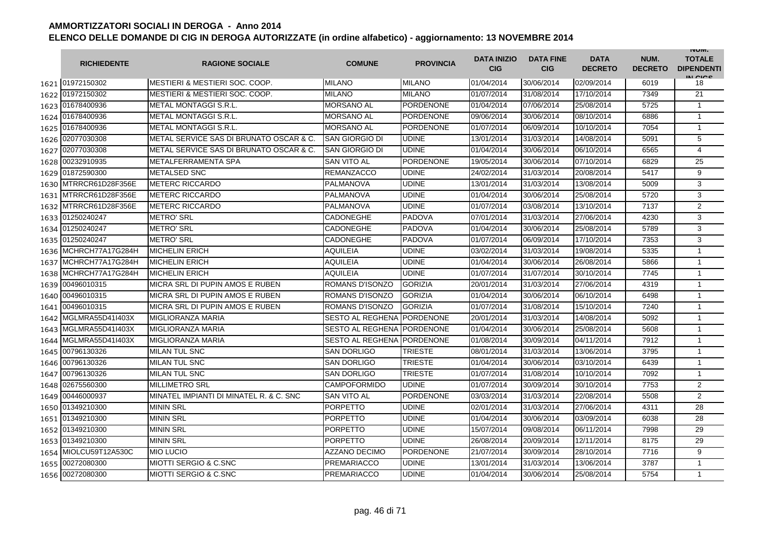|      | <b>RICHIEDENTE</b>    | <b>RAGIONE SOCIALE</b>                    | <b>COMUNE</b>              | <b>PROVINCIA</b> | <b>DATA INIZIO</b><br><b>CIG</b> | <b>DATA FINE</b><br><b>CIG</b> | <b>DATA</b><br><b>DECRETO</b> | NUM.<br><b>DECRETO</b> | <b>INUIVI.</b><br><b>TOTALE</b><br><b>DIPENDENTI</b><br>IN CIGO |
|------|-----------------------|-------------------------------------------|----------------------------|------------------|----------------------------------|--------------------------------|-------------------------------|------------------------|-----------------------------------------------------------------|
|      | 1621 01972150302      | <b>MESTIERI &amp; MESTIERI SOC. COOP.</b> | <b>MILANO</b>              | <b>MILANO</b>    | 01/04/2014                       | 30/06/2014                     | 02/09/2014                    | 6019                   | 18                                                              |
|      | 1622 01972150302      | MESTIERI & MESTIERI SOC. COOP.            | <b>MILANO</b>              | <b>MILANO</b>    | 01/07/2014                       | 31/08/2014                     | 17/10/2014                    | 7349                   | 21                                                              |
|      | 1623 01678400936      | <b>METAL MONTAGGI S.R.L.</b>              | <b>MORSANO AL</b>          | <b>PORDENONE</b> | 01/04/2014                       | 07/06/2014                     | 25/08/2014                    | 5725                   | $\mathbf{1}$                                                    |
|      | 1624 01678400936      | METAL MONTAGGI S.R.L.                     | <b>MORSANO AL</b>          | <b>PORDENONE</b> | 09/06/2014                       | 30/06/2014                     | 08/10/2014                    | 6886                   | $\mathbf{1}$                                                    |
|      | 1625 01678400936      | <b>METAL MONTAGGI S.R.L.</b>              | <b>MORSANO AL</b>          | <b>PORDENONE</b> | 01/07/2014                       | 06/09/2014                     | 10/10/2014                    | 7054                   | $\mathbf{1}$                                                    |
|      | 1626 02077030308      | METAL SERVICE SAS DI BRUNATO OSCAR & C.   | <b>SAN GIORGIO DI</b>      | <b>UDINE</b>     | 13/01/2014                       | 31/03/2014                     | 14/08/2014                    | 5091                   | 5                                                               |
|      | 1627 02077030308      | METAL SERVICE SAS DI BRUNATO OSCAR & C.   | SAN GIORGIO DI             | <b>UDINE</b>     | 01/04/2014                       | 30/06/2014                     | 06/10/2014                    | 6565                   | 4                                                               |
| 1628 | 00232910935           | <b>METALFERRAMENTA SPA</b>                | <b>SAN VITO AL</b>         | <b>PORDENONE</b> | 19/05/2014                       | 30/06/2014                     | 07/10/2014                    | 6829                   | 25                                                              |
|      | 1629 01872590300      | <b>METALSED SNC</b>                       | <b>REMANZACCO</b>          | <b>UDINE</b>     | 24/02/2014                       | 31/03/2014                     | 20/08/2014                    | 5417                   | 9                                                               |
|      | 1630 MTRRCR61D28F356E | <b>METERC RICCARDO</b>                    | PALMANOVA                  | <b>UDINE</b>     | 13/01/2014                       | 31/03/2014                     | 13/08/2014                    | 5009                   | 3                                                               |
| 1631 | MTRRCR61D28F356E      | <b>METERC RICCARDO</b>                    | PALMANOVA                  | <b>UDINE</b>     | 01/04/2014                       | 30/06/2014                     | 25/08/2014                    | 5720                   | 3                                                               |
| 1632 | MTRRCR61D28F356E      | <b>METERC RICCARDO</b>                    | PALMANOVA                  | <b>UDINE</b>     | 01/07/2014                       | 03/08/2014                     | 13/10/2014                    | 7137                   | $\overline{2}$                                                  |
| 1633 | 01250240247           | <b>METRO' SRL</b>                         | CADONEGHE                  | <b>PADOVA</b>    | 07/01/2014                       | 31/03/2014                     | 27/06/2014                    | 4230                   | 3                                                               |
|      | 1634 01250240247      | <b>METRO' SRL</b>                         | CADONEGHE                  | <b>PADOVA</b>    | 01/04/2014                       | 30/06/2014                     | 25/08/2014                    | 5789                   | 3                                                               |
|      | 1635 01250240247      | <b>METRO' SRL</b>                         | CADONEGHE                  | <b>PADOVA</b>    | 01/07/2014                       | 06/09/2014                     | 17/10/2014                    | 7353                   | 3                                                               |
| 1636 | MCHRCH77A17G284H      | <b>MICHELIN ERICH</b>                     | <b>AQUILEIA</b>            | <b>UDINE</b>     | 03/02/2014                       | 31/03/2014                     | 19/08/2014                    | 5335                   | $\mathbf{1}$                                                    |
| 1637 | MCHRCH77A17G284H      | <b>MICHELIN ERICH</b>                     | <b>AQUILEIA</b>            | <b>UDINE</b>     | 01/04/2014                       | 30/06/2014                     | 26/08/2014                    | 5866                   | $\mathbf{1}$                                                    |
|      | 1638 MCHRCH77A17G284H | <b>MICHELIN ERICH</b>                     | <b>AQUILEIA</b>            | <b>UDINE</b>     | 01/07/2014                       | 31/07/2014                     | 30/10/2014                    | 7745                   | 1                                                               |
|      | 1639 00496010315      | MICRA SRL DI PUPIN AMOS E RUBEN           | ROMANS D'ISONZO            | <b>GORIZIA</b>   | 20/01/2014                       | 31/03/2014                     | 27/06/2014                    | 4319                   | $\mathbf{1}$                                                    |
| 1640 | 00496010315           | MICRA SRL DI PUPIN AMOS E RUBEN           | ROMANS D'ISONZO            | <b>GORIZIA</b>   | 01/04/2014                       | 30/06/2014                     | 06/10/2014                    | 6498                   | $\mathbf{1}$                                                    |
|      | 1641 00496010315      | MICRA SRL DI PUPIN AMOS E RUBEN           | ROMANS D'ISONZO            | <b>GORIZIA</b>   | 01/07/2014                       | 31/08/2014                     | 15/10/2014                    | 7240                   | $\mathbf{1}$                                                    |
| 1642 | MGLMRA55D41I403X      | <b>MIGLIORANZA MARIA</b>                  | SESTO AL REGHENA PORDENONE |                  | 20/01/2014                       | 31/03/2014                     | 14/08/2014                    | 5092                   | $\mathbf{1}$                                                    |
| 1643 | MGLMRA55D41I403X      | <b>MIGLIORANZA MARIA</b>                  | SESTO AL REGHENA PORDENONE |                  | 01/04/2014                       | 30/06/2014                     | 25/08/2014                    | 5608                   | $\mathbf{1}$                                                    |
| 1644 | MGLMRA55D41I403X      | <b>MIGLIORANZA MARIA</b>                  | SESTO AL REGHENA PORDENONE |                  | 01/08/2014                       | 30/09/2014                     | 04/11/2014                    | 7912                   | 1                                                               |
| 1645 | 00796130326           | <b>MILAN TUL SNC</b>                      | <b>SAN DORLIGO</b>         | <b>TRIESTE</b>   | 08/01/2014                       | 31/03/2014                     | 13/06/2014                    | 3795                   | $\mathbf{1}$                                                    |
| 1646 | 00796130326           | <b>MILAN TUL SNC</b>                      | <b>SAN DORLIGO</b>         | <b>TRIESTE</b>   | 01/04/2014                       | 30/06/2014                     | 03/10/2014                    | 6439                   | $\mathbf{1}$                                                    |
| 1647 | 00796130326           | <b>MILAN TUL SNC</b>                      | SAN DORLIGO                | <b>TRIESTE</b>   | 01/07/2014                       | 31/08/2014                     | 10/10/2014                    | 7092                   | $\mathbf{1}$                                                    |
| 1648 | 02675560300           | <b>MILLIMETRO SRL</b>                     | <b>CAMPOFORMIDO</b>        | <b>UDINE</b>     | 01/07/2014                       | 30/09/2014                     | 30/10/2014                    | 7753                   | 2                                                               |
|      | 1649 00446000937      | MINATEL IMPIANTI DI MINATEL R. & C. SNC   | SAN VITO AL                | <b>PORDENONE</b> | 03/03/2014                       | 31/03/2014                     | 22/08/2014                    | 5508                   | 2                                                               |
|      | 1650 01349210300      | <b>MININ SRL</b>                          | PORPETTO                   | <b>UDINE</b>     | 02/01/2014                       | 31/03/2014                     | 27/06/2014                    | 4311                   | 28                                                              |
|      | 1651 01349210300      | <b>MININ SRL</b>                          | PORPETTO                   | <b>UDINE</b>     | 01/04/2014                       | 30/06/2014                     | 03/09/2014                    | 6038                   | 28                                                              |
|      | 1652 01349210300      | <b>MININ SRL</b>                          | PORPETTO                   | <b>UDINE</b>     | 15/07/2014                       | 09/08/2014                     | 06/11/2014                    | 7998                   | 29                                                              |
|      | 1653 01349210300      | <b>MININ SRL</b>                          | PORPETTO                   | <b>UDINE</b>     | 26/08/2014                       | 20/09/2014                     | 12/11/2014                    | 8175                   | 29                                                              |
|      | 1654 MIOLCU59T12A530C | <b>MIO LUCIO</b>                          | <b>AZZANO DECIMO</b>       | <b>PORDENONE</b> | 21/07/2014                       | 30/09/2014                     | 28/10/2014                    | 7716                   | 9                                                               |
| 1655 | 00272080300           | <b>MIOTTI SERGIO &amp; C.SNC</b>          | <b>PREMARIACCO</b>         | <b>UDINE</b>     | 13/01/2014                       | 31/03/2014                     | 13/06/2014                    | 3787                   | $\mathbf{1}$                                                    |
| 1656 | 00272080300           | <b>MIOTTI SERGIO &amp; C.SNC</b>          | <b>PREMARIACCO</b>         | <b>UDINE</b>     | 01/04/2014                       | 30/06/2014                     | 25/08/2014                    | 5754                   | $\mathbf{1}$                                                    |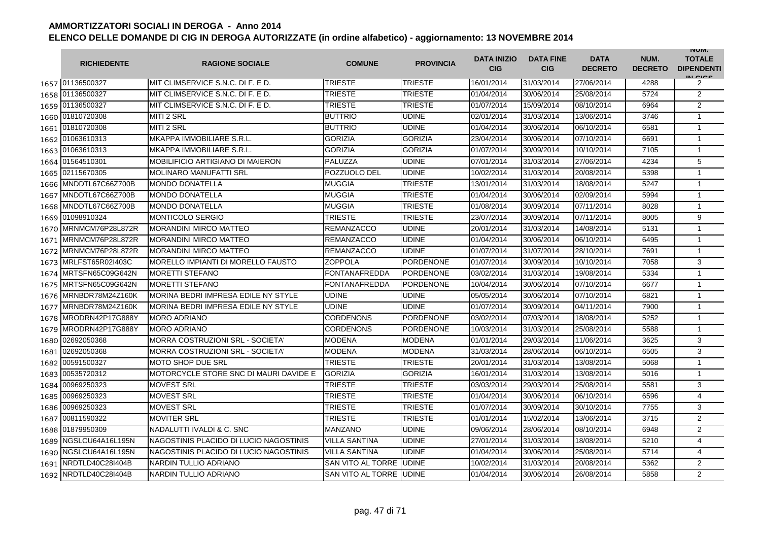|      | <b>RICHIEDENTE</b>      | <b>RAGIONE SOCIALE</b>                     | <b>COMUNE</b>           | <b>PROVINCIA</b> | <b>DATA INIZIO</b><br><b>CIG</b> | <b>DATA FINE</b><br><b>CIG</b> | <b>DATA</b><br><b>DECRETO</b> | NUM.<br><b>DECRETO</b> | <b>INUIVI.</b><br><b>TOTALE</b><br><b>DIPENDENTI</b><br>IN CIGO |
|------|-------------------------|--------------------------------------------|-------------------------|------------------|----------------------------------|--------------------------------|-------------------------------|------------------------|-----------------------------------------------------------------|
|      | 1657 01136500327        | MIT CLIMSERVICE S.N.C. DI F. E D.          | <b>TRIESTE</b>          | <b>TRIESTE</b>   | 16/01/2014                       | 31/03/2014                     | 27/06/2014                    | 4288                   | 2                                                               |
|      | 1658 01136500327        | MIT CLIMSERVICE S.N.C. DI F. E D.          | TRIESTE                 | <b>TRIESTE</b>   | 01/04/2014                       | 30/06/2014                     | 25/08/2014                    | 5724                   | $\overline{2}$                                                  |
|      | 1659 01136500327        | MIT CLIMSERVICE S.N.C. DI F. E D.          | TRIESTE                 | <b>TRIESTE</b>   | 01/07/2014                       | 15/09/2014                     | 08/10/2014                    | 6964                   | $\overline{2}$                                                  |
|      | 1660 01810720308        | MITI 2 SRL                                 | <b>BUTTRIO</b>          | <b>UDINE</b>     | 02/01/2014                       | 31/03/2014                     | 13/06/2014                    | 3746                   | $\mathbf{1}$                                                    |
|      | 1661 01810720308        | MITI 2 SRL                                 | <b>BUTTRIO</b>          | <b>UDINE</b>     | 01/04/2014                       | 30/06/2014                     | 06/10/2014                    | 6581                   | $\mathbf{1}$                                                    |
|      | 1662 01063610313        | MKAPPA IMMOBILIARE S.R.L.                  | <b>GORIZIA</b>          | <b>GORIZIA</b>   | 23/04/2014                       | 30/06/2014                     | 07/10/2014                    | 6691                   | $\mathbf{1}$                                                    |
|      | 1663 01063610313        | MKAPPA IMMOBILIARE S.R.L.                  | <b>GORIZIA</b>          | <b>GORIZIA</b>   | 01/07/2014                       | 30/09/2014                     | 10/10/2014                    | 7105                   | $\mathbf{1}$                                                    |
|      | 1664 01564510301        | MOBILIFICIO ARTIGIANO DI MAIERON           | PALUZZA                 | <b>UDINE</b>     | 07/01/2014                       | 31/03/2014                     | 27/06/2014                    | 4234                   | 5                                                               |
|      | 1665 02115670305        | <b>MOLINARO MANUFATTI SRL</b>              | POZZUOLO DEL            | <b>UDINE</b>     | 10/02/2014                       | 31/03/2014                     | 20/08/2014                    | 5398                   | $\mathbf{1}$                                                    |
| 1666 | MNDDTL67C66Z700B        | <b>MONDO DONATELLA</b>                     | MUGGIA                  | <b>TRIESTE</b>   | 13/01/2014                       | 31/03/2014                     | 18/08/2014                    | 5247                   | $\mathbf{1}$                                                    |
| 1667 | MNDDTL67C66Z700B        | <b>MONDO DONATELLA</b>                     | MUGGIA                  | <b>TRIESTE</b>   | 01/04/2014                       | 30/06/2014                     | 02/09/2014                    | 5994                   | 1                                                               |
| 1668 | MNDDTL67C66Z700B        | <b>MONDO DONATELLA</b>                     | MUGGIA                  | <b>TRIESTE</b>   | 01/08/2014                       | 30/09/2014                     | 07/11/2014                    | 8028                   | $\mathbf{1}$                                                    |
| 1669 | 01098910324             | <b>MONTICOLO SERGIO</b>                    | TRIESTE                 | <b>TRIESTE</b>   | 23/07/2014                       | 30/09/2014                     | 07/11/2014                    | 8005                   | 9                                                               |
| 1670 | MRNMCM76P28L872R        | <b>MORANDINI MIRCO MATTEO</b>              | REMANZACCO              | <b>UDINE</b>     | 20/01/2014                       | 31/03/2014                     | 14/08/2014                    | 5131                   | $\mathbf{1}$                                                    |
| 1671 | MRNMCM76P28L872R        | <b>MORANDINI MIRCO MATTEO</b>              | <b>REMANZACCO</b>       | <b>UDINE</b>     | 01/04/2014                       | 30/06/2014                     | 06/10/2014                    | 6495                   | $\mathbf{1}$                                                    |
| 1672 | MRNMCM76P28L872R        | <b>MORANDINI MIRCO MATTEO</b>              | <b>REMANZACCO</b>       | <b>UDINE</b>     | 01/07/2014                       | 31/07/2014                     | 28/10/2014                    | 7691                   | $\mathbf{1}$                                                    |
|      | 1673 MRLFST65R02I403C   | MORELLO IMPIANTI DI MORELLO FAUSTO         | <b>ZOPPOLA</b>          | <b>PORDENONE</b> | 01/07/2014                       | 30/09/2014                     | 10/10/2014                    | 7058                   | 3                                                               |
|      | 1674 MRTSFN65C09G642N   | <b>MORETTI STEFANO</b>                     | <b>FONTANAFREDDA</b>    | <b>PORDENONE</b> | 03/02/2014                       | 31/03/2014                     | 19/08/2014                    | 5334                   | 1                                                               |
|      | 1675 MRTSFN65C09G642N   | <b>MORETTI STEFANO</b>                     | <b>FONTANAFREDDA</b>    | <b>PORDENONE</b> | 10/04/2014                       | 30/06/2014                     | 07/10/2014                    | 6677                   | $\mathbf{1}$                                                    |
|      | 1676 MRNBDR78M24Z160K   | MORINA BEDRI IMPRESA EDILE NY STYLE        | <b>UDINE</b>            | <b>UDINE</b>     | 05/05/2014                       | 30/06/2014                     | 07/10/2014                    | 6821                   | $\mathbf{1}$                                                    |
| 1677 | MRNBDR78M24Z160K        | <b>MORINA BEDRI IMPRESA EDILE NY STYLE</b> | UDINE                   | <b>UDINE</b>     | 01/07/2014                       | 30/09/2014                     | 04/11/2014                    | 7900                   | $\mathbf{1}$                                                    |
| 1678 | MRODRN42P17G888Y        | <b>MORO ADRIANO</b>                        | <b>CORDENONS</b>        | <b>PORDENONE</b> | 03/02/2014                       | 07/03/2014                     | 18/08/2014                    | 5252                   | $\mathbf{1}$                                                    |
| 1679 | MRODRN42P17G888Y        | <b>MORO ADRIANO</b>                        | <b>CORDENONS</b>        | <b>PORDENONE</b> | 10/03/2014                       | 31/03/2014                     | 25/08/2014                    | 5588                   | $\mathbf{1}$                                                    |
| 1680 | 02692050368             | MORRA COSTRUZIONI SRL - SOCIETA'           | <b>MODENA</b>           | <b>MODENA</b>    | 01/01/2014                       | 29/03/2014                     | 11/06/2014                    | 3625                   | 3                                                               |
| 1681 | 02692050368             | MORRA COSTRUZIONI SRL - SOCIETA'           | <b>MODENA</b>           | <b>MODENA</b>    | 31/03/2014                       | 28/06/2014                     | 06/10/2014                    | 6505                   | 3                                                               |
| 1682 | 00591500327             | <b>MOTO SHOP DUE SRL</b>                   | <b>TRIESTE</b>          | <b>TRIESTE</b>   | 20/01/2014                       | 31/03/2014                     | 13/08/2014                    | 5068                   | $\mathbf{1}$                                                    |
| 1683 | 00535720312             | MOTORCYCLE STORE SNC DI MAURI DAVIDE E     | <b>GORIZIA</b>          | <b>GORIZIA</b>   | 16/01/2014                       | 31/03/2014                     | 13/08/2014                    | 5016                   | $\mathbf{1}$                                                    |
| 1684 | 00969250323             | <b>MOVEST SRL</b>                          | TRIESTE                 | <b>TRIESTE</b>   | 03/03/2014                       | 29/03/2014                     | 25/08/2014                    | 5581                   | 3                                                               |
| 1685 | 00969250323             | <b>MOVEST SRL</b>                          | TRIESTE                 | <b>TRIESTE</b>   | 01/04/2014                       | 30/06/2014                     | 06/10/2014                    | 6596                   | $\overline{4}$                                                  |
| 1686 | 00969250323             | <b>MOVEST SRL</b>                          | TRIESTE                 | <b>TRIESTE</b>   | 01/07/2014                       | 30/09/2014                     | 30/10/2014                    | 7755                   | 3                                                               |
|      | 1687 00811590322        | <b>MOVITER SRL</b>                         | <b>TRIESTE</b>          | <b>TRIESTE</b>   | 01/01/2014                       | 15/02/2014                     | 13/06/2014                    | 3715                   | $\overline{2}$                                                  |
|      | 1688 01879950309        | NADALUTTI IVALDI & C. SNC                  | <b>MANZANO</b>          | <b>UDINE</b>     | 09/06/2014                       | 28/06/2014                     | 08/10/2014                    | 6948                   | 2                                                               |
|      | 1689 NGSLCU64A16L195N   | NAGOSTINIS PLACIDO DI LUCIO NAGOSTINIS     | <b>VILLA SANTINA</b>    | <b>UDINE</b>     | 27/01/2014                       | 31/03/2014                     | 18/08/2014                    | 5210                   | $\overline{4}$                                                  |
|      | 1690   NGSLCU64A16L195N | NAGOSTINIS PLACIDO DI LUCIO NAGOSTINIS     | <b>VILLA SANTINA</b>    | <b>UDINE</b>     | 01/04/2014                       | 30/06/2014                     | 25/08/2014                    | 5714                   | 4                                                               |
|      | 1691 NRDTLD40C28I404B   | NARDIN TULLIO ADRIANO                      | SAN VITO AL TORRE       | <b>UDINE</b>     | 10/02/2014                       | 31/03/2014                     | 20/08/2014                    | 5362                   | $\overline{2}$                                                  |
| 1692 | NRDTLD40C28I404B        | NARDIN TULLIO ADRIANO                      | SAN VITO AL TORRE UDINE |                  | 01/04/2014                       | 30/06/2014                     | 26/08/2014                    | 5858                   | $\overline{2}$                                                  |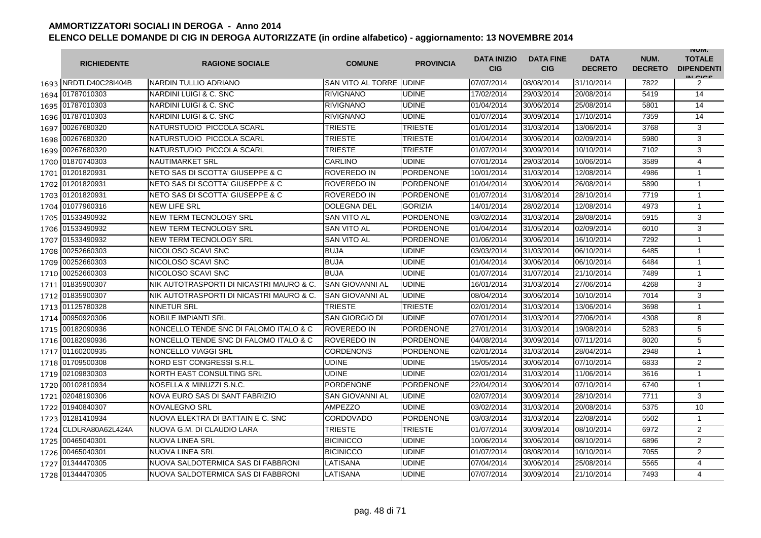|      | <b>RICHIEDENTE</b>    | <b>RAGIONE SOCIALE</b>                   | <b>COMUNE</b>           | <b>PROVINCIA</b> | <b>DATA INIZIO</b><br><b>CIG</b> | <b>DATA FINE</b><br><b>CIG</b> | <b>DATA</b><br><b>DECRETO</b> | NUM.<br><b>DECRETO</b> | <b>INUIVI.</b><br><b>TOTALE</b><br><b>DIPENDENTI</b><br>IN CIGO |
|------|-----------------------|------------------------------------------|-------------------------|------------------|----------------------------------|--------------------------------|-------------------------------|------------------------|-----------------------------------------------------------------|
|      | 1693 NRDTLD40C28I404B | NARDIN TULLIO ADRIANO                    | SAN VITO AL TORRE UDINE |                  | 07/07/2014                       | 08/08/2014                     | 31/10/2014                    | 7822                   | 2                                                               |
|      | 1694 01787010303      | NARDINI LUIGI & C. SNC                   | <b>RIVIGNANO</b>        | <b>UDINE</b>     | 17/02/2014                       | 29/03/2014                     | 20/08/2014                    | 5419                   | 14                                                              |
|      | 1695 01787010303      | NARDINI LUIGI & C. SNC                   | <b>RIVIGNANO</b>        | <b>UDINE</b>     | 01/04/2014                       | 30/06/2014                     | 25/08/2014                    | 5801                   | 14                                                              |
|      | 1696 01787010303      | NARDINI LUIGI & C. SNC                   | <b>RIVIGNANO</b>        | <b>UDINE</b>     | 01/07/2014                       | 30/09/2014                     | 17/10/2014                    | 7359                   | 14                                                              |
|      | 1697 00267680320      | NATURSTUDIO PICCOLA SCARL                | TRIESTE                 | <b>TRIESTE</b>   | 01/01/2014                       | 31/03/2014                     | 13/06/2014                    | 3768                   | 3                                                               |
|      | 1698 00267680320      | NATURSTUDIO PICCOLA SCARL                | <b>TRIESTE</b>          | <b>TRIESTE</b>   | 01/04/2014                       | 30/06/2014                     | 02/09/2014                    | 5980                   | 3                                                               |
|      | 1699 00267680320      | NATURSTUDIO PICCOLA SCARL                | <b>TRIESTE</b>          | <b>TRIESTE</b>   | 01/07/2014                       | 30/09/2014                     | 10/10/2014                    | 7102                   | 3                                                               |
|      | 1700 01870740303      | <b>NAUTIMARKET SRL</b>                   | CARLINO                 | <b>UDINE</b>     | 07/01/2014                       | 29/03/2014                     | 10/06/2014                    | 3589                   | $\overline{4}$                                                  |
|      | 1701 01201820931      | NETO SAS DI SCOTTA' GIUSEPPE & C         | ROVEREDO IN             | <b>PORDENONE</b> | 10/01/2014                       | 31/03/2014                     | 12/08/2014                    | 4986                   | $\mathbf{1}$                                                    |
|      | 1702 01201820931      | NETO SAS DI SCOTTA' GIUSEPPE & C         | ROVEREDO IN             | <b>PORDENONE</b> | 01/04/2014                       | 30/06/2014                     | 26/08/2014                    | 5890                   | $\mathbf{1}$                                                    |
|      | 1703 01201820931      | NETO SAS DI SCOTTA' GIUSEPPE & C         | ROVEREDO IN             | <b>PORDENONE</b> | 01/07/2014                       | 31/08/2014                     | 28/10/2014                    | 7719                   | $\mathbf{1}$                                                    |
|      | 1704 01077960316      | <b>NEW LIFE SRL</b>                      | DOLEGNA DEL             | <b>GORIZIA</b>   | 14/01/2014                       | 28/02/2014                     | 12/08/2014                    | 4973                   | $\mathbf{1}$                                                    |
| 1705 | 01533490932           | <b>NEW TERM TECNOLOGY SRL</b>            | <b>SAN VITO AL</b>      | <b>PORDENONE</b> | 03/02/2014                       | 31/03/2014                     | 28/08/2014                    | 5915                   | 3                                                               |
| 1706 | 01533490932           | NEW TERM TECNOLOGY SRL                   | <b>SAN VITO AL</b>      | <b>PORDENONE</b> | 01/04/2014                       | 31/05/2014                     | 02/09/2014                    | 6010                   | 3                                                               |
|      | 1707 01533490932      | NEW TERM TECNOLOGY SRL                   | <b>SAN VITO AL</b>      | <b>PORDENONE</b> | 01/06/2014                       | 30/06/2014                     | 16/10/2014                    | 7292                   | $\mathbf{1}$                                                    |
| 1708 | 00252660303           | NICOLOSO SCAVI SNC                       | <b>BUJA</b>             | <b>UDINE</b>     | 03/03/2014                       | 31/03/2014                     | 06/10/2014                    | 6485                   | $\mathbf{1}$                                                    |
| 1709 | 00252660303           | NICOLOSO SCAVI SNC                       | <b>BUJA</b>             | <b>UDINE</b>     | 01/04/2014                       | 30/06/2014                     | 06/10/2014                    | 6484                   | $\mathbf{1}$                                                    |
|      | 1710 00252660303      | NICOLOSO SCAVI SNC                       | <b>BUJA</b>             | <b>UDINE</b>     | 01/07/2014                       | 31/07/2014                     | 21/10/2014                    | 7489                   | $\mathbf{1}$                                                    |
|      | 1711 01835900307      | NIK AUTOTRASPORTI DI NICASTRI MAURO & C. | <b>SAN GIOVANNI AL</b>  | <b>UDINE</b>     | 16/01/2014                       | 31/03/2014                     | 27/06/2014                    | 4268                   | 3                                                               |
|      | 1712 01835900307      | NIK AUTOTRASPORTI DI NICASTRI MAURO & C. | <b>SAN GIOVANNI AL</b>  | <b>UDINE</b>     | 08/04/2014                       | 30/06/2014                     | 10/10/2014                    | 7014                   | 3                                                               |
|      | 1713 01125780328      | <b>NINETUR SRL</b>                       | <b>TRIESTE</b>          | <b>TRIESTE</b>   | 02/01/2014                       | 31/03/2014                     | 13/06/2014                    | 3698                   | $\mathbf{1}$                                                    |
|      | 1714 00950920306      | <b>NOBILE IMPIANTI SRL</b>               | SAN GIORGIO DI          | <b>UDINE</b>     | 07/01/2014                       | 31/03/2014                     | 27/06/2014                    | 4308                   | 8                                                               |
|      | 1715 00182090936      | NONCELLO TENDE SNC DI FALOMO ITALO & C   | ROVEREDO IN             | <b>PORDENONE</b> | 27/01/2014                       | 31/03/2014                     | 19/08/2014                    | 5283                   | 5                                                               |
|      | 1716 00182090936      | NONCELLO TENDE SNC DI FALOMO ITALO & C   | ROVEREDO IN             | <b>PORDENONE</b> | 04/08/2014                       | 30/09/2014                     | 07/11/2014                    | 8020                   | 5                                                               |
| 1717 | 01160200935           | <b>NONCELLO VIAGGI SRL</b>               | <b>CORDENONS</b>        | <b>PORDENONE</b> | 02/01/2014                       | 31/03/2014                     | 28/04/2014                    | 2948                   | $\mathbf{1}$                                                    |
|      | 1718 01709500308      | NORD EST CONGRESSI S.R.L.                | UDINE                   | <b>UDINE</b>     | 15/05/2014                       | 30/06/2014                     | 07/10/2014                    | 6833                   | $\overline{2}$                                                  |
|      | 1719 02109830303      | NORTH EAST CONSULTING SRL                | UDINE                   | <b>UDINE</b>     | 02/01/2014                       | 31/03/2014                     | 11/06/2014                    | 3616                   | $\mathbf{1}$                                                    |
|      | 1720 00102810934      | NOSELLA & MINUZZI S.N.C.                 | <b>PORDENONE</b>        | <b>PORDENONE</b> | 22/04/2014                       | 30/06/2014                     | 07/10/2014                    | 6740                   | $\mathbf{1}$                                                    |
| 1721 | 02048190306           | NOVA EURO SAS DI SANT FABRIZIO           | SAN GIOVANNI AL         | <b>UDINE</b>     | 02/07/2014                       | 30/09/2014                     | 28/10/2014                    | 7711                   | 3                                                               |
|      | 1722 01940840307      | NOVALEGNO SRL                            | AMPEZZO                 | <b>UDINE</b>     | 03/02/2014                       | 31/03/2014                     | 20/08/2014                    | 5375                   | 10                                                              |
|      | 1723 01281410934      | NUOVA ELEKTRA DI BATTAIN E C. SNC        | <b>CORDOVADO</b>        | PORDENONE        | 03/03/2014                       | 31/03/2014                     | 22/08/2014                    | 5502                   | $\mathbf{1}$                                                    |
|      | 1724 CLDLRA80A62L424A | NUOVA G.M. DI CLAUDIO LARA               | <b>TRIESTE</b>          | <b>TRIESTE</b>   | 01/07/2014                       | 30/09/2014                     | 08/10/2014                    | 6972                   | 2                                                               |
|      | 1725 00465040301      | <b>NUOVA LINEA SRL</b>                   | <b>BICINICCO</b>        | <b>UDINE</b>     | 10/06/2014                       | 30/06/2014                     | 08/10/2014                    | 6896                   | $\overline{2}$                                                  |
|      | 1726 00465040301      | <b>NUOVA LINEA SRL</b>                   | <b>BICINICCO</b>        | <b>UDINE</b>     | 01/07/2014                       | 08/08/2014                     | 10/10/2014                    | 7055                   | $\overline{2}$                                                  |
|      | 1727 01344470305      | NUOVA SALDOTERMICA SAS DI FABBRONI       | LATISANA                | <b>UDINE</b>     | 07/04/2014                       | 30/06/2014                     | 25/08/2014                    | 5565                   | 4                                                               |
|      | 1728 01344470305      | NUOVA SALDOTERMICA SAS DI FABBRONI       | LATISANA                | <b>UDINE</b>     | 07/07/2014                       | 30/09/2014                     | 21/10/2014                    | 7493                   | $\overline{\mathbf{4}}$                                         |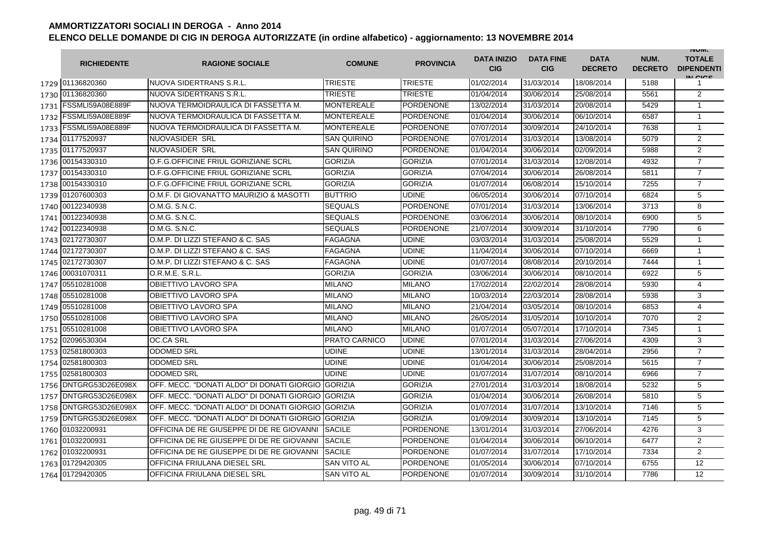|      | <b>RICHIEDENTE</b>      | <b>RAGIONE SOCIALE</b>                       | <b>COMUNE</b>      | <b>PROVINCIA</b> | <b>DATA INIZIO</b><br><b>CIG</b> | <b>DATA FINE</b><br><b>CIG</b> | <b>DATA</b><br><b>DECRETO</b> | NUM.<br><b>DECRETO</b> | <b>INUIVI.</b><br><b>TOTALE</b><br><b>DIPENDENTI</b><br>IN CICS |
|------|-------------------------|----------------------------------------------|--------------------|------------------|----------------------------------|--------------------------------|-------------------------------|------------------------|-----------------------------------------------------------------|
|      | 1729 01136820360        | NUOVA SIDERTRANS S.R.L.                      | <b>TRIESTE</b>     | <b>TRIESTE</b>   | 01/02/2014                       | 31/03/2014                     | 18/08/2014                    | 5188                   | 1                                                               |
|      | 1730 01136820360        | NUOVA SIDERTRANS S.R.L.                      | TRIESTE            | <b>TRIESTE</b>   | 01/04/2014                       | 30/06/2014                     | 25/08/2014                    | 5561                   | 2                                                               |
| 1731 | FSSMLI59A08E889F        | NUOVA TERMOIDRAULICA DI FASSETTA M.          | <b>MONTEREALE</b>  | <b>PORDENONE</b> | 13/02/2014                       | 31/03/2014                     | 20/08/2014                    | 5429                   | $\mathbf{1}$                                                    |
| 1732 | FSSMLI59A08E889F        | NUOVA TERMOIDRAULICA DI FASSETTA M.          | <b>MONTEREALE</b>  | <b>PORDENONE</b> | 01/04/2014                       | 30/06/2014                     | 06/10/2014                    | 6587                   | $\mathbf{1}$                                                    |
|      | 1733   FSSMLI59A08E889F | INUOVA TERMOIDRAULICA DI FASSETTA M.         | MONTEREALE         | <b>PORDENONE</b> | 07/07/2014                       | 30/09/2014                     | 24/10/2014                    | 7638                   | $\mathbf{1}$                                                    |
|      | 1734 01177520937        | NUOVASIDER SRL                               | <b>SAN QUIRINO</b> | <b>PORDENONE</b> | 07/01/2014                       | 31/03/2014                     | 13/08/2014                    | 5079                   | $\overline{2}$                                                  |
|      | 1735 01177520937        | NUOVASIDER SRL                               | <b>SAN QUIRINO</b> | <b>PORDENONE</b> | 01/04/2014                       | 30/06/2014                     | 02/09/2014                    | 5988                   | $\overline{2}$                                                  |
|      | 1736 00154330310        | O.F.G.OFFICINE FRIUL GORIZIANE SCRL          | <b>GORIZIA</b>     | <b>GORIZIA</b>   | 07/01/2014                       | 31/03/2014                     | 12/08/2014                    | 4932                   | $\overline{7}$                                                  |
| 1737 | 00154330310             | O.F.G.OFFICINE FRIUL GORIZIANE SCRL          | <b>GORIZIA</b>     | <b>GORIZIA</b>   | 07/04/2014                       | 30/06/2014                     | 26/08/2014                    | 5811                   | $\overline{7}$                                                  |
| 1738 | 00154330310             | O.F.G.OFFICINE FRIUL GORIZIANE SCRL          | <b>GORIZIA</b>     | <b>GORIZIA</b>   | 01/07/2014                       | 06/08/2014                     | 15/10/2014                    | 7255                   | $\overline{7}$                                                  |
| 1739 | 01207600303             | O.M.F. DI GIOVANATTO MAURIZIO & MASOTTI      | <b>BUTTRIO</b>     | <b>UDINE</b>     | 06/05/2014                       | 30/06/2014                     | 07/10/2014                    | 6824                   | 5                                                               |
|      | 1740 00122340938        | O.M.G. S.N.C.                                | SEQUALS            | <b>PORDENONE</b> | 07/01/2014                       | 31/03/2014                     | 13/06/2014                    | 3713                   | 8                                                               |
| 1741 | 00122340938             | O.M.G. S.N.C.                                | <b>SEQUALS</b>     | <b>PORDENONE</b> | 03/06/2014                       | 30/06/2014                     | 08/10/2014                    | 6900                   | 5                                                               |
|      | 1742 00122340938        | O.M.G. S.N.C.                                | <b>SEQUALS</b>     | <b>PORDENONE</b> | 21/07/2014                       | 30/09/2014                     | 31/10/2014                    | 7790                   | $\overline{6}$                                                  |
|      | 1743 02172730307        | O.M.P. DI LIZZI STEFANO & C. SAS             | <b>FAGAGNA</b>     | <b>UDINE</b>     | 03/03/2014                       | 31/03/2014                     | 25/08/2014                    | 5529                   | $\mathbf{1}$                                                    |
| 1744 | 02172730307             | O.M.P. DI LIZZI STEFANO & C. SAS             | <b>FAGAGNA</b>     | <b>UDINE</b>     | 11/04/2014                       | 30/06/2014                     | 07/10/2014                    | 6669                   | $\mathbf{1}$                                                    |
| 1745 | 02172730307             | O.M.P. DI LIZZI STEFANO & C. SAS             | <b>FAGAGNA</b>     | <b>UDINE</b>     | 01/07/2014                       | 08/08/2014                     | 20/10/2014                    | 7444                   | $\mathbf{1}$                                                    |
| 1746 | 00031070311             | O.R.M.E. S.R.L.                              | <b>GORIZIA</b>     | <b>GORIZIA</b>   | 03/06/2014                       | 30/06/2014                     | 08/10/2014                    | 6922                   | 5                                                               |
| 1747 | 05510281008             | OBIETTIVO LAVORO SPA                         | <b>MILANO</b>      | <b>MILANO</b>    | 17/02/2014                       | 22/02/2014                     | 28/08/2014                    | 5930                   | 4                                                               |
| 1748 | 05510281008             | OBIETTIVO LAVORO SPA                         | <b>MILANO</b>      | <b>MILANO</b>    | 10/03/2014                       | 22/03/2014                     | 28/08/2014                    | 5938                   | 3                                                               |
| 1749 | 05510281008             | OBIETTIVO LAVORO SPA                         | <b>MILANO</b>      | <b>MILANO</b>    | 21/04/2014                       | 03/05/2014                     | 08/10/2014                    | 6853                   | 4                                                               |
|      | 1750 05510281008        | OBIETTIVO LAVORO SPA                         | MILANO             | <b>MILANO</b>    | 26/05/2014                       | 31/05/2014                     | 10/10/2014                    | 7070                   | $\overline{2}$                                                  |
| 1751 | 05510281008             | OBIETTIVO LAVORO SPA                         | MILANO             | <b>MILANO</b>    | 01/07/2014                       | 05/07/2014                     | 17/10/2014                    | 7345                   | $\mathbf{1}$                                                    |
|      | 1752 02096530304        | <b>OC.CA SRL</b>                             | PRATO CARNICO      | <b>UDINE</b>     | 07/01/2014                       | 31/03/2014                     | 27/06/2014                    | 4309                   | 3                                                               |
|      | 1753 02581800303        | <b>ODOMED SRL</b>                            | <b>UDINE</b>       | <b>UDINE</b>     | 13/01/2014                       | 31/03/2014                     | 28/04/2014                    | 2956                   | $\overline{7}$                                                  |
|      | 1754 02581800303        | <b>ODOMED SRL</b>                            | <b>UDINE</b>       | <b>UDINE</b>     | 01/04/2014                       | 30/06/2014                     | 25/08/2014                    | 5615                   | $\overline{7}$                                                  |
| 1755 | 02581800303             | <b>ODOMED SRL</b>                            | <b>UDINE</b>       | <b>UDINE</b>     | 01/07/2014                       | 31/07/2014                     | 08/10/2014                    | 6966                   | $\overline{7}$                                                  |
|      | 1756 DNTGRG53D26E098X   | OFF. MECC. "DONATI ALDO" DI DONATI GIORGIO I | <b>GORIZIA</b>     | <b>GORIZIA</b>   | 27/01/2014                       | 31/03/2014                     | 18/08/2014                    | 5232                   | 5                                                               |
| 1757 | DNTGRG53D26E098X        | OFF. MECC. "DONATI ALDO" DI DONATI GIORGIO   | <b>GORIZIA</b>     | <b>GORIZIA</b>   | 01/04/2014                       | 30/06/2014                     | 26/08/2014                    | 5810                   | 5                                                               |
| 1758 | DNTGRG53D26E098X        | OFF. MECC. "DONATI ALDO" DI DONATI GIORGIO   | <b>GORIZIA</b>     | <b>GORIZIA</b>   | 01/07/2014                       | 31/07/2014                     | 13/10/2014                    | 7146                   | 5                                                               |
| 1759 | DNTGRG53D26E098X        | OFF, MECC. "DONATI ALDO" DI DONATI GIORGIO   | <b>GORIZIA</b>     | <b>GORIZIA</b>   | 01/09/2014                       | 30/09/2014                     | 13/10/2014                    | 7145                   | 5                                                               |
| 1760 | 01032200931             | OFFICINA DE RE GIUSEPPE DI DE RE GIOVANNI    | <b>SACILE</b>      | <b>PORDENONE</b> | 13/01/2014                       | 31/03/2014                     | 27/06/2014                    | 4276                   | 3                                                               |
| 1761 | 01032200931             | OFFICINA DE RE GIUSEPPE DI DE RE GIOVANNI    | <b>SACILE</b>      | <b>PORDENONE</b> | 01/04/2014                       | 30/06/2014                     | 06/10/2014                    | 6477                   | $\overline{2}$                                                  |
|      | 1762 01032200931        | OFFICINA DE RE GIUSEPPE DI DE RE GIOVANNI    | <b>SACILE</b>      | <b>PORDENONE</b> | 01/07/2014                       | 31/07/2014                     | 17/10/2014                    | 7334                   | 2                                                               |
|      | 1763 01729420305        | OFFICINA FRIULANA DIESEL SRL                 | <b>SAN VITO AL</b> | <b>PORDENONE</b> | 01/05/2014                       | 30/06/2014                     | 07/10/2014                    | 6755                   | 12                                                              |
|      | 1764 01729420305        | OFFICINA FRIULANA DIESEL SRL                 | <b>SAN VITO AL</b> | <b>PORDENONE</b> | 01/07/2014                       | 30/09/2014                     | 31/10/2014                    | 7786                   | 12                                                              |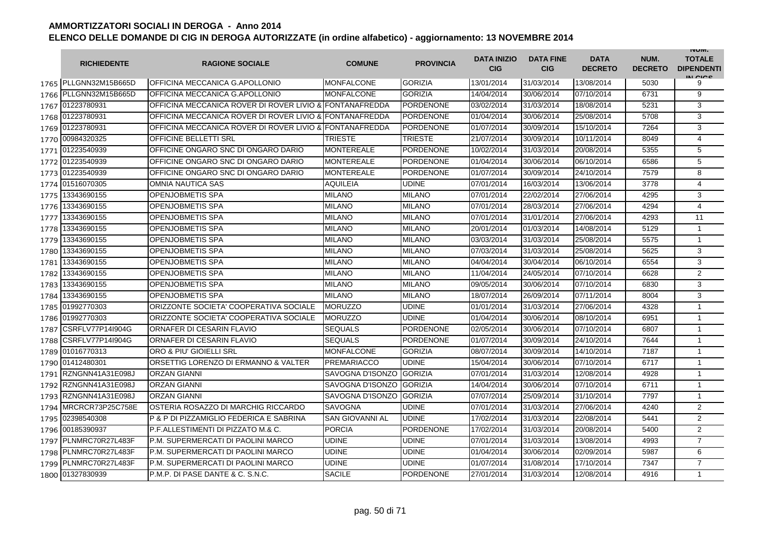|      | <b>RICHIEDENTE</b>    | <b>RAGIONE SOCIALE</b>                                  | <b>COMUNE</b>          | <b>PROVINCIA</b> | <b>DATA INIZIO</b><br><b>CIG</b> | <b>DATA FINE</b><br><b>CIG</b> | <b>DATA</b><br><b>DECRETO</b> | NUM.<br><b>DECRETO</b> | <b>INUIVI.</b><br><b>TOTALE</b><br><b>DIPENDENTI</b><br>IN CICE |
|------|-----------------------|---------------------------------------------------------|------------------------|------------------|----------------------------------|--------------------------------|-------------------------------|------------------------|-----------------------------------------------------------------|
|      | 1765 PLLGNN32M15B665D | OFFICINA MECCANICA G.APOLLONIO                          | <b>MONFALCONE</b>      | GORIZIA          | 13/01/2014                       | 31/03/2014                     | 13/08/2014                    | 5030                   | 9                                                               |
|      | 1766 PLLGNN32M15B665D | OFFICINA MECCANICA G.APOLLONIO                          | <b>MONFALCONE</b>      | <b>GORIZIA</b>   | 14/04/2014                       | 30/06/2014                     | 07/10/2014                    | 6731                   | 9                                                               |
|      | 1767 01223780931      | OFFICINA MECCANICA ROVER DI ROVER LIVIO & FONTANAFREDDA |                        | <b>PORDENONE</b> | 03/02/2014                       | 31/03/2014                     | 18/08/2014                    | 5231                   | 3                                                               |
|      | 1768 01223780931      | OFFICINA MECCANICA ROVER DI ROVER LIVIO & FONTANAFREDDA |                        | <b>PORDENONE</b> | 01/04/2014                       | 30/06/2014                     | 25/08/2014                    | 5708                   | 3                                                               |
|      | 1769 01223780931      | OFFICINA MECCANICA ROVER DI ROVER LIVIO & FONTANAFREDDA |                        | <b>PORDENONE</b> | 01/07/2014                       | 30/09/2014                     | 15/10/2014                    | 7264                   | 3                                                               |
|      | 1770 00984320325      | <b>OFFICINE BELLETTI SRL</b>                            | <b>TRIESTE</b>         | <b>TRIESTE</b>   | 21/07/2014                       | 30/09/2014                     | 10/11/2014                    | 8049                   | $\overline{4}$                                                  |
|      | 1771 01223540939      | OFFICINE ONGARO SNC DI ONGARO DARIO                     | <b>MONTEREALE</b>      | <b>PORDENONE</b> | 10/02/2014                       | 31/03/2014                     | 20/08/2014                    | 5355                   | 5                                                               |
|      | 1772 01223540939      | OFFICINE ONGARO SNC DI ONGARO DARIO                     | <b>MONTEREALE</b>      | <b>PORDENONE</b> | 01/04/2014                       | 30/06/2014                     | 06/10/2014                    | 6586                   | 5                                                               |
|      | 1773 01223540939      | OFFICINE ONGARO SNC DI ONGARO DARIO                     | <b>MONTEREALE</b>      | <b>PORDENONE</b> | 01/07/2014                       | 30/09/2014                     | 24/10/2014                    | 7579                   | 8                                                               |
|      | 1774 01516070305      | <b>OMNIA NAUTICA SAS</b>                                | <b>AQUILEIA</b>        | <b>UDINE</b>     | 07/01/2014                       | 16/03/2014                     | 13/06/2014                    | 3778                   | 4                                                               |
| 1775 | 13343690155           | <b>OPENJOBMETIS SPA</b>                                 | <b>MILANO</b>          | <b>MILANO</b>    | 07/01/2014                       | 22/02/2014                     | 27/06/2014                    | 4295                   | 3                                                               |
| 1776 | 13343690155           | <b>OPENJOBMETIS SPA</b>                                 | MILANO                 | <b>MILANO</b>    | 07/01/2014                       | 28/03/2014                     | 27/06/2014                    | 4294                   | 4                                                               |
| 1777 | 13343690155           | <b>OPENJOBMETIS SPA</b>                                 | MILANO                 | <b>MILANO</b>    | 07/01/2014                       | 31/01/2014                     | 27/06/2014                    | 4293                   | 11                                                              |
| 1778 | 13343690155           | <b>OPENJOBMETIS SPA</b>                                 | MILANO                 | <b>MILANO</b>    | 20/01/2014                       | 01/03/2014                     | 14/08/2014                    | 5129                   | $\mathbf{1}$                                                    |
| 1779 | 13343690155           | <b>OPENJOBMETIS SPA</b>                                 | MILANO                 | <b>MILANO</b>    | 03/03/2014                       | 31/03/2014                     | 25/08/2014                    | 5575                   | $\mathbf{1}$                                                    |
| 1780 | 13343690155           | <b>OPENJOBMETIS SPA</b>                                 | <b>MILANO</b>          | <b>MILANO</b>    | 07/03/2014                       | 31/03/2014                     | 25/08/2014                    | 5625                   | 3                                                               |
| 1781 | 13343690155           | <b>OPENJOBMETIS SPA</b>                                 | <b>MILANO</b>          | <b>MILANO</b>    | 04/04/2014                       | 30/04/2014                     | 06/10/2014                    | 6554                   | 3                                                               |
| 1782 | 13343690155           | <b>OPENJOBMETIS SPA</b>                                 | <b>MILANO</b>          | <b>MILANO</b>    | 11/04/2014                       | 24/05/2014                     | 07/10/2014                    | 6628                   | $\overline{2}$                                                  |
| 1783 | 13343690155           | <b>OPENJOBMETIS SPA</b>                                 | MILANO                 | <b>MILANO</b>    | 09/05/2014                       | 30/06/2014                     | 07/10/2014                    | 6830                   | 3                                                               |
| 1784 | 13343690155           | <b>OPENJOBMETIS SPA</b>                                 | <b>MILANO</b>          | <b>MILANO</b>    | 18/07/2014                       | 26/09/2014                     | 07/11/2014                    | 8004                   | 3                                                               |
|      | 1785 01992770303      | ORIZZONTE SOCIETA' COOPERATIVA SOCIALE                  | <b>MORUZZO</b>         | <b>UDINE</b>     | 01/01/2014                       | 31/03/2014                     | 27/06/2014                    | 4328                   | $\mathbf{1}$                                                    |
|      | 1786 01992770303      | ORIZZONTE SOCIETA' COOPERATIVA SOCIALE                  | <b>MORUZZO</b>         | <b>UDINE</b>     | 01/04/2014                       | 30/06/2014                     | 08/10/2014                    | 6951                   | $\mathbf{1}$                                                    |
| 1787 | CSRFLV77P14l904G      | ORNAFER DI CESARIN FLAVIO                               | <b>SEQUALS</b>         | <b>PORDENONE</b> | 02/05/2014                       | 30/06/2014                     | 07/10/2014                    | 6807                   | $\mathbf{1}$                                                    |
| 1788 | CSRFLV77P14I904G      | ORNAFER DI CESARIN FLAVIO                               | <b>SEQUALS</b>         | <b>PORDENONE</b> | 01/07/2014                       | 30/09/2014                     | 24/10/2014                    | 7644                   | 1                                                               |
|      | 1789 01016770313      | ORO & PIU' GIOIELLI SRL                                 | <b>MONFALCONE</b>      | <b>GORIZIA</b>   | 08/07/2014                       | 30/09/2014                     | 14/10/2014                    | 7187                   | $\mathbf{1}$                                                    |
|      | 1790 01412480301      | ORSETTIG LORENZO DI ERMANNO & VALTER                    | <b>PREMARIACCO</b>     | <b>UDINE</b>     | 15/04/2014                       | 30/06/2014                     | 07/10/2014                    | 6717                   | $\mathbf{1}$                                                    |
|      | 1791 RZNGNN41A31E098J | <b>ORZAN GIANNI</b>                                     | SAVOGNA D'ISONZO       | <b>GORIZIA</b>   | 07/01/2014                       | 31/03/2014                     | 12/08/2014                    | 4928                   | $\mathbf{1}$                                                    |
|      | 1792 RZNGNN41A31E098J | <b>ORZAN GIANNI</b>                                     | SAVOGNA D'ISONZO       | <b>GORIZIA</b>   | 14/04/2014                       | 30/06/2014                     | 07/10/2014                    | 6711                   | $\mathbf{1}$                                                    |
|      | 1793 RZNGNN41A31E098J | <b>ORZAN GIANNI</b>                                     | SAVOGNA D'ISONZO       | <b>GORIZIA</b>   | 07/07/2014                       | 25/09/2014                     | 31/10/2014                    | 7797                   | $\mathbf{1}$                                                    |
|      | 1794 MRCRCR73P25C758E | OSTERIA ROSAZZO DI MARCHIG RICCARDO                     | SAVOGNA                | <b>UDINE</b>     | 07/01/2014                       | 31/03/2014                     | 27/06/2014                    | 4240                   | $\overline{2}$                                                  |
|      | 1795 02398540308      | P & P DI PIZZAMIGLIO FEDERICA E SABRINA                 | <b>SAN GIOVANNI AL</b> | <b>UDINE</b>     | 17/02/2014                       | 31/03/2014                     | 22/08/2014                    | 5441                   | $\overline{2}$                                                  |
|      | 1796 00185390937      | P.F.ALLESTIMENTI DI PIZZATO M.& C.                      | <b>PORCIA</b>          | <b>PORDENONE</b> | 17/02/2014                       | 31/03/2014                     | 20/08/2014                    | 5400                   | 2                                                               |
|      | 1797 PLNMRC70R27L483F | P.M. SUPERMERCATI DI PAOLINI MARCO                      | <b>UDINE</b>           | <b>UDINE</b>     | 07/01/2014                       | 31/03/2014                     | 13/08/2014                    | 4993                   | $\overline{7}$                                                  |
|      | 1798 PLNMRC70R27L483F | P.M. SUPERMERCATI DI PAOLINI MARCO                      | UDINE                  | <b>UDINE</b>     | 01/04/2014                       | 30/06/2014                     | 02/09/2014                    | 5987                   | 6                                                               |
|      | 1799 PLNMRC70R27L483F | P.M. SUPERMERCATI DI PAOLINI MARCO                      | UDINE                  | <b>UDINE</b>     | 01/07/2014                       | 31/08/2014                     | 17/10/2014                    | 7347                   | $\overline{7}$                                                  |
|      | 1800 01327830939      | P.M.P. DI PASE DANTE & C. S.N.C.                        | <b>SACILE</b>          | <b>PORDENONE</b> | 27/01/2014                       | 31/03/2014                     | 12/08/2014                    | 4916                   | $\mathbf{1}$                                                    |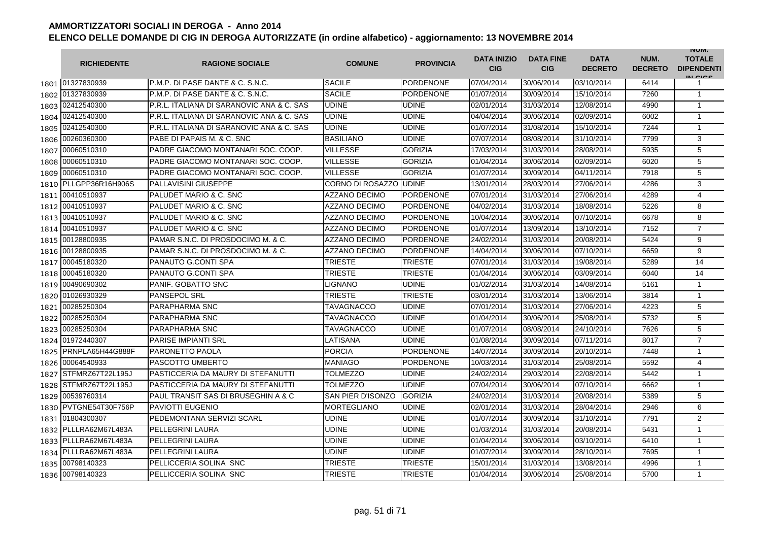|      | <b>RICHIEDENTE</b>    | <b>RAGIONE SOCIALE</b>                    | <b>COMUNE</b>        | <b>PROVINCIA</b> | <b>DATA INIZIO</b><br><b>CIG</b> | <b>DATA FINE</b><br><b>CIG</b> | <b>DATA</b><br><b>DECRETO</b> | NUM.<br><b>DECRETO</b> | <b>INUIVI.</b><br><b>TOTALE</b><br><b>DIPENDENTI</b><br>IN CIGO |
|------|-----------------------|-------------------------------------------|----------------------|------------------|----------------------------------|--------------------------------|-------------------------------|------------------------|-----------------------------------------------------------------|
|      | 1801 01327830939      | P.M.P. DI PASE DANTE & C. S.N.C.          | <b>SACILE</b>        | <b>PORDENONE</b> | 07/04/2014                       | 30/06/2014                     | 03/10/2014                    | 6414                   | 1                                                               |
|      | 1802 01327830939      | P.M.P. DI PASE DANTE & C. S.N.C.          | <b>SACILE</b>        | <b>PORDENONE</b> | 01/07/2014                       | 30/09/2014                     | 15/10/2014                    | 7260                   | $\mathbf{1}$                                                    |
|      | 1803 02412540300      | P.R.L. ITALIANA DI SARANOVIC ANA & C. SAS | <b>UDINE</b>         | <b>UDINE</b>     | 02/01/2014                       | 31/03/2014                     | 12/08/2014                    | 4990                   | $\mathbf{1}$                                                    |
|      | 1804 02412540300      | P.R.L. ITALIANA DI SARANOVIC ANA & C. SAS | UDINE                | <b>UDINE</b>     | 04/04/2014                       | 30/06/2014                     | 02/09/2014                    | 6002                   | 1                                                               |
|      | 1805 02412540300      | P.R.L. ITALIANA DI SARANOVIC ANA & C. SAS | <b>UDINE</b>         | <b>UDINE</b>     | 01/07/2014                       | 31/08/2014                     | 15/10/2014                    | 7244                   | $\mathbf{1}$                                                    |
|      | 1806 00260360300      | PABE DI PAPAIS M. & C. SNC                | <b>BASILIANO</b>     | <b>UDINE</b>     | 07/07/2014                       | 08/08/2014                     | 31/10/2014                    | 7799                   | 3                                                               |
|      | 1807 00060510310      | PADRE GIACOMO MONTANARI SOC. COOP.        | <b>VILLESSE</b>      | <b>GORIZIA</b>   | 17/03/2014                       | 31/03/2014                     | 28/08/2014                    | 5935                   | 5                                                               |
| 1808 | 00060510310           | PADRE GIACOMO MONTANARI SOC. COOP.        | <b>VILLESSE</b>      | <b>GORIZIA</b>   | 01/04/2014                       | 30/06/2014                     | 02/09/2014                    | 6020                   | 5                                                               |
| 1809 | 00060510310           | PADRE GIACOMO MONTANARI SOC. COOP.        | <b>VILLESSE</b>      | <b>GORIZIA</b>   | 01/07/2014                       | 30/09/2014                     | 04/11/2014                    | 7918                   | 5                                                               |
|      | 1810 PLLGPP36R16H906S | <b>PALLAVISINI GIUSEPPE</b>               | CORNO DI ROSAZZO     | <b>UDINE</b>     | 13/01/2014                       | 28/03/2014                     | 27/06/2014                    | 4286                   | 3                                                               |
| 1811 | 00410510937           | <b>PALUDET MARIO &amp; C. SNC</b>         | <b>AZZANO DECIMO</b> | <b>PORDENONE</b> | 07/01/2014                       | 31/03/2014                     | 27/06/2014                    | 4289                   | $\overline{4}$                                                  |
| 1812 | 00410510937           | <b>PALUDET MARIO &amp; C. SNC</b>         | AZZANO DECIMO        | <b>PORDENONE</b> | 04/02/2014                       | 31/03/2014                     | 18/08/2014                    | 5226                   | 8                                                               |
| 1813 | 00410510937           | PALUDET MARIO & C. SNC                    | AZZANO DECIMO        | <b>PORDENONE</b> | 10/04/2014                       | 30/06/2014                     | 07/10/2014                    | 6678                   | 8                                                               |
| 1814 | 00410510937           | PALUDET MARIO & C. SNC                    | <b>AZZANO DECIMO</b> | <b>PORDENONE</b> | 01/07/2014                       | 13/09/2014                     | 13/10/2014                    | 7152                   | $\overline{7}$                                                  |
| 1815 | 00128800935           | PAMAR S.N.C. DI PROSDOCIMO M. & C.        | <b>AZZANO DECIMO</b> | <b>PORDENONE</b> | 24/02/2014                       | 31/03/2014                     | 20/08/2014                    | 5424                   | 9                                                               |
| 1816 | 00128800935           | PAMAR S.N.C. DI PROSDOCIMO M. & C.        | <b>AZZANO DECIMO</b> | <b>PORDENONE</b> | 14/04/2014                       | 30/06/2014                     | 07/10/2014                    | 6659                   | 9                                                               |
| 1817 | 00045180320           | PANAUTO G.CONTI SPA                       | <b>TRIESTE</b>       | <b>TRIESTE</b>   | 07/01/2014                       | 31/03/2014                     | 19/08/2014                    | 5289                   | 14                                                              |
|      | 1818 00045180320      | PANAUTO G.CONTI SPA                       | TRIESTE              | <b>TRIESTE</b>   | 01/04/2014                       | 30/06/2014                     | 03/09/2014                    | 6040                   | 14                                                              |
|      | 1819 00490690302      | PANIF. GOBATTO SNC                        | LIGNANO              | <b>UDINE</b>     | 01/02/2014                       | 31/03/2014                     | 14/08/2014                    | 5161                   | $\mathbf{1}$                                                    |
|      | 1820 01026930329      | <b>PANSEPOL SRL</b>                       | <b>TRIESTE</b>       | <b>TRIESTE</b>   | 03/01/2014                       | 31/03/2014                     | 13/06/2014                    | 3814                   | $\mathbf{1}$                                                    |
| 1821 | 00285250304           | <b>PARAPHARMA SNC</b>                     | TAVAGNACCO           | <b>UDINE</b>     | 07/01/2014                       | 31/03/2014                     | 27/06/2014                    | 4223                   | 5                                                               |
| 1822 | 00285250304           | <b>PARAPHARMA SNC</b>                     | TAVAGNACCO           | <b>UDINE</b>     | 01/04/2014                       | 30/06/2014                     | 25/08/2014                    | 5732                   | 5                                                               |
|      | 1823 00285250304      | <b>PARAPHARMA SNC</b>                     | TAVAGNACCO           | <b>UDINE</b>     | 01/07/2014                       | 08/08/2014                     | 24/10/2014                    | 7626                   | 5                                                               |
|      | 1824 01972440307      | <b>PARISE IMPIANTI SRL</b>                | LATISANA             | <b>UDINE</b>     | 01/08/2014                       | 30/09/2014                     | 07/11/2014                    | 8017                   | $\overline{7}$                                                  |
| 1825 | PRNPLA65H44G888F      | <b>PARONETTO PAOLA</b>                    | <b>PORCIA</b>        | <b>PORDENONE</b> | 14/07/2014                       | 30/09/2014                     | 20/10/2014                    | 7448                   | $\mathbf{1}$                                                    |
| 1826 | 00064540933           | PASCOTTO UMBERTO                          | <b>MANIAGO</b>       | <b>PORDENONE</b> | 10/03/2014                       | 31/03/2014                     | 25/08/2014                    | 5592                   | $\overline{4}$                                                  |
| 1827 | STFMRZ67T22L195J      | PASTICCERIA DA MAURY DI STEFANUTTI        | TOLMEZZO             | <b>UDINE</b>     | 24/02/2014                       | 29/03/2014                     | 22/08/2014                    | 5442                   | $\mathbf{1}$                                                    |
| 1828 | STFMRZ67T22L195J      | PASTICCERIA DA MAURY DI STEFANUTTI        | <b>TOLMEZZO</b>      | <b>UDINE</b>     | 07/04/2014                       | 30/06/2014                     | 07/10/2014                    | 6662                   | $\mathbf{1}$                                                    |
| 1829 | 00539760314           | PAUL TRANSIT SAS DI BRUSEGHIN A & C       | SAN PIER D'ISONZO    | <b>GORIZIA</b>   | 24/02/2014                       | 31/03/2014                     | 20/08/2014                    | 5389                   | 5                                                               |
|      | 1830 PVTGNE54T30F756P | <b>PAVIOTTI EUGENIO</b>                   | MORTEGLIANO          | <b>UDINE</b>     | 02/01/2014                       | 31/03/2014                     | 28/04/2014                    | 2946                   | 6                                                               |
|      | 1831 01804300307      | PEDEMONTANA SERVIZI SCARL                 | UDINE                | <b>UDINE</b>     | 01/07/2014                       | 30/09/2014                     | 31/10/2014                    | 7791                   | $\overline{2}$                                                  |
|      | 1832 PLLLRA62M67L483A | <b>PELLEGRINI LAURA</b>                   | UDINE                | <b>UDINE</b>     | 01/03/2014                       | 31/03/2014                     | 20/08/2014                    | 5431                   | $\mathbf{1}$                                                    |
|      | 1833 PLLLRA62M67L483A | <b>PELLEGRINI LAURA</b>                   | UDINE                | <b>UDINE</b>     | 01/04/2014                       | 30/06/2014                     | 03/10/2014                    | 6410                   | $\mathbf{1}$                                                    |
|      | 1834 PLLLRA62M67L483A | <b>PELLEGRINI LAURA</b>                   | UDINE                | <b>UDINE</b>     | 01/07/2014                       | 30/09/2014                     | 28/10/2014                    | 7695                   | $\mathbf{1}$                                                    |
| 1835 | 00798140323           | PELLICCERIA SOLINA SNC                    | TRIESTE              | <b>TRIESTE</b>   | 15/01/2014                       | 31/03/2014                     | 13/08/2014                    | 4996                   | $\mathbf{1}$                                                    |
|      | 1836 00798140323      | PELLICCERIA SOLINA SNC                    | TRIESTE              | <b>TRIESTE</b>   | 01/04/2014                       | 30/06/2014                     | 25/08/2014                    | 5700                   | $\mathbf{1}$                                                    |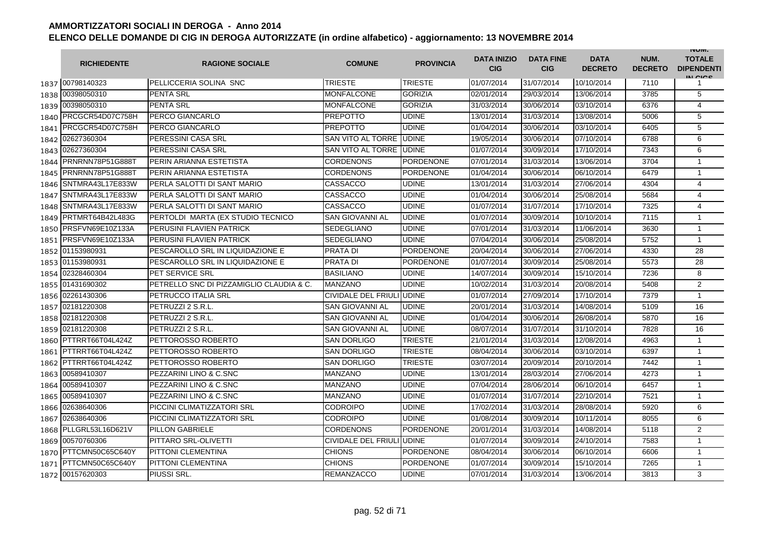|      | <b>RICHIEDENTE</b>    | <b>RAGIONE SOCIALE</b>                   | <b>COMUNE</b>             | <b>PROVINCIA</b> | <b>DATA INIZIO</b><br><b>CIG</b> | <b>DATA FINE</b><br><b>CIG</b> | <b>DATA</b><br><b>DECRETO</b> | NUM.<br><b>DECRETO</b> | <b>INUIVI.</b><br><b>TOTALE</b><br><b>DIPENDENTI</b><br>IN CIGO |
|------|-----------------------|------------------------------------------|---------------------------|------------------|----------------------------------|--------------------------------|-------------------------------|------------------------|-----------------------------------------------------------------|
|      | 1837 00798140323      | PELLICCERIA SOLINA SNC                   | <b>TRIESTE</b>            | <b>TRIESTE</b>   | 01/07/2014                       | 31/07/2014                     | 10/10/2014                    | 7110                   | 1                                                               |
|      | 1838 00398050310      | <b>PENTA SRL</b>                         | MONFALCONE                | <b>GORIZIA</b>   | 02/01/2014                       | 29/03/2014                     | 13/06/2014                    | 3785                   | 5                                                               |
|      | 1839 00398050310      | <b>PENTA SRL</b>                         | MONFALCONE                | <b>GORIZIA</b>   | 31/03/2014                       | 30/06/2014                     | 03/10/2014                    | 6376                   | $\overline{4}$                                                  |
|      | 1840 PRCGCR54D07C758H | PERCO GIANCARLO                          | <b>PREPOTTO</b>           | <b>UDINE</b>     | 13/01/2014                       | 31/03/2014                     | 13/08/2014                    | 5006                   | 5                                                               |
|      | 1841 PRCGCR54D07C758H | PERCO GIANCARLO                          | PREPOTTO                  | <b>UDINE</b>     | 01/04/2014                       | 30/06/2014                     | 03/10/2014                    | 6405                   | 5                                                               |
|      | 1842 02627360304      | PERESSINI CASA SRL                       | SAN VITO AL TORRE UDINE   |                  | 19/05/2014                       | 30/06/2014                     | 07/10/2014                    | 6788                   | 6                                                               |
|      | 1843 02627360304      | PERESSINI CASA SRL                       | SAN VITO AL TORRE UDINE   |                  | 01/07/2014                       | 30/09/2014                     | 17/10/2014                    | 7343                   | 6                                                               |
| 1844 | PRNRNN78P51G888T      | PERIN ARIANNA ESTETISTA                  | <b>CORDENONS</b>          | <b>PORDENONE</b> | 07/01/2014                       | 31/03/2014                     | 13/06/2014                    | 3704                   | $\mathbf{1}$                                                    |
| 1845 | PRNRNN78P51G888T      | PERIN ARIANNA ESTETISTA                  | <b>CORDENONS</b>          | <b>PORDENONE</b> | 01/04/2014                       | 30/06/2014                     | 06/10/2014                    | 6479                   | $\mathbf{1}$                                                    |
| 1846 | SNTMRA43L17E833W      | PERLA SALOTTI DI SANT MARIO              | CASSACCO                  | <b>UDINE</b>     | 13/01/2014                       | 31/03/2014                     | 27/06/2014                    | 4304                   | $\overline{\mathbf{4}}$                                         |
| 1847 | SNTMRA43L17E833W      | PERLA SALOTTI DI SANT MARIO              | CASSACCO                  | <b>UDINE</b>     | 01/04/2014                       | 30/06/2014                     | 25/08/2014                    | 5684                   | 4                                                               |
| 1848 | SNTMRA43L17E833W      | PERLA SALOTTI DI SANT MARIO              | CASSACCO                  | <b>UDINE</b>     | 01/07/2014                       | 31/07/2014                     | 17/10/2014                    | 7325                   | 4                                                               |
| 1849 | PRTMRT64B42L483G      | PERTOLDI MARTA (EX STUDIO TECNICO        | SAN GIOVANNI AL           | <b>UDINE</b>     | 01/07/2014                       | 30/09/2014                     | 10/10/2014                    | 7115                   | $\mathbf{1}$                                                    |
| 1850 | PRSFVN69E10Z133A      | PERUSINI FLAVIEN PATRICK                 | <b>SEDEGLIANO</b>         | <b>UDINE</b>     | 07/01/2014                       | 31/03/2014                     | 11/06/2014                    | 3630                   | $\mathbf{1}$                                                    |
| 1851 | PRSFVN69E10Z133A      | PERUSINI FLAVIEN PATRICK                 | <b>SEDEGLIANO</b>         | <b>UDINE</b>     | 07/04/2014                       | 30/06/2014                     | 25/08/2014                    | 5752                   | $\mathbf{1}$                                                    |
|      | 1852 01153980931      | PESCAROLLO SRL IN LIQUIDAZIONE E         | <b>PRATA DI</b>           | <b>PORDENONE</b> | 20/04/2014                       | 30/06/2014                     | 27/06/2014                    | 4330                   | 28                                                              |
|      | 1853 01153980931      | PESCAROLLO SRL IN LIQUIDAZIONE E         | PRATA DI                  | <b>PORDENONE</b> | 01/07/2014                       | 30/09/2014                     | 25/08/2014                    | 5573                   | 28                                                              |
|      | 1854 02328460304      | <b>PET SERVICE SRL</b>                   | <b>BASILIANO</b>          | <b>UDINE</b>     | 14/07/2014                       | 30/09/2014                     | 15/10/2014                    | 7236                   | 8                                                               |
|      | 1855 01431690302      | PETRELLO SNC DI PIZZAMIGLIO CLAUDIA & C. | <b>MANZANO</b>            | <b>UDINE</b>     | 10/02/2014                       | 31/03/2014                     | 20/08/2014                    | 5408                   | 2                                                               |
|      | 1856 02261430306      | PETRUCCO ITALIA SRL                      | CIVIDALE DEL FRIULI UDINE |                  | 01/07/2014                       | 27/09/2014                     | 17/10/2014                    | 7379                   | $\mathbf{1}$                                                    |
|      | 1857 02181220308      | PETRUZZI 2 S.R.L.                        | <b>SAN GIOVANNI AL</b>    | <b>UDINE</b>     | 20/01/2014                       | 31/03/2014                     | 14/08/2014                    | 5109                   | 16                                                              |
| 1858 | 02181220308           | PETRUZZI 2 S.R.L.                        | <b>SAN GIOVANNI AL</b>    | <b>UDINE</b>     | 01/04/2014                       | 30/06/2014                     | 26/08/2014                    | 5870                   | 16                                                              |
|      | 1859 02181220308      | PETRUZZI 2 S.R.L.                        | SAN GIOVANNI AL           | <b>UDINE</b>     | 08/07/2014                       | 31/07/2014                     | 31/10/2014                    | 7828                   | 16                                                              |
| 1860 | PTTRRT66T04L424Z      | PETTOROSSO ROBERTO                       | <b>SAN DORLIGO</b>        | <b>TRIESTE</b>   | 21/01/2014                       | 31/03/2014                     | 12/08/2014                    | 4963                   | 1                                                               |
| 1861 | PTTRRT66T04L424Z      | PETTOROSSO ROBERTO                       | <b>SAN DORLIGO</b>        | <b>TRIESTE</b>   | 08/04/2014                       | 30/06/2014                     | 03/10/2014                    | 6397                   | $\mathbf{1}$                                                    |
| 1862 | PTTRRT66T04L424Z      | PETTOROSSO ROBERTO                       | <b>SAN DORLIGO</b>        | <b>TRIESTE</b>   | 03/07/2014                       | 20/09/2014                     | 20/10/2014                    | 7442                   | $\mathbf{1}$                                                    |
| 1863 | 00589410307           | PEZZARINI LINO & C.SNC                   | MANZANO                   | <b>UDINE</b>     | 13/01/2014                       | 28/03/2014                     | 27/06/2014                    | 4273                   | $\mathbf{1}$                                                    |
| 1864 | 00589410307           | PEZZARINI LINO & C.SNC                   | MANZANO                   | <b>UDINE</b>     | 07/04/2014                       | 28/06/2014                     | 06/10/2014                    | 6457                   | $\mathbf{1}$                                                    |
| 1865 | 00589410307           | PEZZARINI LINO & C.SNC                   | <b>MANZANO</b>            | <b>UDINE</b>     | 01/07/2014                       | 31/07/2014                     | 22/10/2014                    | 7521                   | $\mathbf{1}$                                                    |
| 1866 | 02638640306           | PICCINI CLIMATIZZATORI SRL               | CODROIPO                  | <b>UDINE</b>     | 17/02/2014                       | 31/03/2014                     | 28/08/2014                    | 5920                   | 6                                                               |
|      | 1867 02638640306      | PICCINI CLIMATIZZATORI SRL               | CODROIPO                  | <b>UDINE</b>     | 01/08/2014                       | 30/09/2014                     | 10/11/2014                    | 8055                   | 6                                                               |
|      | 1868 PLLGRL53L16D621V | <b>PILLON GABRIELE</b>                   | <b>CORDENONS</b>          | <b>PORDENONE</b> | 20/01/2014                       | 31/03/2014                     | 14/08/2014                    | 5118                   | 2                                                               |
|      | 1869 00570760306      | PITTARO SRL-OLIVETTI                     | CIVIDALE DEL FRIULI UDINE |                  | 01/07/2014                       | 30/09/2014                     | 24/10/2014                    | 7583                   | $\mathbf{1}$                                                    |
|      | 1870 PTTCMN50C65C640Y | <b>PITTONI CLEMENTINA</b>                | <b>CHIONS</b>             | <b>PORDENONE</b> | 08/04/2014                       | 30/06/2014                     | 06/10/2014                    | 6606                   | $\mathbf{1}$                                                    |
| 1871 | PTTCMN50C65C640Y      | <b>PITTONI CLEMENTINA</b>                | <b>CHIONS</b>             | <b>PORDENONE</b> | 01/07/2014                       | 30/09/2014                     | 15/10/2014                    | 7265                   | $\mathbf{1}$                                                    |
|      | 1872 00157620303      | PIUSSI SRL.                              | <b>REMANZACCO</b>         | <b>UDINE</b>     | 07/01/2014                       | 31/03/2014                     | 13/06/2014                    | 3813                   | 3                                                               |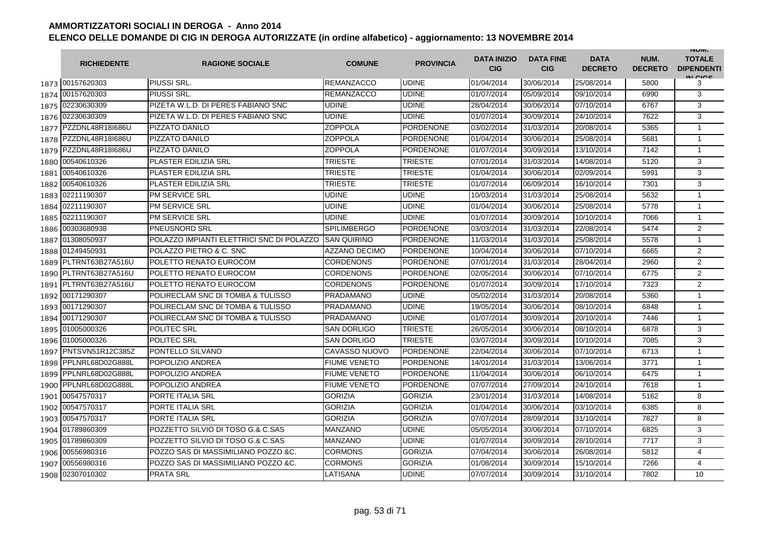|      | <b>RICHIEDENTE</b>    | <b>RAGIONE SOCIALE</b>                    | <b>COMUNE</b>        | <b>PROVINCIA</b> | <b>DATA INIZIO</b><br><b>CIG</b> | <b>DATA FINE</b><br><b>CIG</b> | <b>DATA</b><br><b>DECRETO</b> | NUM.<br><b>DECRETO</b> | <b>INUIVI.</b><br><b>TOTALE</b><br><b>DIPENDENTI</b><br>IN CICE |
|------|-----------------------|-------------------------------------------|----------------------|------------------|----------------------------------|--------------------------------|-------------------------------|------------------------|-----------------------------------------------------------------|
|      | 1873 00157620303      | PIUSSI SRL                                | <b>REMANZACCO</b>    | <b>UDINE</b>     | 01/04/2014                       | 30/06/2014                     | 25/08/2014                    | 5800                   | 3                                                               |
|      | 1874 00157620303      | <b>PIUSSI SRL</b>                         | <b>REMANZACCO</b>    | <b>UDINE</b>     | 01/07/2014                       | 05/09/2014                     | 09/10/2014                    | 6990                   | 3                                                               |
|      | 1875 02230630309      | PIZETA W.L.D. DI PERES FABIANO SNC        | <b>UDINE</b>         | <b>UDINE</b>     | 28/04/2014                       | 30/06/2014                     | 07/10/2014                    | 6767                   | 3                                                               |
|      | 1876 02230630309      | PIZETA W.L.D. DI PERES FABIANO SNC        | UDINE                | <b>UDINE</b>     | 01/07/2014                       | 30/09/2014                     | 24/10/2014                    | 7622                   | 3                                                               |
|      | 1877 PZZDNL48R18I686U | PIZZATO DANILO                            | <b>ZOPPOLA</b>       | PORDENONE        | 03/02/2014                       | 31/03/2014                     | 20/08/2014                    | 5365                   | $\mathbf{1}$                                                    |
|      | 1878 PZZDNL48R18I686U | PIZZATO DANILO                            | <b>ZOPPOLA</b>       | <b>PORDENONE</b> | 01/04/2014                       | 30/06/2014                     | 25/08/2014                    | 5681                   | $\mathbf{1}$                                                    |
|      | 1879 PZZDNL48R18I686U | PIZZATO DANILO                            | ZOPPOLA              | <b>PORDENONE</b> | 01/07/2014                       | 30/09/2014                     | 13/10/2014                    | 7142                   | $\mathbf{1}$                                                    |
| 1880 | 00540610326           | PLASTER EDILIZIA SRL                      | TRIESTE              | <b>TRIESTE</b>   | 07/01/2014                       | 31/03/2014                     | 14/08/2014                    | 5120                   | 3                                                               |
| 1881 | 00540610326           | PLASTER EDILIZIA SRL                      | <b>TRIESTE</b>       | <b>TRIESTE</b>   | 01/04/2014                       | 30/06/2014                     | 02/09/2014                    | 5991                   | 3                                                               |
| 1882 | 00540610326           | PLASTER EDILIZIA SRL                      | TRIESTE              | <b>TRIESTE</b>   | 01/07/2014                       | 06/09/2014                     | 16/10/2014                    | 7301                   | 3                                                               |
|      | 1883 02211190307      | <b>PM SERVICE SRL</b>                     | UDINE                | <b>UDINE</b>     | 10/03/2014                       | 31/03/2014                     | 25/08/2014                    | 5632                   | 1                                                               |
| 1884 | 02211190307           | <b>PM SERVICE SRL</b>                     | UDINE                | <b>UDINE</b>     | 01/04/2014                       | 30/06/2014                     | 25/08/2014                    | 5778                   | $\mathbf{1}$                                                    |
| 1885 | 02211190307           | <b>PM SERVICE SRL</b>                     | UDINE                | <b>UDINE</b>     | 01/07/2014                       | 30/09/2014                     | 10/10/2014                    | 7066                   | $\mathbf{1}$                                                    |
| 1886 | 00303680938           | <b>PNEUSNORD SRL</b>                      | <b>SPILIMBERGO</b>   | <b>PORDENONE</b> | 03/03/2014                       | 31/03/2014                     | 22/08/2014                    | 5474                   | $\overline{2}$                                                  |
| 1887 | 01308050937           | POLAZZO IMPIANTI ELETTRICI SNC DI POLAZZO | <b>SAN QUIRINO</b>   | <b>PORDENONE</b> | 11/03/2014                       | 31/03/2014                     | 25/08/2014                    | 5578                   | $\mathbf{1}$                                                    |
|      | 1888 01249450931      | POLAZZO PIETRO & C. SNC                   | <b>AZZANO DECIMO</b> | <b>PORDENONE</b> | 10/04/2014                       | 30/06/2014                     | 07/10/2014                    | 6665                   | $\overline{2}$                                                  |
|      | 1889 PLTRNT63B27A516U | POLETTO RENATO EUROCOM                    | CORDENONS            | <b>PORDENONE</b> | 07/01/2014                       | 31/03/2014                     | 28/04/2014                    | 2960                   | $\overline{2}$                                                  |
|      | 1890 PLTRNT63B27A516U | POLETTO RENATO EUROCOM                    | CORDENONS            | <b>PORDENONE</b> | 02/05/2014                       | 30/06/2014                     | 07/10/2014                    | 6775                   | $\overline{2}$                                                  |
|      | 1891 PLTRNT63B27A516U | POLETTO RENATO EUROCOM                    | CORDENONS            | <b>PORDENONE</b> | 01/07/2014                       | 30/09/2014                     | 17/10/2014                    | 7323                   | 2                                                               |
|      | 1892 00171290307      | POLIRECLAM SNC DI TOMBA & TULISSO         | <b>PRADAMANO</b>     | <b>UDINE</b>     | 05/02/2014                       | 31/03/2014                     | 20/08/2014                    | 5360                   | $\mathbf{1}$                                                    |
|      | 1893 00171290307      | POLIRECLAM SNC DI TOMBA & TULISSO         | <b>PRADAMANO</b>     | <b>UDINE</b>     | 19/05/2014                       | 30/06/2014                     | 08/10/2014                    | 6848                   | $\mathbf{1}$                                                    |
|      | 1894 00171290307      | POLIRECLAM SNC DI TOMBA & TULISSO         | <b>PRADAMANO</b>     | <b>UDINE</b>     | 01/07/2014                       | 30/09/2014                     | 20/10/2014                    | 7446                   | $\mathbf{1}$                                                    |
|      | 1895 01005000326      | POLITEC SRL                               | <b>SAN DORLIGO</b>   | <b>TRIESTE</b>   | 26/05/2014                       | 30/06/2014                     | 08/10/2014                    | 6878                   | 3                                                               |
|      | 1896 01005000326      | POLITEC SRL                               | <b>SAN DORLIGO</b>   | <b>TRIESTE</b>   | 03/07/2014                       | 30/09/2014                     | 10/10/2014                    | 7085                   | 3                                                               |
| 1897 | PNTSVN51R12C385Z      | PONTELLO SILVANO                          | CAVASSO NUOVO        | <b>PORDENONE</b> | 22/04/2014                       | 30/06/2014                     | 07/10/2014                    | 6713                   | $\mathbf{1}$                                                    |
| 1898 | PPLNRL68D02G888L      | POPOLIZIO ANDREA                          | <b>FIUME VENETO</b>  | <b>PORDENONE</b> | 14/01/2014                       | 31/03/2014                     | 13/06/2014                    | 3771                   | $\mathbf{1}$                                                    |
|      | 1899 PPLNRL68D02G888L | POPOLIZIO ANDREA                          | FIUME VENETO         | <b>PORDENONE</b> | 11/04/2014                       | 30/06/2014                     | 06/10/2014                    | 6475                   | $\mathbf{1}$                                                    |
|      | 1900 PPLNRL68D02G888L | POPOLIZIO ANDREA                          | <b>FIUME VENETO</b>  | <b>PORDENONE</b> | 07/07/2014                       | 27/09/2014                     | 24/10/2014                    | 7618                   | $\mathbf{1}$                                                    |
|      | 1901 00547570317      | PORTE ITALIA SRL                          | <b>GORIZIA</b>       | <b>GORIZIA</b>   | 23/01/2014                       | 31/03/2014                     | 14/08/2014                    | 5162                   | 8                                                               |
|      | 1902 00547570317      | PORTE ITALIA SRL                          | GORIZIA              | <b>GORIZIA</b>   | 01/04/2014                       | 30/06/2014                     | 03/10/2014                    | 6385                   | 8                                                               |
|      | 1903 00547570317      | PORTE ITALIA SRL                          | <b>GORIZIA</b>       | <b>GORIZIA</b>   | 07/07/2014                       | 28/09/2014                     | 31/10/2014                    | 7827                   | 8                                                               |
|      | 1904 01789860309      | POZZETTO SILVIO DI TOSO G.& C.SAS         | <b>MANZANO</b>       | <b>UDINE</b>     | 05/05/2014                       | 30/06/2014                     | 07/10/2014                    | 6825                   | 3                                                               |
|      | 1905 01789860309      | POZZETTO SILVIO DI TOSO G.& C.SAS         | <b>MANZANO</b>       | <b>UDINE</b>     | 01/07/2014                       | 30/09/2014                     | 28/10/2014                    | 7717                   | 3                                                               |
|      | 1906 00556980316      | POZZO SAS DI MASSIMILIANO POZZO & C.      | <b>CORMONS</b>       | <b>GORIZIA</b>   | 07/04/2014                       | 30/06/2014                     | 26/08/2014                    | 5812                   | 4                                                               |
| 1907 | 00556980316           | POZZO SAS DI MASSIMILIANO POZZO & C.      | <b>CORMONS</b>       | <b>GORIZIA</b>   | 01/08/2014                       | 30/09/2014                     | 15/10/2014                    | 7266                   | 4                                                               |
| 1908 | 02307010302           | <b>PRATA SRL</b>                          | LATISANA             | <b>UDINE</b>     | 07/07/2014                       | 30/09/2014                     | 31/10/2014                    | 7802                   | 10 <sup>10</sup>                                                |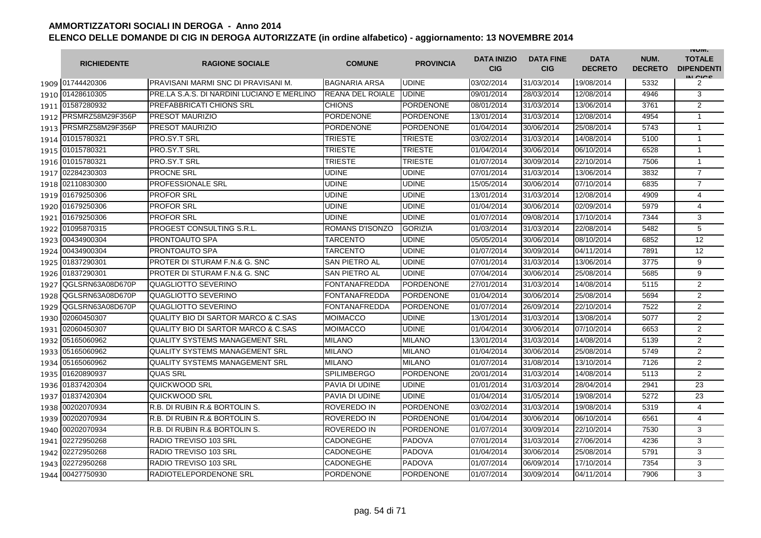|      | <b>RICHIEDENTE</b>    | <b>RAGIONE SOCIALE</b>                     | <b>COMUNE</b>           | <b>PROVINCIA</b> | <b>DATA INIZIO</b><br><b>CIG</b> | <b>DATA FINE</b><br><b>CIG</b> | <b>DATA</b><br><b>DECRETO</b> | NUM.<br><b>DECRETO</b> | <b>INUIVI.</b><br><b>TOTALE</b><br><b>DIPENDENTI</b><br>IN CIGO |
|------|-----------------------|--------------------------------------------|-------------------------|------------------|----------------------------------|--------------------------------|-------------------------------|------------------------|-----------------------------------------------------------------|
|      | 1909 01744420306      | PRAVISANI MARMI SNC DI PRAVISANI M.        | <b>BAGNARIA ARSA</b>    | <b>UDINE</b>     | 03/02/2014                       | 31/03/2014                     | 19/08/2014                    | 5332                   | 2                                                               |
|      | 1910 01428610305      | PRE LA S.A.S. DI NARDINI LUCIANO E MERLINO | <b>REANA DEL ROIALE</b> | <b>UDINE</b>     | 09/01/2014                       | 28/03/2014                     | 12/08/2014                    | 4946                   | 3                                                               |
|      | 1911 01587280932      | PREFABBRICATI CHIONS SRL                   | <b>CHIONS</b>           | <b>PORDENONE</b> | 08/01/2014                       | 31/03/2014                     | 13/06/2014                    | 3761                   | $\overline{2}$                                                  |
|      | 1912 PRSMRZ58M29F356P | PRESOT MAURIZIO                            | PORDENONE               | <b>PORDENONE</b> | 13/01/2014                       | 31/03/2014                     | 12/08/2014                    | 4954                   | $\mathbf{1}$                                                    |
|      | 1913 PRSMRZ58M29F356P | <b>PRESOT MAURIZIO</b>                     | <b>PORDENONE</b>        | <b>PORDENONE</b> | 01/04/2014                       | 30/06/2014                     | 25/08/2014                    | 5743                   | $\mathbf{1}$                                                    |
|      | 1914 01015780321      | <b>PRO.SY.T SRL</b>                        | <b>TRIESTE</b>          | <b>TRIESTE</b>   | 03/02/2014                       | 31/03/2014                     | 14/08/2014                    | 5100                   | $\mathbf{1}$                                                    |
|      | 1915 01015780321      | PRO.SY.T SRL                               | TRIESTE                 | <b>TRIESTE</b>   | 01/04/2014                       | 30/06/2014                     | 06/10/2014                    | 6528                   | $\mathbf{1}$                                                    |
|      | 1916 01015780321      | PRO.SY.T SRL                               | TRIESTE                 | <b>TRIESTE</b>   | 01/07/2014                       | 30/09/2014                     | 22/10/2014                    | 7506                   | $\mathbf{1}$                                                    |
|      | 1917 02284230303      | <b>PROCNE SRL</b>                          | <b>UDINE</b>            | <b>UDINE</b>     | 07/01/2014                       | 31/03/2014                     | 13/06/2014                    | 3832                   | $\overline{7}$                                                  |
|      | 1918 02110830300      | PROFESSIONALE SRL                          | <b>UDINE</b>            | <b>UDINE</b>     | 15/05/2014                       | 30/06/2014                     | 07/10/2014                    | 6835                   | $\overline{7}$                                                  |
|      | 1919 01679250306      | <b>PROFOR SRL</b>                          | <b>UDINE</b>            | <b>UDINE</b>     | 13/01/2014                       | 31/03/2014                     | 12/08/2014                    | 4909                   | $\overline{4}$                                                  |
| 1920 | 01679250306           | <b>PROFOR SRL</b>                          | UDINE                   | <b>UDINE</b>     | 01/04/2014                       | 30/06/2014                     | 02/09/2014                    | 5979                   | 4                                                               |
| 1921 | 01679250306           | <b>PROFOR SRL</b>                          | UDINE                   | <b>UDINE</b>     | 01/07/2014                       | 09/08/2014                     | 17/10/2014                    | 7344                   | 3                                                               |
|      | 1922 01095870315      | PROGEST CONSULTING S.R.L.                  | <b>ROMANS D'ISONZO</b>  | <b>GORIZIA</b>   | 01/03/2014                       | 31/03/2014                     | 22/08/2014                    | 5482                   | 5                                                               |
| 1923 | 00434900304           | PRONTOAUTO SPA                             | TARCENTO                | <b>UDINE</b>     | 05/05/2014                       | 30/06/2014                     | 08/10/2014                    | 6852                   | 12                                                              |
|      | 1924 00434900304      | PRONTOAUTO SPA                             | <b>TARCENTO</b>         | <b>UDINE</b>     | 01/07/2014                       | 30/09/2014                     | 04/11/2014                    | 7891                   | 12                                                              |
|      | 1925 01837290301      | PROTER DI STURAM F.N.& G. SNC              | <b>SAN PIETRO AL</b>    | <b>UDINE</b>     | 07/01/2014                       | 31/03/2014                     | 13/06/2014                    | 3775                   | 9                                                               |
|      | 1926 01837290301      | <b>PROTER DI STURAM F.N.&amp; G. SNC</b>   | SAN PIETRO AL           | <b>UDINE</b>     | 07/04/2014                       | 30/06/2014                     | 25/08/2014                    | 5685                   | $\overline{9}$                                                  |
| 1927 | QGLSRN63A08D670P      | QUAGLIOTTO SEVERINO                        | <b>FONTANAFREDDA</b>    | <b>PORDENONE</b> | 27/01/2014                       | 31/03/2014                     | 14/08/2014                    | 5115                   | 2                                                               |
| 1928 | QGLSRN63A08D670P      | QUAGLIOTTO SEVERINO                        | <b>FONTANAFREDDA</b>    | <b>PORDENONE</b> | 01/04/2014                       | 30/06/2014                     | 25/08/2014                    | 5694                   | $\overline{2}$                                                  |
| 1929 | QGLSRN63A08D670P      | <b>QUAGLIOTTO SEVERINO</b>                 | <b>FONTANAFREDDA</b>    | <b>PORDENONE</b> | 01/07/2014                       | 26/09/2014                     | 22/10/2014                    | 7522                   | $\overline{2}$                                                  |
| 1930 | 02060450307           | QUALITY BIO DI SARTOR MARCO & C.SAS        | <b>MOIMACCO</b>         | <b>UDINE</b>     | 13/01/2014                       | 31/03/2014                     | 13/08/2014                    | 5077                   | $\overline{2}$                                                  |
| 1931 | 02060450307           | QUALITY BIO DI SARTOR MARCO & C.SAS        | <b>MOIMACCO</b>         | <b>UDINE</b>     | 01/04/2014                       | 30/06/2014                     | 07/10/2014                    | 6653                   | $\overline{2}$                                                  |
| 1932 | 05165060962           | <b>QUALITY SYSTEMS MANAGEMENT SRL</b>      | <b>MILANO</b>           | <b>MILANO</b>    | 13/01/2014                       | 31/03/2014                     | 14/08/2014                    | 5139                   | $\overline{2}$                                                  |
| 1933 | 05165060962           | <b>QUALITY SYSTEMS MANAGEMENT SRL</b>      | <b>MILANO</b>           | <b>MILANO</b>    | 01/04/2014                       | 30/06/2014                     | 25/08/2014                    | 5749                   | $\overline{2}$                                                  |
| 1934 | 05165060962           | <b>QUALITY SYSTEMS MANAGEMENT SRL</b>      | <b>MILANO</b>           | <b>MILANO</b>    | 01/07/2014                       | 31/08/2014                     | 13/10/2014                    | 7126                   | $\overline{2}$                                                  |
| 1935 | 01620890937           | <b>QUAS SRL</b>                            | <b>SPILIMBERGO</b>      | <b>PORDENONE</b> | 20/01/2014                       | 31/03/2014                     | 14/08/2014                    | 5113                   | $\overline{2}$                                                  |
|      | 1936 01837420304      | QUICKWOOD SRL                              | PAVIA DI UDINE          | <b>UDINE</b>     | 01/01/2014                       | 31/03/2014                     | 28/04/2014                    | 2941                   | 23                                                              |
|      | 1937 01837420304      | QUICKWOOD SRL                              | PAVIA DI UDINE          | <b>UDINE</b>     | 01/04/2014                       | 31/05/2014                     | 19/08/2014                    | 5272                   | 23                                                              |
|      | 1938 00202070934      | R.B. DI RUBIN R.& BORTOLIN S.              | ROVEREDO IN             | <b>PORDENONE</b> | 03/02/2014                       | 31/03/2014                     | 19/08/2014                    | 5319                   | $\overline{4}$                                                  |
|      | 1939 00202070934      | R.B. DI RUBIN R.& BORTOLIN S.              | ROVEREDO IN             | <b>PORDENONE</b> | 01/04/2014                       | 30/06/2014                     | 06/10/2014                    | 6561                   | $\overline{4}$                                                  |
|      | 1940 00202070934      | R.B. DI RUBIN R.& BORTOLIN S.              | ROVEREDO IN             | <b>PORDENONE</b> | 01/07/2014                       | 30/09/2014                     | 22/10/2014                    | 7530                   | 3                                                               |
|      | 1941 02272950268      | RADIO TREVISO 103 SRL                      | <b>CADONEGHE</b>        | <b>PADOVA</b>    | 07/01/2014                       | 31/03/2014                     | 27/06/2014                    | 4236                   | 3                                                               |
|      | 1942 02272950268      | RADIO TREVISO 103 SRL                      | <b>CADONEGHE</b>        | <b>PADOVA</b>    | 01/04/2014                       | 30/06/2014                     | 25/08/2014                    | 5791                   | 3                                                               |
|      | 1943 02272950268      | RADIO TREVISO 103 SRL                      | CADONEGHE               | <b>PADOVA</b>    | 01/07/2014                       | 06/09/2014                     | 17/10/2014                    | 7354                   | 3                                                               |
|      | 1944 00427750930      | <b>RADIOTELEPORDENONE SRL</b>              | <b>PORDENONE</b>        | <b>PORDENONE</b> | 01/07/2014                       | 30/09/2014                     | 04/11/2014                    | 7906                   | 3                                                               |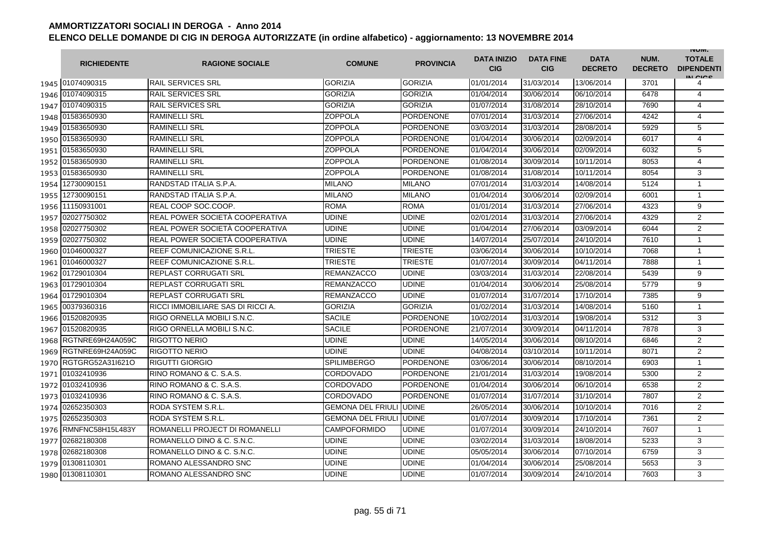|      | <b>RICHIEDENTE</b>    | <b>RAGIONE SOCIALE</b>            | <b>COMUNE</b>                   | <b>PROVINCIA</b> | <b>DATA INIZIO</b><br><b>CIG</b> | <b>DATA FINE</b><br><b>CIG</b> | <b>DATA</b><br><b>DECRETO</b> | NUM.<br><b>DECRETO</b> | <b>INUIVI.</b><br><b>TOTALE</b><br><b>DIPENDENTI</b><br>IN CIGO |
|------|-----------------------|-----------------------------------|---------------------------------|------------------|----------------------------------|--------------------------------|-------------------------------|------------------------|-----------------------------------------------------------------|
|      | 1945 01074090315      | <b>RAIL SERVICES SRL</b>          | <b>GORIZIA</b>                  | <b>GORIZIA</b>   | 01/01/2014                       | 31/03/2014                     | 13/06/2014                    | 3701                   | 4                                                               |
|      | 1946 01074090315      | <b>RAIL SERVICES SRL</b>          | <b>GORIZIA</b>                  | <b>GORIZIA</b>   | 01/04/2014                       | 30/06/2014                     | 06/10/2014                    | 6478                   | 4                                                               |
|      | 1947 01074090315      | <b>RAIL SERVICES SRL</b>          | <b>GORIZIA</b>                  | <b>GORIZIA</b>   | 01/07/2014                       | 31/08/2014                     | 28/10/2014                    | 7690                   | $\overline{4}$                                                  |
|      | 1948 01583650930      | <b>RAMINELLI SRL</b>              | ZOPPOLA                         | <b>PORDENONE</b> | 07/01/2014                       | 31/03/2014                     | 27/06/2014                    | 4242                   | $\overline{4}$                                                  |
|      | 1949 01583650930      | <b>RAMINELLI SRL</b>              | <b>ZOPPOLA</b>                  | <b>PORDENONE</b> | 03/03/2014                       | 31/03/2014                     | 28/08/2014                    | 5929                   | 5                                                               |
|      | 1950 01583650930      | <b>RAMINELLI SRL</b>              | <b>ZOPPOLA</b>                  | <b>PORDENONE</b> | 01/04/2014                       | 30/06/2014                     | 02/09/2014                    | 6017                   | $\overline{4}$                                                  |
|      | 1951 01583650930      | <b>RAMINELLI SRL</b>              | ZOPPOLA                         | <b>PORDENONE</b> | 01/04/2014                       | 30/06/2014                     | 02/09/2014                    | 6032                   | 5                                                               |
|      | 1952 01583650930      | <b>RAMINELLI SRL</b>              | <b>ZOPPOLA</b>                  | <b>PORDENONE</b> | 01/08/2014                       | 30/09/2014                     | 10/11/2014                    | 8053                   | $\overline{4}$                                                  |
|      | 1953 01583650930      | <b>RAMINELLI SRL</b>              | <b>ZOPPOLA</b>                  | <b>PORDENONE</b> | 01/08/2014                       | 31/08/2014                     | 10/11/2014                    | 8054                   | 3                                                               |
| 1954 | 12730090151           | RANDSTAD ITALIA S.P.A.            | <b>MILANO</b>                   | <b>MILANO</b>    | 07/01/2014                       | 31/03/2014                     | 14/08/2014                    | 5124                   | $\mathbf{1}$                                                    |
| 1955 | 12730090151           | RANDSTAD ITALIA S.P.A.            | <b>MILANO</b>                   | <b>MILANO</b>    | 01/04/2014                       | 30/06/2014                     | 02/09/2014                    | 6001                   | 1                                                               |
| 1956 | 11150931001           | REAL COOP SOC.COOP.               | ROMA                            | <b>ROMA</b>      | 01/01/2014                       | 31/03/2014                     | 27/06/2014                    | 4323                   | 9                                                               |
| 1957 | 02027750302           | REAL POWER SOCIETA COOPERATIVA    | UDINE                           | <b>UDINE</b>     | 02/01/2014                       | 31/03/2014                     | 27/06/2014                    | 4329                   | $\overline{2}$                                                  |
| 1958 | 02027750302           | REAL POWER SOCIETÀ COOPERATIVA    | UDINE                           | <b>UDINE</b>     | 01/04/2014                       | 27/06/2014                     | 03/09/2014                    | 6044                   | $\overline{2}$                                                  |
| 1959 | 02027750302           | REAL POWER SOCIETÀ COOPERATIVA    | UDINE                           | <b>UDINE</b>     | 14/07/2014                       | 25/07/2014                     | 24/10/2014                    | 7610                   | $\mathbf{1}$                                                    |
|      | 1960 01046000327      | <b>REEF COMUNICAZIONE S.R.L.</b>  | TRIESTE                         | <b>TRIESTE</b>   | 03/06/2014                       | 30/06/2014                     | 10/10/2014                    | 7068                   | $\mathbf{1}$                                                    |
|      | 1961 01046000327      | REEF COMUNICAZIONE S.R.L.         | <b>TRIESTE</b>                  | <b>TRIESTE</b>   | 01/07/2014                       | 30/09/2014                     | 04/11/2014                    | 7888                   | $\mathbf{1}$                                                    |
|      | 1962 01729010304      | <b>REPLAST CORRUGATI SRL</b>      | <b>REMANZACCO</b>               | <b>UDINE</b>     | 03/03/2014                       | 31/03/2014                     | 22/08/2014                    | 5439                   | 9                                                               |
|      | 1963 01729010304      | <b>REPLAST CORRUGATI SRL</b>      | <b>REMANZACCO</b>               | <b>UDINE</b>     | 01/04/2014                       | 30/06/2014                     | 25/08/2014                    | 5779                   | 9                                                               |
|      | 1964 01729010304      | <b>REPLAST CORRUGATI SRL</b>      | <b>REMANZACCO</b>               | <b>UDINE</b>     | 01/07/2014                       | 31/07/2014                     | 17/10/2014                    | 7385                   | 9                                                               |
|      | 1965 00379360316      | RICCI IMMOBILIARE SAS DI RICCI A. | <b>GORIZIA</b>                  | <b>GORIZIA</b>   | 01/02/2014                       | 31/03/2014                     | 14/08/2014                    | 5160                   | $\mathbf{1}$                                                    |
| 1966 | 01520820935           | RIGO ORNELLA MOBILI S.N.C.        | <b>SACILE</b>                   | <b>PORDENONE</b> | 10/02/2014                       | 31/03/2014                     | 19/08/2014                    | 5312                   | 3                                                               |
| 1967 | 01520820935           | RIGO ORNELLA MOBILI S.N.C.        | <b>SACILE</b>                   | <b>PORDENONE</b> | 21/07/2014                       | 30/09/2014                     | 04/11/2014                    | 7878                   | 3                                                               |
| 1968 | RGTNRE69H24A059C      | <b>RIGOTTO NERIO</b>              | UDINE                           | <b>UDINE</b>     | 14/05/2014                       | 30/06/2014                     | 08/10/2014                    | 6846                   | $\overline{2}$                                                  |
| 1969 | RGTNRE69H24A059C      | <b>RIGOTTO NERIO</b>              | <b>UDINE</b>                    | <b>UDINE</b>     | 04/08/2014                       | 03/10/2014                     | 10/11/2014                    | 8071                   | 2                                                               |
| 1970 | RGTGRG52A31I621O      | <b>RIGUTTI GIORGIO</b>            | <b>SPILIMBERGO</b>              | <b>PORDENONE</b> | 03/06/2014                       | 30/06/2014                     | 08/10/2014                    | 6903                   | $\mathbf{1}$                                                    |
|      | 1971 01032410936      | RINO ROMANO & C. S.A.S.           | CORDOVADO                       | <b>PORDENONE</b> | 21/01/2014                       | 31/03/2014                     | 19/08/2014                    | 5300                   | $\overline{2}$                                                  |
|      | 1972 01032410936      | RINO ROMANO & C. S.A.S.           | CORDOVADO                       | <b>PORDENONE</b> | 01/04/2014                       | 30/06/2014                     | 06/10/2014                    | 6538                   | 2                                                               |
|      | 1973 01032410936      | RINO ROMANO & C. S.A.S.           | CORDOVADO                       | <b>PORDENONE</b> | 01/07/2014                       | 31/07/2014                     | 31/10/2014                    | 7807                   | 2                                                               |
|      | 1974 02652350303      | RODA SYSTEM S.R.L.                | <b>GEMONA DEL FRIULI JUDINE</b> |                  | 26/05/2014                       | 30/06/2014                     | 10/10/2014                    | 7016                   | $\overline{2}$                                                  |
|      | 1975 02652350303      | RODA SYSTEM S.R.L.                | <b>GEMONA DEL FRIULI UDINE</b>  |                  | 01/07/2014                       | 30/09/2014                     | 17/10/2014                    | 7361                   | $\overline{2}$                                                  |
|      | 1976 RMNFNC58H15L483Y | ROMANELLI PROJECT DI ROMANELLI    | <b>CAMPOFORMIDO</b>             | <b>UDINE</b>     | 01/07/2014                       | 30/09/2014                     | 24/10/2014                    | 7607                   | $\mathbf{1}$                                                    |
|      | 1977 02682180308      | ROMANELLO DINO & C. S.N.C.        | <b>UDINE</b>                    | <b>UDINE</b>     | 03/02/2014                       | 31/03/2014                     | 18/08/2014                    | 5233                   | 3                                                               |
|      | 1978 02682180308      | ROMANELLO DINO & C. S.N.C.        | UDINE                           | <b>UDINE</b>     | 05/05/2014                       | 30/06/2014                     | 07/10/2014                    | 6759                   | 3                                                               |
|      | 1979 01308110301      | ROMANO ALESSANDRO SNC             | UDINE                           | <b>UDINE</b>     | 01/04/2014                       | 30/06/2014                     | 25/08/2014                    | 5653                   | 3                                                               |
|      | 1980 01308110301      | ROMANO ALESSANDRO SNC             | UDINE                           | <b>UDINE</b>     | 01/07/2014                       | 30/09/2014                     | 24/10/2014                    | 7603                   | 3                                                               |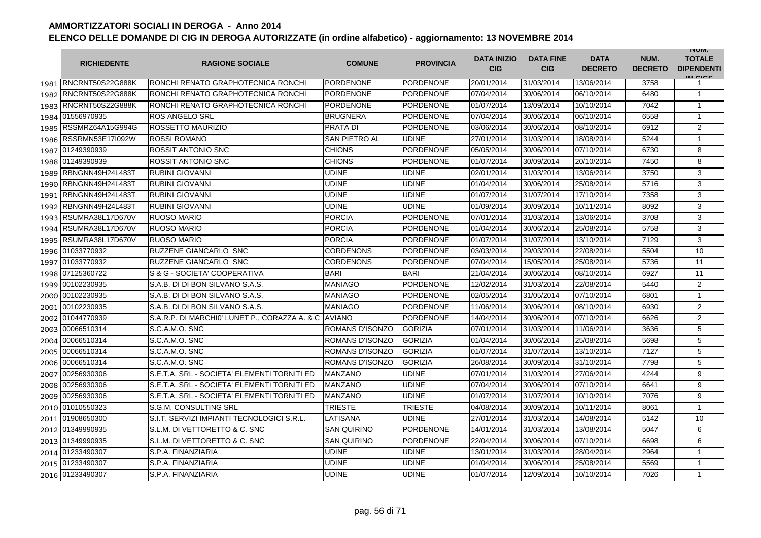|      | <b>RICHIEDENTE</b>      | <b>RAGIONE SOCIALE</b>                               | <b>COMUNE</b>          | <b>PROVINCIA</b> | <b>DATA INIZIO</b><br><b>CIG</b> | <b>DATA FINE</b><br><b>CIG</b> | <b>DATA</b><br><b>DECRETO</b> | NUM.<br><b>DECRETO</b> | <b>INUIVI.</b><br><b>TOTALE</b><br><b>DIPENDENTI</b><br>IN CIGO |
|------|-------------------------|------------------------------------------------------|------------------------|------------------|----------------------------------|--------------------------------|-------------------------------|------------------------|-----------------------------------------------------------------|
|      | 1981 RNCRNT50S22G888K   | <b>IRONCHI RENATO GRAPHOTECNICA RONCHI</b>           | <b>PORDENONE</b>       | <b>PORDENONE</b> | 20/01/2014                       | 31/03/2014                     | 13/06/2014                    | 3758                   | 1                                                               |
| 1982 | RNCRNT50S22G888K        | RONCHI RENATO GRAPHOTECNICA RONCHI                   | <b>PORDENONE</b>       | <b>PORDENONE</b> | 07/04/2014                       | 30/06/2014                     | 06/10/2014                    | 6480                   | $\mathbf{1}$                                                    |
|      | 1983 RNCRNT50S22G888K   | RONCHI RENATO GRAPHOTECNICA RONCHI                   | <b>PORDENONE</b>       | <b>PORDENONE</b> | 01/07/2014                       | 13/09/2014                     | 10/10/2014                    | 7042                   | $\mathbf{1}$                                                    |
|      | 1984 01556970935        | <b>ROS ANGELO SRL</b>                                | <b>BRUGNERA</b>        | <b>PORDENONE</b> | 07/04/2014                       | 30/06/2014                     | 06/10/2014                    | 6558                   | $\mathbf{1}$                                                    |
|      | 1985 RSSMRZ64A15G994G   | ROSSETTO MAURIZIO                                    | <b>PRATA DI</b>        | <b>PORDENONE</b> | 03/06/2014                       | 30/06/2014                     | 08/10/2014                    | 6912                   | 2                                                               |
| 1986 | <b>RSSRMN53E17I092W</b> | <b>ROSSI ROMANO</b>                                  | <b>SAN PIETRO AL</b>   | <b>UDINE</b>     | 27/01/2014                       | 31/03/2014                     | 18/08/2014                    | 5244                   | $\mathbf{1}$                                                    |
|      | 1987 01249390939        | ROSSIT ANTONIO SNC                                   | <b>CHIONS</b>          | <b>PORDENONE</b> | 05/05/2014                       | 30/06/2014                     | 07/10/2014                    | 6730                   | 8                                                               |
|      | 1988 01249390939        | <b>ROSSIT ANTONIO SNC</b>                            | <b>CHIONS</b>          | <b>PORDENONE</b> | 01/07/2014                       | 30/09/2014                     | 20/10/2014                    | 7450                   | 8                                                               |
| 1989 | RBNGNN49H24L483T        | <b>RUBINI GIOVANNI</b>                               | <b>UDINE</b>           | <b>UDINE</b>     | 02/01/2014                       | 31/03/2014                     | 13/06/2014                    | 3750                   | 3                                                               |
| 1990 | RBNGNN49H24L483T        | <b>RUBINI GIOVANNI</b>                               | <b>UDINE</b>           | <b>UDINE</b>     | 01/04/2014                       | 30/06/2014                     | 25/08/2014                    | 5716                   | 3                                                               |
| 1991 | RBNGNN49H24L483T        | <b>RUBINI GIOVANNI</b>                               | <b>UDINE</b>           | <b>UDINE</b>     | 01/07/2014                       | 31/07/2014                     | 17/10/2014                    | 7358                   | 3                                                               |
| 1992 | RBNGNN49H24L483T        | <b>RUBINI GIOVANNI</b>                               | <b>UDINE</b>           | <b>UDINE</b>     | 01/09/2014                       | 30/09/2014                     | 10/11/2014                    | 8092                   | 3                                                               |
| 1993 | RSUMRA38L17D670V        | <b>RUOSO MARIO</b>                                   | <b>PORCIA</b>          | <b>PORDENONE</b> | 07/01/2014                       | 31/03/2014                     | 13/06/2014                    | 3708                   | 3                                                               |
| 1994 | RSUMRA38L17D670V        | <b>RUOSO MARIO</b>                                   | <b>PORCIA</b>          | <b>PORDENONE</b> | 01/04/2014                       | 30/06/2014                     | 25/08/2014                    | 5758                   | 3                                                               |
| 1995 | RSUMRA38L17D670V        | <b>RUOSO MARIO</b>                                   | <b>PORCIA</b>          | <b>PORDENONE</b> | 01/07/2014                       | 31/07/2014                     | 13/10/2014                    | 7129                   | 3                                                               |
|      | 1996 01033770932        | <b>RUZZENE GIANCARLO SNC</b>                         | <b>CORDENONS</b>       | <b>PORDENONE</b> | 03/03/2014                       | 29/03/2014                     | 22/08/2014                    | 5504                   | 10                                                              |
|      | 1997 01033770932        | RUZZENE GIANCARLO SNC                                | <b>CORDENONS</b>       | <b>PORDENONE</b> | 07/04/2014                       | 15/05/2014                     | 25/08/2014                    | 5736                   | 11                                                              |
|      | 1998 07125360722        | S & G - SOCIETA' COOPERATIVA                         | <b>BARI</b>            | <b>BARI</b>      | 21/04/2014                       | 30/06/2014                     | 08/10/2014                    | 6927                   | 11                                                              |
|      | 1999 00102230935        | S.A.B. DI DI BON SILVANO S.A.S.                      | <b>MANIAGO</b>         | <b>PORDENONE</b> | 12/02/2014                       | 31/03/2014                     | 22/08/2014                    | 5440                   | 2                                                               |
|      | 2000 00102230935        | S.A.B. DI DI BON SILVANO S.A.S.                      | <b>MANIAGO</b>         | <b>PORDENONE</b> | 02/05/2014                       | 31/05/2014                     | 07/10/2014                    | 6801                   | $\mathbf{1}$                                                    |
|      | 2001 00102230935        | S.A.B. DI DI BON SILVANO S.A.S.                      | <b>MANIAGO</b>         | <b>PORDENONE</b> | 11/06/2014                       | 30/06/2014                     | 08/10/2014                    | 6930                   | $\overline{2}$                                                  |
|      | 2002 01044770939        | S.A.R.P. DI MARCHIO' LUNET P., CORAZZA A. & C AVIANO |                        | <b>PORDENONE</b> | 14/04/2014                       | 30/06/2014                     | 07/10/2014                    | 6626                   | $\overline{2}$                                                  |
|      | 2003 00066510314        | S.C.A.M.O. SNC                                       | ROMANS D'ISONZO        | <b>GORIZIA</b>   | 07/01/2014                       | 31/03/2014                     | 11/06/2014                    | 3636                   | 5                                                               |
| 2004 | 00066510314             | S.C.A.M.O. SNC                                       | ROMANS D'ISONZO        | <b>GORIZIA</b>   | 01/04/2014                       | 30/06/2014                     | 25/08/2014                    | 5698                   | 5                                                               |
| 2005 | 00066510314             | S.C.A.M.O. SNC                                       | <b>ROMANS D'ISONZO</b> | <b>GORIZIA</b>   | 01/07/2014                       | 31/07/2014                     | 13/10/2014                    | 7127                   | 5                                                               |
| 2006 | 00066510314             | S.C.A.M.O. SNC                                       | <b>ROMANS D'ISONZO</b> | <b>GORIZIA</b>   | 26/08/2014                       | 30/09/2014                     | 31/10/2014                    | 7798                   | 5                                                               |
| 2007 | 00256930306             | S.E.T.A. SRL - SOCIETA' ELEMENTI TORNITI ED          | <b>MANZANO</b>         | <b>UDINE</b>     | 07/01/2014                       | 31/03/2014                     | 27/06/2014                    | 4244                   | 9                                                               |
| 2008 | 00256930306             | S.E.T.A. SRL - SOCIETA' ELEMENTI TORNITI ED          | <b>MANZANO</b>         | <b>UDINE</b>     | 07/04/2014                       | 30/06/2014                     | 07/10/2014                    | 6641                   | 9                                                               |
| 2009 | 00256930306             | S.E.T.A. SRL - SOCIETA' ELEMENTI TORNITI ED          | <b>MANZANO</b>         | <b>UDINE</b>     | 01/07/2014                       | 31/07/2014                     | 10/10/2014                    | 7076                   | 9                                                               |
|      | 2010 01010550323        | S.G.M. CONSULTING SRL                                | TRIESTE                | <b>TRIESTE</b>   | 04/08/2014                       | 30/09/2014                     | 10/11/2014                    | 8061                   | $\mathbf{1}$                                                    |
|      | 2011 01908650300        | S.I.T. SERVIZI IMPIANTI TECNOLOGICI S.R.L.           | LATISANA               | <b>UDINE</b>     | 27/01/2014                       | 31/03/2014                     | 14/08/2014                    | 5142                   | 10                                                              |
|      | 2012 01349990935        | S.L.M. DI VETTORETTO & C. SNC                        | <b>SAN QUIRINO</b>     | <b>PORDENONE</b> | 14/01/2014                       | 31/03/2014                     | 13/08/2014                    | 5047                   | 6                                                               |
|      | 2013 01349990935        | S.L.M. DI VETTORETTO & C. SNC                        | <b>SAN QUIRINO</b>     | <b>PORDENONE</b> | 22/04/2014                       | 30/06/2014                     | 07/10/2014                    | 6698                   | 6                                                               |
|      | 2014 01233490307        | S.P.A. FINANZIARIA                                   | <b>UDINE</b>           | <b>UDINE</b>     | 13/01/2014                       | 31/03/2014                     | 28/04/2014                    | 2964                   | $\mathbf{1}$                                                    |
|      | 2015 01233490307        | S.P.A. FINANZIARIA                                   | <b>UDINE</b>           | <b>UDINE</b>     | 01/04/2014                       | 30/06/2014                     | 25/08/2014                    | 5569                   | $\mathbf{1}$                                                    |
|      | 2016 01233490307        | S.P.A. FINANZIARIA                                   | <b>UDINE</b>           | <b>UDINE</b>     | 01/07/2014                       | 12/09/2014                     | 10/10/2014                    | 7026                   | $\mathbf{1}$                                                    |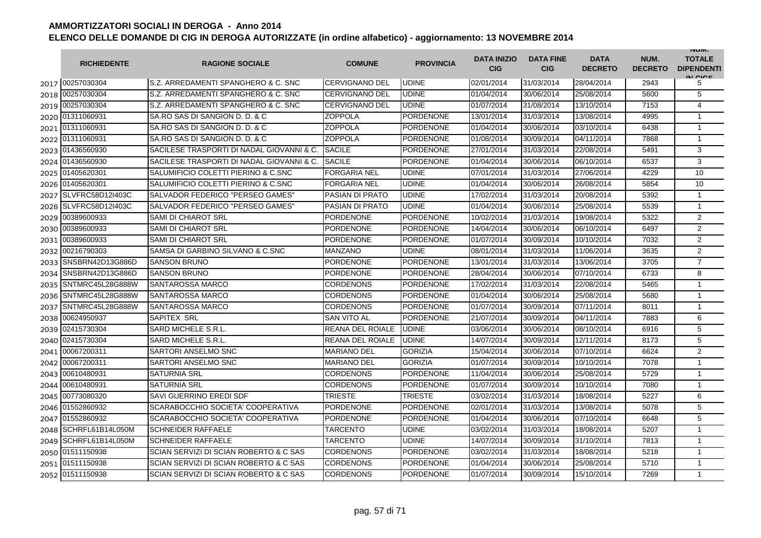|      | <b>RICHIEDENTE</b>    | <b>RAGIONE SOCIALE</b>                    | <b>COMUNE</b>          | <b>PROVINCIA</b> | <b>DATA INIZIO</b><br><b>CIG</b> | <b>DATA FINE</b><br><b>CIG</b> | <b>DATA</b><br><b>DECRETO</b> | NUM.<br><b>DECRETO</b> | <b>INUIVI.</b><br><b>TOTALE</b><br><b>DIPENDENTI</b><br>IN CICE |
|------|-----------------------|-------------------------------------------|------------------------|------------------|----------------------------------|--------------------------------|-------------------------------|------------------------|-----------------------------------------------------------------|
|      | 2017 00257030304      | S.Z. ARREDAMENTI SPANGHERO & C. SNC       | <b>CERVIGNANO DEL</b>  | <b>UDINE</b>     | 02/01/2014                       | 31/03/2014                     | 28/04/2014                    | 2943                   | 5                                                               |
| 2018 | 00257030304           | S.Z. ARREDAMENTI SPANGHERO & C. SNC       | <b>CERVIGNANO DEL</b>  | <b>UDINE</b>     | 01/04/2014                       | 30/06/2014                     | 25/08/2014                    | 5600                   | 5                                                               |
|      | 2019 00257030304      | S.Z. ARREDAMENTI SPANGHERO & C. SNC       | <b>CERVIGNANO DEL</b>  | <b>UDINE</b>     | 01/07/2014                       | 31/08/2014                     | 13/10/2014                    | 7153                   | $\overline{4}$                                                  |
|      | 2020 01311060931      | SA.RO SAS DI SANGION D. D. & C            | <b>ZOPPOLA</b>         | PORDENONE        | 13/01/2014                       | 31/03/2014                     | 13/08/2014                    | 4995                   | $\mathbf{1}$                                                    |
|      | 2021 01311060931      | SA.RO SAS DI SANGION D. D. & C            | ZOPPOLA                | <b>PORDENONE</b> | 01/04/2014                       | 30/06/2014                     | 03/10/2014                    | 6438                   | $\mathbf{1}$                                                    |
|      | 2022 01311060931      | SA.RO SAS DI SANGION D. D. & C            | ZOPPOLA                | <b>PORDENONE</b> | 01/08/2014                       | 30/09/2014                     | 04/11/2014                    | 7868                   | $\mathbf{1}$                                                    |
|      | 2023 01436560930      | SACILESE TRASPORTI DI NADAL GIOVANNI & C. | <b>SACILE</b>          | <b>PORDENONE</b> | 27/01/2014                       | 31/03/2014                     | 22/08/2014                    | 5491                   | 3                                                               |
|      | 2024 01436560930      | SACILESE TRASPORTI DI NADAL GIOVANNI & C. | <b>SACILE</b>          | <b>PORDENONE</b> | 01/04/2014                       | 30/06/2014                     | 06/10/2014                    | 6537                   | 3                                                               |
|      | 2025 01405620301      | SALUMIFICIO COLETTI PIERINO & C.SNC       | <b>FORGARIA NEL</b>    | <b>UDINE</b>     | 07/01/2014                       | 31/03/2014                     | 27/06/2014                    | 4229                   | 10                                                              |
|      | 2026 01405620301      | SALUMIFICIO COLETTI PIERINO & C.SNC       | <b>FORGARIA NEL</b>    | <b>UDINE</b>     | 01/04/2014                       | 30/06/2014                     | 26/08/2014                    | 5854                   | 10                                                              |
| 2027 | SLVFRC58D12I403C      | SALVADOR FEDERICO "PERSEO GAMES"          | <b>PASIAN DI PRATO</b> | <b>UDINE</b>     | 17/02/2014                       | 31/03/2014                     | 20/08/2014                    | 5392                   | 1                                                               |
| 2028 | SLVFRC58D12I403C      | SALVADOR FEDERICO "PERSEO GAMES"          | <b>PASIAN DI PRATO</b> | <b>UDINE</b>     | 01/04/2014                       | 30/06/2014                     | 25/08/2014                    | 5539                   | $\mathbf{1}$                                                    |
| 2029 | 00389600933           | <b>SAMI DI CHIAROT SRL</b>                | <b>PORDENONE</b>       | <b>PORDENONE</b> | 10/02/2014                       | 31/03/2014                     | 19/08/2014                    | 5322                   | $\overline{2}$                                                  |
| 2030 | 00389600933           | <b>SAMI DI CHIAROT SRL</b>                | PORDENONE              | <b>PORDENONE</b> | 14/04/2014                       | 30/06/2014                     | 06/10/2014                    | 6497                   | $\overline{2}$                                                  |
| 2031 | 00389600933           | <b>SAMI DI CHIAROT SRL</b>                | <b>PORDENONE</b>       | <b>PORDENONE</b> | 01/07/2014                       | 30/09/2014                     | 10/10/2014                    | 7032                   | 2                                                               |
| 2032 | 00216790303           | SAMSA DI GARBINO SILVANO & C.SNC          | MANZANO                | <b>UDINE</b>     | 08/01/2014                       | 31/03/2014                     | 11/06/2014                    | 3635                   | $\overline{2}$                                                  |
|      | 2033 SNSBRN42D13G886D | <b>SANSON BRUNO</b>                       | PORDENONE              | PORDENONE        | 13/01/2014                       | 31/03/2014                     | 13/06/2014                    | 3705                   | $\overline{7}$                                                  |
|      | 2034 SNSBRN42D13G886D | <b>SANSON BRUNO</b>                       | <b>PORDENONE</b>       | <b>PORDENONE</b> | 28/04/2014                       | 30/06/2014                     | 07/10/2014                    | 6733                   | 8                                                               |
|      | 2035 SNTMRC45L28G888W | <b>SANTAROSSA MARCO</b>                   | CORDENONS              | <b>PORDENONE</b> | 17/02/2014                       | 31/03/2014                     | 22/08/2014                    | 5465                   | $\mathbf{1}$                                                    |
| 2036 | SNTMRC45L28G888W      | <b>SANTAROSSA MARCO</b>                   | <b>CORDENONS</b>       | <b>PORDENONE</b> | 01/04/2014                       | 30/06/2014                     | 25/08/2014                    | 5680                   | $\mathbf{1}$                                                    |
| 2037 | SNTMRC45L28G888W      | <b>SANTAROSSA MARCO</b>                   | <b>CORDENONS</b>       | <b>PORDENONE</b> | 01/07/2014                       | 30/09/2014                     | 07/11/2014                    | 8011                   | $\mathbf{1}$                                                    |
| 2038 | 00624950937           | <b>SAPITEX SRL</b>                        | <b>SAN VITO AL</b>     | <b>PORDENONE</b> | 21/07/2014                       | 30/09/2014                     | 04/11/2014                    | 7883                   | 6                                                               |
| 2039 | 02415730304           | <b>SARD MICHELE S.R.L.</b>                | REANA DEL ROIALE       | <b>UDINE</b>     | 03/06/2014                       | 30/06/2014                     | 08/10/2014                    | 6916                   | 5                                                               |
| 2040 | 02415730304           | SARD MICHELE S.R.L.                       | REANA DEL ROIALE       | <b>UDINE</b>     | 14/07/2014                       | 30/09/2014                     | 12/11/2014                    | 8173                   | 5                                                               |
| 2041 | 00067200311           | SARTORI ANSELMO SNC                       | <b>MARIANO DEL</b>     | <b>GORIZIA</b>   | 15/04/2014                       | 30/06/2014                     | 07/10/2014                    | 6624                   | 2                                                               |
| 2042 | 00067200311           | SARTORI ANSELMO SNC                       | <b>MARIANO DEL</b>     | <b>GORIZIA</b>   | 01/07/2014                       | 30/09/2014                     | 10/10/2014                    | 7078                   | $\mathbf{1}$                                                    |
| 2043 | 00610480931           | <b>SATURNIA SRL</b>                       | CORDENONS              | <b>PORDENONE</b> | 11/04/2014                       | 30/06/2014                     | 25/08/2014                    | 5729                   | $\mathbf{1}$                                                    |
| 2044 | 00610480931           | <b>SATURNIA SRL</b>                       | CORDENONS              | <b>PORDENONE</b> | 01/07/2014                       | 30/09/2014                     | 10/10/2014                    | 7080                   | $\mathbf{1}$                                                    |
| 2045 | 00773080320           | SAVI GUERRINO EREDI SDF                   | <b>TRIESTE</b>         | <b>TRIESTE</b>   | 03/02/2014                       | 31/03/2014                     | 18/08/2014                    | 5227                   | 6                                                               |
| 2046 | 01552860932           | SCARABOCCHIO SOCIETA' COOPERATIVA         | PORDENONE              | <b>PORDENONE</b> | 02/01/2014                       | 31/03/2014                     | 13/08/2014                    | 5078                   | 5                                                               |
|      | 2047 01552860932      | SCARABOCCHIO SOCIETA' COOPERATIVA         | PORDENONE              | PORDENONE        | 01/04/2014                       | 30/06/2014                     | 07/10/2014                    | 6648                   | 5                                                               |
| 2048 | SCHRFL61B14L050M      | <b>SCHNEIDER RAFFAELE</b>                 | TARCENTO               | <b>UDINE</b>     | 03/02/2014                       | 31/03/2014                     | 18/08/2014                    | 5207                   | $\mathbf{1}$                                                    |
| 2049 | SCHRFL61B14L050M      | <b>SCHNEIDER RAFFAELE</b>                 | <b>TARCENTO</b>        | <b>UDINE</b>     | 14/07/2014                       | 30/09/2014                     | 31/10/2014                    | 7813                   | $\mathbf{1}$                                                    |
|      | 2050 01511150938      | SCIAN SERVIZI DI SCIAN ROBERTO & C SAS    | <b>CORDENONS</b>       | <b>PORDENONE</b> | 03/02/2014                       | 31/03/2014                     | 18/08/2014                    | 5218                   | $\mathbf{1}$                                                    |
|      | 2051 01511150938      | SCIAN SERVIZI DI SCIAN ROBERTO & C SAS    | <b>CORDENONS</b>       | <b>PORDENONE</b> | 01/04/2014                       | 30/06/2014                     | 25/08/2014                    | 5710                   | $\mathbf{1}$                                                    |
|      | 2052 01511150938      | SCIAN SERVIZI DI SCIAN ROBERTO & C SAS    | <b>CORDENONS</b>       | <b>PORDENONE</b> | 01/07/2014                       | 30/09/2014                     | 15/10/2014                    | 7269                   | $\mathbf{1}$                                                    |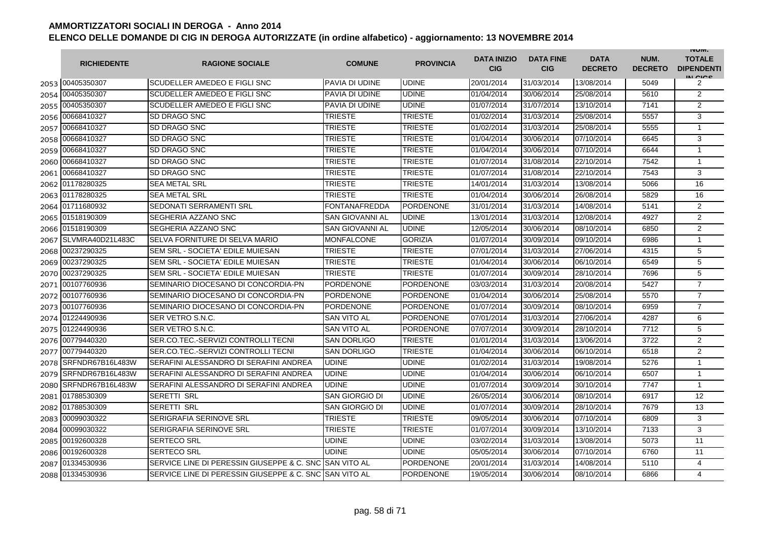|      | <b>RICHIEDENTE</b> | <b>RAGIONE SOCIALE</b>                     | <b>COMUNE</b>          | <b>PROVINCIA</b> | <b>DATA INIZIO</b><br><b>CIG</b> | <b>DATA FINE</b><br><b>CIG</b> | <b>DATA</b><br><b>DECRETO</b> | NUM.<br><b>DECRETO</b> | <b>INUIVI.</b><br><b>TOTALE</b><br><b>DIPENDENTI</b><br>IN CICS |
|------|--------------------|--------------------------------------------|------------------------|------------------|----------------------------------|--------------------------------|-------------------------------|------------------------|-----------------------------------------------------------------|
|      | 2053 00405350307   | <b>SCUDELLER AMEDEO E FIGLI SNC</b>        | PAVIA DI UDINE         | <b>UDINE</b>     | 20/01/2014                       | 31/03/2014                     | 13/08/2014                    | 5049                   | 2                                                               |
|      | 2054 00405350307   | SCUDELLER AMEDEO E FIGLI SNC               | PAVIA DI UDINE         | <b>UDINE</b>     | 01/04/2014                       | 30/06/2014                     | 25/08/2014                    | 5610                   | 2                                                               |
|      | 2055 00405350307   | SCUDELLER AMEDEO E FIGLI SNC               | PAVIA DI UDINE         | <b>UDINE</b>     | 01/07/2014                       | 31/07/2014                     | 13/10/2014                    | 7141                   | 2                                                               |
|      | 2056 00668410327   | SD DRAGO SNC                               | <b>TRIESTE</b>         | <b>TRIESTE</b>   | 01/02/2014                       | 31/03/2014                     | 25/08/2014                    | 5557                   | 3                                                               |
|      | 2057 00668410327   | SD DRAGO SNC                               | <b>TRIESTE</b>         | <b>TRIESTE</b>   | 01/02/2014                       | 31/03/2014                     | 25/08/2014                    | 5555                   | $\mathbf{1}$                                                    |
| 2058 | 00668410327        | SD DRAGO SNC                               | <b>TRIESTE</b>         | <b>TRIESTE</b>   | 01/04/2014                       | 30/06/2014                     | 07/10/2014                    | 6645                   | 3                                                               |
| 2059 | 00668410327        | <b>SD DRAGO SNC</b>                        | <b>TRIESTE</b>         | <b>TRIESTE</b>   | 01/04/2014                       | 30/06/2014                     | 07/10/2014                    | 6644                   | $\mathbf{1}$                                                    |
| 2060 | 00668410327        | SD DRAGO SNC                               | <b>TRIESTE</b>         | <b>TRIESTE</b>   | 01/07/2014                       | 31/08/2014                     | 22/10/2014                    | 7542                   | $\mathbf{1}$                                                    |
| 2061 | 00668410327        | SD DRAGO SNC                               | <b>TRIESTE</b>         | <b>TRIESTE</b>   | 01/07/2014                       | 31/08/2014                     | 22/10/2014                    | 7543                   | 3                                                               |
| 2062 | 01178280325        | <b>SEA METAL SRL</b>                       | <b>TRIESTE</b>         | <b>TRIESTE</b>   | 14/01/2014                       | 31/03/2014                     | 13/08/2014                    | 5066                   | 16                                                              |
| 2063 | 01178280325        | <b>SEA METAL SRL</b>                       | TRIESTE                | <b>TRIESTE</b>   | 01/04/2014                       | 30/06/2014                     | 26/08/2014                    | 5829                   | 16                                                              |
|      | 2064 01711680932   | SEDONATI SERRAMENTI SRL                    | FONTANAFREDDA          | <b>PORDENONE</b> | 31/01/2014                       | 31/03/2014                     | 14/08/2014                    | 5141                   | 2                                                               |
|      | 2065 01518190309   | SEGHERIA AZZANO SNC                        | <b>SAN GIOVANNI AL</b> | <b>UDINE</b>     | 13/01/2014                       | 31/03/2014                     | 12/08/2014                    | 4927                   | $\overline{2}$                                                  |
|      | 2066 01518190309   | SEGHERIA AZZANO SNC                        | <b>SAN GIOVANNI AL</b> | <b>UDINE</b>     | 12/05/2014                       | 30/06/2014                     | 08/10/2014                    | 6850                   | $\overline{2}$                                                  |
| 2067 | SLVMRA40D21L483C   | SELVA FORNITURE DI SELVA MARIO             | <b>MONFALCONE</b>      | <b>GORIZIA</b>   | 01/07/2014                       | 30/09/2014                     | 09/10/2014                    | 6986                   | $\mathbf{1}$                                                    |
| 2068 | 00237290325        | SEM SRL - SOCIETA' EDILE MUIESAN           | <b>TRIESTE</b>         | <b>TRIESTE</b>   | 07/01/2014                       | 31/03/2014                     | 27/06/2014                    | 4315                   | 5                                                               |
| 2069 | 00237290325        | SEM SRL - SOCIETA' EDILE MUIESAN           | <b>TRIESTE</b>         | <b>TRIESTE</b>   | 01/04/2014                       | 30/06/2014                     | 06/10/2014                    | 6549                   | 5                                                               |
| 2070 | 00237290325        | SEM SRL - SOCIETA' EDILE MUIESAN           | <b>TRIESTE</b>         | <b>TRIESTE</b>   | 01/07/2014                       | 30/09/2014                     | 28/10/2014                    | 7696                   | 5                                                               |
| 2071 | 00107760936        | SEMINARIO DIOCESANO DI CONCORDIA-PN        | <b>PORDENONE</b>       | <b>PORDENONE</b> | 03/03/2014                       | 31/03/2014                     | 20/08/2014                    | 5427                   | $\overline{7}$                                                  |
| 2072 | 00107760936        | SEMINARIO DIOCESANO DI CONCORDIA-PN        | <b>PORDENONE</b>       | <b>PORDENONE</b> | 01/04/2014                       | 30/06/2014                     | 25/08/2014                    | 5570                   | $\overline{7}$                                                  |
| 2073 | 00107760936        | SEMINARIO DIOCESANO DI CONCORDIA-PN        | <b>PORDENONE</b>       | <b>PORDENONE</b> | 01/07/2014                       | 30/09/2014                     | 08/10/2014                    | 6959                   | $\overline{7}$                                                  |
| 2074 | 01224490936        | SER VETRO S.N.C.                           | <b>SAN VITO AL</b>     | <b>PORDENONE</b> | 07/01/2014                       | 31/03/2014                     | 27/06/2014                    | 4287                   | 6                                                               |
|      | 2075 01224490936   | SER VETRO S.N.C.                           | SAN VITO AL            | <b>PORDENONE</b> | 07/07/2014                       | 30/09/2014                     | 28/10/2014                    | 7712                   | 5                                                               |
|      | 2076 00779440320   | SER.CO.TEC.-SERVIZI CONTROLLI TECNI        | SAN DORLIGO            | <b>TRIESTE</b>   | 01/01/2014                       | 31/03/2014                     | 13/06/2014                    | 3722                   | 2                                                               |
|      | 2077 00779440320   | SER.CO.TEC.-SERVIZI CONTROLLI TECNI        | <b>SAN DORLIGO</b>     | <b>TRIESTE</b>   | 01/04/2014                       | 30/06/2014                     | 06/10/2014                    | 6518                   | 2                                                               |
| 2078 | SRFNDR67B16L483W   | SERAFINI ALESSANDRO DI SERAFINI ANDREA     | <b>UDINE</b>           | <b>UDINE</b>     | 01/02/2014                       | 31/03/2014                     | 19/08/2014                    | 5276                   | $\mathbf{1}$                                                    |
| 2079 | SRFNDR67B16L483W   | SERAFINI ALESSANDRO DI SERAFINI ANDREA     | <b>UDINE</b>           | <b>UDINE</b>     | 01/04/2014                       | 30/06/2014                     | 06/10/2014                    | 6507                   | $\mathbf{1}$                                                    |
| 2080 | SRFNDR67B16L483W   | SERAFINI ALESSANDRO DI SERAFINI ANDREA     | <b>UDINE</b>           | <b>UDINE</b>     | 01/07/2014                       | 30/09/2014                     | 30/10/2014                    | 7747                   | $\mathbf{1}$                                                    |
| 2081 | 01788530309        | <b>SERETTI SRL</b>                         | <b>SAN GIORGIO DI</b>  | <b>UDINE</b>     | 26/05/2014                       | 30/06/2014                     | 08/10/2014                    | 6917                   | 12                                                              |
| 2082 | 01788530309        | <b>SERETTI SRL</b>                         | SAN GIORGIO DI         | <b>UDINE</b>     | 01/07/2014                       | 30/09/2014                     | 28/10/2014                    | 7679                   | 13                                                              |
| 2083 | 00099030322        | SERIGRAFIA SERINOVE SRL                    | <b>TRIESTE</b>         | <b>TRIESTE</b>   | 09/05/2014                       | 30/06/2014                     | 07/10/2014                    | 6809                   | 3                                                               |
| 2084 | 00099030322        | SERIGRAFIA SERINOVE SRL                    | TRIESTE                | <b>TRIESTE</b>   | 01/07/2014                       | 30/09/2014                     | 13/10/2014                    | 7133                   | 3                                                               |
| 2085 | 00192600328        | <b>SERTECO SRL</b>                         | UDINE                  | <b>UDINE</b>     | 03/02/2014                       | 31/03/2014                     | 13/08/2014                    | 5073                   | 11                                                              |
| 2086 | 00192600328        | <b>SERTECO SRL</b>                         | <b>UDINE</b>           | <b>UDINE</b>     | 05/05/2014                       | 30/06/2014                     | 07/10/2014                    | 6760                   | 11                                                              |
| 2087 | 01334530936        | SERVICE LINE DI PERESSIN GIUSEPPE & C. SNC | <b>SAN VITO AL</b>     | <b>PORDENONE</b> | 20/01/2014                       | 31/03/2014                     | 14/08/2014                    | 5110                   | 4                                                               |
|      | 2088 01334530936   | SERVICE LINE DI PERESSIN GIUSEPPE & C. SNC | <b>SAN VITO AL</b>     | <b>PORDENONE</b> | 19/05/2014                       | 30/06/2014                     | 08/10/2014                    | 6866                   | 4                                                               |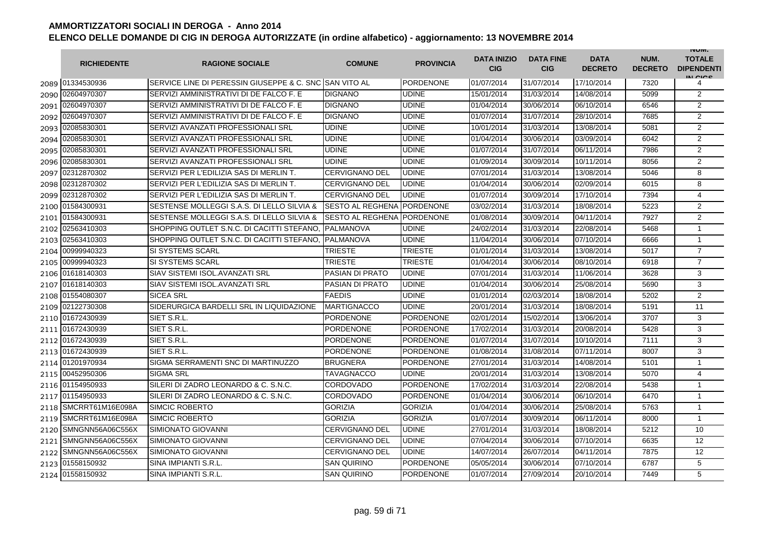|      | <b>RICHIEDENTE</b> | <b>RAGIONE SOCIALE</b>                                 | <b>COMUNE</b>           | <b>PROVINCIA</b> | <b>DATA INIZIO</b><br><b>CIG</b> | <b>DATA FINE</b><br><b>CIG</b> | <b>DATA</b><br><b>DECRETO</b> | NUM.<br><b>DECRETO</b> | <b>INUIVI.</b><br><b>TOTALE</b><br><b>DIPENDENTI</b><br>IN CIGO |
|------|--------------------|--------------------------------------------------------|-------------------------|------------------|----------------------------------|--------------------------------|-------------------------------|------------------------|-----------------------------------------------------------------|
|      | 2089 01334530936   | SERVICE LINE DI PERESSIN GIUSEPPE & C. SNC SAN VITO AL |                         | PORDENONE        | 01/07/2014                       | 31/07/2014                     | 17/10/2014                    | 7320                   | 4                                                               |
| 2090 | 02604970307        | SERVIZI AMMINISTRATIVI DI DE FALCO F. E                | <b>DIGNANO</b>          | <b>UDINE</b>     | 15/01/2014                       | 31/03/2014                     | 14/08/2014                    | 5099                   | 2                                                               |
| 2091 | 02604970307        | SERVIZI AMMINISTRATIVI DI DE FALCO F. E                | <b>DIGNANO</b>          | <b>UDINE</b>     | 01/04/2014                       | 30/06/2014                     | 06/10/2014                    | 6546                   | $\overline{2}$                                                  |
| 2092 | 02604970307        | SERVIZI AMMINISTRATIVI DI DE FALCO F. E                | <b>DIGNANO</b>          | <b>UDINE</b>     | 01/07/2014                       | 31/07/2014                     | 28/10/2014                    | 7685                   | $\overline{2}$                                                  |
| 2093 | 02085830301        | SERVIZI AVANZATI PROFESSIONALI SRL                     | <b>UDINE</b>            | UDINE            | 10/01/2014                       | 31/03/2014                     | 13/08/2014                    | 5081                   | 2                                                               |
| 2094 | 02085830301        | SERVIZI AVANZATI PROFESSIONALI SRL                     | <b>UDINE</b>            | <b>UDINE</b>     | 01/04/2014                       | 30/06/2014                     | 03/09/2014                    | 6042                   | 2                                                               |
| 2095 | 02085830301        | SERVIZI AVANZATI PROFESSIONALI SRL                     | <b>UDINE</b>            | <b>UDINE</b>     | 01/07/2014                       | 31/07/2014                     | 06/11/2014                    | 7986                   | $\overline{2}$                                                  |
| 2096 | 02085830301        | SERVIZI AVANZATI PROFESSIONALI SRL                     | <b>UDINE</b>            | <b>UDINE</b>     | 01/09/2014                       | 30/09/2014                     | 10/11/2014                    | 8056                   | $\overline{2}$                                                  |
| 2097 | 02312870302        | SERVIZI PER L'EDILIZIA SAS DI MERLIN T.                | <b>CERVIGNANO DEL</b>   | <b>UDINE</b>     | 07/01/2014                       | 31/03/2014                     | 13/08/2014                    | 5046                   | 8                                                               |
| 2098 | 02312870302        | SERVIZI PER L'EDILIZIA SAS DI MERLIN T.                | <b>CERVIGNANO DEL</b>   | <b>UDINE</b>     | 01/04/2014                       | 30/06/2014                     | 02/09/2014                    | 6015                   | 8                                                               |
| 2099 | 02312870302        | SERVIZI PER L'EDILIZIA SAS DI MERLIN T.                | <b>CERVIGNANO DEL</b>   | <b>UDINE</b>     | 01/07/2014                       | 30/09/2014                     | 17/10/2014                    | 7394                   | 4                                                               |
| 2100 | 01584300931        | SESTENSE MOLLEGGI S.A.S. DI LELLO SILVIA &             | <b>SESTO AL REGHENA</b> | <b>PORDENONE</b> | 03/02/2014                       | 31/03/2014                     | 18/08/2014                    | 5223                   | $\overline{2}$                                                  |
| 2101 | 01584300931        | SESTENSE MOLLEGGI S.A.S. DI LELLO SILVIA &             | <b>SESTO AL REGHENA</b> | <b>PORDENONE</b> | 01/08/2014                       | 30/09/2014                     | 04/11/2014                    | 7927                   | $\overline{2}$                                                  |
| 2102 | 02563410303        | SHOPPING OUTLET S.N.C. DI CACITTI STEFANO              | <b>PALMANOVA</b>        | UDINE            | 24/02/2014                       | 31/03/2014                     | 22/08/2014                    | 5468                   | $\mathbf{1}$                                                    |
| 2103 | 02563410303        | SHOPPING OUTLET S.N.C. DI CACITTI STEFANO.             | <b>PALMANOVA</b>        | <b>UDINE</b>     | 11/04/2014                       | 30/06/2014                     | 07/10/2014                    | 6666                   | $\mathbf{1}$                                                    |
| 2104 | 00999940323        | <b>SI SYSTEMS SCARL</b>                                | <b>TRIESTE</b>          | <b>TRIESTE</b>   | 01/01/2014                       | 31/03/2014                     | 13/08/2014                    | 5017                   | $\overline{7}$                                                  |
| 2105 | 00999940323        | <b>SI SYSTEMS SCARL</b>                                | TRIESTE                 | <b>TRIESTE</b>   | 01/04/2014                       | 30/06/2014                     | 08/10/2014                    | 6918                   | $\overline{7}$                                                  |
| 2106 | 01618140303        | SIAV SISTEMI ISOL. AVANZATI SRL                        | <b>PASIAN DI PRATO</b>  | <b>UDINE</b>     | 07/01/2014                       | 31/03/2014                     | 11/06/2014                    | 3628                   | 3                                                               |
| 2107 | 01618140303        | <b>SIAV SISTEMI ISOL.AVANZATI SRL</b>                  | <b>PASIAN DI PRATO</b>  | <b>UDINE</b>     | 01/04/2014                       | 30/06/2014                     | 25/08/2014                    | 5690                   | 3                                                               |
| 2108 | 01554080307        | <b>SICEA SRL</b>                                       | <b>FAEDIS</b>           | <b>UDINE</b>     | 01/01/2014                       | 02/03/2014                     | 18/08/2014                    | 5202                   | $\overline{2}$                                                  |
| 2109 | 02122730308        | SIDERURGICA BARDELLI SRL IN LIQUIDAZIONE               | <b>MARTIGNACCO</b>      | <b>UDINE</b>     | 20/01/2014                       | 31/03/2014                     | 18/08/2014                    | 5191                   | 11                                                              |
| 2110 | 01672430939        | SIET S.R.L                                             | <b>PORDENONE</b>        | <b>PORDENONE</b> | 02/01/2014                       | 15/02/2014                     | 13/06/2014                    | 3707                   | 3                                                               |
| 2111 | 01672430939        | SIET S.R.L.                                            | PORDENONE               | PORDENONE        | 17/02/2014                       | 31/03/2014                     | 20/08/2014                    | 5428                   | 3                                                               |
| 2112 | 01672430939        | SIET S.R.L.                                            | <b>PORDENONE</b>        | <b>PORDENONE</b> | 01/07/2014                       | 31/07/2014                     | 10/10/2014                    | 7111                   | 3                                                               |
| 2113 | 01672430939        | SIET S.R.L.                                            | <b>PORDENONE</b>        | <b>PORDENONE</b> | 01/08/2014                       | 31/08/2014                     | 07/11/2014                    | 8007                   | 3                                                               |
| 2114 | 01201970934        | SIGMA SERRAMENTI SNC DI MARTINUZZO                     | <b>BRUGNERA</b>         | <b>PORDENONE</b> | 27/01/2014                       | 31/03/2014                     | 14/08/2014                    | 5101                   | $\mathbf{1}$                                                    |
| 2115 | 00452950306        | <b>SIGMA SRL</b>                                       | TAVAGNACCO              | <b>UDINE</b>     | 20/01/2014                       | 31/03/2014                     | 13/08/2014                    | 5070                   | 4                                                               |
| 2116 | 01154950933        | SILERI DI ZADRO LEONARDO & C. S.N.C.                   | <b>CORDOVADO</b>        | <b>PORDENONE</b> | 17/02/2014                       | 31/03/2014                     | 22/08/2014                    | 5438                   | $\mathbf{1}$                                                    |
| 2117 | 01154950933        | SILERI DI ZADRO LEONARDO & C. S.N.C.                   | CORDOVADO               | <b>PORDENONE</b> | 01/04/2014                       | 30/06/2014                     | 06/10/2014                    | 6470                   | $\mathbf{1}$                                                    |
| 2118 | SMCRRT61M16E098A   | <b>SIMCIC ROBERTO</b>                                  | <b>GORIZIA</b>          | <b>GORIZIA</b>   | 01/04/2014                       | 30/06/2014                     | 25/08/2014                    | 5763                   | $\mathbf{1}$                                                    |
| 2119 | SMCRRT61M16E098A   | <b>SIMCIC ROBERTO</b>                                  | <b>GORIZIA</b>          | <b>GORIZIA</b>   | 01/07/2014                       | 30/09/2014                     | 06/11/2014                    | 8000                   | 1                                                               |
| 2120 | SMNGNN56A06C556X   | SIMIONATO GIOVANNI                                     | <b>CERVIGNANO DEL</b>   | <b>UDINE</b>     | 27/01/2014                       | 31/03/2014                     | 18/08/2014                    | 5212                   | 10                                                              |
| 2121 | SMNGNN56A06C556X   | <b>SIMIONATO GIOVANNI</b>                              | <b>CERVIGNANO DEL</b>   | <b>UDINE</b>     | 07/04/2014                       | 30/06/2014                     | 07/10/2014                    | 6635                   | 12                                                              |
| 2122 | SMNGNN56A06C556X   | <b>SIMIONATO GIOVANNI</b>                              | <b>CERVIGNANO DEL</b>   | <b>UDINE</b>     | 14/07/2014                       | 26/07/2014                     | 04/11/2014                    | 7875                   | 12                                                              |
| 2123 | 01558150932        | SINA IMPIANTI S.R.L.                                   | <b>SAN QUIRINO</b>      | <b>PORDENONE</b> | 05/05/2014                       | 30/06/2014                     | 07/10/2014                    | 6787                   | 5                                                               |
| 2124 | 01558150932        | SINA IMPIANTI S.R.L.                                   | <b>SAN QUIRINO</b>      | <b>PORDENONE</b> | 01/07/2014                       | 27/09/2014                     | 20/10/2014                    | 7449                   | 5                                                               |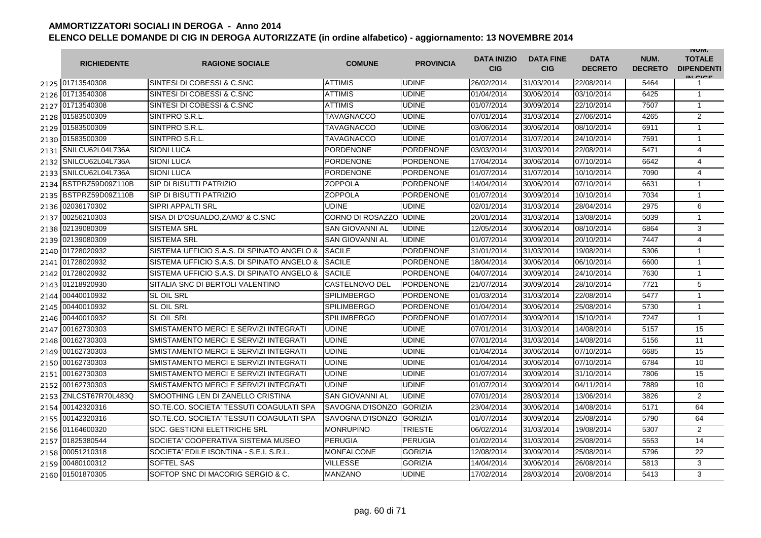|      | <b>RICHIEDENTE</b>    | <b>RAGIONE SOCIALE</b>                     | <b>COMUNE</b>          | <b>PROVINCIA</b> | <b>DATA INIZIO</b><br><b>CIG</b> | <b>DATA FINE</b><br><b>CIG</b> | <b>DATA</b><br><b>DECRETO</b> | NUM.<br><b>DECRETO</b> | <b>INUIVI.</b><br><b>TOTALE</b><br><b>DIPENDENTI</b><br>IN CIGO |
|------|-----------------------|--------------------------------------------|------------------------|------------------|----------------------------------|--------------------------------|-------------------------------|------------------------|-----------------------------------------------------------------|
|      | 2125 01713540308      | SINTESI DI COBESSI & C.SNC                 | ATTIMIS                | <b>UDINE</b>     | 26/02/2014                       | 31/03/2014                     | 22/08/2014                    | 5464                   | 1                                                               |
|      | 2126 01713540308      | SINTESI DI COBESSI & C.SNC                 | <b>ATTIMIS</b>         | <b>UDINE</b>     | 01/04/2014                       | 30/06/2014                     | 03/10/2014                    | 6425                   | $\mathbf{1}$                                                    |
|      | 2127 01713540308      | SINTESI DI COBESSI & C.SNC                 | ATTIMIS                | <b>UDINE</b>     | 01/07/2014                       | 30/09/2014                     | 22/10/2014                    | 7507                   | $\mathbf{1}$                                                    |
|      | 2128 01583500309      | SINTPRO S.R.L.                             | TAVAGNACCO             | <b>UDINE</b>     | 07/01/2014                       | 31/03/2014                     | 27/06/2014                    | 4265                   | $\overline{2}$                                                  |
|      | 2129 01583500309      | SINTPRO S.R.L.                             | <b>TAVAGNACCO</b>      | <b>UDINE</b>     | 03/06/2014                       | 30/06/2014                     | 08/10/2014                    | 6911                   | $\mathbf{1}$                                                    |
|      | 2130 01583500309      | SINTPRO S.R.L.                             | <b>TAVAGNACCO</b>      | <b>UDINE</b>     | 01/07/2014                       | 31/07/2014                     | 24/10/2014                    | 7591                   | $\mathbf{1}$                                                    |
|      | 2131 SNILCU62L04L736A | <b>SIONI LUCA</b>                          | <b>PORDENONE</b>       | <b>PORDENONE</b> | 03/03/2014                       | 31/03/2014                     | 22/08/2014                    | 5471                   | 4                                                               |
|      | 2132 SNILCU62L04L736A | <b>SIONI LUCA</b>                          | <b>PORDENONE</b>       | <b>PORDENONE</b> | 17/04/2014                       | 30/06/2014                     | 07/10/2014                    | 6642                   | $\overline{4}$                                                  |
|      | 2133 SNILCU62L04L736A | <b>SIONI LUCA</b>                          | <b>PORDENONE</b>       | <b>PORDENONE</b> | 01/07/2014                       | 31/07/2014                     | 10/10/2014                    | 7090                   | 4                                                               |
|      | 2134 BSTPRZ59D09Z110B | <b>SIP DI BISUTTI PATRIZIO</b>             | ZOPPOLA                | <b>PORDENONE</b> | 14/04/2014                       | 30/06/2014                     | 07/10/2014                    | 6631                   | $\mathbf 1$                                                     |
| 2135 | BSTPRZ59D09Z110B      | <b>SIP DI BISUTTI PATRIZIO</b>             | <b>ZOPPOLA</b>         | <b>PORDENONE</b> | 01/07/2014                       | 30/09/2014                     | 10/10/2014                    | 7034                   | $\mathbf{1}$                                                    |
| 2136 | 02036170302           | SIPRI APPALTI SRL                          | <b>UDINE</b>           | <b>UDINE</b>     | 02/01/2014                       | 31/03/2014                     | 28/04/2014                    | 2975                   | 6                                                               |
| 2137 | 00256210303           | SISA DI D'OSUALDO, ZAMO' & C.SNC           | CORNO DI ROSAZZO UDINE |                  | 20/01/2014                       | 31/03/2014                     | 13/08/2014                    | 5039                   | $\mathbf{1}$                                                    |
| 2138 | 02139080309           | SISTEMA SRL                                | SAN GIOVANNI AL        | <b>UDINE</b>     | 12/05/2014                       | 30/06/2014                     | 08/10/2014                    | 6864                   | 3                                                               |
| 2139 | 02139080309           | <b>SISTEMA SRL</b>                         | SAN GIOVANNI AL        | <b>UDINE</b>     | 01/07/2014                       | 30/09/2014                     | 20/10/2014                    | 7447                   | $\overline{4}$                                                  |
| 2140 | 01728020932           | SISTEMA UFFICIO S.A.S. DI SPINATO ANGELO & | <b>SACILE</b>          | <b>PORDENONE</b> | 31/01/2014                       | 31/03/2014                     | 19/08/2014                    | 5306                   | $\mathbf{1}$                                                    |
| 2141 | 01728020932           | SISTEMA UFFICIO S.A.S. DI SPINATO ANGELO & | <b>SACILE</b>          | <b>PORDENONE</b> | 18/04/2014                       | 30/06/2014                     | 06/10/2014                    | 6600                   | $\mathbf{1}$                                                    |
|      | 2142 01728020932      | SISTEMA UFFICIO S.A.S. DI SPINATO ANGELO & | <b>SACILE</b>          | <b>PORDENONE</b> | 04/07/2014                       | 30/09/2014                     | 24/10/2014                    | 7630                   | $\mathbf{1}$                                                    |
|      | 2143 01218920930      | SITALIA SNC DI BERTOLI VALENTINO           | CASTELNOVO DEL         | <b>PORDENONE</b> | 21/07/2014                       | 30/09/2014                     | 28/10/2014                    | 7721                   | 5                                                               |
|      | 2144 00440010932      | <b>SL OIL SRL</b>                          | <b>SPILIMBERGO</b>     | <b>PORDENONE</b> | 01/03/2014                       | 31/03/2014                     | 22/08/2014                    | 5477                   | $\mathbf{1}$                                                    |
|      | 2145 00440010932      | <b>SL OIL SRL</b>                          | <b>SPILIMBERGO</b>     | <b>PORDENONE</b> | 01/04/2014                       | 30/06/2014                     | 25/08/2014                    | 5730                   | $\mathbf{1}$                                                    |
|      | 2146 00440010932      | <b>SL OIL SRL</b>                          | <b>SPILIMBERGO</b>     | <b>PORDENONE</b> | 01/07/2014                       | 30/09/2014                     | 15/10/2014                    | 7247                   | $\mathbf{1}$                                                    |
| 2147 | 00162730303           | SMISTAMENTO MERCI E SERVIZI INTEGRATI      | <b>UDINE</b>           | <b>UDINE</b>     | 07/01/2014                       | 31/03/2014                     | 14/08/2014                    | 5157                   | 15                                                              |
| 2148 | 00162730303           | SMISTAMENTO MERCI E SERVIZI INTEGRATI      | <b>UDINE</b>           | <b>UDINE</b>     | 07/01/2014                       | 31/03/2014                     | 14/08/2014                    | 5156                   | 11                                                              |
| 2149 | 00162730303           | SMISTAMENTO MERCI E SERVIZI INTEGRATI      | <b>UDINE</b>           | <b>UDINE</b>     | 01/04/2014                       | 30/06/2014                     | 07/10/2014                    | 6685                   | 15                                                              |
|      | 2150 00162730303      | SMISTAMENTO MERCI E SERVIZI INTEGRATI      | UDINE                  | <b>UDINE</b>     | 01/04/2014                       | 30/06/2014                     | 07/10/2014                    | 6784                   | 10                                                              |
|      | 2151 00162730303      | SMISTAMENTO MERCI E SERVIZI INTEGRATI      | UDINE                  | <b>UDINE</b>     | 01/07/2014                       | 30/09/2014                     | 31/10/2014                    | 7806                   | 15                                                              |
|      | 2152 00162730303      | SMISTAMENTO MERCI E SERVIZI INTEGRATI      | <b>UDINE</b>           | <b>UDINE</b>     | 01/07/2014                       | 30/09/2014                     | 04/11/2014                    | 7889                   | 10                                                              |
|      | 2153 ZNLCST67R70L483Q | SMOOTHING LEN DI ZANELLO CRISTINA          | <b>SAN GIOVANNI AL</b> | <b>UDINE</b>     | 07/01/2014                       | 28/03/2014                     | 13/06/2014                    | 3826                   | 2                                                               |
|      | 2154 00142320316      | SO.TE.CO. SOCIETA' TESSUTI COAGULATI SPA   | SAVOGNA D'ISONZO       | <b>GORIZIA</b>   | 23/04/2014                       | 30/06/2014                     | 14/08/2014                    | 5171                   | 64                                                              |
|      | 2155 00142320316      | SO.TE.CO. SOCIETA' TESSUTI COAGULATI SPA   | SAVOGNA D'ISONZO       | <b>GORIZIA</b>   | 01/07/2014                       | 30/09/2014                     | 25/08/2014                    | 5790                   | 64                                                              |
|      | 2156 01164600320      | SOC. GESTIONI ELETTRICHE SRL               | <b>MONRUPINO</b>       | <b>TRIESTE</b>   | 06/02/2014                       | 31/03/2014                     | 19/08/2014                    | 5307                   | 2                                                               |
|      | 2157 01825380544      | SOCIETA' COOPERATIVA SISTEMA MUSEO         | <b>PERUGIA</b>         | <b>PERUGIA</b>   | 01/02/2014                       | 31/03/2014                     | 25/08/2014                    | 5553                   | 14                                                              |
|      | 2158 00051210318      | SOCIETA' EDILE ISONTINA - S.E.I. S.R.L.    | <b>MONFALCONE</b>      | <b>GORIZIA</b>   | 12/08/2014                       | 30/09/2014                     | 25/08/2014                    | 5796                   | 22                                                              |
|      | 2159 00480100312      | <b>SOFTEL SAS</b>                          | <b>VILLESSE</b>        | <b>GORIZIA</b>   | 14/04/2014                       | 30/06/2014                     | 26/08/2014                    | 5813                   | 3                                                               |
|      | 2160 01501870305      | SOFTOP SNC DI MACORIG SERGIO & C.          | MANZANO                | <b>UDINE</b>     | 17/02/2014                       | 28/03/2014                     | 20/08/2014                    | 5413                   | 3                                                               |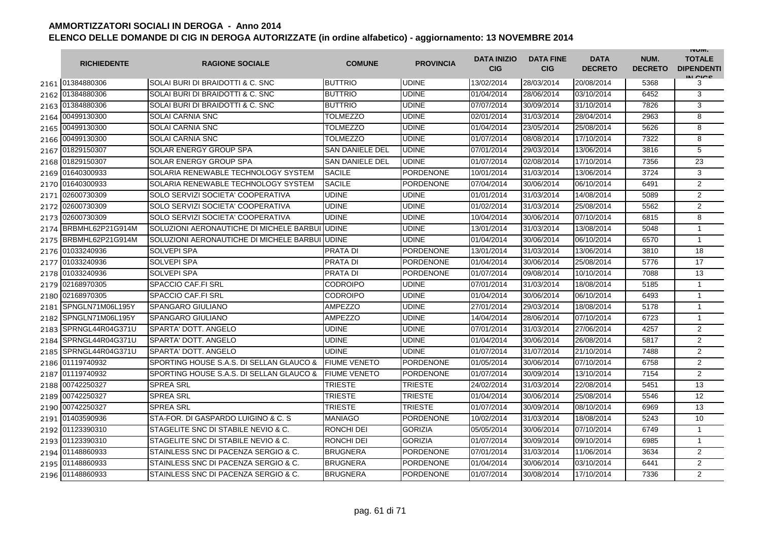|      | <b>RICHIEDENTE</b> | <b>RAGIONE SOCIALE</b>                         | <b>COMUNE</b>          | <b>PROVINCIA</b> | <b>DATA INIZIO</b><br><b>CIG</b> | <b>DATA FINE</b><br><b>CIG</b> | <b>DATA</b><br><b>DECRETO</b> | NUM.<br><b>DECRETO</b> | <b>INUIVI.</b><br><b>TOTALE</b><br><b>DIPENDENTI</b><br>IN CIGO |
|------|--------------------|------------------------------------------------|------------------------|------------------|----------------------------------|--------------------------------|-------------------------------|------------------------|-----------------------------------------------------------------|
|      | 2161 01384880306   | SOLAI BURI DI BRAIDOTTI & C. SNC               | <b>BUTTRIO</b>         | <b>UDINE</b>     | 13/02/2014                       | 28/03/2014                     | 20/08/2014                    | 5368                   | 3                                                               |
|      | 2162 01384880306   | SOLAI BURI DI BRAIDOTTI & C. SNC               | <b>BUTTRIO</b>         | <b>UDINE</b>     | 01/04/2014                       | 28/06/2014                     | 03/10/2014                    | 6452                   | 3                                                               |
|      | 2163 01384880306   | SOLAI BURI DI BRAIDOTTI & C. SNC               | <b>BUTTRIO</b>         | <b>UDINE</b>     | 07/07/2014                       | 30/09/2014                     | 31/10/2014                    | 7826                   | 3                                                               |
|      | 2164 00499130300   | SOLAI CARNIA SNC                               | <b>TOLMEZZO</b>        | <b>UDINE</b>     | 02/01/2014                       | 31/03/2014                     | 28/04/2014                    | 2963                   | 8                                                               |
|      | 2165 00499130300   | <b>SOLAI CARNIA SNC</b>                        | <b>TOLMEZZO</b>        | <b>UDINE</b>     | 01/04/2014                       | 23/05/2014                     | 25/08/2014                    | 5626                   | 8                                                               |
|      | 2166 00499130300   | <b>SOLAI CARNIA SNC</b>                        | <b>TOLMEZZO</b>        | <b>UDINE</b>     | 01/07/2014                       | 08/08/2014                     | 17/10/2014                    | 7322                   | 8                                                               |
|      | 2167 01829150307   | SOLAR ENERGY GROUP SPA                         | <b>SAN DANIELE DEL</b> | <b>UDINE</b>     | 07/01/2014                       | 29/03/2014                     | 13/06/2014                    | 3816                   | 5                                                               |
|      | 2168 01829150307   | <b>SOLAR ENERGY GROUP SPA</b>                  | <b>SAN DANIELE DEL</b> | <b>UDINE</b>     | 01/07/2014                       | 02/08/2014                     | 17/10/2014                    | 7356                   | 23                                                              |
|      | 2169 01640300933   | SOLARIA RENEWABLE TECHNOLOGY SYSTEM            | <b>SACILE</b>          | <b>PORDENONE</b> | 10/01/2014                       | 31/03/2014                     | 13/06/2014                    | 3724                   | 3                                                               |
|      | 2170 01640300933   | SOLARIA RENEWABLE TECHNOLOGY SYSTEM            | <b>SACILE</b>          | <b>PORDENONE</b> | 07/04/2014                       | 30/06/2014                     | 06/10/2014                    | 6491                   | $\overline{2}$                                                  |
| 2171 | 02600730309        | SOLO SERVIZI SOCIETA' COOPERATIVA              | <b>UDINE</b>           | <b>UDINE</b>     | 01/01/2014                       | 31/03/2014                     | 14/08/2014                    | 5089                   | $\overline{2}$                                                  |
| 2172 | 02600730309        | SOLO SERVIZI SOCIETA' COOPERATIVA              | UDINE                  | <b>UDINE</b>     | 01/02/2014                       | 31/03/2014                     | 25/08/2014                    | 5562                   | $\overline{2}$                                                  |
| 2173 | 02600730309        | SOLO SERVIZI SOCIETA' COOPERATIVA              | UDINE                  | <b>UDINE</b>     | 10/04/2014                       | 30/06/2014                     | 07/10/2014                    | 6815                   | 8                                                               |
| 2174 | BRBMHL62P21G914M   | SOLUZIONI AERONAUTICHE DI MICHELE BARBUI       | <b>UDINE</b>           | <b>UDINE</b>     | 13/01/2014                       | 31/03/2014                     | 13/08/2014                    | 5048                   | $\mathbf{1}$                                                    |
| 2175 | BRBMHL62P21G914M   | SOLUZIONI AERONAUTICHE DI MICHELE BARBUI UDINE |                        | <b>UDINE</b>     | 01/04/2014                       | 30/06/2014                     | 06/10/2014                    | 6570                   | $\mathbf{1}$                                                    |
|      | 2176 01033240936   | <b>SOLVEPI SPA</b>                             | <b>PRATA DI</b>        | <b>PORDENONE</b> | 13/01/2014                       | 31/03/2014                     | 13/06/2014                    | 3810                   | 18                                                              |
|      | 2177 01033240936   | <b>SOLVEPI SPA</b>                             | PRATA DI               | <b>PORDENONE</b> | 01/04/2014                       | 30/06/2014                     | 25/08/2014                    | 5776                   | 17                                                              |
|      | 2178 01033240936   | <b>SOLVEPI SPA</b>                             | PRATA DI               | <b>PORDENONE</b> | 01/07/2014                       | 09/08/2014                     | 10/10/2014                    | 7088                   | 13                                                              |
|      | 2179 02168970305   | SPACCIO CAF.FI SRL                             | <b>CODROIPO</b>        | <b>UDINE</b>     | 07/01/2014                       | 31/03/2014                     | 18/08/2014                    | 5185                   | $\mathbf{1}$                                                    |
|      | 2180 02168970305   | SPACCIO CAF.FI SRL                             | <b>CODROIPO</b>        | <b>UDINE</b>     | 01/04/2014                       | 30/06/2014                     | 06/10/2014                    | 6493                   | $\mathbf{1}$                                                    |
| 2181 | SPNGLN71M06L195Y   | <b>SPANGARO GIULIANO</b>                       | <b>AMPEZZO</b>         | <b>UDINE</b>     | 27/01/2014                       | 29/03/2014                     | 18/08/2014                    | 5178                   | $\mathbf{1}$                                                    |
| 2182 | SPNGLN71M06L195Y   | SPANGARO GIULIANO                              | <b>AMPEZZO</b>         | <b>UDINE</b>     | 14/04/2014                       | 28/06/2014                     | 07/10/2014                    | 6723                   | $\mathbf{1}$                                                    |
| 2183 | SPRNGL44R04G371U   | SPARTA' DOTT. ANGELO                           | <b>UDINE</b>           | <b>UDINE</b>     | 07/01/2014                       | 31/03/2014                     | 27/06/2014                    | 4257                   | $\overline{2}$                                                  |
| 2184 | SPRNGL44R04G371U   | <b>SPARTA' DOTT, ANGELO</b>                    | UDINE                  | <b>UDINE</b>     | 01/04/2014                       | 30/06/2014                     | 26/08/2014                    | 5817                   | $\overline{2}$                                                  |
| 2185 | SPRNGL44R04G371U   | <b>SPARTA' DOTT, ANGELO</b>                    | <b>UDINE</b>           | <b>UDINE</b>     | 01/07/2014                       | 31/07/2014                     | 21/10/2014                    | 7488                   | $\overline{2}$                                                  |
| 2186 | 01119740932        | SPORTING HOUSE S.A.S. DI SELLAN GLAUCO &       | <b>FIUME VENETO</b>    | <b>PORDENONE</b> | 01/05/2014                       | 30/06/2014                     | 07/10/2014                    | 6758                   | $\overline{2}$                                                  |
|      | 2187 01119740932   | SPORTING HOUSE S.A.S. DI SELLAN GLAUCO &       | <b>FIUME VENETO</b>    | <b>PORDENONE</b> | 01/07/2014                       | 30/09/2014                     | 13/10/2014                    | 7154                   | $\overline{2}$                                                  |
| 2188 | 00742250327        | <b>SPREA SRL</b>                               | TRIESTE                | <b>TRIESTE</b>   | 24/02/2014                       | 31/03/2014                     | 22/08/2014                    | 5451                   | 13                                                              |
|      | 2189 00742250327   | <b>SPREA SRL</b>                               | <b>TRIESTE</b>         | <b>TRIESTE</b>   | 01/04/2014                       | 30/06/2014                     | 25/08/2014                    | 5546                   | 12                                                              |
|      | 2190 00742250327   | <b>SPREA SRL</b>                               | TRIESTE                | <b>TRIESTE</b>   | 01/07/2014                       | 30/09/2014                     | 08/10/2014                    | 6969                   | 13                                                              |
|      | 2191 01403590936   | STA-FOR, DI GASPARDO LUIGINO & C. S.           | <b>MANIAGO</b>         | <b>PORDENONE</b> | 10/02/2014                       | 31/03/2014                     | 18/08/2014                    | 5243                   | 10                                                              |
|      | 2192 01123390310   | STAGELITE SNC DI STABILE NEVIO & C.            | RONCHI DEI             | <b>GORIZIA</b>   | 05/05/2014                       | 30/06/2014                     | 07/10/2014                    | 6749                   | $\mathbf{1}$                                                    |
|      | 2193 01123390310   | STAGELITE SNC DI STABILE NEVIO & C.            | RONCHI DEI             | <b>GORIZIA</b>   | 01/07/2014                       | 30/09/2014                     | 09/10/2014                    | 6985                   | $\mathbf{1}$                                                    |
|      | 2194 01148860933   | STAINLESS SNC DI PACENZA SERGIO & C.           | <b>BRUGNERA</b>        | <b>PORDENONE</b> | 07/01/2014                       | 31/03/2014                     | 11/06/2014                    | 3634                   | $\overline{2}$                                                  |
|      | 2195 01148860933   | STAINLESS SNC DI PACENZA SERGIO & C.           | <b>BRUGNERA</b>        | <b>PORDENONE</b> | 01/04/2014                       | 30/06/2014                     | 03/10/2014                    | 6441                   | $\overline{2}$                                                  |
|      | 2196 01148860933   | STAINLESS SNC DI PACENZA SERGIO & C.           | <b>BRUGNERA</b>        | <b>PORDENONE</b> | 01/07/2014                       | 30/08/2014                     | 17/10/2014                    | 7336                   | $\overline{2}$                                                  |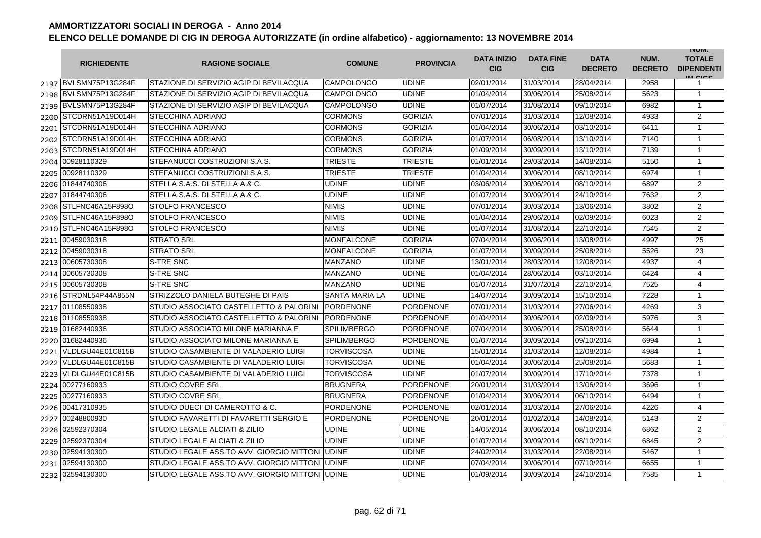|      | <b>RICHIEDENTE</b>    | <b>RAGIONE SOCIALE</b>                           | <b>COMUNE</b>         | <b>PROVINCIA</b> | <b>DATA INIZIO</b><br><b>CIG</b> | <b>DATA FINE</b><br><b>CIG</b> | <b>DATA</b><br><b>DECRETO</b> | NUM.<br><b>DECRETO</b> | <b>INUIVI.</b><br><b>TOTALE</b><br><b>DIPENDENTI</b><br>IN CICS |
|------|-----------------------|--------------------------------------------------|-----------------------|------------------|----------------------------------|--------------------------------|-------------------------------|------------------------|-----------------------------------------------------------------|
|      | 2197 BVLSMN75P13G284F | STAZIONE DI SERVIZIO AGIP DI BEVILACQUA          | <b>CAMPOLONGO</b>     | <b>UDINE</b>     | 02/01/2014                       | 31/03/2014                     | 28/04/2014                    | 2958                   |                                                                 |
|      | 2198 BVLSMN75P13G284F | STAZIONE DI SERVIZIO AGIP DI BEVILACQUA          | <b>CAMPOLONGO</b>     | <b>UDINE</b>     | 01/04/2014                       | 30/06/2014                     | 25/08/2014                    | 5623                   | $\mathbf{1}$                                                    |
|      | 2199 BVLSMN75P13G284F | STAZIONE DI SERVIZIO AGIP DI BEVILACQUA          | <b>CAMPOLONGO</b>     | <b>UDINE</b>     | 01/07/2014                       | 31/08/2014                     | 09/10/2014                    | 6982                   | $\mathbf{1}$                                                    |
|      | 2200 STCDRN51A19D014H | <b>STECCHINA ADRIANO</b>                         | <b>CORMONS</b>        | <b>GORIZIA</b>   | 07/01/2014                       | 31/03/2014                     | 12/08/2014                    | 4933                   | 2                                                               |
|      | 2201 STCDRN51A19D014H | <b>STECCHINA ADRIANO</b>                         | <b>CORMONS</b>        | <b>GORIZIA</b>   | 01/04/2014                       | 30/06/2014                     | 03/10/2014                    | 6411                   | $\mathbf{1}$                                                    |
|      | 2202 STCDRN51A19D014H | <b>STECCHINA ADRIANO</b>                         | <b>CORMONS</b>        | <b>GORIZIA</b>   | 01/07/2014                       | 06/08/2014                     | 13/10/2014                    | 7140                   | $\mathbf{1}$                                                    |
|      | 2203 STCDRN51A19D014H | <b>STECCHINA ADRIANO</b>                         | <b>CORMONS</b>        | <b>GORIZIA</b>   | 01/09/2014                       | 30/09/2014                     | 13/10/2014                    | 7139                   | $\mathbf{1}$                                                    |
|      | 2204 00928110329      | STEFANUCCI COSTRUZIONI S.A.S.                    | <b>TRIESTE</b>        | <b>TRIESTE</b>   | 01/01/2014                       | 29/03/2014                     | 14/08/2014                    | 5150                   | $\mathbf{1}$                                                    |
| 2205 | 00928110329           | STEFANUCCI COSTRUZIONI S.A.S.                    | <b>TRIESTE</b>        | <b>TRIESTE</b>   | 01/04/2014                       | 30/06/2014                     | 08/10/2014                    | 6974                   | $\mathbf{1}$                                                    |
|      | 2206 01844740306      | STELLA S.A.S. DI STELLA A.& C.                   | <b>UDINE</b>          | <b>UDINE</b>     | 03/06/2014                       | 30/06/2014                     | 08/10/2014                    | 6897                   | $\mathbf{2}$                                                    |
|      | 2207 01844740306      | STELLA S.A.S. DI STELLA A.& C.                   | <b>UDINE</b>          | <b>UDINE</b>     | 01/07/2014                       | 30/09/2014                     | 24/10/2014                    | 7632                   | $\mathbf{2}$                                                    |
| 2208 | STLFNC46A15F898O      | <b>STOLFO FRANCESCO</b>                          | <b>NIMIS</b>          | <b>UDINE</b>     | 07/01/2014                       | 30/03/2014                     | 13/06/2014                    | 3802                   | 2                                                               |
| 2209 | STLFNC46A15F898O      | <b>STOLFO FRANCESCO</b>                          | <b>NIMIS</b>          | <b>UDINE</b>     | 01/04/2014                       | 29/06/2014                     | 02/09/2014                    | 6023                   | $\overline{2}$                                                  |
|      | 2210 STLFNC46A15F898O | <b>STOLFO FRANCESCO</b>                          | <b>NIMIS</b>          | <b>UDINE</b>     | 01/07/2014                       | 31/08/2014                     | 22/10/2014                    | 7545                   | $\overline{2}$                                                  |
|      | 2211 00459030318      | <b>STRATO SRL</b>                                | <b>MONFALCONE</b>     | <b>GORIZIA</b>   | 07/04/2014                       | 30/06/2014                     | 13/08/2014                    | 4997                   | 25                                                              |
|      | 2212 00459030318      | <b>STRATO SRL</b>                                | <b>MONFALCONE</b>     | <b>GORIZIA</b>   | 01/07/2014                       | 30/09/2014                     | 25/08/2014                    | 5526                   | 23                                                              |
|      | 2213 00605730308      | <b>S-TRE SNC</b>                                 | <b>MANZANO</b>        | <b>UDINE</b>     | 13/01/2014                       | 28/03/2014                     | 12/08/2014                    | 4937                   | 4                                                               |
| 2214 | 00605730308           | S-TRE SNC                                        | <b>MANZANO</b>        | <b>UDINE</b>     | 01/04/2014                       | 28/06/2014                     | 03/10/2014                    | 6424                   | 4                                                               |
| 2215 | 00605730308           | S-TRE SNC                                        | <b>MANZANO</b>        | <b>UDINE</b>     | 01/07/2014                       | 31/07/2014                     | 22/10/2014                    | 7525                   | 4                                                               |
| 2216 | STRDNL54P44A855N      | STRIZZOLO DANIELA BUTEGHE DI PAIS                | <b>SANTA MARIA LA</b> | <b>UDINE</b>     | 14/07/2014                       | 30/09/2014                     | 15/10/2014                    | 7228                   | $\mathbf{1}$                                                    |
|      | 2217 01108550938      | STUDIO ASSOCIATO CASTELLETTO & PALORINI          | <b>PORDENONE</b>      | <b>PORDENONE</b> | 07/01/2014                       | 31/03/2014                     | 27/06/2014                    | 4269                   | 3                                                               |
|      | 2218 01108550938      | STUDIO ASSOCIATO CASTELLETTO & PALORINI          | <b>PORDENONE</b>      | <b>PORDENONE</b> | 01/04/2014                       | 30/06/2014                     | 02/09/2014                    | 5976                   | 3                                                               |
|      | 2219 01682440936      | STUDIO ASSOCIATO MILONE MARIANNA E               | <b>SPILIMBERGO</b>    | <b>PORDENONE</b> | 07/04/2014                       | 30/06/2014                     | 25/08/2014                    | 5644                   | $\mathbf{1}$                                                    |
|      | 2220 01682440936      | STUDIO ASSOCIATO MILONE MARIANNA E               | <b>SPILIMBERGO</b>    | PORDENONE        | 01/07/2014                       | 30/09/2014                     | 09/10/2014                    | 6994                   | $\mathbf{1}$                                                    |
|      | 2221 VLDLGU44E01C815B | STUDIO CASAMBIENTE DI VALADERIO LUIGI            | TORVISCOSA            | <b>UDINE</b>     | 15/01/2014                       | 31/03/2014                     | 12/08/2014                    | 4984                   | $\mathbf{1}$                                                    |
|      | 2222 VLDLGU44E01C815B | STUDIO CASAMBIENTE DI VALADERIO LUIGI            | TORVISCOSA            | <b>UDINE</b>     | 01/04/2014                       | 30/06/2014                     | 25/08/2014                    | 5683                   | $\mathbf{1}$                                                    |
|      | 2223 VLDLGU44E01C815B | STUDIO CASAMBIENTE DI VALADERIO LUIGI            | TORVISCOSA            | <b>UDINE</b>     | 01/07/2014                       | 30/09/2014                     | 17/10/2014                    | 7378                   | $\mathbf{1}$                                                    |
|      | 2224 00277160933      | <b>STUDIO COVRE SRL</b>                          | <b>BRUGNERA</b>       | <b>PORDENONE</b> | 20/01/2014                       | 31/03/2014                     | 13/06/2014                    | 3696                   | $\mathbf{1}$                                                    |
| 2225 | 00277160933           | <b>STUDIO COVRE SRL</b>                          | <b>BRUGNERA</b>       | <b>PORDENONE</b> | 01/04/2014                       | 30/06/2014                     | 06/10/2014                    | 6494                   | $\mathbf{1}$                                                    |
| 2226 | 00417310935           | STUDIO DUECI' DI CAMEROTTO & C.                  | <b>PORDENONE</b>      | <b>PORDENONE</b> | 02/01/2014                       | 31/03/2014                     | 27/06/2014                    | 4226                   | 4                                                               |
| 2227 | 00248800930           | STUDIO FAVARETTI DI FAVARETTI SERGIO E           | <b>PORDENONE</b>      | <b>PORDENONE</b> | 20/01/2014                       | 01/02/2014                     | 14/08/2014                    | 5143                   | 2                                                               |
| 2228 | 02592370304           | STUDIO LEGALE ALCIATI & ZILIO                    | <b>UDINE</b>          | UDINE            | 14/05/2014                       | 30/06/2014                     | 08/10/2014                    | 6862                   | $\mathbf{2}$                                                    |
| 2229 | 02592370304           | STUDIO LEGALE ALCIATI & ZILIO                    | <b>UDINE</b>          | <b>UDINE</b>     | 01/07/2014                       | 30/09/2014                     | 08/10/2014                    | 6845                   | 2                                                               |
| 2230 | 02594130300           | STUDIO LEGALE ASS.TO AVV. GIORGIO MITTONI UDINE  |                       | <b>UDINE</b>     | 24/02/2014                       | 31/03/2014                     | 22/08/2014                    | 5467                   | $\mathbf{1}$                                                    |
| 2231 | 02594130300           | STUDIO LEGALE ASS.TO AVV. GIORGIO MITTONI JUDINE |                       | <b>UDINE</b>     | 07/04/2014                       | 30/06/2014                     | 07/10/2014                    | 6655                   | $\mathbf{1}$                                                    |
|      | 2232 02594130300      | STUDIO LEGALE ASS.TO AVV. GIORGIO MITTONI UDINE  |                       | <b>UDINE</b>     | 01/09/2014                       | 30/09/2014                     | 24/10/2014                    | 7585                   | $\mathbf{1}$                                                    |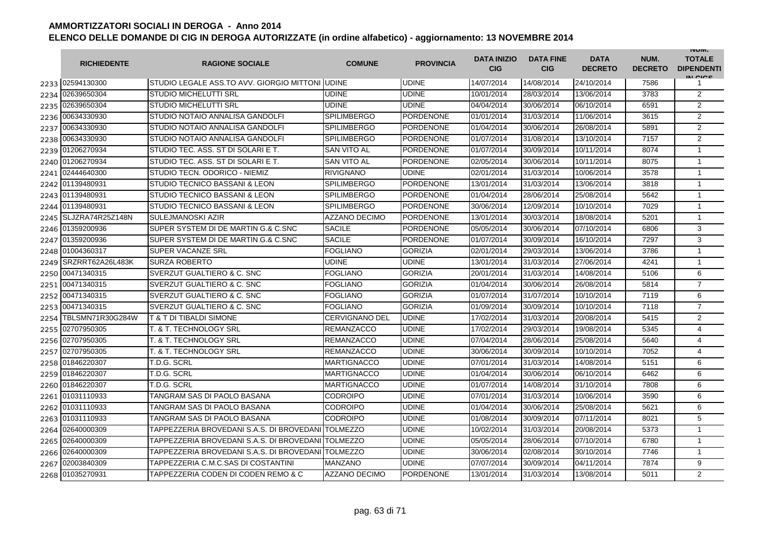|      | <b>RICHIEDENTE</b> | <b>RAGIONE SOCIALE</b>                             | <b>COMUNE</b>         | <b>PROVINCIA</b> | <b>DATA INIZIO</b><br><b>CIG</b> | <b>DATA FINE</b><br><b>CIG</b> | <b>DATA</b><br><b>DECRETO</b> | NUM.<br><b>DECRETO</b> | <b>INUIVI.</b><br><b>TOTALE</b><br><b>DIPENDENTI</b><br>IN CIGO |
|------|--------------------|----------------------------------------------------|-----------------------|------------------|----------------------------------|--------------------------------|-------------------------------|------------------------|-----------------------------------------------------------------|
|      | 2233 02594130300   | STUDIO LEGALE ASS.TO AVV. GIORGIO MITTONI IUDINE   |                       | <b>UDINE</b>     | 14/07/2014                       | 14/08/2014                     | 24/10/2014                    | 7586                   | 1                                                               |
| 2234 | 02639650304        | <b>STUDIO MICHELUTTI SRL</b>                       | <b>UDINE</b>          | <b>UDINE</b>     | 10/01/2014                       | 28/03/2014                     | 13/06/2014                    | 3783                   | 2                                                               |
| 2235 | 02639650304        | <b>STUDIO MICHELUTTI SRL</b>                       | <b>UDINE</b>          | <b>UDINE</b>     | 04/04/2014                       | 30/06/2014                     | 06/10/2014                    | 6591                   | $\overline{2}$                                                  |
| 2236 | 00634330930        | STUDIO NOTAIO ANNALISA GANDOLFI                    | <b>SPILIMBERGO</b>    | PORDENONE        | 01/01/2014                       | 31/03/2014                     | 11/06/2014                    | 3615                   | $\overline{2}$                                                  |
| 2237 | 00634330930        | <b>STUDIO NOTAIO ANNALISA GANDOLFI</b>             | <b>SPILIMBERGO</b>    | <b>PORDENONE</b> | 01/04/2014                       | 30/06/2014                     | 26/08/2014                    | 5891                   | 2                                                               |
| 2238 | 00634330930        | <b>STUDIO NOTAIO ANNALISA GANDOLFI</b>             | <b>SPILIMBERGO</b>    | <b>PORDENONE</b> | 01/07/2014                       | 31/08/2014                     | 13/10/2014                    | 7157                   | 2                                                               |
| 2239 | 01206270934        | ISTUDIO TEC. ASS. ST DI SOLARI E T.                | SAN VITO AL           | PORDENONE        | 01/07/2014                       | 30/09/2014                     | 10/11/2014                    | 8074                   | $\mathbf{1}$                                                    |
| 2240 | 01206270934        | STUDIO TEC. ASS. ST DI SOLARI E T.                 | <b>SAN VITO AL</b>    | <b>PORDENONE</b> | 02/05/2014                       | 30/06/2014                     | 10/11/2014                    | 8075                   | $\mathbf{1}$                                                    |
| 2241 | 02444640300        | STUDIO TECN. ODORICO - NIEMIZ                      | <b>RIVIGNANO</b>      | UDINE            | 02/01/2014                       | 31/03/2014                     | 10/06/2014                    | 3578                   | $\mathbf{1}$                                                    |
| 2242 | 01139480931        | <b>STUDIO TECNICO BASSANI &amp; LEON</b>           | <b>SPILIMBERGO</b>    | PORDENONE        | 13/01/2014                       | 31/03/2014                     | 13/06/2014                    | 3818                   | $\mathbf{1}$                                                    |
| 2243 | 01139480931        | <b>STUDIO TECNICO BASSANI &amp; LEON</b>           | <b>SPILIMBERGO</b>    | <b>PORDENONE</b> | 01/04/2014                       | 28/06/2014                     | 25/08/2014                    | 5642                   | $\mathbf{1}$                                                    |
| 2244 | 01139480931        | STUDIO TECNICO BASSANI & LEON                      | <b>SPILIMBERGO</b>    | <b>PORDENONE</b> | 30/06/2014                       | 12/09/2014                     | 10/10/2014                    | 7029                   | $\mathbf{1}$                                                    |
| 2245 | SLJZRA74R25Z148N   | <b>SULEJMANOSKI AZIR</b>                           | <b>AZZANO DECIMO</b>  | <b>PORDENONE</b> | 13/01/2014                       | 30/03/2014                     | 18/08/2014                    | 5201                   | $\mathbf{1}$                                                    |
| 2246 | 01359200936        | SUPER SYSTEM DI DE MARTIN G.& C.SNC                | <b>SACILE</b>         | <b>PORDENONE</b> | 05/05/2014                       | 30/06/2014                     | 07/10/2014                    | 6806                   | 3                                                               |
| 2247 | 01359200936        | SUPER SYSTEM DI DE MARTIN G.& C.SNC                | <b>SACILE</b>         | <b>PORDENONE</b> | 01/07/2014                       | 30/09/2014                     | 16/10/2014                    | 7297                   | 3                                                               |
| 2248 | 01004360317        | <b>SUPER VACANZE SRL</b>                           | <b>FOGLIANO</b>       | <b>GORIZIA</b>   | 02/01/2014                       | 29/03/2014                     | 13/06/2014                    | 3786                   | $\mathbf{1}$                                                    |
| 2249 | SRZRRT62A26L483K   | <b>SURZA ROBERTO</b>                               | <b>UDINE</b>          | <b>UDINE</b>     | 13/01/2014                       | 31/03/2014                     | 27/06/2014                    | 4241                   | $\mathbf{1}$                                                    |
| 2250 | 00471340315        | <b>SVERZUT GUALTIERO &amp; C. SNC</b>              | <b>FOGLIANO</b>       | <b>GORIZIA</b>   | 20/01/2014                       | 31/03/2014                     | 14/08/2014                    | 5106                   | 6                                                               |
| 2251 | 00471340315        | <b>SVERZUT GUALTIERO &amp; C. SNC</b>              | <b>FOGLIANO</b>       | <b>GORIZIA</b>   | 01/04/2014                       | 30/06/2014                     | 26/08/2014                    | 5814                   | $\overline{7}$                                                  |
|      | 2252 00471340315   | <b>SVERZUT GUALTIERO &amp; C. SNC</b>              | <b>FOGLIANO</b>       | <b>GORIZIA</b>   | 01/07/2014                       | 31/07/2014                     | 10/10/2014                    | 7119                   | 6                                                               |
| 2253 | 00471340315        | SVERZUT GUALTIERO & C. SNC                         | <b>FOGLIANO</b>       | <b>GORIZIA</b>   | 01/09/2014                       | 30/09/2014                     | 10/10/2014                    | 7118                   | $\overline{7}$                                                  |
| 2254 | TBLSMN71R30G284W   | <b>T &amp; T DI TIBALDI SIMONE</b>                 | <b>CERVIGNANO DEL</b> | <b>UDINE</b>     | 17/02/2014                       | 31/03/2014                     | 20/08/2014                    | 5415                   | 2                                                               |
| 2255 | 02707950305        | T. & T. TECHNOLOGY SRL                             | <b>REMANZACCO</b>     | <b>UDINE</b>     | 17/02/2014                       | 29/03/2014                     | 19/08/2014                    | 5345                   | 4                                                               |
| 2256 | 02707950305        | T. & T. TECHNOLOGY SRL                             | <b>REMANZACCO</b>     | <b>UDINE</b>     | 07/04/2014                       | 28/06/2014                     | 25/08/2014                    | 5640                   | 4                                                               |
| 2257 | 02707950305        | T. & T. TECHNOLOGY SRL                             | <b>REMANZACCO</b>     | <b>UDINE</b>     | 30/06/2014                       | 30/09/2014                     | 10/10/2014                    | 7052                   | 4                                                               |
| 2258 | 01846220307        | T.D.G. SCRL                                        | <b>MARTIGNACCO</b>    | <b>UDINE</b>     | 07/01/2014                       | 31/03/2014                     | 14/08/2014                    | 5151                   | 6                                                               |
| 2259 | 01846220307        | T.D.G. SCRL                                        | <b>MARTIGNACCO</b>    | <b>UDINE</b>     | 01/04/2014                       | 30/06/2014                     | 06/10/2014                    | 6462                   | 6                                                               |
| 2260 | 01846220307        | T.D.G. SCRL                                        | <b>MARTIGNACCO</b>    | <b>UDINE</b>     | 01/07/2014                       | 14/08/2014                     | 31/10/2014                    | 7808                   | 6                                                               |
| 2261 | 01031110933        | TANGRAM SAS DI PAOLO BASANA                        | <b>CODROIPO</b>       | <b>UDINE</b>     | 07/01/2014                       | 31/03/2014                     | 10/06/2014                    | 3590                   | 6                                                               |
| 2262 | 01031110933        | TANGRAM SAS DI PAOLO BASANA                        | <b>CODROIPO</b>       | <b>UDINE</b>     | 01/04/2014                       | 30/06/2014                     | 25/08/2014                    | 5621                   | 6                                                               |
| 2263 | 01031110933        | TANGRAM SAS DI PAOLO BASANA                        | <b>CODROIPO</b>       | UDINE            | 01/08/2014                       | 30/09/2014                     | 07/11/2014                    | 8021                   | 5                                                               |
| 2264 | 02640000309        | TAPPEZZERIA BROVEDANI S.A.S. DI BROVEDANI TOLMEZZO |                       | <b>UDINE</b>     | 10/02/2014                       | 31/03/2014                     | 20/08/2014                    | 5373                   | $\mathbf{1}$                                                    |
| 2265 | 02640000309        | TAPPEZZERIA BROVEDANI S.A.S. DI BROVEDANI TOLMEZZO |                       | <b>UDINE</b>     | 05/05/2014                       | 28/06/2014                     | 07/10/2014                    | 6780                   | $\mathbf{1}$                                                    |
| 2266 | 02640000309        | TAPPEZZERIA BROVEDANI S.A.S. DI BROVEDANI TOLMEZZO |                       | <b>UDINE</b>     | 30/06/2014                       | 02/08/2014                     | 30/10/2014                    | 7746                   | $\mathbf{1}$                                                    |
| 2267 | 02003840309        | TAPPEZZERIA C.M.C.SAS DI COSTANTINI                | <b>MANZANO</b>        | <b>UDINE</b>     | 07/07/2014                       | 30/09/2014                     | 04/11/2014                    | 7874                   | 9                                                               |
| 2268 | 01035270931        | TAPPEZZERIA CODEN DI CODEN REMO & C                | <b>AZZANO DECIMO</b>  | <b>PORDENONE</b> | 13/01/2014                       | 31/03/2014                     | 13/08/2014                    | 5011                   | $\overline{2}$                                                  |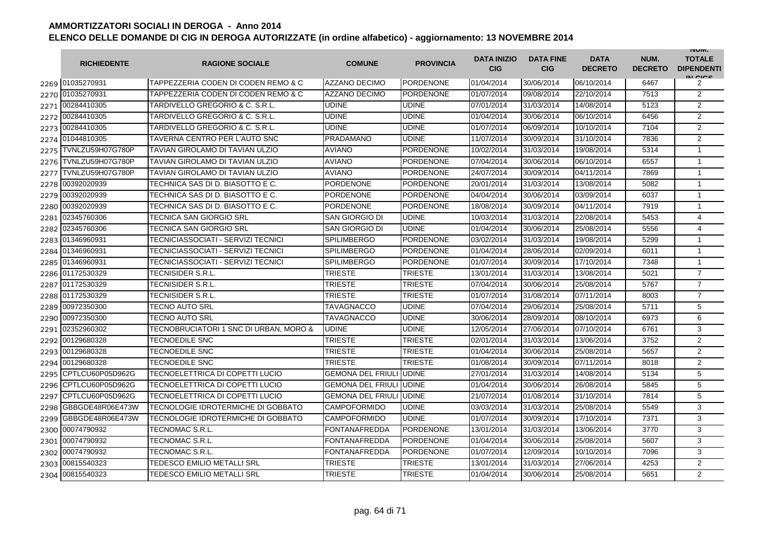|      | <b>RICHIEDENTE</b>    | <b>RAGIONE SOCIALE</b>                 | <b>COMUNE</b>                   | <b>PROVINCIA</b> | <b>DATA INIZIO</b><br><b>CIG</b> | <b>DATA FINE</b><br><b>CIG</b> | <b>DATA</b><br><b>DECRETO</b> | NUM.<br><b>DECRETO</b> | <b>INUIVI.</b><br><b>TOTALE</b><br><b>DIPENDENTI</b><br>IN CICE |
|------|-----------------------|----------------------------------------|---------------------------------|------------------|----------------------------------|--------------------------------|-------------------------------|------------------------|-----------------------------------------------------------------|
|      | 2269 01035270931      | TAPPEZZERIA CODEN DI CODEN REMO & C    | <b>AZZANO DECIMO</b>            | <b>PORDENONE</b> | 01/04/2014                       | 30/06/2014                     | 06/10/2014                    | 6467                   | 2                                                               |
|      | 2270 01035270931      | TAPPEZZERIA CODEN DI CODEN REMO & C    | <b>AZZANO DECIMO</b>            | <b>PORDENONE</b> | 01/07/2014                       | 09/08/2014                     | 22/10/2014                    | 7513                   | 2                                                               |
|      | 2271 00284410305      | TARDIVELLO GREGORIO & C. S.R.L.        | <b>UDINE</b>                    | <b>UDINE</b>     | 07/01/2014                       | 31/03/2014                     | 14/08/2014                    | 5123                   | 2                                                               |
|      | 2272 00284410305      | TARDIVELLO GREGORIO & C. S.R.L.        | <b>UDINE</b>                    | <b>UDINE</b>     | 01/04/2014                       | 30/06/2014                     | 06/10/2014                    | 6456                   | $\overline{c}$                                                  |
|      | 2273 00284410305      | TARDIVELLO GREGORIO & C. S.R.L.        | UDINE                           | <b>UDINE</b>     | 01/07/2014                       | 06/09/2014                     | 10/10/2014                    | 7104                   | 2                                                               |
|      | 2274 01044810305      | TAVERNA CENTRO PER L'AUTO SNC          | PRADAMANO                       | <b>UDINE</b>     | 11/07/2014                       | 30/09/2014                     | 31/10/2014                    | 7836                   | 2                                                               |
| 2275 | TVNLZU59H07G780P      | TAVIAN GIROLAMO DI TAVIAN ULZIO        | <b>AVIANO</b>                   | <b>PORDENONE</b> | 10/02/2014                       | 31/03/2014                     | 19/08/2014                    | 5314                   | $\mathbf{1}$                                                    |
|      | 2276 TVNLZU59H07G780P | TAVIAN GIROLAMO DI TAVIAN ULZIO        | <b>AVIANO</b>                   | <b>PORDENONE</b> | 07/04/2014                       | 30/06/2014                     | 06/10/2014                    | 6557                   | $\mathbf{1}$                                                    |
| 2277 | TVNLZU59H07G780P      | TAVIAN GIROLAMO DI TAVIAN ULZIO        | <b>AVIANO</b>                   | <b>PORDENONE</b> | 24/07/2014                       | 30/09/2014                     | 04/11/2014                    | 7869                   | $\mathbf{1}$                                                    |
| 2278 | 00392020939           | TECHNICA SAS DI D. BIASOTTO E C.       | PORDENONE                       | <b>PORDENONE</b> | 20/01/2014                       | 31/03/2014                     | 13/08/2014                    | 5082                   | $\mathbf{1}$                                                    |
| 2279 | 00392020939           | TECHNICA SAS DI D. BIASOTTO E C.       | PORDENONE                       | <b>PORDENONE</b> | 04/04/2014                       | 30/06/2014                     | 03/09/2014                    | 6037                   | $\mathbf{1}$                                                    |
| 2280 | 00392020939           | TECHNICA SAS DI D. BIASOTTO E C.       | <b>PORDENONE</b>                | <b>PORDENONE</b> | 18/08/2014                       | 30/09/2014                     | 04/11/2014                    | 7919                   | $\mathbf 1$                                                     |
| 2281 | 02345760306           | TECNICA SAN GIORGIO SRL                | SAN GIORGIO DI                  | <b>UDINE</b>     | 10/03/2014                       | 31/03/2014                     | 22/08/2014                    | 5453                   | 4                                                               |
| 2282 | 02345760306           | TECNICA SAN GIORGIO SRL                | SAN GIORGIO DI                  | <b>UDINE</b>     | 01/04/2014                       | 30/06/2014                     | 25/08/2014                    | 5556                   | 4                                                               |
| 2283 | 01346960931           | TECNICIASSOCIATI - SERVIZI TECNICI     | <b>SPILIMBERGO</b>              | <b>PORDENONE</b> | 03/02/2014                       | 31/03/2014                     | 19/08/2014                    | 5299                   | $\mathbf{1}$                                                    |
| 2284 | 01346960931           | TECNICIASSOCIATI - SERVIZI TECNICI     | <b>SPILIMBERGO</b>              | <b>PORDENONE</b> | 01/04/2014                       | 28/06/2014                     | 02/09/2014                    | 6011                   | $\mathbf{1}$                                                    |
| 2285 | 01346960931           | TECNICIASSOCIATI - SERVIZI TECNICI     | <b>SPILIMBERGO</b>              | PORDENONE        | 01/07/2014                       | 30/09/2014                     | 17/10/2014                    | 7348                   | $\mathbf{1}$                                                    |
| 2286 | 01172530329           | TECNISIDER S.R.L.                      | TRIESTE                         | <b>TRIESTE</b>   | 13/01/2014                       | 31/03/2014                     | 13/08/2014                    | 5021                   | $\overline{7}$                                                  |
| 2287 | 01172530329           | TECNISIDER S.R.L.                      | <b>TRIESTE</b>                  | <b>TRIESTE</b>   | 07/04/2014                       | 30/06/2014                     | 25/08/2014                    | 5767                   | $\overline{7}$                                                  |
| 2288 | 01172530329           | TECNISIDER S.R.L.                      | <b>TRIESTE</b>                  | <b>TRIESTE</b>   | 01/07/2014                       | 31/08/2014                     | 07/11/2014                    | 8003                   | $\overline{7}$                                                  |
| 2289 | 00972350300           | TECNO AUTO SRL                         | TAVAGNACCO                      | <b>UDINE</b>     | 07/04/2014                       | 29/06/2014                     | 25/08/2014                    | 5711                   | 5                                                               |
| 2290 | 00972350300           | TECNO AUTO SRL                         | TAVAGNACCO                      | <b>UDINE</b>     | 30/06/2014                       | 28/09/2014                     | 08/10/2014                    | 6973                   | 6                                                               |
| 2291 | 02352960302           | TECNOBRUCIATORI 1 SNC DI URBAN, MORO & | <b>UDINE</b>                    | <b>UDINE</b>     | 12/05/2014                       | 27/06/2014                     | 07/10/2014                    | 6761                   | 3                                                               |
| 2292 | 00129680328           | <b>TECNOEDILE SNC</b>                  | <b>TRIESTE</b>                  | <b>TRIESTE</b>   | 02/01/2014                       | 31/03/2014                     | 13/06/2014                    | 3752                   | $\overline{c}$                                                  |
| 2293 | 00129680328           | <b>TECNOEDILE SNC</b>                  | <b>TRIESTE</b>                  | <b>TRIESTE</b>   | 01/04/2014                       | 30/06/2014                     | 25/08/2014                    | 5657                   | 2                                                               |
| 2294 | 00129680328           | <b>TECNOEDILE SNC</b>                  | <b>TRIESTE</b>                  | <b>TRIESTE</b>   | 01/08/2014                       | 30/09/2014                     | 07/11/2014                    | 8018                   | $\overline{2}$                                                  |
| 2295 | CPTLCU60P05D962G      | TECNOELETTRICA DI COPETTI LUCIO        | <b>GEMONA DEL FRIULI</b>        | <b>UDINE</b>     | 27/01/2014                       | 31/03/2014                     | 14/08/2014                    | 5134                   | 5                                                               |
| 2296 | CPTLCU60P05D962G      | TECNOELETTRICA DI COPETTI LUCIO        | <b>GEMONA DEL FRIULI</b>        | <b>UDINE</b>     | 01/04/2014                       | 30/06/2014                     | 26/08/2014                    | 5845                   | 5                                                               |
| 2297 | CPTLCU60P05D962G      | TECNOELETTRICA DI COPETTI LUCIO        | <b>GEMONA DEL FRIULI JUDINE</b> |                  | 21/07/2014                       | 01/08/2014                     | 31/10/2014                    | 7814                   | 5                                                               |
| 2298 | GBBGDE48R06E473W      | TECNOLOGIE IDROTERMICHE DI GOBBATO     | CAMPOFORMIDO                    | <b>UDINE</b>     | 03/03/2014                       | 31/03/2014                     | 25/08/2014                    | 5549                   | 3                                                               |
| 2299 | GBBGDE48R06E473W      | TECNOLOGIE IDROTERMICHE DI GOBBATO     | <b>CAMPOFORMIDO</b>             | <b>UDINE</b>     | 01/07/2014                       | 30/09/2014                     | 17/10/2014                    | 7371                   | 3                                                               |
|      | 2300 00074790932      | TECNOMAC S.R.L.                        | <b>FONTANAFREDDA</b>            | <b>PORDENONE</b> | 13/01/2014                       | 31/03/2014                     | 13/06/2014                    | 3770                   | 3                                                               |
|      | 2301 00074790932      | TECNOMAC S.R.L.                        | <b>FONTANAFREDDA</b>            | <b>PORDENONE</b> | 01/04/2014                       | 30/06/2014                     | 25/08/2014                    | 5607                   | 3                                                               |
|      | 2302 00074790932      | TECNOMAC S.R.L                         | <b>FONTANAFREDDA</b>            | <b>PORDENONE</b> | 01/07/2014                       | 12/09/2014                     | 10/10/2014                    | 7096                   | 3                                                               |
|      | 2303 00815540323      | TEDESCO EMILIO METALLI SRL             | <b>TRIESTE</b>                  | <b>TRIESTE</b>   | 13/01/2014                       | 31/03/2014                     | 27/06/2014                    | 4253                   | $\overline{2}$                                                  |
|      | 2304 00815540323      | TEDESCO EMILIO METALLI SRL             | <b>TRIESTE</b>                  | <b>TRIESTE</b>   | 01/04/2014                       | 30/06/2014                     | 25/08/2014                    | 5651                   | $\overline{2}$                                                  |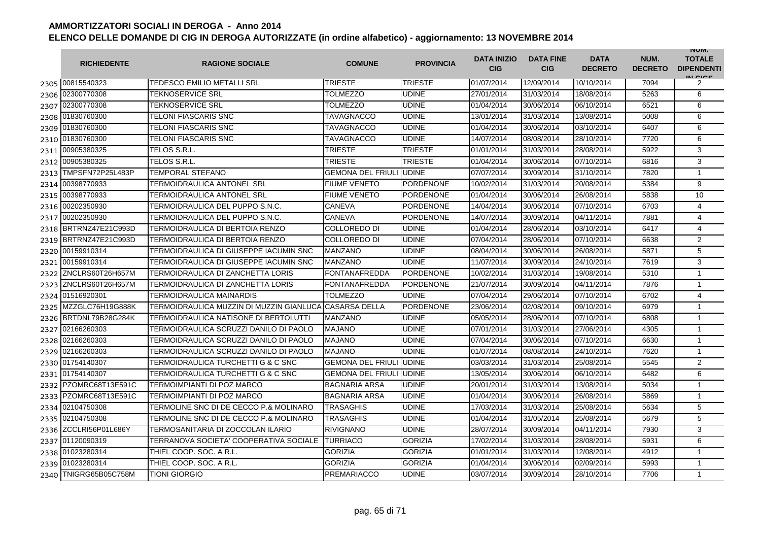|      | <b>RICHIEDENTE</b>    | <b>RAGIONE SOCIALE</b>                   | <b>COMUNE</b>            | <b>PROVINCIA</b> | <b>DATA INIZIO</b><br><b>CIG</b> | <b>DATA FINE</b><br><b>CIG</b> | <b>DATA</b><br><b>DECRETO</b> | NUM.<br><b>DECRETO</b> | <b>INUIVI.</b><br><b>TOTALE</b><br><b>DIPENDENTI</b><br>IN CICE |
|------|-----------------------|------------------------------------------|--------------------------|------------------|----------------------------------|--------------------------------|-------------------------------|------------------------|-----------------------------------------------------------------|
|      | 2305 00815540323      | <b>TEDESCO EMILIO METALLI SRL</b>        | <b>TRIESTE</b>           | <b>TRIESTE</b>   | 01/07/2014                       | 12/09/2014                     | 10/10/2014                    | 7094                   | 2                                                               |
| 2306 | 02300770308           | TEKNOSERVICE SRL                         | TOLMEZZO                 | <b>UDINE</b>     | 27/01/2014                       | 31/03/2014                     | 18/08/2014                    | 5263                   | 6                                                               |
| 2307 | 02300770308           | TEKNOSERVICE SRL                         | <b>TOLMEZZO</b>          | <b>UDINE</b>     | 01/04/2014                       | 30/06/2014                     | 06/10/2014                    | 6521                   | 6                                                               |
|      | 2308 01830760300      | TELONI FIASCARIS SNC                     | TAVAGNACCO               | <b>UDINE</b>     | 13/01/2014                       | 31/03/2014                     | 13/08/2014                    | 5008                   | 6                                                               |
|      | 2309 01830760300      | TELONI FIASCARIS SNC                     | <b>TAVAGNACCO</b>        | <b>UDINE</b>     | 01/04/2014                       | 30/06/2014                     | 03/10/2014                    | 6407                   | 6                                                               |
|      | 2310 01830760300      | TELONI FIASCARIS SNC                     | <b>TAVAGNACCO</b>        | <b>UDINE</b>     | 14/07/2014                       | 08/08/2014                     | 28/10/2014                    | 7720                   | 6                                                               |
|      | 2311 00905380325      | TELOS S.R.L                              | TRIESTE                  | <b>TRIESTE</b>   | 01/01/2014                       | 31/03/2014                     | 28/08/2014                    | 5922                   | 3                                                               |
|      | 2312 00905380325      | TELOS S.R.L.                             | <b>TRIESTE</b>           | <b>TRIESTE</b>   | 01/04/2014                       | 30/06/2014                     | 07/10/2014                    | 6816                   | 3                                                               |
| 2313 | TMPSFN72P25L483P      | <b>TEMPORAL STEFANO</b>                  | <b>GEMONA DEL FRIULI</b> | <b>UDINE</b>     | 07/07/2014                       | 30/09/2014                     | 31/10/2014                    | 7820                   | $\mathbf{1}$                                                    |
| 2314 | 00398770933           | TERMOIDRAULICA ANTONEL SRL               | <b>FIUME VENETO</b>      | <b>PORDENONE</b> | 10/02/2014                       | 31/03/2014                     | 20/08/2014                    | 5384                   | 9                                                               |
| 2315 | 00398770933           | TERMOIDRAULICA ANTONEL SRL               | <b>FIUME VENETO</b>      | <b>PORDENONE</b> | 01/04/2014                       | 30/06/2014                     | 26/08/2014                    | 5838                   | 10                                                              |
| 2316 | 00202350930           | TERMOIDRAULICA DEL PUPPO S.N.C.          | CANEVA                   | <b>PORDENONE</b> | 14/04/2014                       | 30/06/2014                     | 07/10/2014                    | 6703                   | 4                                                               |
| 2317 | 00202350930           | TERMOIDRAULICA DEL PUPPO S.N.C.          | CANEVA                   | <b>PORDENONE</b> | 14/07/2014                       | 30/09/2014                     | 04/11/2014                    | 7881                   | 4                                                               |
| 2318 | BRTRNZ47E21C993D      | TERMOIDRAULICA DI BERTOIA RENZO          | COLLOREDO DI             | <b>UDINE</b>     | 01/04/2014                       | 28/06/2014                     | 03/10/2014                    | 6417                   | 4                                                               |
| 2319 | BRTRNZ47E21C993D      | TERMOIDRAULICA DI BERTOIA RENZO          | COLLOREDO DI             | <b>UDINE</b>     | 07/04/2014                       | 28/06/2014                     | 07/10/2014                    | 6638                   | $\overline{2}$                                                  |
| 2320 | 00159910314           | TERMOIDRAULICA DI GIUSEPPE IACUMIN SNC   | <b>MANZANO</b>           | <b>UDINE</b>     | 08/04/2014                       | 30/06/2014                     | 26/08/2014                    | 5871                   | 5                                                               |
|      | 2321 00159910314      | TERMOIDRAULICA DI GIUSEPPE IACUMIN SNC   | <b>MANZANO</b>           | <b>UDINE</b>     | 11/07/2014                       | 30/09/2014                     | 24/10/2014                    | 7619                   | 3                                                               |
| 2322 | ZNCLRS60T26H657M      | TERMOIDRAULICA DI ZANCHETTA LORIS        | <b>FONTANAFREDDA</b>     | <b>PORDENONE</b> | 10/02/2014                       | 31/03/2014                     | 19/08/2014                    | 5310                   | $\mathbf{1}$                                                    |
|      | 2323 ZNCLRS60T26H657M | TERMOIDRAULICA DI ZANCHETTA LORIS        | <b>FONTANAFREDDA</b>     | <b>PORDENONE</b> | 21/07/2014                       | 30/09/2014                     | 04/11/2014                    | 7876                   | $\mathbf{1}$                                                    |
|      | 2324 01516920301      | TERMOIDRAULICA MAINARDIS                 | <b>TOLMEZZO</b>          | <b>UDINE</b>     | 07/04/2014                       | 29/06/2014                     | 07/10/2014                    | 6702                   | 4                                                               |
| 2325 | MZZGLC76H19G888K      | TERMOIDRAULICA MUZZIN DI MUZZIN GIANLUCA | <b>CASARSA DELLA</b>     | <b>PORDENONE</b> | 23/06/2014                       | 02/08/2014                     | 09/10/2014                    | 6979                   | $\mathbf{1}$                                                    |
| 2326 | BRTDNL79B28G284K      | TERMOIDRAULICA NATISONE DI BERTOLUTTI    | <b>MANZANO</b>           | <b>UDINE</b>     | 05/05/2014                       | 28/06/2014                     | 07/10/2014                    | 6808                   | $\mathbf{1}$                                                    |
| 2327 | 02166260303           | TERMOIDRAULICA SCRUZZI DANILO DI PAOLO   | <b>MAJANO</b>            | <b>UDINE</b>     | 07/01/2014                       | 31/03/2014                     | 27/06/2014                    | 4305                   | $\mathbf{1}$                                                    |
| 2328 | 02166260303           | TERMOIDRAULICA SCRUZZI DANILO DI PAOLO   | <b>MAJANO</b>            | <b>UDINE</b>     | 07/04/2014                       | 30/06/2014                     | 07/10/2014                    | 6630                   | $\mathbf{1}$                                                    |
| 2329 | 02166260303           | TERMOIDRAULICA SCRUZZI DANILO DI PAOLO   | <b>MAJANO</b>            | <b>UDINE</b>     | 01/07/2014                       | 08/08/2014                     | 24/10/2014                    | 7620                   | $\mathbf{1}$                                                    |
| 2330 | 01754140307           | TERMOIDRAULICA TURCHETTI G & C SNC       | <b>GEMONA DEL FRIULI</b> | <b>UDINE</b>     | 03/03/2014                       | 31/03/2014                     | 25/08/2014                    | 5545                   | 2                                                               |
|      | 2331 01754140307      | TERMOIDRAULICA TURCHETTI G & C SNC       | GEMONA DEL FRIULI        | <b>UDINE</b>     | 13/05/2014                       | 30/06/2014                     | 06/10/2014                    | 6482                   | 6                                                               |
| 2332 | PZOMRC68T13E591C      | TERMOIMPIANTI DI POZ MARCO               | <b>BAGNARIA ARSA</b>     | <b>UDINE</b>     | 20/01/2014                       | 31/03/2014                     | 13/08/2014                    | 5034                   | $\mathbf{1}$                                                    |
|      | 2333 PZOMRC68T13E591C | TERMOIMPIANTI DI POZ MARCO               | <b>BAGNARIA ARSA</b>     | <b>UDINE</b>     | 01/04/2014                       | 30/06/2014                     | 26/08/2014                    | 5869                   | $\mathbf{1}$                                                    |
|      | 2334 02104750308      | TERMOLINE SNC DI DE CECCO P.& MOLINARO   | <b>TRASAGHIS</b>         | <b>UDINE</b>     | 17/03/2014                       | 31/03/2014                     | 25/08/2014                    | 5634                   | 5                                                               |
|      | 2335 02104750308      | TERMOLINE SNC DI DE CECCO P.& MOLINARO   | <b>TRASAGHIS</b>         | <b>UDINE</b>     | 01/04/2014                       | 31/05/2014                     | 25/08/2014                    | 5679                   | 5                                                               |
|      | 2336 ZCCLRI56P01L686Y | TERMOSANITARIA DI ZOCCOLAN ILARIO        | <b>RIVIGNANO</b>         | <b>UDINE</b>     | 28/07/2014                       | 30/09/2014                     | 04/11/2014                    | 7930                   | 3                                                               |
|      | 2337 01120090319      | TERRANOVA SOCIETA' COOPERATIVA SOCIALE   | TURRIACO                 | <b>GORIZIA</b>   | 17/02/2014                       | 31/03/2014                     | 28/08/2014                    | 5931                   | 6                                                               |
| 2338 | 01023280314           | THIEL COOP. SOC. A R.L.                  | <b>GORIZIA</b>           | <b>GORIZIA</b>   | 01/01/2014                       | 31/03/2014                     | 12/08/2014                    | 4912                   | $\mathbf{1}$                                                    |
|      | 2339 01023280314      | THIEL COOP. SOC. A R.L.                  | <b>GORIZIA</b>           | <b>GORIZIA</b>   | 01/04/2014                       | 30/06/2014                     | 02/09/2014                    | 5993                   | $\mathbf{1}$                                                    |
| 2340 | TNIGRG65B05C758M      | TIONI GIORGIO                            | <b>PREMARIACCO</b>       | <b>UDINE</b>     | 03/07/2014                       | 30/09/2014                     | 28/10/2014                    | 7706                   | $\mathbf{1}$                                                    |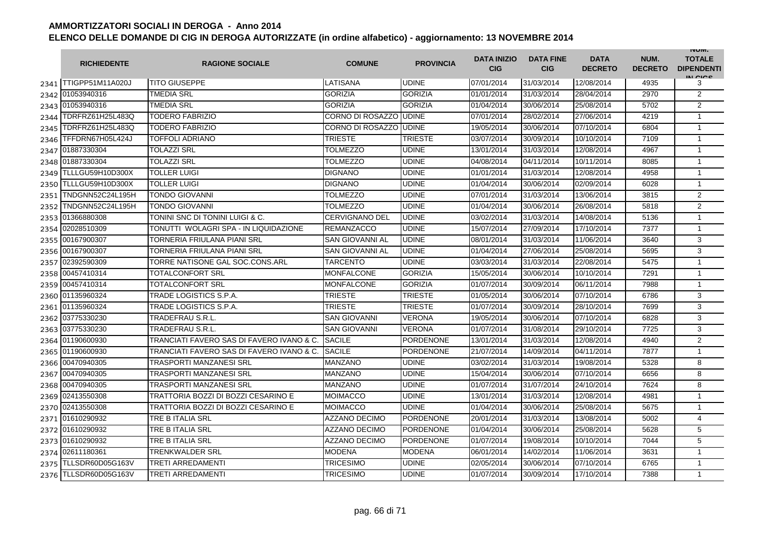|      | <b>RICHIEDENTE</b>    | <b>RAGIONE SOCIALE</b>                    | <b>COMUNE</b>          | <b>PROVINCIA</b> | <b>DATA INIZIO</b><br><b>CIG</b> | <b>DATA FINE</b><br><b>CIG</b> | <b>DATA</b><br><b>DECRETO</b> | NUM.<br><b>DECRETO</b> | <b>INUIVI.</b><br><b>TOTALE</b><br><b>DIPENDENTI</b><br>IN CIGO |
|------|-----------------------|-------------------------------------------|------------------------|------------------|----------------------------------|--------------------------------|-------------------------------|------------------------|-----------------------------------------------------------------|
|      | 2341 TTIGPP51M11A020J | <b>TITO GIUSEPPE</b>                      | LATISANA               | <b>UDINE</b>     | 07/01/2014                       | 31/03/2014                     | 12/08/2014                    | 4935                   | 3                                                               |
|      | 2342 01053940316      | <b>TMEDIA SRL</b>                         | <b>GORIZIA</b>         | <b>GORIZIA</b>   | 01/01/2014                       | 31/03/2014                     | 28/04/2014                    | 2970                   | $\overline{2}$                                                  |
|      | 2343 01053940316      | <b>TMEDIA SRL</b>                         | <b>GORIZIA</b>         | <b>GORIZIA</b>   | 01/04/2014                       | 30/06/2014                     | 25/08/2014                    | 5702                   | $\overline{2}$                                                  |
| 2344 | TDRFRZ61H25L483Q      | <b>TODERO FABRIZIO</b>                    | CORNO DI ROSAZZO UDINE |                  | 07/01/2014                       | 28/02/2014                     | 27/06/2014                    | 4219                   | 1                                                               |
| 2345 | TDRFRZ61H25L483Q      | <b>TODERO FABRIZIO</b>                    | CORNO DI ROSAZZO       | <b>UDINE</b>     | 19/05/2014                       | 30/06/2014                     | 07/10/2014                    | 6804                   | $\mathbf{1}$                                                    |
| 2346 | TFFDRN67H05L424J      | <b>TOFFOLI ADRIANO</b>                    | <b>TRIESTE</b>         | <b>TRIESTE</b>   | 03/07/2014                       | 30/09/2014                     | 10/10/2014                    | 7109                   | $\mathbf{1}$                                                    |
|      | 2347 01887330304      | <b>TOLAZZI SRL</b>                        | <b>TOLMEZZO</b>        | <b>UDINE</b>     | 13/01/2014                       | 31/03/2014                     | 12/08/2014                    | 4967                   | $\mathbf{1}$                                                    |
|      | 2348 01887330304      | <b>TOLAZZI SRL</b>                        | <b>TOLMEZZO</b>        | <b>UDINE</b>     | 04/08/2014                       | 04/11/2014                     | 10/11/2014                    | 8085                   | $\mathbf{1}$                                                    |
| 2349 | TLLLGU59H10D300X      | <b>TOLLER LUIGI</b>                       | <b>DIGNANO</b>         | <b>UDINE</b>     | 01/01/2014                       | 31/03/2014                     | 12/08/2014                    | 4958                   | $\mathbf{1}$                                                    |
| 2350 | TLLLGU59H10D300X      | <b>TOLLER LUIGI</b>                       | <b>DIGNANO</b>         | <b>UDINE</b>     | 01/04/2014                       | 30/06/2014                     | 02/09/2014                    | 6028                   | $\mathbf{1}$                                                    |
| 2351 | TNDGNN52C24L195H      | <b>TONDO GIOVANNI</b>                     | TOLMEZZO               | <b>UDINE</b>     | 07/01/2014                       | 31/03/2014                     | 13/06/2014                    | 3815                   | $\overline{2}$                                                  |
| 2352 | TNDGNN52C24L195H      | <b>TONDO GIOVANNI</b>                     | TOLMEZZO               | <b>UDINE</b>     | 01/04/2014                       | 30/06/2014                     | 26/08/2014                    | 5818                   | $\overline{2}$                                                  |
| 2353 | 01366880308           | TONINI SNC DI TONINI LUIGI & C.           | <b>CERVIGNANO DEL</b>  | <b>UDINE</b>     | 03/02/2014                       | 31/03/2014                     | 14/08/2014                    | 5136                   | $\mathbf{1}$                                                    |
| 2354 | 02028510309           | TONUTTI WOLAGRI SPA - IN LIQUIDAZIONE     | <b>REMANZACCO</b>      | <b>UDINE</b>     | 15/07/2014                       | 27/09/2014                     | 17/10/2014                    | 7377                   | $\mathbf{1}$                                                    |
| 2355 | 00167900307           | TORNERIA FRIULANA PIANI SRL               | <b>SAN GIOVANNI AL</b> | <b>UDINE</b>     | 08/01/2014                       | 31/03/2014                     | 11/06/2014                    | 3640                   | 3                                                               |
|      | 2356 00167900307      | TORNERIA FRIULANA PIANI SRL               | <b>SAN GIOVANNI AL</b> | <b>UDINE</b>     | 01/04/2014                       | 27/06/2014                     | 25/08/2014                    | 5695                   | 3                                                               |
|      | 2357 02392590309      | TORRE NATISONE GAL SOC.CONS.ARL           | TARCENTO               | <b>UDINE</b>     | 03/03/2014                       | 31/03/2014                     | 22/08/2014                    | 5475                   | $\mathbf{1}$                                                    |
|      | 2358 00457410314      | <b>TOTALCONFORT SRL</b>                   | <b>MONFALCONE</b>      | <b>GORIZIA</b>   | 15/05/2014                       | 30/06/2014                     | 10/10/2014                    | 7291                   | 1                                                               |
|      | 2359 00457410314      | <b>TOTALCONFORT SRL</b>                   | MONFALCONE             | <b>GORIZIA</b>   | 01/07/2014                       | 30/09/2014                     | 06/11/2014                    | 7988                   | $\mathbf{1}$                                                    |
|      | 2360 01135960324      | TRADE LOGISTICS S.P.A.                    | <b>TRIESTE</b>         | <b>TRIESTE</b>   | 01/05/2014                       | 30/06/2014                     | 07/10/2014                    | 6786                   | 3                                                               |
|      | 2361 01135960324      | TRADE LOGISTICS S.P.A.                    | TRIESTE                | <b>TRIESTE</b>   | 01/07/2014                       | 30/09/2014                     | 28/10/2014                    | 7699                   | 3                                                               |
| 2362 | 03775330230           | <b>TRADEFRAU S.R.L.</b>                   | <b>SAN GIOVANNI</b>    | <b>VERONA</b>    | 19/05/2014                       | 30/06/2014                     | 07/10/2014                    | 6828                   | 3                                                               |
|      | 2363 03775330230      | <b>TRADEFRAU S.R.L.</b>                   | <b>SAN GIOVANNI</b>    | <b>VERONA</b>    | 01/07/2014                       | 31/08/2014                     | 29/10/2014                    | 7725                   | 3                                                               |
|      | 2364 01190600930      | TRANCIATI FAVERO SAS DI FAVERO IVANO & C. | <b>SACILE</b>          | <b>PORDENONE</b> | 13/01/2014                       | 31/03/2014                     | 12/08/2014                    | 4940                   | $\overline{2}$                                                  |
|      | 2365 01190600930      | TRANCIATI FAVERO SAS DI FAVERO IVANO & C. | <b>SACILE</b>          | <b>PORDENONE</b> | 21/07/2014                       | 14/09/2014                     | 04/11/2014                    | 7877                   | $\mathbf{1}$                                                    |
| 2366 | 00470940305           | <b>TRASPORTI MANZANESI SRL</b>            | <b>MANZANO</b>         | <b>UDINE</b>     | 03/02/2014                       | 31/03/2014                     | 19/08/2014                    | 5328                   | 8                                                               |
|      | 2367 00470940305      | <b>TRASPORTI MANZANESI SRL</b>            | MANZANO                | <b>UDINE</b>     | 15/04/2014                       | 30/06/2014                     | 07/10/2014                    | 6656                   | 8                                                               |
|      | 2368 00470940305      | <b>TRASPORTI MANZANESI SRL</b>            | MANZANO                | <b>UDINE</b>     | 01/07/2014                       | 31/07/2014                     | 24/10/2014                    | 7624                   | 8                                                               |
|      | 2369 02413550308      | TRATTORIA BOZZI DI BOZZI CESARINO E       | <b>MOIMACCO</b>        | <b>UDINE</b>     | 13/01/2014                       | 31/03/2014                     | 12/08/2014                    | 4981                   | $\mathbf{1}$                                                    |
|      | 2370 02413550308      | TRATTORIA BOZZI DI BOZZI CESARINO E       | MOIMACCO               | <b>UDINE</b>     | 01/04/2014                       | 30/06/2014                     | 25/08/2014                    | 5675                   | $\mathbf{1}$                                                    |
|      | 2371 01610290932      | TRE B ITALIA SRL                          | <b>AZZANO DECIMO</b>   | <b>PORDENONE</b> | 20/01/2014                       | 31/03/2014                     | 13/08/2014                    | 5002                   | $\overline{4}$                                                  |
|      | 2372 01610290932      | TRE B ITALIA SRL                          | <b>AZZANO DECIMO</b>   | <b>PORDENONE</b> | 01/04/2014                       | 30/06/2014                     | 25/08/2014                    | 5628                   | 5                                                               |
|      | 2373 01610290932      | TRE B ITALIA SRL                          | <b>AZZANO DECIMO</b>   | <b>PORDENONE</b> | 01/07/2014                       | 19/08/2014                     | 10/10/2014                    | 7044                   | 5                                                               |
|      | 2374 02611180361      | <b>TRENKWALDER SRL</b>                    | <b>MODENA</b>          | <b>MODENA</b>    | 06/01/2014                       | 14/02/2014                     | 11/06/2014                    | 3631                   | $\mathbf{1}$                                                    |
| 2375 | TLLSDR60D05G163V      | <b>TRETI ARREDAMENTI</b>                  | TRICESIMO              | <b>UDINE</b>     | 02/05/2014                       | 30/06/2014                     | 07/10/2014                    | 6765                   | $\mathbf{1}$                                                    |
| 2376 | TLLSDR60D05G163V      | <b>TRETI ARREDAMENTI</b>                  | TRICESIMO              | <b>UDINE</b>     | 01/07/2014                       | 30/09/2014                     | 17/10/2014                    | 7388                   | $\mathbf{1}$                                                    |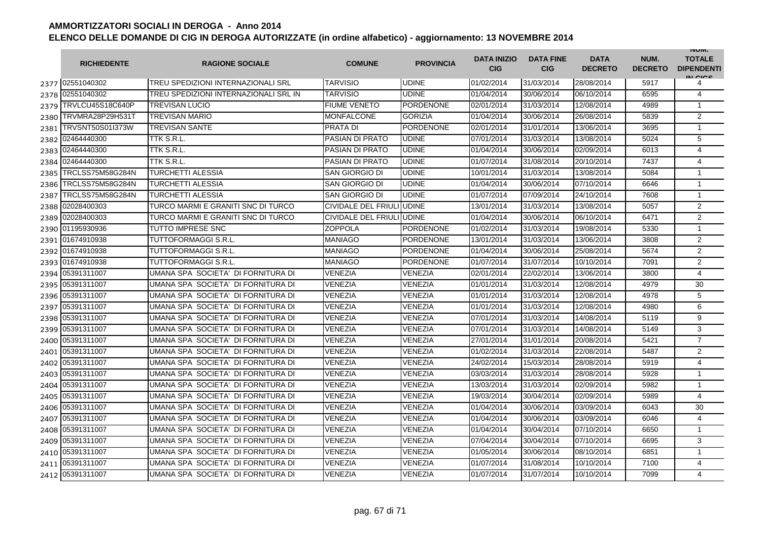|      | <b>RICHIEDENTE</b> | <b>RAGIONE SOCIALE</b>                | <b>COMUNE</b>             | <b>PROVINCIA</b> | <b>DATA INIZIO</b><br><b>CIG</b> | <b>DATA FINE</b><br><b>CIG</b> | <b>DATA</b><br><b>DECRETO</b> | NUM.<br><b>DECRETO</b> | <b>INUIVI.</b><br><b>TOTALE</b><br><b>DIPENDENTI</b><br>IN CICS |
|------|--------------------|---------------------------------------|---------------------------|------------------|----------------------------------|--------------------------------|-------------------------------|------------------------|-----------------------------------------------------------------|
|      | 2377 02551040302   | TREU SPEDIZIONI INTERNAZIONALI SRL    | <b>TARVISIO</b>           | <b>UDINE</b>     | 01/02/2014                       | 31/03/2014                     | 28/08/2014                    | 5917                   | 4                                                               |
|      | 2378 02551040302   | TREU SPEDIZIONI INTERNAZIONALI SRL IN | TARVISIO                  | <b>UDINE</b>     | 01/04/2014                       | 30/06/2014                     | 06/10/2014                    | 6595                   | 4                                                               |
| 2379 | TRVLCU45S18C640P   | TREVISAN LUCIO                        | <b>FIUME VENETO</b>       | <b>PORDENONE</b> | 02/01/2014                       | 31/03/2014                     | 12/08/2014                    | 4989                   | $\mathbf{1}$                                                    |
| 2380 | TRVMRA28P29H531T   | TREVISAN MARIO                        | <b>MONFALCONE</b>         | <b>GORIZIA</b>   | 01/04/2014                       | 30/06/2014                     | 26/08/2014                    | 5839                   | 2                                                               |
| 2381 | TRVSNT50S01I373W   | TREVISAN SANTE                        | PRATA DI                  | <b>PORDENONE</b> | 02/01/2014                       | 31/01/2014                     | 13/06/2014                    | 3695                   | $\mathbf{1}$                                                    |
| 2382 | 02464440300        | TTK S.R.L.                            | PASIAN DI PRATO           | <b>UDINE</b>     | 07/01/2014                       | 31/03/2014                     | 13/08/2014                    | 5024                   | 5                                                               |
|      | 2383 02464440300   | TTK S.R.L.                            | PASIAN DI PRATO           | <b>UDINE</b>     | 01/04/2014                       | 30/06/2014                     | 02/09/2014                    | 6013                   | 4                                                               |
| 2384 | 02464440300        | TTK S.R.L                             | <b>PASIAN DI PRATO</b>    | <b>UDINE</b>     | 01/07/2014                       | 31/08/2014                     | 20/10/2014                    | 7437                   | 4                                                               |
| 2385 | TRCLSS75M58G284N   | TURCHETTI ALESSIA                     | SAN GIORGIO DI            | <b>UDINE</b>     | 10/01/2014                       | 31/03/2014                     | 13/08/2014                    | 5084                   | $\mathbf{1}$                                                    |
| 2386 | TRCLSS75M58G284N   | TURCHETTI ALESSIA                     | SAN GIORGIO DI            | <b>UDINE</b>     | 01/04/2014                       | 30/06/2014                     | 07/10/2014                    | 6646                   | $\mathbf{1}$                                                    |
| 2387 | TRCLSS75M58G284N   | TURCHETTI ALESSIA                     | SAN GIORGIO DI            | <b>UDINE</b>     | 01/07/2014                       | 07/09/2014                     | 24/10/2014                    | 7608                   | $\mathbf{1}$                                                    |
| 2388 | 02028400303        | TURCO MARMI E GRANITI SNC DI TURCO    | CIVIDALE DEL FRIULI UDINE |                  | 13/01/2014                       | 31/03/2014                     | 13/08/2014                    | 5057                   | 2                                                               |
| 2389 | 02028400303        | TURCO MARMI E GRANITI SNC DI TURCO    | CIVIDALE DEL FRIULI UDINE |                  | 01/04/2014                       | 30/06/2014                     | 06/10/2014                    | 6471                   | $\overline{2}$                                                  |
|      | 2390 01195930936   | <b>TUTTO IMPRESE SNC</b>              | <b>ZOPPOLA</b>            | <b>PORDENONE</b> | 01/02/2014                       | 31/03/2014                     | 19/08/2014                    | 5330                   | $\mathbf{1}$                                                    |
| 2391 | 01674910938        | TUTTOFORMAGGI S.R.L.                  | MANIAGO                   | <b>PORDENONE</b> | 13/01/2014                       | 31/03/2014                     | 13/06/2014                    | 3808                   | 2                                                               |
|      | 2392 01674910938   | TUTTOFORMAGGI S.R.L.                  | <b>MANIAGO</b>            | <b>PORDENONE</b> | 01/04/2014                       | 30/06/2014                     | 25/08/2014                    | 5674                   | $\overline{2}$                                                  |
| 2393 | 01674910938        | TUTTOFORMAGGI S.R.L.                  | MANIAGO                   | <b>PORDENONE</b> | 01/07/2014                       | 31/07/2014                     | 10/10/2014                    | 7091                   | 2                                                               |
| 2394 | 05391311007        | UMANA SPA SOCIETA' DI FORNITURA DI    | VENEZIA                   | <b>VENEZIA</b>   | 02/01/2014                       | 22/02/2014                     | 13/06/2014                    | 3800                   | 4                                                               |
| 2395 | 05391311007        | UMANA SPA SOCIETA' DI FORNITURA DI    | VENEZIA                   | VENEZIA          | 01/01/2014                       | 31/03/2014                     | 12/08/2014                    | 4979                   | 30                                                              |
| 2396 | 05391311007        | UMANA SPA SOCIETA' DI FORNITURA DI    | VENEZIA                   | VENEZIA          | 01/01/2014                       | 31/03/2014                     | 12/08/2014                    | 4978                   | 5                                                               |
| 2397 | 05391311007        | UMANA SPA SOCIETA' DI FORNITURA DI    | VENEZIA                   | VENEZIA          | 01/01/2014                       | 31/03/2014                     | 12/08/2014                    | 4980                   | 6                                                               |
| 2398 | 05391311007        | UMANA SPA SOCIETA' DI FORNITURA DI    | VENEZIA                   | VENEZIA          | 07/01/2014                       | 31/03/2014                     | 14/08/2014                    | 5119                   | 9                                                               |
| 2399 | 05391311007        | UMANA SPA SOCIETA' DI FORNITURA DI    | VENEZIA                   | <b>VENEZIA</b>   | 07/01/2014                       | 31/03/2014                     | 14/08/2014                    | 5149                   | 3                                                               |
|      | 2400 05391311007   | UMANA SPA SOCIETA' DI FORNITURA DI    | VENEZIA                   | <b>VENEZIA</b>   | 27/01/2014                       | 31/01/2014                     | 20/08/2014                    | 5421                   | $\overline{7}$                                                  |
|      | 2401 05391311007   | UMANA SPA SOCIETA' DI FORNITURA DI    | <b>VENEZIA</b>            | VENEZIA          | 01/02/2014                       | 31/03/2014                     | 22/08/2014                    | 5487                   | 2                                                               |
|      | 2402 05391311007   | UMANA SPA SOCIETA' DI FORNITURA DI    | VENEZIA                   | <b>VENEZIA</b>   | 24/02/2014                       | 15/03/2014                     | 28/08/2014                    | 5919                   | 4                                                               |
| 2403 | 05391311007        | UMANA SPA SOCIETA' DI FORNITURA DI    | VENEZIA                   | VENEZIA          | 03/03/2014                       | 31/03/2014                     | 28/08/2014                    | 5928                   | $\mathbf{1}$                                                    |
| 2404 | 05391311007        | UMANA SPA SOCIETA' DI FORNITURA DI    | VENEZIA                   | <b>VENEZIA</b>   | 13/03/2014                       | 31/03/2014                     | 02/09/2014                    | 5982                   | $\mathbf{1}$                                                    |
| 2405 | 05391311007        | UMANA SPA SOCIETA' DI FORNITURA DI    | <b>VENEZIA</b>            | <b>VENEZIA</b>   | 19/03/2014                       | 30/04/2014                     | 02/09/2014                    | 5989                   | 4                                                               |
| 2406 | 05391311007        | UMANA SPA SOCIETA' DI FORNITURA DI    | <b>VENEZIA</b>            | <b>VENEZIA</b>   | 01/04/2014                       | 30/06/2014                     | 03/09/2014                    | 6043                   | 30                                                              |
| 2407 | 05391311007        | UMANA SPA SOCIETA' DI FORNITURA DI    | VENEZIA                   | <b>VENEZIA</b>   | 01/04/2014                       | 30/06/2014                     | 03/09/2014                    | 6046                   | 4                                                               |
| 2408 | 05391311007        | UMANA SPA SOCIETA' DI FORNITURA DI    | VENEZIA                   | VENEZIA          | 01/04/2014                       | 30/04/2014                     | 07/10/2014                    | 6650                   | $\mathbf{1}$                                                    |
| 2409 | 05391311007        | UMANA SPA SOCIETA' DI FORNITURA DI    | VENEZIA                   | <b>VENEZIA</b>   | 07/04/2014                       | 30/04/2014                     | 07/10/2014                    | 6695                   | 3                                                               |
| 2410 | 05391311007        | UMANA SPA SOCIETA' DI FORNITURA DI    | VENEZIA                   | <b>VENEZIA</b>   | 01/05/2014                       | 30/06/2014                     | 08/10/2014                    | 6851                   | $\mathbf{1}$                                                    |
|      | 2411 05391311007   | UMANA SPA SOCIETA' DI FORNITURA DI    | VENEZIA                   | VENEZIA          | 01/07/2014                       | 31/08/2014                     | 10/10/2014                    | 7100                   | 4                                                               |
|      | 2412 05391311007   | UMANA SPA SOCIETA' DI FORNITURA DI    | <b>VENEZIA</b>            | VENEZIA          | 01/07/2014                       | 31/07/2014                     | 10/10/2014                    | 7099                   | 4                                                               |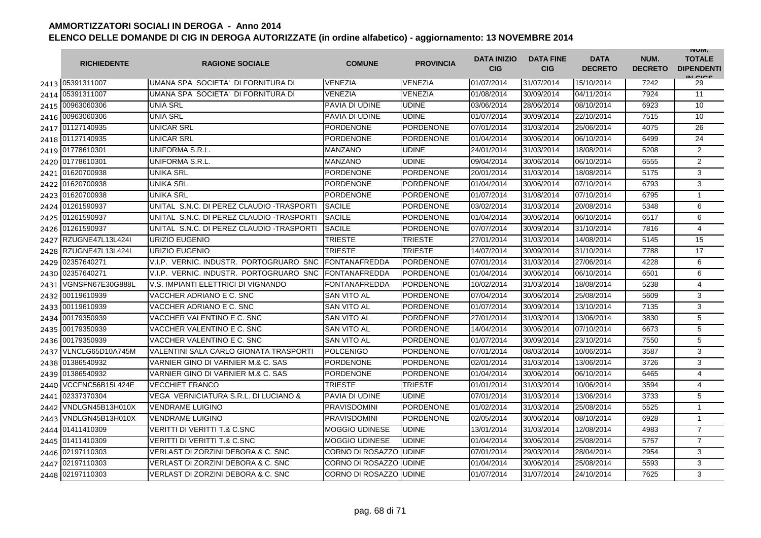|      | <b>RICHIEDENTE</b> | <b>RAGIONE SOCIALE</b>                     | <b>COMUNE</b>                  | <b>PROVINCIA</b> | <b>DATA INIZIO</b><br><b>CIG</b> | <b>DATA FINE</b><br><b>CIG</b> | <b>DATA</b><br><b>DECRETO</b> | NUM.<br><b>DECRETO</b> | <b>INUIVI.</b><br><b>TOTALE</b><br><b>DIPENDENTI</b><br>IN CIGO |
|------|--------------------|--------------------------------------------|--------------------------------|------------------|----------------------------------|--------------------------------|-------------------------------|------------------------|-----------------------------------------------------------------|
|      | 2413 05391311007   | IUMANA SPA SOCIETA' DI FORNITURA DI        | <b>VENEZIA</b>                 | <b>VENEZIA</b>   | 01/07/2014                       | 31/07/2014                     | 15/10/2014                    | 7242                   | 29                                                              |
| 2414 | 05391311007        | UMANA SPA SOCIETA' DI FORNITURA DI         | <b>VENEZIA</b>                 | VENEZIA          | 01/08/2014                       | 30/09/2014                     | 04/11/2014                    | 7924                   | 11                                                              |
|      | 2415 00963060306   | <b>UNIA SRL</b>                            | PAVIA DI UDINE                 | <b>UDINE</b>     | 03/06/2014                       | 28/06/2014                     | 08/10/2014                    | 6923                   | 10                                                              |
|      | 2416 00963060306   | <b>UNIA SRL</b>                            | PAVIA DI UDINE                 | <b>UDINE</b>     | 01/07/2014                       | 30/09/2014                     | 22/10/2014                    | 7515                   | 10                                                              |
|      | 2417 01127140935   | <b>UNICAR SRL</b>                          | PORDENONE                      | PORDENONE        | 07/01/2014                       | 31/03/2014                     | 25/06/2014                    | 4075                   | 26                                                              |
|      | 2418 01127140935   | <b>UNICAR SRL</b>                          | <b>PORDENONE</b>               | <b>PORDENONE</b> | 01/04/2014                       | 30/06/2014                     | 06/10/2014                    | 6499                   | 24                                                              |
|      | 2419 01778610301   | UNIFORMA S.R.L.                            | <b>MANZANO</b>                 | UDINE            | 24/01/2014                       | 31/03/2014                     | 18/08/2014                    | 5208                   | $\overline{2}$                                                  |
|      | 2420 01778610301   | UNIFORMA S.R.L.                            | <b>MANZANO</b>                 | <b>UDINE</b>     | 09/04/2014                       | 30/06/2014                     | 06/10/2014                    | 6555                   | $\overline{2}$                                                  |
| 2421 | 01620700938        | <b>UNIKA SRL</b>                           | <b>PORDENONE</b>               | <b>PORDENONE</b> | 20/01/2014                       | 31/03/2014                     | 18/08/2014                    | 5175                   | 3                                                               |
| 2422 | 01620700938        | <b>UNIKA SRL</b>                           | PORDENONE                      | PORDENONE        | 01/04/2014                       | 30/06/2014                     | 07/10/2014                    | 6793                   | 3                                                               |
| 2423 | 01620700938        | <b>UNIKA SRL</b>                           | <b>PORDENONE</b>               | <b>PORDENONE</b> | 01/07/2014                       | 31/08/2014                     | 07/10/2014                    | 6795                   | $\mathbf{1}$                                                    |
| 2424 | 01261590937        | UNITAL S.N.C. DI PEREZ CLAUDIO - TRASPORTI | <b>SACILE</b>                  | PORDENONE        | 03/02/2014                       | 31/03/2014                     | 20/08/2014                    | 5348                   | 6                                                               |
| 2425 | 01261590937        | UNITAL S.N.C. DI PEREZ CLAUDIO - TRASPORTI | <b>SACILE</b>                  | <b>PORDENONE</b> | 01/04/2014                       | 30/06/2014                     | 06/10/2014                    | 6517                   | 6                                                               |
| 2426 | 01261590937        | UNITAL S.N.C. DI PEREZ CLAUDIO - TRASPORTI | <b>SACILE</b>                  | PORDENONE        | 07/07/2014                       | 30/09/2014                     | 31/10/2014                    | 7816                   | 4                                                               |
| 2427 | RZUGNE47L13L424I   | URIZIO EUGENIO                             | <b>TRIESTE</b>                 | <b>TRIESTE</b>   | 27/01/2014                       | 31/03/2014                     | 14/08/2014                    | 5145                   | 15                                                              |
| 2428 | RZUGNE47L13L424I   | URIZIO EUGENIO                             | <b>TRIESTE</b>                 | <b>TRIESTE</b>   | 14/07/2014                       | 30/09/2014                     | 31/10/2014                    | 7788                   | 17                                                              |
| 2429 | 02357640271        | V.I.P. VERNIC. INDUSTR. PORTOGRUARO SNC    | <b>FONTANAFREDDA</b>           | PORDENONE        | 07/01/2014                       | 31/03/2014                     | 27/06/2014                    | 4228                   | 6                                                               |
| 2430 | 02357640271        | V.I.P. VERNIC. INDUSTR. PORTOGRUARO SNC.   | <b>FONTANAFREDDA</b>           | PORDENONE        | 01/04/2014                       | 30/06/2014                     | 06/10/2014                    | 6501                   | 6                                                               |
| 2431 | VGNSFN67E30G888L   | V.S. IMPIANTI ELETTRICI DI VIGNANDO        | <b>FONTANAFREDDA</b>           | <b>PORDENONE</b> | 10/02/2014                       | 31/03/2014                     | 18/08/2014                    | 5238                   | 4                                                               |
|      | 2432 00119610939   | VACCHER ADRIANO E C. SNC                   | <b>SAN VITO AL</b>             | <b>PORDENONE</b> | 07/04/2014                       | 30/06/2014                     | 25/08/2014                    | 5609                   | 3                                                               |
| 2433 | 00119610939        | VACCHER ADRIANO E C. SNC                   | <b>SAN VITO AL</b>             | <b>PORDENONE</b> | 01/07/2014                       | 30/09/2014                     | 13/10/2014                    | 7135                   | 3                                                               |
| 2434 | 00179350939        | VACCHER VALENTINO E C. SNC                 | <b>SAN VITO AL</b>             | <b>PORDENONE</b> | 27/01/2014                       | 31/03/2014                     | 13/06/2014                    | 3830                   | 5                                                               |
| 2435 | 00179350939        | VACCHER VALENTINO E C. SNC                 | <b>SAN VITO AL</b>             | PORDENONE        | 14/04/2014                       | 30/06/2014                     | 07/10/2014                    | 6673                   | 5                                                               |
| 2436 | 00179350939        | VACCHER VALENTINO E C. SNC                 | SAN VITO AL                    | <b>PORDENONE</b> | 01/07/2014                       | 30/09/2014                     | 23/10/2014                    | 7550                   | 5                                                               |
| 2437 | VLNCLG65D10A745M   | VALENTINI SALA CARLO GIONATA TRASPORTI     | <b>POLCENIGO</b>               | <b>PORDENONE</b> | 07/01/2014                       | 08/03/2014                     | 10/06/2014                    | 3587                   | 3                                                               |
| 2438 | 01386540932        | VARNIER GINO DI VARNIER M.& C. SAS         | <b>PORDENONE</b>               | <b>PORDENONE</b> | 02/01/2014                       | 31/03/2014                     | 13/06/2014                    | 3726                   | 3                                                               |
| 2439 | 01386540932        | VARNIER GINO DI VARNIER M.& C. SAS         | <b>PORDENONE</b>               | PORDENONE        | 01/04/2014                       | 30/06/2014                     | 06/10/2014                    | 6465                   | 4                                                               |
| 2440 | VCCFNC56B15L424E   | <b>VECCHIET FRANCO</b>                     | TRIESTE                        | <b>TRIESTE</b>   | 01/01/2014                       | 31/03/2014                     | 10/06/2014                    | 3594                   | $\overline{4}$                                                  |
| 2441 | 02337370304        | VEGA VERNICIATURA S.R.L. DI LUCIANO &      | <b>PAVIA DI UDINE</b>          | <b>UDINE</b>     | 07/01/2014                       | 31/03/2014                     | 13/06/2014                    | 3733                   | 5                                                               |
| 2442 | VNDLGN45B13H010X   | <b>VENDRAME LUIGINO</b>                    | <b>PRAVISDOMINI</b>            | PORDENONE        | 01/02/2014                       | 31/03/2014                     | 25/08/2014                    | 5525                   | $\mathbf{1}$                                                    |
| 2443 | VNDLGN45B13H010X   | <b>VENDRAME LUIGINO</b>                    | <b>PRAVISDOMINI</b>            | PORDENONE        | 02/05/2014                       | 30/06/2014                     | 08/10/2014                    | 6928                   | 1                                                               |
| 2444 | 01411410309        | <b>VERITTI DI VERITTI T.&amp; C.SNC</b>    | <b>MOGGIO UDINESE</b>          | UDINE            | 13/01/2014                       | 31/03/2014                     | 12/08/2014                    | 4983                   | $\overline{7}$                                                  |
| 2445 | 01411410309        | <b>VERITTI DI VERITTI T.&amp; C.SNC</b>    | <b>MOGGIO UDINESE</b>          | <b>UDINE</b>     | 01/04/2014                       | 30/06/2014                     | 25/08/2014                    | 5757                   | $\overline{7}$                                                  |
| 2446 | 02197110303        | VERLAST DI ZORZINI DEBORA & C. SNC         | CORNO DI ROSAZZO               | <b>UDINE</b>     | 07/01/2014                       | 29/03/2014                     | 28/04/2014                    | 2954                   | 3                                                               |
| 2447 | 02197110303        | VERLAST DI ZORZINI DEBORA & C. SNC         | <b>CORNO DI ROSAZZO JUDINE</b> |                  | 01/04/2014                       | 30/06/2014                     | 25/08/2014                    | 5593                   | 3                                                               |
| 2448 | 02197110303        | VERLAST DI ZORZINI DEBORA & C. SNC         | CORNO DI ROSAZZO UDINE         |                  | 01/07/2014                       | 31/07/2014                     | 24/10/2014                    | 7625                   | 3                                                               |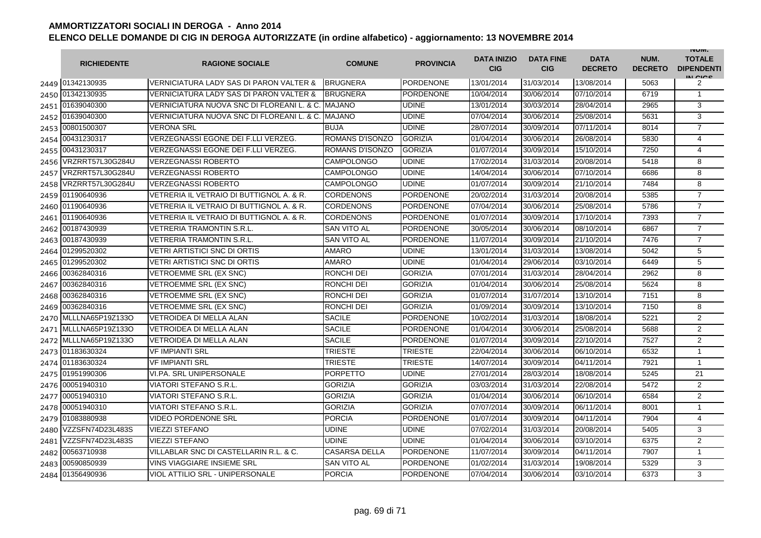|      | <b>RICHIEDENTE</b>    | <b>RAGIONE SOCIALE</b>                             | <b>COMUNE</b>        | <b>PROVINCIA</b> | <b>DATA INIZIO</b><br><b>CIG</b> | <b>DATA FINE</b><br><b>CIG</b> | <b>DATA</b><br><b>DECRETO</b> | NUM.<br><b>DECRETO</b> | <b>INUIVI.</b><br><b>TOTALE</b><br><b>DIPENDENTI</b><br>IN CICE |
|------|-----------------------|----------------------------------------------------|----------------------|------------------|----------------------------------|--------------------------------|-------------------------------|------------------------|-----------------------------------------------------------------|
|      | 2449 01342130935      | VERNICIATURA LADY SAS DI PARON VALTER &            | <b>BRUGNERA</b>      | <b>PORDENONE</b> | 13/01/2014                       | 31/03/2014                     | 13/08/2014                    | 5063                   | 2                                                               |
|      | 2450 01342130935      | <b>VERNICIATURA LADY SAS DI PARON VALTER &amp;</b> | <b>BRUGNERA</b>      | <b>PORDENONE</b> | 10/04/2014                       | 30/06/2014                     | 07/10/2014                    | 6719                   | $\mathbf{1}$                                                    |
|      | 2451 01639040300      | VERNICIATURA NUOVA SNC DI FLOREANI L. & C. MAJANO  |                      | <b>UDINE</b>     | 13/01/2014                       | 30/03/2014                     | 28/04/2014                    | 2965                   | 3                                                               |
|      | 2452 01639040300      | VERNICIATURA NUOVA SNC DI FLOREANI L. & C.         | <b>MAJANO</b>        | <b>UDINE</b>     | 07/04/2014                       | 30/06/2014                     | 25/08/2014                    | 5631                   | 3                                                               |
|      | 2453 00801500307      | <b>VERONA SRL</b>                                  | <b>BUJA</b>          | <b>UDINE</b>     | 28/07/2014                       | 30/09/2014                     | 07/11/2014                    | 8014                   | $\overline{7}$                                                  |
|      | 2454 00431230317      | VERZEGNASSI EGONE DEI F.LLI VERZEG.                | ROMANS D'ISONZO      | <b>GORIZIA</b>   | 01/04/2014                       | 30/06/2014                     | 26/08/2014                    | 5830                   | 4                                                               |
|      | 2455 00431230317      | VERZEGNASSI EGONE DEI F.LLI VERZEG.                | ROMANS D'ISONZO      | <b>GORIZIA</b>   | 01/07/2014                       | 30/09/2014                     | 15/10/2014                    | 7250                   | 4                                                               |
|      | 2456 VRZRRT57L30G284U | <b>VERZEGNASSI ROBERTO</b>                         | CAMPOLONGO           | <b>UDINE</b>     | 17/02/2014                       | 31/03/2014                     | 20/08/2014                    | 5418                   | 8                                                               |
| 2457 | VRZRRT57L30G284U      | <b>VERZEGNASSI ROBERTO</b>                         | CAMPOLONGO           | <b>UDINE</b>     | 14/04/2014                       | 30/06/2014                     | 07/10/2014                    | 6686                   | 8                                                               |
| 2458 | VRZRRT57L30G284U      | <b>VERZEGNASSI ROBERTO</b>                         | CAMPOLONGO           | <b>UDINE</b>     | 01/07/2014                       | 30/09/2014                     | 21/10/2014                    | 7484                   | 8                                                               |
| 2459 | 01190640936           | VETRERIA IL VETRAIO DI BUTTIGNOL A. & R.           | CORDENONS            | PORDENONE        | 20/02/2014                       | 31/03/2014                     | 20/08/2014                    | 5385                   | $\overline{7}$                                                  |
|      | 2460 01190640936      | VETRERIA IL VETRAIO DI BUTTIGNOL A. & R.           | CORDENONS            | <b>PORDENONE</b> | 07/04/2014                       | 30/06/2014                     | 25/08/2014                    | 5786                   | $\overline{7}$                                                  |
| 2461 | 01190640936           | VETRERIA IL VETRAIO DI BUTTIGNOL A. & R.           | <b>CORDENONS</b>     | <b>PORDENONE</b> | 01/07/2014                       | 30/09/2014                     | 17/10/2014                    | 7393                   | $\overline{7}$                                                  |
|      | 2462 00187430939      | <b>VETRERIA TRAMONTIN S.R.L.</b>                   | <b>SAN VITO AL</b>   | <b>PORDENONE</b> | 30/05/2014                       | 30/06/2014                     | 08/10/2014                    | 6867                   | $\overline{7}$                                                  |
| 2463 | 00187430939           | <b>VETRERIA TRAMONTIN S.R.L.</b>                   | <b>SAN VITO AL</b>   | <b>PORDENONE</b> | 11/07/2014                       | 30/09/2014                     | 21/10/2014                    | 7476                   | $\overline{7}$                                                  |
| 2464 | 01299520302           | <b>VETRI ARTISTICI SNC DI ORTIS</b>                | <b>AMARO</b>         | <b>UDINE</b>     | 13/01/2014                       | 31/03/2014                     | 13/08/2014                    | 5042                   | 5                                                               |
|      | 2465 01299520302      | <b>VETRI ARTISTICI SNC DI ORTIS</b>                | AMARO                | <b>UDINE</b>     | 01/04/2014                       | 29/06/2014                     | 03/10/2014                    | 6449                   | $\overline{5}$                                                  |
| 2466 | 00362840316           | <b>VETROEMME SRL (EX SNC)</b>                      | RONCHI DEI           | <b>GORIZIA</b>   | 07/01/2014                       | 31/03/2014                     | 28/04/2014                    | 2962                   | $\overline{8}$                                                  |
|      | 2467 00362840316      | VETROEMME SRL (EX SNC)                             | RONCHI DEI           | <b>GORIZIA</b>   | 01/04/2014                       | 30/06/2014                     | 25/08/2014                    | 5624                   | 8                                                               |
| 2468 | 00362840316           | VETROEMME SRL (EX SNC)                             | RONCHI DEI           | <b>GORIZIA</b>   | 01/07/2014                       | 31/07/2014                     | 13/10/2014                    | 7151                   | 8                                                               |
|      | 2469 00362840316      | <b>VETROEMME SRL (EX SNC)</b>                      | RONCHI DEI           | <b>GORIZIA</b>   | 01/09/2014                       | 30/09/2014                     | 13/10/2014                    | 7150                   | 8                                                               |
|      | 2470 MLLLNA65P19Z133O | <b>VETROIDEA DI MELLA ALAN</b>                     | <b>SACILE</b>        | <b>PORDENONE</b> | 10/02/2014                       | 31/03/2014                     | 18/08/2014                    | 5221                   | 2                                                               |
| 2471 | MLLLNA65P19Z133O      | VETROIDEA DI MELLA ALAN                            | <b>SACILE</b>        | <b>PORDENONE</b> | 01/04/2014                       | 30/06/2014                     | 25/08/2014                    | 5688                   | $\overline{2}$                                                  |
| 2472 | MLLLNA65P19Z133O      | <b>VETROIDEA DI MELLA ALAN</b>                     | <b>SACILE</b>        | <b>PORDENONE</b> | 01/07/2014                       | 30/09/2014                     | 22/10/2014                    | 7527                   | $\overline{c}$                                                  |
|      | 2473 01183630324      | <b>VF IMPIANTI SRL</b>                             | <b>TRIESTE</b>       | <b>TRIESTE</b>   | 22/04/2014                       | 30/06/2014                     | 06/10/2014                    | 6532                   | $\mathbf{1}$                                                    |
| 2474 | 01183630324           | <b>VF IMPIANTI SRL</b>                             | TRIESTE              | <b>TRIESTE</b>   | 14/07/2014                       | 30/09/2014                     | 04/11/2014                    | 7921                   | $\mathbf{1}$                                                    |
|      | 2475 01951990306      | VI.PA. SRL UNIPERSONALE                            | PORPETTO             | <b>UDINE</b>     | 27/01/2014                       | 28/03/2014                     | 18/08/2014                    | 5245                   | 21                                                              |
|      | 2476 00051940310      | <b>VIATORI STEFANO S.R.L.</b>                      | <b>GORIZIA</b>       | <b>GORIZIA</b>   | 03/03/2014                       | 31/03/2014                     | 22/08/2014                    | 5472                   | 2                                                               |
|      | 2477 00051940310      | <b>VIATORI STEFANO S.R.L.</b>                      | <b>GORIZIA</b>       | <b>GORIZIA</b>   | 01/04/2014                       | 30/06/2014                     | 06/10/2014                    | 6584                   | 2                                                               |
|      | 2478 00051940310      | VIATORI STEFANO S.R.L.                             | GORIZIA              | <b>GORIZIA</b>   | 07/07/2014                       | 30/09/2014                     | 06/11/2014                    | 8001                   | $\mathbf{1}$                                                    |
|      | 2479 01083880938      | <b>VIDEO PORDENONE SRL</b>                         | <b>PORCIA</b>        | PORDENONE        | 01/07/2014                       | 30/09/2014                     | 04/11/2014                    | 7904                   | 4                                                               |
| 2480 | VZZSFN74D23L483S      | <b>VIEZZI STEFANO</b>                              | UDINE                | <b>UDINE</b>     | 07/02/2014                       | 31/03/2014                     | 20/08/2014                    | 5405                   | 3                                                               |
| 2481 | VZZSFN74D23L483S      | <b>VIEZZI STEFANO</b>                              | <b>UDINE</b>         | <b>UDINE</b>     | 01/04/2014                       | 30/06/2014                     | 03/10/2014                    | 6375                   | $\overline{2}$                                                  |
|      | 2482 00563710938      | VILLABLAR SNC DI CASTELLARIN R.L. & C.             | <b>CASARSA DELLA</b> | <b>PORDENONE</b> | 11/07/2014                       | 30/09/2014                     | 04/11/2014                    | 7907                   | $\mathbf{1}$                                                    |
| 2483 | 00590850939           | VINS VIAGGIARE INSIEME SRL                         | <b>SAN VITO AL</b>   | <b>PORDENONE</b> | 01/02/2014                       | 31/03/2014                     | 19/08/2014                    | 5329                   | 3                                                               |
|      | 2484 01356490936      | VIOL ATTILIO SRL - UNIPERSONALE                    | <b>PORCIA</b>        | <b>PORDENONE</b> | 07/04/2014                       | 30/06/2014                     | 03/10/2014                    | 6373                   | 3                                                               |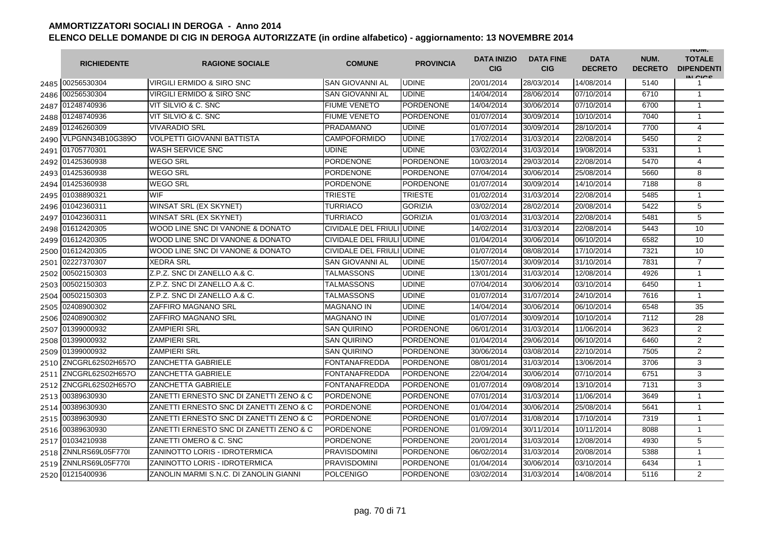|      | <b>RICHIEDENTE</b> | <b>RAGIONE SOCIALE</b>                  | <b>COMUNE</b>             | <b>PROVINCIA</b> | <b>DATA INIZIO</b><br>CIG | <b>DATA FINE</b><br><b>CIG</b> | <b>DATA</b><br><b>DECRETO</b> | NUM.<br><b>DECRETO</b> | <b>INUIVI.</b><br><b>TOTALE</b><br><b>DIPENDENTI</b><br>IN CICS |
|------|--------------------|-----------------------------------------|---------------------------|------------------|---------------------------|--------------------------------|-------------------------------|------------------------|-----------------------------------------------------------------|
|      | 2485 00256530304   | <b>VIRGILI ERMIDO &amp; SIRO SNC</b>    | <b>SAN GIOVANNI AL</b>    | <b>UDINE</b>     | 20/01/2014                | 28/03/2014                     | 14/08/2014                    | 5140                   | 1                                                               |
| 2486 | 00256530304        | VIRGILI ERMIDO & SIRO SNC               | <b>SAN GIOVANNI AL</b>    | <b>UDINE</b>     | 14/04/2014                | 28/06/2014                     | 07/10/2014                    | 6710                   | $\mathbf{1}$                                                    |
| 2487 | 01248740936        | VIT SILVIO & C. SNC                     | <b>FIUME VENETO</b>       | <b>PORDENONE</b> | 14/04/2014                | 30/06/2014                     | 07/10/2014                    | 6700                   | $\mathbf{1}$                                                    |
| 2488 | 01248740936        | VIT SILVIO & C. SNC                     | <b>FIUME VENETO</b>       | <b>PORDENONE</b> | 01/07/2014                | 30/09/2014                     | 10/10/2014                    | 7040                   | $\mathbf{1}$                                                    |
| 2489 | 01246260309        | <b>VIVARADIO SRL</b>                    | PRADAMANO                 | UDINE            | 01/07/2014                | 30/09/2014                     | 28/10/2014                    | 7700                   | 4                                                               |
| 2490 | VLPGNN34B10G389O   | <b>VOLPETTI GIOVANNI BATTISTA</b>       | <b>CAMPOFORMIDO</b>       | <b>UDINE</b>     | 17/02/2014                | 31/03/2014                     | 22/08/2014                    | 5450                   | $\overline{2}$                                                  |
| 2491 | 01705770301        | <b>WASH SERVICE SNC</b>                 | <b>UDINE</b>              | <b>UDINE</b>     | 03/02/2014                | 31/03/2014                     | 19/08/2014                    | 5331                   | $\mathbf{1}$                                                    |
| 2492 | 01425360938        | <b>WEGO SRL</b>                         | <b>PORDENONE</b>          | <b>PORDENONE</b> | 10/03/2014                | 29/03/2014                     | 22/08/2014                    | 5470                   | 4                                                               |
| 2493 | 01425360938        | <b>WEGO SRL</b>                         | <b>PORDENONE</b>          | <b>PORDENONE</b> | 07/04/2014                | 30/06/2014                     | 25/08/2014                    | 5660                   | 8                                                               |
| 2494 | 01425360938        | <b>WEGO SRL</b>                         | <b>PORDENONE</b>          | <b>PORDENONE</b> | 01/07/2014                | 30/09/2014                     | 14/10/2014                    | 7188                   | 8                                                               |
| 2495 | 01038890321        | <b>WIF</b>                              | TRIESTE                   | <b>TRIESTE</b>   | 01/02/2014                | 31/03/2014                     | 22/08/2014                    | 5485                   | $\mathbf{1}$                                                    |
| 2496 | 01042360311        | WINSAT SRL (EX SKYNET)                  | TURRIACO                  | <b>GORIZIA</b>   | 03/02/2014                | 28/02/2014                     | 20/08/2014                    | 5422                   | 5                                                               |
| 2497 | 01042360311        | WINSAT SRL (EX SKYNET)                  | TURRIACO                  | <b>GORIZIA</b>   | 01/03/2014                | 31/03/2014                     | 22/08/2014                    | 5481                   | $\overline{5}$                                                  |
| 2498 | 01612420305        | WOOD LINE SNC DI VANONE & DONATO        | CIVIDALE DEL FRIULI UDINE |                  | 14/02/2014                | 31/03/2014                     | 22/08/2014                    | 5443                   | $\overline{10}$                                                 |
| 2499 | 01612420305        | WOOD LINE SNC DI VANONE & DONATO        | CIVIDALE DEL FRIULI UDINE |                  | 01/04/2014                | 30/06/2014                     | 06/10/2014                    | 6582                   | 10                                                              |
| 2500 | 01612420305        | WOOD LINE SNC DI VANONE & DONATO        | CIVIDALE DEL FRIULI       | <b>UDINE</b>     | 01/07/2014                | 08/08/2014                     | 17/10/2014                    | 7321                   | 10                                                              |
| 2501 | 02227370307        | <b>XEDRA SRL</b>                        | <b>SAN GIOVANNI AL</b>    | <b>UDINE</b>     | 15/07/2014                | 30/09/2014                     | 31/10/2014                    | 7831                   | $\overline{7}$                                                  |
| 2502 | 00502150303        | Z.P.Z. SNC DI ZANELLO A.& C.            | TALMASSONS                | <b>UDINE</b>     | 13/01/2014                | 31/03/2014                     | 12/08/2014                    | 4926                   | $\mathbf{1}$                                                    |
| 2503 | 00502150303        | Z.P.Z. SNC DI ZANELLO A.& C.            | TALMASSONS                | <b>UDINE</b>     | 07/04/2014                | 30/06/2014                     | 03/10/2014                    | 6450                   | $\mathbf{1}$                                                    |
| 2504 | 00502150303        | Z.P.Z. SNC DI ZANELLO A.& C.            | TALMASSONS                | <b>UDINE</b>     | 01/07/2014                | 31/07/2014                     | 24/10/2014                    | 7616                   | $\mathbf{1}$                                                    |
| 2505 | 02408900302        | <b>ZAFFIRO MAGNANO SRL</b>              | <b>MAGNANO IN</b>         | <b>UDINE</b>     | 14/04/2014                | 30/06/2014                     | 06/10/2014                    | 6548                   | 35                                                              |
| 2506 | 02408900302        | ZAFFIRO MAGNANO SRL                     | MAGNANO IN                | <b>UDINE</b>     | 01/07/2014                | 30/09/2014                     | 10/10/2014                    | 7112                   | 28                                                              |
| 2507 | 01399000932        | <b>ZAMPIERI SRL</b>                     | <b>SAN QUIRINO</b>        | <b>PORDENONE</b> | 06/01/2014                | 31/03/2014                     | 11/06/2014                    | 3623                   | 2                                                               |
| 2508 | 01399000932        | <b>ZAMPIERI SRL</b>                     | <b>SAN QUIRINO</b>        | <b>PORDENONE</b> | 01/04/2014                | 29/06/2014                     | 06/10/2014                    | 6460                   | $\overline{2}$                                                  |
|      | 2509 01399000932   | <b>ZAMPIERI SRL</b>                     | <b>SAN QUIRINO</b>        | PORDENONE        | 30/06/2014                | 03/08/2014                     | 22/10/2014                    | 7505                   | $\overline{2}$                                                  |
| 2510 | ZNCGRL62S02H657O   | <b>ZANCHETTA GABRIELE</b>               | <b>FONTANAFREDDA</b>      | <b>PORDENONE</b> | 08/01/2014                | 31/03/2014                     | 13/06/2014                    | 3706                   | 3                                                               |
| 2511 | ZNCGRL62S02H657O   | <b>ZANCHETTA GABRIELE</b>               | <b>FONTANAFREDDA</b>      | PORDENONE        | 22/04/2014                | 30/06/2014                     | 07/10/2014                    | 6751                   | 3                                                               |
| 2512 | ZNCGRL62S02H657O   | <b>ZANCHETTA GABRIELE</b>               | <b>FONTANAFREDDA</b>      | <b>PORDENONE</b> | 01/07/2014                | 09/08/2014                     | 13/10/2014                    | 7131                   | 3                                                               |
| 2513 | 00389630930        | ZANETTI ERNESTO SNC DI ZANETTI ZENO & C | <b>PORDENONE</b>          | <b>PORDENONE</b> | 07/01/2014                | 31/03/2014                     | 11/06/2014                    | 3649                   | $\mathbf{1}$                                                    |
| 2514 | 00389630930        | ZANETTI ERNESTO SNC DI ZANETTI ZENO & C | <b>PORDENONE</b>          | <b>PORDENONE</b> | 01/04/2014                | 30/06/2014                     | 25/08/2014                    | 5641                   | $\mathbf{1}$                                                    |
| 2515 | 00389630930        | ZANETTI ERNESTO SNC DI ZANETTI ZENO & C | <b>PORDENONE</b>          | <b>PORDENONE</b> | 01/07/2014                | 31/08/2014                     | 17/10/2014                    | 7319                   | $\mathbf{1}$                                                    |
| 2516 | 00389630930        | ZANETTI ERNESTO SNC DI ZANETTI ZENO & C | <b>PORDENONE</b>          | PORDENONE        | 01/09/2014                | 30/11/2014                     | 10/11/2014                    | 8088                   | $\mathbf{1}$                                                    |
| 2517 | 01034210938        | ZANETTI OMERO & C. SNC                  | <b>PORDENONE</b>          | <b>PORDENONE</b> | 20/01/2014                | 31/03/2014                     | 12/08/2014                    | 4930                   | 5                                                               |
| 2518 | ZNNLRS69L05F770I   | ZANINOTTO LORIS - IDROTERMICA           | <b>PRAVISDOMINI</b>       | <b>PORDENONE</b> | 06/02/2014                | 31/03/2014                     | 20/08/2014                    | 5388                   | $\mathbf{1}$                                                    |
| 2519 | ZNNLRS69L05F770I   | <b>ZANINOTTO LORIS - IDROTERMICA</b>    | <b>PRAVISDOMINI</b>       | PORDENONE        | 01/04/2014                | 30/06/2014                     | 03/10/2014                    | 6434                   | $\mathbf{1}$                                                    |
|      | 2520 01215400936   | ZANOLIN MARMI S.N.C. DI ZANOLIN GIANNI  | <b>POLCENIGO</b>          | PORDENONE        | 03/02/2014                | 31/03/2014                     | 14/08/2014                    | 5116                   | $\overline{2}$                                                  |